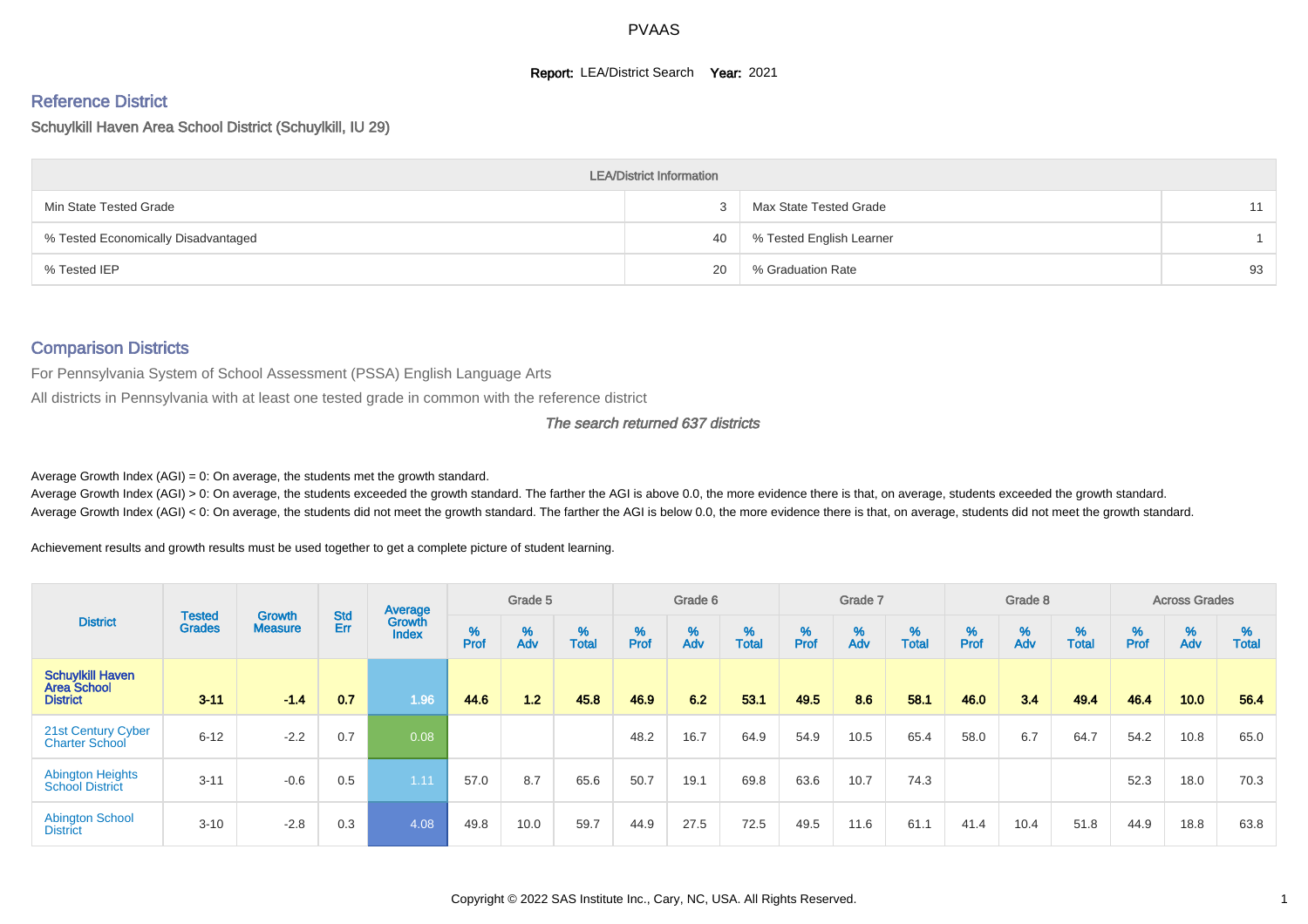#### **Report: LEA/District Search Year: 2021**

# Reference District

#### Schuylkill Haven Area School District (Schuylkill, IU 29)

|                                     | <b>LEA/District Information</b> |                          |    |
|-------------------------------------|---------------------------------|--------------------------|----|
| Min State Tested Grade              |                                 | Max State Tested Grade   | 11 |
| % Tested Economically Disadvantaged | 40                              | % Tested English Learner |    |
| % Tested IEP                        | 20                              | % Graduation Rate        | 93 |

#### Comparison Districts

For Pennsylvania System of School Assessment (PSSA) English Language Arts

All districts in Pennsylvania with at least one tested grade in common with the reference district

#### The search returned 637 districts

Average Growth Index  $(AGI) = 0$ : On average, the students met the growth standard.

Average Growth Index (AGI) > 0: On average, the students exceeded the growth standard. The farther the AGI is above 0.0, the more evidence there is that, on average, students exceeded the growth standard. Average Growth Index (AGI) < 0: On average, the students did not meet the growth standard. The farther the AGI is below 0.0, the more evidence there is that, on average, students did not meet the growth standard.

Achievement results and growth results must be used together to get a complete picture of student learning.

|                                                                  |                                |                                 |                   | Average                |           | Grade 5  |                   |           | Grade 6  |                   |           | Grade 7  |                   |           | Grade 8  |                   |           | <b>Across Grades</b> |                   |
|------------------------------------------------------------------|--------------------------------|---------------------------------|-------------------|------------------------|-----------|----------|-------------------|-----------|----------|-------------------|-----------|----------|-------------------|-----------|----------|-------------------|-----------|----------------------|-------------------|
| <b>District</b>                                                  | <b>Tested</b><br><b>Grades</b> | <b>Growth</b><br><b>Measure</b> | <b>Std</b><br>Err | Growth<br><b>Index</b> | %<br>Prof | %<br>Adv | %<br><b>Total</b> | %<br>Prof | %<br>Adv | %<br><b>Total</b> | %<br>Prof | %<br>Adv | %<br><b>Total</b> | %<br>Prof | %<br>Adv | %<br><b>Total</b> | %<br>Prof | %<br>Adv             | %<br><b>Total</b> |
| <b>Schuylkill Haven</b><br><b>Area School</b><br><b>District</b> | $3 - 11$                       | $-1.4$                          | 0.7               | 1.96                   | 44.6      | 1.2      | 45.8              | 46.9      | 6.2      | 53.1              | 49.5      | 8.6      | 58.1              | 46.0      | 3.4      | 49.4              | 46.4      | 10.0                 | 56.4              |
| 21st Century Cyber<br><b>Charter School</b>                      | $6 - 12$                       | $-2.2$                          | 0.7               | 0.08                   |           |          |                   | 48.2      | 16.7     | 64.9              | 54.9      | 10.5     | 65.4              | 58.0      | 6.7      | 64.7              | 54.2      | 10.8                 | 65.0              |
| <b>Abington Heights</b><br><b>School District</b>                | $3 - 11$                       | $-0.6$                          | 0.5               | 1.11                   | 57.0      | 8.7      | 65.6              | 50.7      | 19.1     | 69.8              | 63.6      | 10.7     | 74.3              |           |          |                   | 52.3      | 18.0                 | 70.3              |
| <b>Abington School</b><br><b>District</b>                        | $3 - 10$                       | $-2.8$                          | 0.3               | 4.08                   | 49.8      | 10.0     | 59.7              | 44.9      | 27.5     | 72.5              | 49.5      | 11.6     | 61.1              | 41.4      | 10.4     | 51.8              | 44.9      | 18.8                 | 63.8              |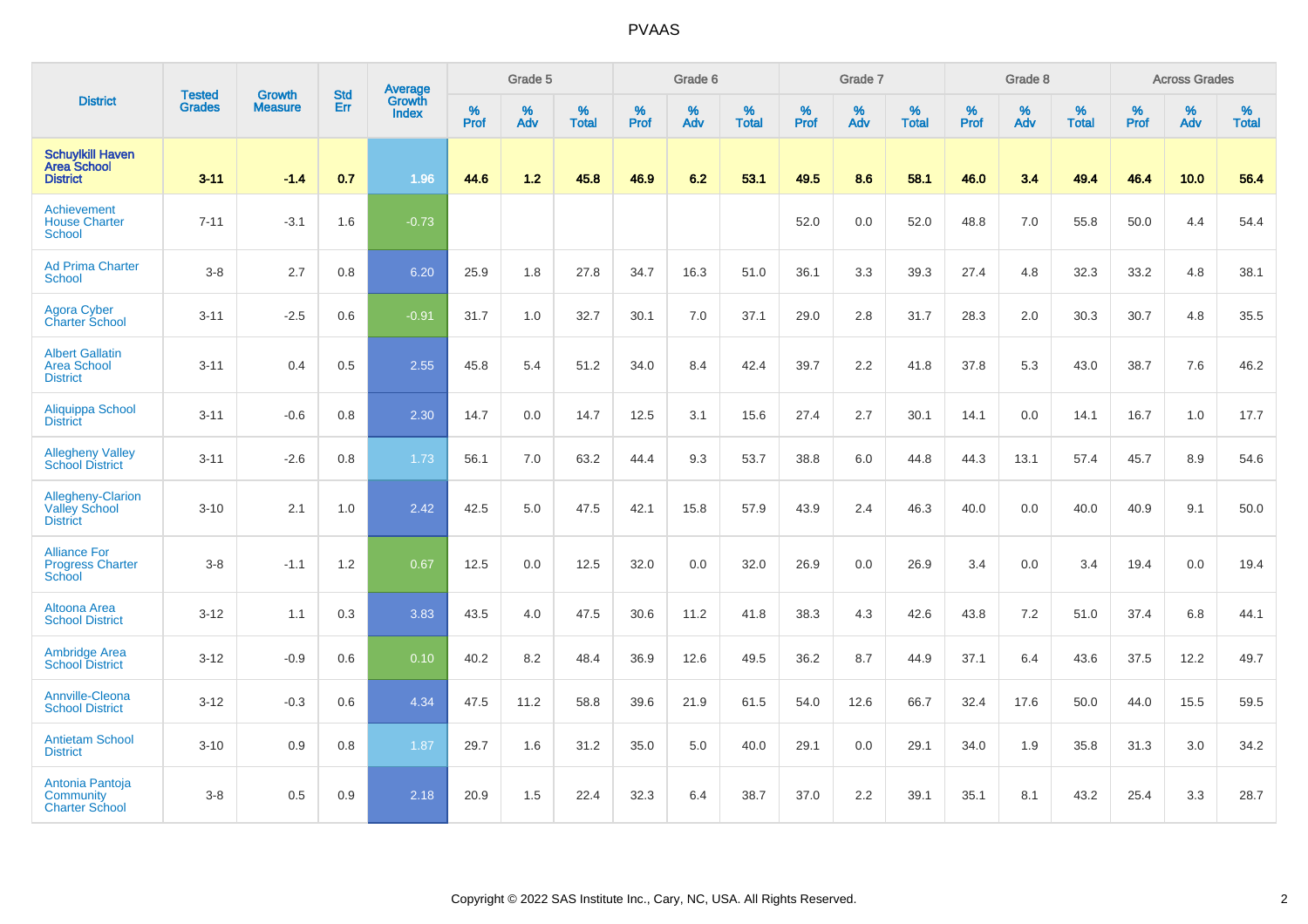|                                                                     |                                |                                 | <b>Std</b> | Average                       |              | Grade 5  |                   |           | Grade 6  |                   |           | Grade 7  |                   |           | Grade 8  |                   |           | <b>Across Grades</b> |                   |
|---------------------------------------------------------------------|--------------------------------|---------------------------------|------------|-------------------------------|--------------|----------|-------------------|-----------|----------|-------------------|-----------|----------|-------------------|-----------|----------|-------------------|-----------|----------------------|-------------------|
| <b>District</b>                                                     | <b>Tested</b><br><b>Grades</b> | <b>Growth</b><br><b>Measure</b> | Err        | <b>Growth</b><br><b>Index</b> | $\%$<br>Prof | %<br>Adv | %<br><b>Total</b> | %<br>Prof | %<br>Adv | %<br><b>Total</b> | %<br>Prof | %<br>Adv | %<br><b>Total</b> | %<br>Prof | %<br>Adv | %<br><b>Total</b> | %<br>Prof | %<br>Adv             | %<br><b>Total</b> |
| <b>Schuylkill Haven</b><br><b>Area School</b><br><b>District</b>    | $3 - 11$                       | $-1.4$                          | 0.7        | 1.96                          | 44.6         | 1.2      | 45.8              | 46.9      | 6.2      | 53.1              | 49.5      | 8.6      | 58.1              | 46.0      | 3.4      | 49.4              | 46.4      | 10.0                 | 56.4              |
| Achievement<br><b>House Charter</b><br>School                       | $7 - 11$                       | $-3.1$                          | 1.6        | $-0.73$                       |              |          |                   |           |          |                   | 52.0      | 0.0      | 52.0              | 48.8      | 7.0      | 55.8              | 50.0      | 4.4                  | 54.4              |
| <b>Ad Prima Charter</b><br>School                                   | $3-8$                          | 2.7                             | 0.8        | 6.20                          | 25.9         | 1.8      | 27.8              | 34.7      | 16.3     | 51.0              | 36.1      | 3.3      | 39.3              | 27.4      | 4.8      | 32.3              | 33.2      | 4.8                  | 38.1              |
| <b>Agora Cyber</b><br><b>Charter School</b>                         | $3 - 11$                       | $-2.5$                          | 0.6        | $-0.91$                       | 31.7         | 1.0      | 32.7              | 30.1      | 7.0      | 37.1              | 29.0      | 2.8      | 31.7              | 28.3      | 2.0      | 30.3              | 30.7      | 4.8                  | 35.5              |
| <b>Albert Gallatin</b><br><b>Area School</b><br><b>District</b>     | $3 - 11$                       | 0.4                             | 0.5        | 2.55                          | 45.8         | 5.4      | 51.2              | 34.0      | 8.4      | 42.4              | 39.7      | 2.2      | 41.8              | 37.8      | 5.3      | 43.0              | 38.7      | 7.6                  | 46.2              |
| Aliquippa School<br><b>District</b>                                 | $3 - 11$                       | $-0.6$                          | 0.8        | 2.30                          | 14.7         | 0.0      | 14.7              | 12.5      | 3.1      | 15.6              | 27.4      | 2.7      | 30.1              | 14.1      | 0.0      | 14.1              | 16.7      | 1.0                  | 17.7              |
| <b>Allegheny Valley</b><br><b>School District</b>                   | $3 - 11$                       | $-2.6$                          | 0.8        | 1.73                          | 56.1         | 7.0      | 63.2              | 44.4      | 9.3      | 53.7              | 38.8      | 6.0      | 44.8              | 44.3      | 13.1     | 57.4              | 45.7      | 8.9                  | 54.6              |
| <b>Allegheny-Clarion</b><br><b>Valley School</b><br><b>District</b> | $3 - 10$                       | 2.1                             | 1.0        | 2.42                          | 42.5         | 5.0      | 47.5              | 42.1      | 15.8     | 57.9              | 43.9      | 2.4      | 46.3              | 40.0      | 0.0      | 40.0              | 40.9      | 9.1                  | 50.0              |
| <b>Alliance For</b><br><b>Progress Charter</b><br>School            | $3-8$                          | $-1.1$                          | 1.2        | 0.67                          | 12.5         | 0.0      | 12.5              | 32.0      | 0.0      | 32.0              | 26.9      | 0.0      | 26.9              | 3.4       | 0.0      | 3.4               | 19.4      | 0.0                  | 19.4              |
| Altoona Area<br><b>School District</b>                              | $3 - 12$                       | 1.1                             | 0.3        | 3.83                          | 43.5         | 4.0      | 47.5              | 30.6      | 11.2     | 41.8              | 38.3      | 4.3      | 42.6              | 43.8      | $7.2\,$  | 51.0              | 37.4      | 6.8                  | 44.1              |
| <b>Ambridge Area</b><br><b>School District</b>                      | $3 - 12$                       | $-0.9$                          | 0.6        | 0.10                          | 40.2         | 8.2      | 48.4              | 36.9      | 12.6     | 49.5              | 36.2      | 8.7      | 44.9              | 37.1      | 6.4      | 43.6              | 37.5      | 12.2                 | 49.7              |
| Annville-Cleona<br><b>School District</b>                           | $3 - 12$                       | $-0.3$                          | 0.6        | 4.34                          | 47.5         | 11.2     | 58.8              | 39.6      | 21.9     | 61.5              | 54.0      | 12.6     | 66.7              | 32.4      | 17.6     | 50.0              | 44.0      | 15.5                 | 59.5              |
| <b>Antietam School</b><br><b>District</b>                           | $3 - 10$                       | 0.9                             | 0.8        | 1.87                          | 29.7         | 1.6      | 31.2              | 35.0      | 5.0      | 40.0              | 29.1      | 0.0      | 29.1              | 34.0      | 1.9      | 35.8              | 31.3      | 3.0                  | 34.2              |
| Antonia Pantoja<br>Community<br><b>Charter School</b>               | $3-8$                          | 0.5                             | 0.9        | 2.18                          | 20.9         | 1.5      | 22.4              | 32.3      | 6.4      | 38.7              | 37.0      | 2.2      | 39.1              | 35.1      | 8.1      | 43.2              | 25.4      | 3.3                  | 28.7              |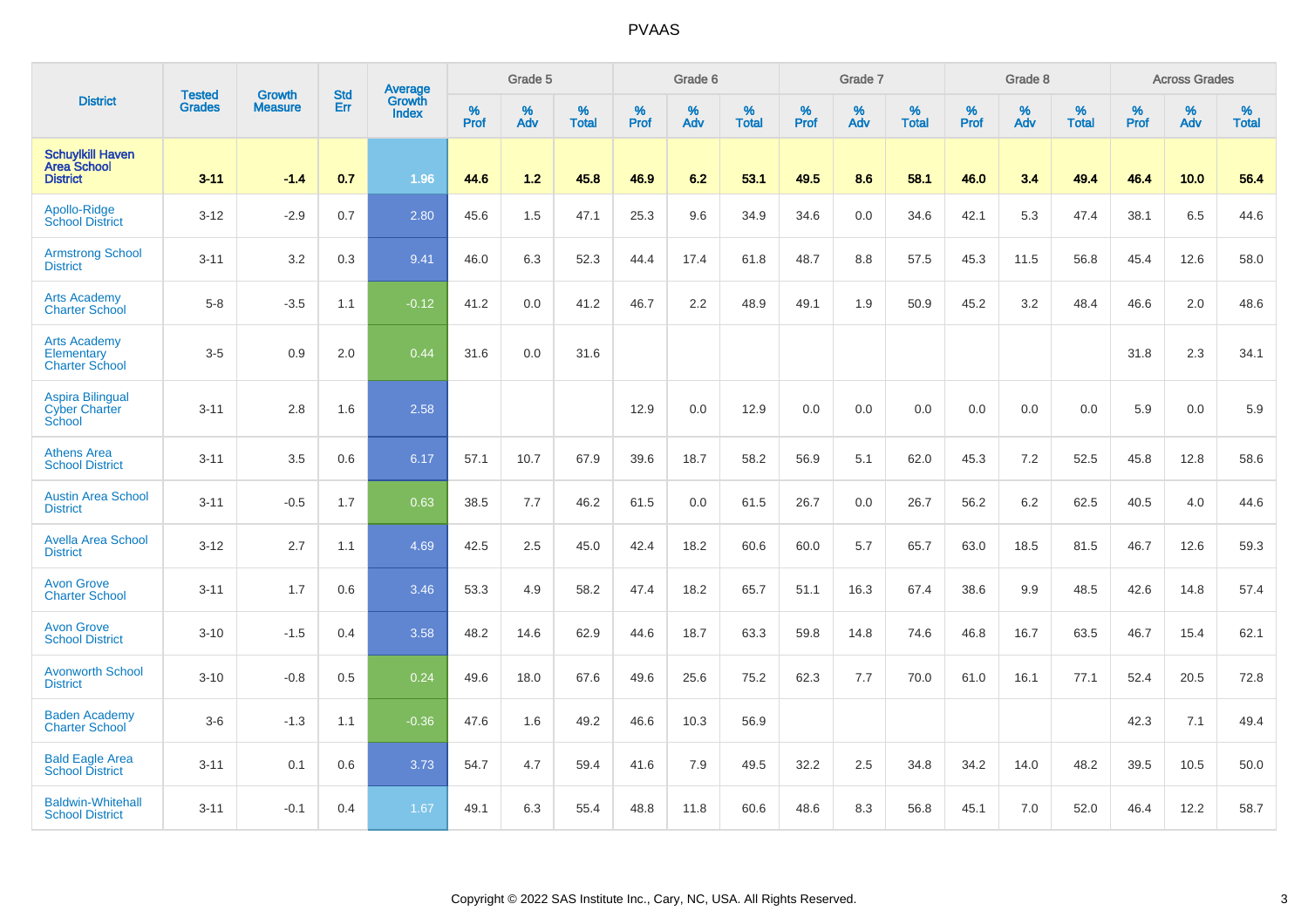|                                                                  | <b>Tested</b> | <b>Growth</b>  | <b>Std</b> | Average                       |           | Grade 5  |                   |           | Grade 6  |                   |           | Grade 7  |                   |           | Grade 8  |                   |           | <b>Across Grades</b> |                   |
|------------------------------------------------------------------|---------------|----------------|------------|-------------------------------|-----------|----------|-------------------|-----------|----------|-------------------|-----------|----------|-------------------|-----------|----------|-------------------|-----------|----------------------|-------------------|
| <b>District</b>                                                  | <b>Grades</b> | <b>Measure</b> | Err        | <b>Growth</b><br><b>Index</b> | %<br>Prof | %<br>Adv | %<br><b>Total</b> | %<br>Prof | %<br>Adv | %<br><b>Total</b> | %<br>Prof | %<br>Adv | %<br><b>Total</b> | %<br>Prof | %<br>Adv | %<br><b>Total</b> | %<br>Prof | %<br>Adv             | %<br><b>Total</b> |
| <b>Schuylkill Haven</b><br><b>Area School</b><br><b>District</b> | $3 - 11$      | $-1.4$         | 0.7        | 1.96                          | 44.6      | $1.2$    | 45.8              | 46.9      | 6.2      | 53.1              | 49.5      | 8.6      | 58.1              | 46.0      | 3.4      | 49.4              | 46.4      | 10.0                 | 56.4              |
| Apollo-Ridge<br><b>School District</b>                           | $3 - 12$      | $-2.9$         | 0.7        | 2.80                          | 45.6      | 1.5      | 47.1              | 25.3      | 9.6      | 34.9              | 34.6      | 0.0      | 34.6              | 42.1      | 5.3      | 47.4              | 38.1      | 6.5                  | 44.6              |
| <b>Armstrong School</b><br><b>District</b>                       | $3 - 11$      | 3.2            | 0.3        | 9.41                          | 46.0      | 6.3      | 52.3              | 44.4      | 17.4     | 61.8              | 48.7      | 8.8      | 57.5              | 45.3      | 11.5     | 56.8              | 45.4      | 12.6                 | 58.0              |
| <b>Arts Academy</b><br><b>Charter School</b>                     | $5-8$         | $-3.5$         | 1.1        | $-0.12$                       | 41.2      | 0.0      | 41.2              | 46.7      | 2.2      | 48.9              | 49.1      | 1.9      | 50.9              | 45.2      | 3.2      | 48.4              | 46.6      | 2.0                  | 48.6              |
| <b>Arts Academy</b><br>Elementary<br><b>Charter School</b>       | $3-5$         | 0.9            | 2.0        | 0.44                          | 31.6      | 0.0      | 31.6              |           |          |                   |           |          |                   |           |          |                   | 31.8      | 2.3                  | 34.1              |
| <b>Aspira Bilingual</b><br><b>Cyber Charter</b><br>School        | $3 - 11$      | 2.8            | 1.6        | 2.58                          |           |          |                   | 12.9      | 0.0      | 12.9              | 0.0       | 0.0      | 0.0               | 0.0       | 0.0      | 0.0               | 5.9       | 0.0                  | 5.9               |
| <b>Athens Area</b><br><b>School District</b>                     | $3 - 11$      | 3.5            | 0.6        | 6.17                          | 57.1      | 10.7     | 67.9              | 39.6      | 18.7     | 58.2              | 56.9      | 5.1      | 62.0              | 45.3      | 7.2      | 52.5              | 45.8      | 12.8                 | 58.6              |
| <b>Austin Area School</b><br><b>District</b>                     | $3 - 11$      | $-0.5$         | 1.7        | 0.63                          | 38.5      | 7.7      | 46.2              | 61.5      | 0.0      | 61.5              | 26.7      | 0.0      | 26.7              | 56.2      | 6.2      | 62.5              | 40.5      | 4.0                  | 44.6              |
| <b>Avella Area School</b><br><b>District</b>                     | $3 - 12$      | 2.7            | 1.1        | 4.69                          | 42.5      | 2.5      | 45.0              | 42.4      | 18.2     | 60.6              | 60.0      | 5.7      | 65.7              | 63.0      | 18.5     | 81.5              | 46.7      | 12.6                 | 59.3              |
| <b>Avon Grove</b><br><b>Charter School</b>                       | $3 - 11$      | 1.7            | 0.6        | 3.46                          | 53.3      | 4.9      | 58.2              | 47.4      | 18.2     | 65.7              | 51.1      | 16.3     | 67.4              | 38.6      | 9.9      | 48.5              | 42.6      | 14.8                 | 57.4              |
| <b>Avon Grove</b><br><b>School District</b>                      | $3 - 10$      | $-1.5$         | 0.4        | 3.58                          | 48.2      | 14.6     | 62.9              | 44.6      | 18.7     | 63.3              | 59.8      | 14.8     | 74.6              | 46.8      | 16.7     | 63.5              | 46.7      | 15.4                 | 62.1              |
| <b>Avonworth School</b><br><b>District</b>                       | $3 - 10$      | $-0.8$         | 0.5        | 0.24                          | 49.6      | 18.0     | 67.6              | 49.6      | 25.6     | 75.2              | 62.3      | 7.7      | 70.0              | 61.0      | 16.1     | 77.1              | 52.4      | 20.5                 | 72.8              |
| <b>Baden Academy</b><br><b>Charter School</b>                    | $3-6$         | $-1.3$         | 1.1        | $-0.36$                       | 47.6      | 1.6      | 49.2              | 46.6      | 10.3     | 56.9              |           |          |                   |           |          |                   | 42.3      | 7.1                  | 49.4              |
| <b>Bald Eagle Area</b><br><b>School District</b>                 | $3 - 11$      | 0.1            | 0.6        | 3.73                          | 54.7      | 4.7      | 59.4              | 41.6      | 7.9      | 49.5              | 32.2      | 2.5      | 34.8              | 34.2      | 14.0     | 48.2              | 39.5      | 10.5                 | 50.0              |
| <b>Baldwin-Whitehall</b><br><b>School District</b>               | $3 - 11$      | $-0.1$         | 0.4        | 1.67                          | 49.1      | 6.3      | 55.4              | 48.8      | 11.8     | 60.6              | 48.6      | 8.3      | 56.8              | 45.1      | 7.0      | 52.0              | 46.4      | 12.2                 | 58.7              |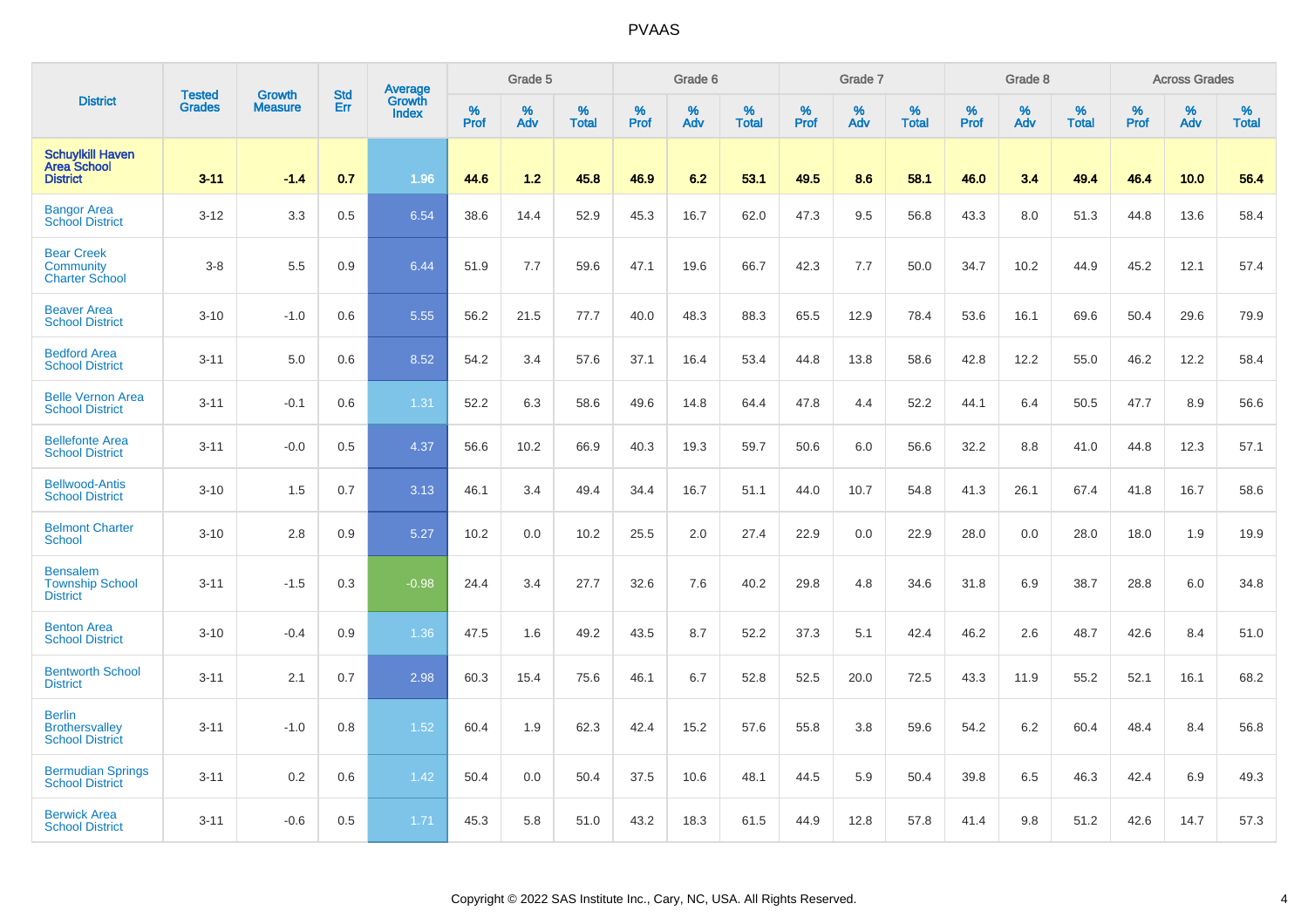| <b>District</b>                                                  | <b>Tested</b> | <b>Growth</b>  | <b>Std</b> | Average                |                     | Grade 5     |                   |                  | Grade 6  |                   |                  | Grade 7  |                   |                  | Grade 8  |                   |                  | <b>Across Grades</b> |                   |
|------------------------------------------------------------------|---------------|----------------|------------|------------------------|---------------------|-------------|-------------------|------------------|----------|-------------------|------------------|----------|-------------------|------------------|----------|-------------------|------------------|----------------------|-------------------|
|                                                                  | <b>Grades</b> | <b>Measure</b> | Err        | Growth<br><b>Index</b> | $\%$<br><b>Prof</b> | $\%$<br>Adv | %<br><b>Total</b> | %<br><b>Prof</b> | %<br>Adv | %<br><b>Total</b> | %<br><b>Prof</b> | %<br>Adv | %<br><b>Total</b> | %<br><b>Prof</b> | %<br>Adv | %<br><b>Total</b> | %<br><b>Prof</b> | %<br>Adv             | %<br><b>Total</b> |
| <b>Schuylkill Haven</b><br><b>Area School</b><br><b>District</b> | $3 - 11$      | $-1.4$         | 0.7        | 1.96                   | 44.6                | 1.2         | 45.8              | 46.9             | 6.2      | 53.1              | 49.5             | 8.6      | 58.1              | 46.0             | 3.4      | 49.4              | 46.4             | 10.0                 | 56.4              |
| <b>Bangor Area</b><br><b>School District</b>                     | $3 - 12$      | 3.3            | 0.5        | 6.54                   | 38.6                | 14.4        | 52.9              | 45.3             | 16.7     | 62.0              | 47.3             | 9.5      | 56.8              | 43.3             | 8.0      | 51.3              | 44.8             | 13.6                 | 58.4              |
| <b>Bear Creek</b><br>Community<br><b>Charter School</b>          | $3 - 8$       | 5.5            | 0.9        | 6.44                   | 51.9                | 7.7         | 59.6              | 47.1             | 19.6     | 66.7              | 42.3             | 7.7      | 50.0              | 34.7             | 10.2     | 44.9              | 45.2             | 12.1                 | 57.4              |
| <b>Beaver Area</b><br><b>School District</b>                     | $3 - 10$      | $-1.0$         | 0.6        | 5.55                   | 56.2                | 21.5        | 77.7              | 40.0             | 48.3     | 88.3              | 65.5             | 12.9     | 78.4              | 53.6             | 16.1     | 69.6              | 50.4             | 29.6                 | 79.9              |
| <b>Bedford Area</b><br><b>School District</b>                    | $3 - 11$      | 5.0            | 0.6        | 8.52                   | 54.2                | 3.4         | 57.6              | 37.1             | 16.4     | 53.4              | 44.8             | 13.8     | 58.6              | 42.8             | 12.2     | 55.0              | 46.2             | 12.2                 | 58.4              |
| <b>Belle Vernon Area</b><br><b>School District</b>               | $3 - 11$      | $-0.1$         | 0.6        | 1.31                   | 52.2                | 6.3         | 58.6              | 49.6             | 14.8     | 64.4              | 47.8             | 4.4      | 52.2              | 44.1             | 6.4      | 50.5              | 47.7             | 8.9                  | 56.6              |
| <b>Bellefonte Area</b><br><b>School District</b>                 | $3 - 11$      | $-0.0$         | 0.5        | 4.37                   | 56.6                | 10.2        | 66.9              | 40.3             | 19.3     | 59.7              | 50.6             | 6.0      | 56.6              | 32.2             | 8.8      | 41.0              | 44.8             | 12.3                 | 57.1              |
| <b>Bellwood-Antis</b><br><b>School District</b>                  | $3 - 10$      | 1.5            | 0.7        | 3.13                   | 46.1                | 3.4         | 49.4              | 34.4             | 16.7     | 51.1              | 44.0             | 10.7     | 54.8              | 41.3             | 26.1     | 67.4              | 41.8             | 16.7                 | 58.6              |
| <b>Belmont Charter</b><br>School                                 | $3 - 10$      | 2.8            | 0.9        | 5.27                   | 10.2                | 0.0         | 10.2              | 25.5             | 2.0      | 27.4              | 22.9             | 0.0      | 22.9              | 28.0             | 0.0      | 28.0              | 18.0             | 1.9                  | 19.9              |
| <b>Bensalem</b><br><b>Township School</b><br><b>District</b>     | $3 - 11$      | $-1.5$         | 0.3        | $-0.98$                | 24.4                | 3.4         | 27.7              | 32.6             | 7.6      | 40.2              | 29.8             | 4.8      | 34.6              | 31.8             | 6.9      | 38.7              | 28.8             | 6.0                  | 34.8              |
| <b>Benton Area</b><br><b>School District</b>                     | $3 - 10$      | $-0.4$         | 0.9        | 1.36                   | 47.5                | 1.6         | 49.2              | 43.5             | 8.7      | 52.2              | 37.3             | 5.1      | 42.4              | 46.2             | 2.6      | 48.7              | 42.6             | 8.4                  | 51.0              |
| <b>Bentworth School</b><br><b>District</b>                       | $3 - 11$      | 2.1            | 0.7        | 2.98                   | 60.3                | 15.4        | 75.6              | 46.1             | 6.7      | 52.8              | 52.5             | 20.0     | 72.5              | 43.3             | 11.9     | 55.2              | 52.1             | 16.1                 | 68.2              |
| <b>Berlin</b><br><b>Brothersvalley</b><br><b>School District</b> | $3 - 11$      | $-1.0$         | 0.8        | 1.52                   | 60.4                | 1.9         | 62.3              | 42.4             | 15.2     | 57.6              | 55.8             | 3.8      | 59.6              | 54.2             | 6.2      | 60.4              | 48.4             | 8.4                  | 56.8              |
| <b>Bermudian Springs</b><br><b>School District</b>               | $3 - 11$      | 0.2            | 0.6        | 1.42                   | 50.4                | 0.0         | 50.4              | 37.5             | 10.6     | 48.1              | 44.5             | 5.9      | 50.4              | 39.8             | 6.5      | 46.3              | 42.4             | 6.9                  | 49.3              |
| <b>Berwick Area</b><br><b>School District</b>                    | $3 - 11$      | $-0.6$         | 0.5        | 1.71                   | 45.3                | 5.8         | 51.0              | 43.2             | 18.3     | 61.5              | 44.9             | 12.8     | 57.8              | 41.4             | 9.8      | 51.2              | 42.6             | 14.7                 | 57.3              |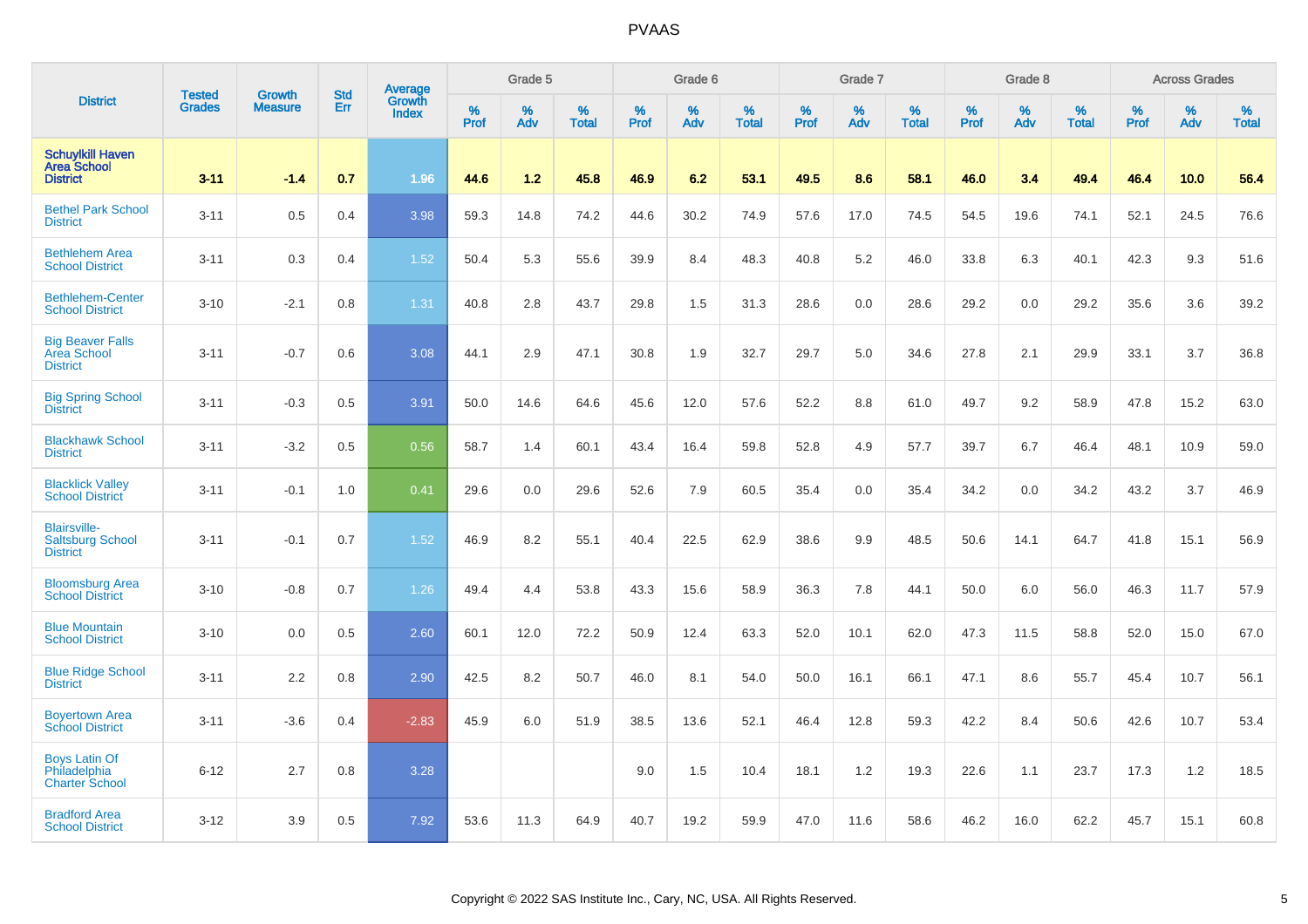| <b>District</b>                                                   |                                | <b>Growth</b>  | <b>Std</b> | Average                |                     | Grade 5  |                   |                  | Grade 6  |                   |                  | Grade 7  |                   |           | Grade 8  |                   |              | <b>Across Grades</b> |                   |
|-------------------------------------------------------------------|--------------------------------|----------------|------------|------------------------|---------------------|----------|-------------------|------------------|----------|-------------------|------------------|----------|-------------------|-----------|----------|-------------------|--------------|----------------------|-------------------|
|                                                                   | <b>Tested</b><br><b>Grades</b> | <b>Measure</b> | Err        | Growth<br><b>Index</b> | $\%$<br><b>Prof</b> | %<br>Adv | %<br><b>Total</b> | %<br><b>Prof</b> | %<br>Adv | %<br><b>Total</b> | %<br><b>Prof</b> | %<br>Adv | %<br><b>Total</b> | %<br>Prof | %<br>Adv | %<br><b>Total</b> | $\%$<br>Prof | %<br>Adv             | %<br><b>Total</b> |
| <b>Schuylkill Haven</b><br><b>Area School</b><br><b>District</b>  | $3 - 11$                       | $-1.4$         | 0.7        | 1.96                   | 44.6                | 1.2      | 45.8              | 46.9             | 6.2      | 53.1              | 49.5             | 8.6      | 58.1              | 46.0      | 3.4      | 49.4              | 46.4         | 10.0                 | 56.4              |
| <b>Bethel Park School</b><br><b>District</b>                      | $3 - 11$                       | 0.5            | 0.4        | 3.98                   | 59.3                | 14.8     | 74.2              | 44.6             | 30.2     | 74.9              | 57.6             | 17.0     | 74.5              | 54.5      | 19.6     | 74.1              | 52.1         | 24.5                 | 76.6              |
| <b>Bethlehem Area</b><br><b>School District</b>                   | $3 - 11$                       | 0.3            | 0.4        | 1.52                   | 50.4                | 5.3      | 55.6              | 39.9             | 8.4      | 48.3              | 40.8             | 5.2      | 46.0              | 33.8      | 6.3      | 40.1              | 42.3         | 9.3                  | 51.6              |
| <b>Bethlehem-Center</b><br><b>School District</b>                 | $3 - 10$                       | $-2.1$         | 0.8        | 1.31                   | 40.8                | 2.8      | 43.7              | 29.8             | 1.5      | 31.3              | 28.6             | 0.0      | 28.6              | 29.2      | 0.0      | 29.2              | 35.6         | 3.6                  | 39.2              |
| <b>Big Beaver Falls</b><br><b>Area School</b><br><b>District</b>  | $3 - 11$                       | $-0.7$         | 0.6        | 3.08                   | 44.1                | 2.9      | 47.1              | 30.8             | 1.9      | 32.7              | 29.7             | 5.0      | 34.6              | 27.8      | 2.1      | 29.9              | 33.1         | 3.7                  | 36.8              |
| <b>Big Spring School</b><br><b>District</b>                       | $3 - 11$                       | $-0.3$         | 0.5        | 3.91                   | 50.0                | 14.6     | 64.6              | 45.6             | 12.0     | 57.6              | 52.2             | 8.8      | 61.0              | 49.7      | 9.2      | 58.9              | 47.8         | 15.2                 | 63.0              |
| <b>Blackhawk School</b><br><b>District</b>                        | $3 - 11$                       | $-3.2$         | 0.5        | 0.56                   | 58.7                | 1.4      | 60.1              | 43.4             | 16.4     | 59.8              | 52.8             | 4.9      | 57.7              | 39.7      | 6.7      | 46.4              | 48.1         | 10.9                 | 59.0              |
| <b>Blacklick Valley</b><br><b>School District</b>                 | $3 - 11$                       | $-0.1$         | 1.0        | 0.41                   | 29.6                | 0.0      | 29.6              | 52.6             | 7.9      | 60.5              | 35.4             | 0.0      | 35.4              | 34.2      | 0.0      | 34.2              | 43.2         | 3.7                  | 46.9              |
| <b>Blairsville-</b><br><b>Saltsburg School</b><br><b>District</b> | $3 - 11$                       | $-0.1$         | 0.7        | 1.52                   | 46.9                | 8.2      | 55.1              | 40.4             | 22.5     | 62.9              | 38.6             | 9.9      | 48.5              | 50.6      | 14.1     | 64.7              | 41.8         | 15.1                 | 56.9              |
| <b>Bloomsburg Area</b><br><b>School District</b>                  | $3 - 10$                       | $-0.8$         | 0.7        | 1.26                   | 49.4                | 4.4      | 53.8              | 43.3             | 15.6     | 58.9              | 36.3             | 7.8      | 44.1              | 50.0      | 6.0      | 56.0              | 46.3         | 11.7                 | 57.9              |
| <b>Blue Mountain</b><br><b>School District</b>                    | $3 - 10$                       | 0.0            | 0.5        | 2.60                   | 60.1                | 12.0     | 72.2              | 50.9             | 12.4     | 63.3              | 52.0             | 10.1     | 62.0              | 47.3      | 11.5     | 58.8              | 52.0         | 15.0                 | 67.0              |
| <b>Blue Ridge School</b><br><b>District</b>                       | $3 - 11$                       | 2.2            | 0.8        | 2.90                   | 42.5                | 8.2      | 50.7              | 46.0             | 8.1      | 54.0              | 50.0             | 16.1     | 66.1              | 47.1      | 8.6      | 55.7              | 45.4         | 10.7                 | 56.1              |
| <b>Boyertown Area</b><br><b>School District</b>                   | $3 - 11$                       | $-3.6$         | 0.4        | $-2.83$                | 45.9                | 6.0      | 51.9              | 38.5             | 13.6     | 52.1              | 46.4             | 12.8     | 59.3              | 42.2      | 8.4      | 50.6              | 42.6         | 10.7                 | 53.4              |
| <b>Boys Latin Of</b><br>Philadelphia<br><b>Charter School</b>     | $6 - 12$                       | 2.7            | 0.8        | 3.28                   |                     |          |                   | 9.0              | 1.5      | 10.4              | 18.1             | 1.2      | 19.3              | 22.6      | 1.1      | 23.7              | 17.3         | $1.2$                | 18.5              |
| <b>Bradford Area</b><br><b>School District</b>                    | $3 - 12$                       | 3.9            | 0.5        | 7.92                   | 53.6                | 11.3     | 64.9              | 40.7             | 19.2     | 59.9              | 47.0             | 11.6     | 58.6              | 46.2      | 16.0     | 62.2              | 45.7         | 15.1                 | 60.8              |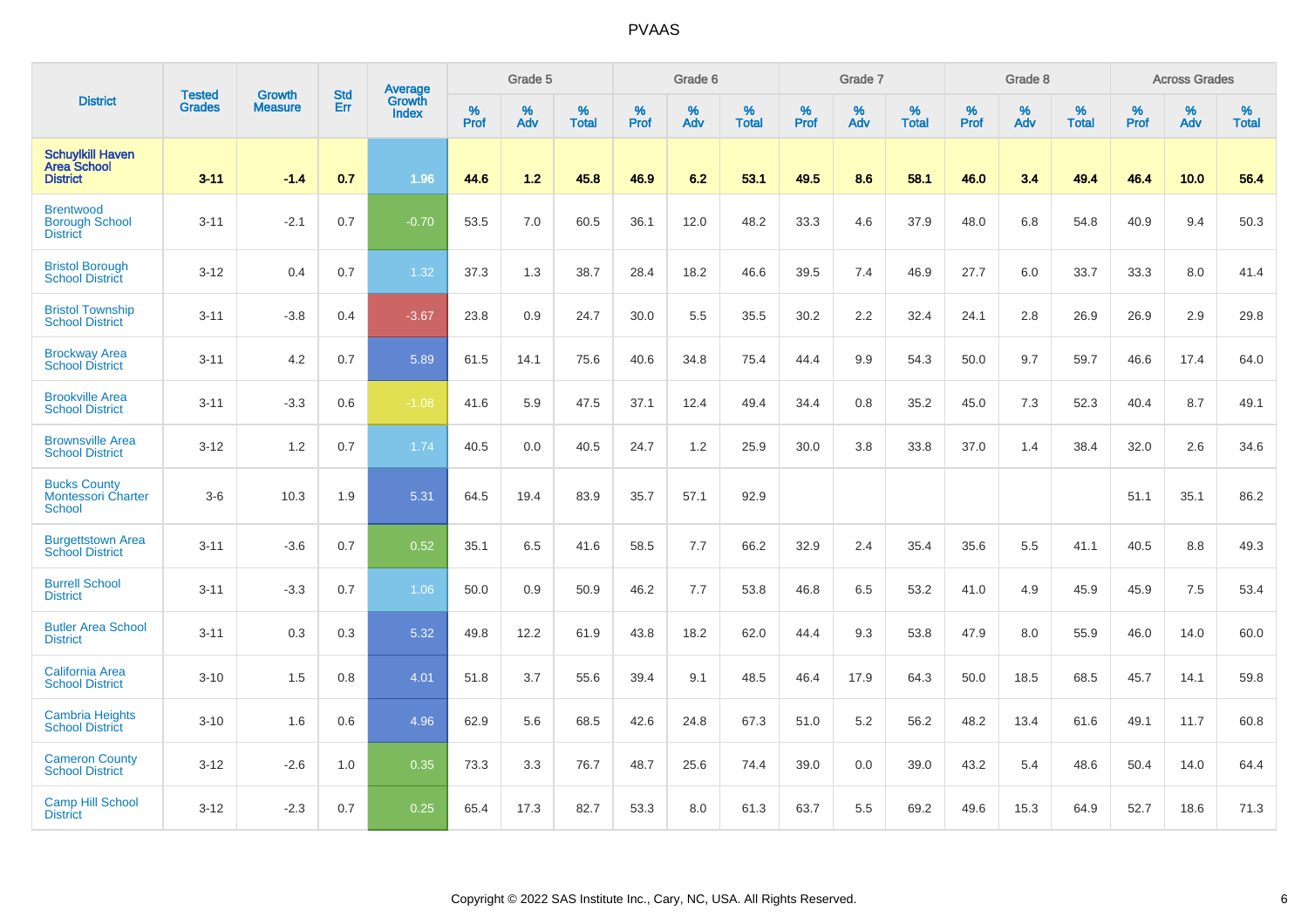| <b>District</b>                                                  |                                |                                 | <b>Std</b> | Average                       |              | Grade 5  |                   |           | Grade 6  |                   |           | Grade 7  |                   |           | Grade 8  |                   |           | <b>Across Grades</b> |                   |
|------------------------------------------------------------------|--------------------------------|---------------------------------|------------|-------------------------------|--------------|----------|-------------------|-----------|----------|-------------------|-----------|----------|-------------------|-----------|----------|-------------------|-----------|----------------------|-------------------|
|                                                                  | <b>Tested</b><br><b>Grades</b> | <b>Growth</b><br><b>Measure</b> | Err        | <b>Growth</b><br><b>Index</b> | $\%$<br>Prof | %<br>Adv | %<br><b>Total</b> | %<br>Prof | %<br>Adv | %<br><b>Total</b> | %<br>Prof | %<br>Adv | %<br><b>Total</b> | %<br>Prof | %<br>Adv | %<br><b>Total</b> | %<br>Prof | %<br>Adv             | %<br><b>Total</b> |
| <b>Schuylkill Haven</b><br><b>Area School</b><br><b>District</b> | $3 - 11$                       | $-1.4$                          | 0.7        | 1.96                          | 44.6         | 1.2      | 45.8              | 46.9      | 6.2      | 53.1              | 49.5      | 8.6      | 58.1              | 46.0      | 3.4      | 49.4              | 46.4      | 10.0                 | 56.4              |
| <b>Brentwood</b><br><b>Borough School</b><br><b>District</b>     | $3 - 11$                       | $-2.1$                          | 0.7        | $-0.70$                       | 53.5         | 7.0      | 60.5              | 36.1      | 12.0     | 48.2              | 33.3      | 4.6      | 37.9              | 48.0      | 6.8      | 54.8              | 40.9      | 9.4                  | 50.3              |
| <b>Bristol Borough</b><br><b>School District</b>                 | $3 - 12$                       | 0.4                             | 0.7        | 1.32                          | 37.3         | 1.3      | 38.7              | 28.4      | 18.2     | 46.6              | 39.5      | 7.4      | 46.9              | 27.7      | 6.0      | 33.7              | 33.3      | 8.0                  | 41.4              |
| <b>Bristol Township</b><br><b>School District</b>                | $3 - 11$                       | $-3.8$                          | 0.4        | $-3.67$                       | 23.8         | 0.9      | 24.7              | 30.0      | 5.5      | 35.5              | 30.2      | 2.2      | 32.4              | 24.1      | 2.8      | 26.9              | 26.9      | 2.9                  | 29.8              |
| <b>Brockway Area</b><br><b>School District</b>                   | $3 - 11$                       | 4.2                             | 0.7        | 5.89                          | 61.5         | 14.1     | 75.6              | 40.6      | 34.8     | 75.4              | 44.4      | 9.9      | 54.3              | 50.0      | 9.7      | 59.7              | 46.6      | 17.4                 | 64.0              |
| <b>Brookville Area</b><br><b>School District</b>                 | $3 - 11$                       | $-3.3$                          | 0.6        | $-1.08$                       | 41.6         | 5.9      | 47.5              | 37.1      | 12.4     | 49.4              | 34.4      | 0.8      | 35.2              | 45.0      | 7.3      | 52.3              | 40.4      | 8.7                  | 49.1              |
| <b>Brownsville Area</b><br><b>School District</b>                | $3 - 12$                       | 1.2                             | 0.7        | 1.74                          | 40.5         | 0.0      | 40.5              | 24.7      | 1.2      | 25.9              | 30.0      | 3.8      | 33.8              | 37.0      | 1.4      | 38.4              | 32.0      | 2.6                  | 34.6              |
| <b>Bucks County</b><br><b>Montessori Charter</b><br>School       | $3-6$                          | 10.3                            | 1.9        | 5.31                          | 64.5         | 19.4     | 83.9              | 35.7      | 57.1     | 92.9              |           |          |                   |           |          |                   | 51.1      | 35.1                 | 86.2              |
| <b>Burgettstown Area</b><br><b>School District</b>               | $3 - 11$                       | $-3.6$                          | 0.7        | 0.52                          | 35.1         | 6.5      | 41.6              | 58.5      | 7.7      | 66.2              | 32.9      | 2.4      | 35.4              | 35.6      | 5.5      | 41.1              | 40.5      | 8.8                  | 49.3              |
| <b>Burrell School</b><br><b>District</b>                         | $3 - 11$                       | $-3.3$                          | 0.7        | 1.06                          | 50.0         | 0.9      | 50.9              | 46.2      | 7.7      | 53.8              | 46.8      | 6.5      | 53.2              | 41.0      | 4.9      | 45.9              | 45.9      | 7.5                  | 53.4              |
| <b>Butler Area School</b><br><b>District</b>                     | $3 - 11$                       | 0.3                             | 0.3        | 5.32                          | 49.8         | 12.2     | 61.9              | 43.8      | 18.2     | 62.0              | 44.4      | 9.3      | 53.8              | 47.9      | 8.0      | 55.9              | 46.0      | 14.0                 | 60.0              |
| California Area<br><b>School District</b>                        | $3 - 10$                       | 1.5                             | 0.8        | 4.01                          | 51.8         | 3.7      | 55.6              | 39.4      | 9.1      | 48.5              | 46.4      | 17.9     | 64.3              | 50.0      | 18.5     | 68.5              | 45.7      | 14.1                 | 59.8              |
| <b>Cambria Heights</b><br><b>School District</b>                 | $3 - 10$                       | 1.6                             | 0.6        | 4.96                          | 62.9         | 5.6      | 68.5              | 42.6      | 24.8     | 67.3              | 51.0      | 5.2      | 56.2              | 48.2      | 13.4     | 61.6              | 49.1      | 11.7                 | 60.8              |
| <b>Cameron County</b><br><b>School District</b>                  | $3 - 12$                       | $-2.6$                          | 1.0        | 0.35                          | 73.3         | 3.3      | 76.7              | 48.7      | 25.6     | 74.4              | 39.0      | 0.0      | 39.0              | 43.2      | 5.4      | 48.6              | 50.4      | 14.0                 | 64.4              |
| <b>Camp Hill School</b><br><b>District</b>                       | $3 - 12$                       | $-2.3$                          | 0.7        | 0.25                          | 65.4         | 17.3     | 82.7              | 53.3      | 8.0      | 61.3              | 63.7      | 5.5      | 69.2              | 49.6      | 15.3     | 64.9              | 52.7      | 18.6                 | 71.3              |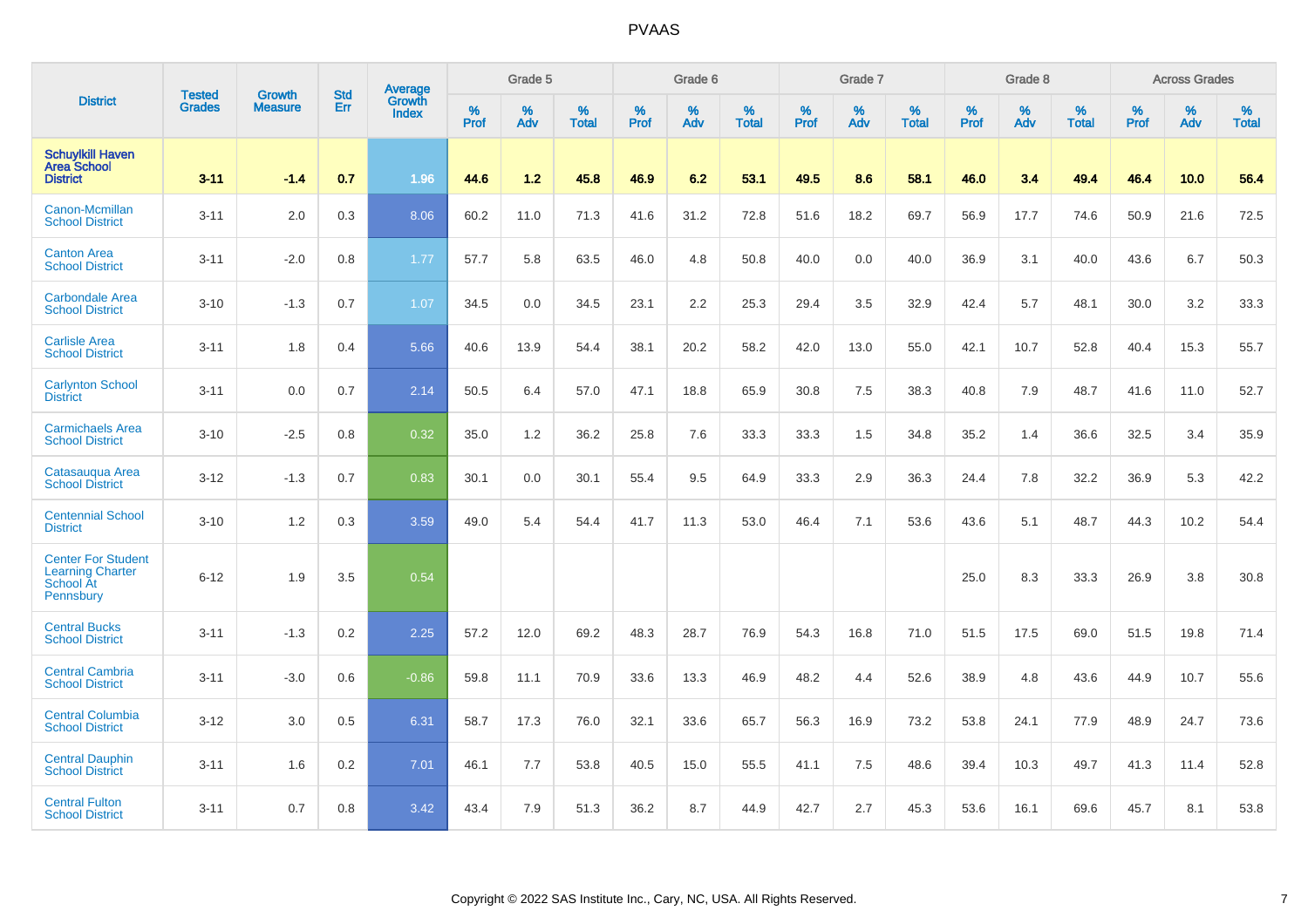|                                                                                | <b>Tested</b> | <b>Growth</b>  | <b>Std</b> | Average                |           | Grade 5  |                   |           | Grade 6  |                   |           | Grade 7  |                   |           | Grade 8  |                   |           | <b>Across Grades</b> |                   |
|--------------------------------------------------------------------------------|---------------|----------------|------------|------------------------|-----------|----------|-------------------|-----------|----------|-------------------|-----------|----------|-------------------|-----------|----------|-------------------|-----------|----------------------|-------------------|
| <b>District</b>                                                                | <b>Grades</b> | <b>Measure</b> | Err        | Growth<br><b>Index</b> | %<br>Prof | %<br>Adv | %<br><b>Total</b> | %<br>Prof | %<br>Adv | %<br><b>Total</b> | %<br>Prof | %<br>Adv | %<br><b>Total</b> | %<br>Prof | %<br>Adv | %<br><b>Total</b> | %<br>Prof | %<br>Adv             | %<br><b>Total</b> |
| <b>Schuylkill Haven</b><br><b>Area School</b><br><b>District</b>               | $3 - 11$      | $-1.4$         | 0.7        | 1.96                   | 44.6      | 1.2      | 45.8              | 46.9      | 6.2      | 53.1              | 49.5      | 8.6      | 58.1              | 46.0      | 3.4      | 49.4              | 46.4      | 10.0                 | 56.4              |
| Canon-Mcmillan<br><b>School District</b>                                       | $3 - 11$      | 2.0            | 0.3        | 8.06                   | 60.2      | 11.0     | 71.3              | 41.6      | 31.2     | 72.8              | 51.6      | 18.2     | 69.7              | 56.9      | 17.7     | 74.6              | 50.9      | 21.6                 | 72.5              |
| <b>Canton Area</b><br><b>School District</b>                                   | $3 - 11$      | $-2.0$         | 0.8        | 1.77                   | 57.7      | 5.8      | 63.5              | 46.0      | 4.8      | 50.8              | 40.0      | 0.0      | 40.0              | 36.9      | 3.1      | 40.0              | 43.6      | 6.7                  | 50.3              |
| <b>Carbondale Area</b><br><b>School District</b>                               | $3 - 10$      | $-1.3$         | 0.7        | 1.07                   | 34.5      | 0.0      | 34.5              | 23.1      | 2.2      | 25.3              | 29.4      | 3.5      | 32.9              | 42.4      | 5.7      | 48.1              | 30.0      | 3.2                  | 33.3              |
| <b>Carlisle Area</b><br><b>School District</b>                                 | $3 - 11$      | 1.8            | 0.4        | 5.66                   | 40.6      | 13.9     | 54.4              | 38.1      | 20.2     | 58.2              | 42.0      | 13.0     | 55.0              | 42.1      | 10.7     | 52.8              | 40.4      | 15.3                 | 55.7              |
| <b>Carlynton School</b><br><b>District</b>                                     | $3 - 11$      | 0.0            | 0.7        | 2.14                   | 50.5      | 6.4      | 57.0              | 47.1      | 18.8     | 65.9              | 30.8      | 7.5      | 38.3              | 40.8      | 7.9      | 48.7              | 41.6      | 11.0                 | 52.7              |
| <b>Carmichaels Area</b><br><b>School District</b>                              | $3 - 10$      | $-2.5$         | 0.8        | 0.32                   | 35.0      | 1.2      | 36.2              | 25.8      | 7.6      | 33.3              | 33.3      | 1.5      | 34.8              | 35.2      | 1.4      | 36.6              | 32.5      | 3.4                  | 35.9              |
| Catasauqua Area<br><b>School District</b>                                      | $3 - 12$      | $-1.3$         | 0.7        | 0.83                   | 30.1      | 0.0      | 30.1              | 55.4      | 9.5      | 64.9              | 33.3      | 2.9      | 36.3              | 24.4      | 7.8      | 32.2              | 36.9      | 5.3                  | 42.2              |
| <b>Centennial School</b><br><b>District</b>                                    | $3 - 10$      | 1.2            | 0.3        | 3.59                   | 49.0      | 5.4      | 54.4              | 41.7      | 11.3     | 53.0              | 46.4      | 7.1      | 53.6              | 43.6      | 5.1      | 48.7              | 44.3      | 10.2                 | 54.4              |
| <b>Center For Student</b><br><b>Learning Charter</b><br>School At<br>Pennsbury | $6 - 12$      | 1.9            | 3.5        | 0.54                   |           |          |                   |           |          |                   |           |          |                   | 25.0      | 8.3      | 33.3              | 26.9      | 3.8                  | 30.8              |
| <b>Central Bucks</b><br><b>School District</b>                                 | $3 - 11$      | $-1.3$         | 0.2        | 2.25                   | 57.2      | 12.0     | 69.2              | 48.3      | 28.7     | 76.9              | 54.3      | 16.8     | 71.0              | 51.5      | 17.5     | 69.0              | 51.5      | 19.8                 | 71.4              |
| <b>Central Cambria</b><br><b>School District</b>                               | $3 - 11$      | $-3.0$         | 0.6        | $-0.86$                | 59.8      | 11.1     | 70.9              | 33.6      | 13.3     | 46.9              | 48.2      | 4.4      | 52.6              | 38.9      | 4.8      | 43.6              | 44.9      | 10.7                 | 55.6              |
| <b>Central Columbia</b><br><b>School District</b>                              | $3 - 12$      | 3.0            | 0.5        | 6.31                   | 58.7      | 17.3     | 76.0              | 32.1      | 33.6     | 65.7              | 56.3      | 16.9     | 73.2              | 53.8      | 24.1     | 77.9              | 48.9      | 24.7                 | 73.6              |
| <b>Central Dauphin</b><br><b>School District</b>                               | $3 - 11$      | 1.6            | 0.2        | 7.01                   | 46.1      | 7.7      | 53.8              | 40.5      | 15.0     | 55.5              | 41.1      | 7.5      | 48.6              | 39.4      | 10.3     | 49.7              | 41.3      | 11.4                 | 52.8              |
| <b>Central Fulton</b><br><b>School District</b>                                | $3 - 11$      | 0.7            | 0.8        | 3.42                   | 43.4      | 7.9      | 51.3              | 36.2      | 8.7      | 44.9              | 42.7      | 2.7      | 45.3              | 53.6      | 16.1     | 69.6              | 45.7      | 8.1                  | 53.8              |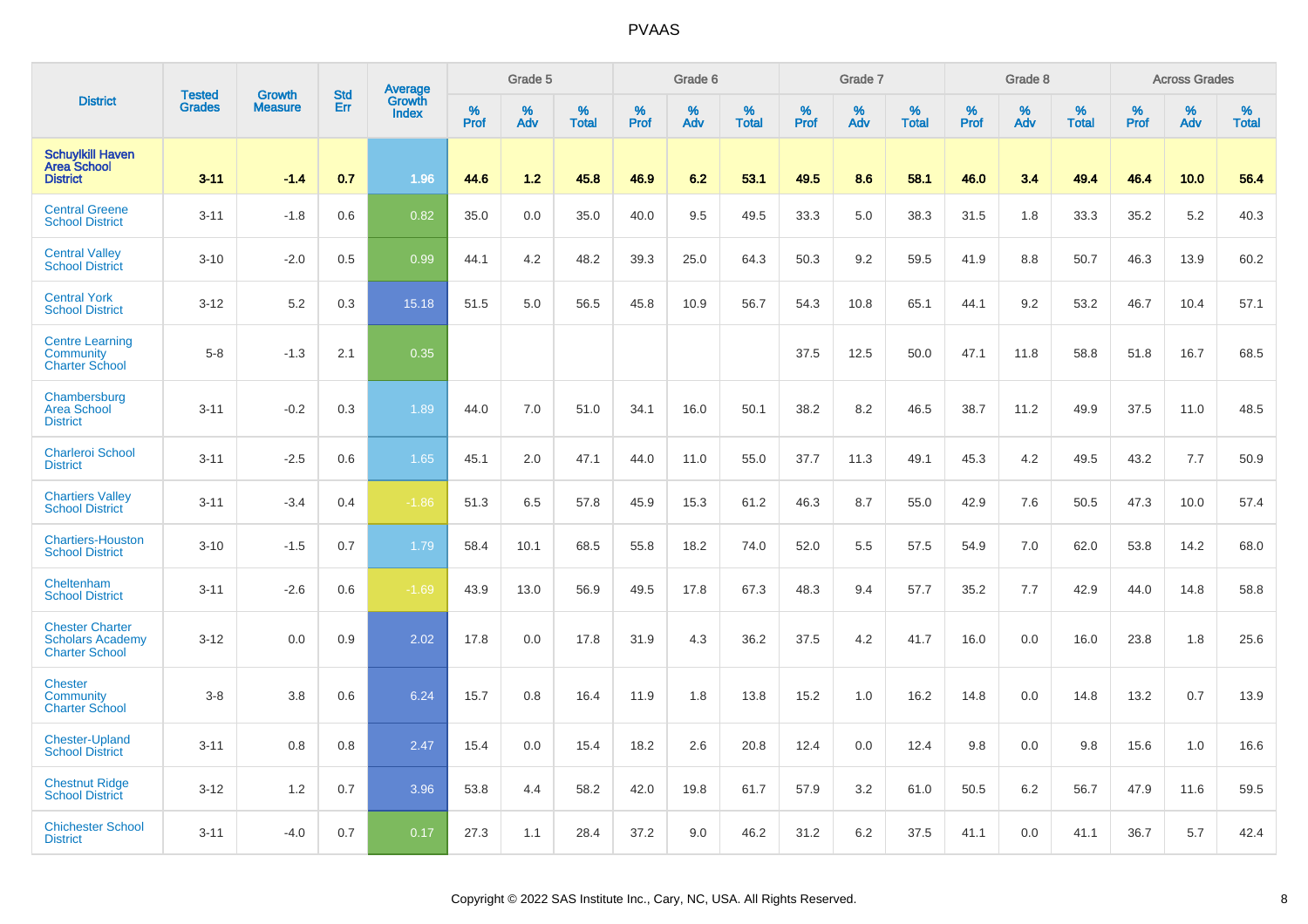|                                                                            | <b>Tested</b> | <b>Growth</b>  | <b>Std</b> | Average                |              | Grade 5  |                   |                  | Grade 6  |                   |                  | Grade 7  |                   |           | Grade 8  |                   |           | <b>Across Grades</b> |                   |
|----------------------------------------------------------------------------|---------------|----------------|------------|------------------------|--------------|----------|-------------------|------------------|----------|-------------------|------------------|----------|-------------------|-----------|----------|-------------------|-----------|----------------------|-------------------|
| <b>District</b>                                                            | <b>Grades</b> | <b>Measure</b> | Err        | Growth<br><b>Index</b> | $\%$<br>Prof | %<br>Adv | %<br><b>Total</b> | %<br><b>Prof</b> | %<br>Adv | %<br><b>Total</b> | %<br><b>Prof</b> | %<br>Adv | %<br><b>Total</b> | %<br>Prof | %<br>Adv | %<br><b>Total</b> | %<br>Prof | %<br>Adv             | %<br><b>Total</b> |
| <b>Schuylkill Haven</b><br><b>Area School</b><br><b>District</b>           | $3 - 11$      | $-1.4$         | 0.7        | 1.96                   | 44.6         | 1.2      | 45.8              | 46.9             | 6.2      | 53.1              | 49.5             | 8.6      | 58.1              | 46.0      | 3.4      | 49.4              | 46.4      | 10.0                 | 56.4              |
| <b>Central Greene</b><br><b>School District</b>                            | $3 - 11$      | $-1.8$         | 0.6        | 0.82                   | 35.0         | 0.0      | 35.0              | 40.0             | 9.5      | 49.5              | 33.3             | 5.0      | 38.3              | 31.5      | 1.8      | 33.3              | 35.2      | 5.2                  | 40.3              |
| <b>Central Valley</b><br><b>School District</b>                            | $3 - 10$      | $-2.0$         | 0.5        | 0.99                   | 44.1         | 4.2      | 48.2              | 39.3             | 25.0     | 64.3              | 50.3             | 9.2      | 59.5              | 41.9      | 8.8      | 50.7              | 46.3      | 13.9                 | 60.2              |
| <b>Central York</b><br><b>School District</b>                              | $3 - 12$      | 5.2            | 0.3        | 15.18                  | 51.5         | 5.0      | 56.5              | 45.8             | 10.9     | 56.7              | 54.3             | 10.8     | 65.1              | 44.1      | 9.2      | 53.2              | 46.7      | 10.4                 | 57.1              |
| <b>Centre Learning</b><br><b>Community</b><br><b>Charter School</b>        | $5 - 8$       | $-1.3$         | 2.1        | 0.35                   |              |          |                   |                  |          |                   | 37.5             | 12.5     | 50.0              | 47.1      | 11.8     | 58.8              | 51.8      | 16.7                 | 68.5              |
| Chambersburg<br><b>Area School</b><br><b>District</b>                      | $3 - 11$      | $-0.2$         | 0.3        | 1.89                   | 44.0         | 7.0      | 51.0              | 34.1             | 16.0     | 50.1              | 38.2             | 8.2      | 46.5              | 38.7      | 11.2     | 49.9              | 37.5      | 11.0                 | 48.5              |
| <b>Charleroi School</b><br><b>District</b>                                 | $3 - 11$      | $-2.5$         | 0.6        | 1.65                   | 45.1         | 2.0      | 47.1              | 44.0             | 11.0     | 55.0              | 37.7             | 11.3     | 49.1              | 45.3      | 4.2      | 49.5              | 43.2      | 7.7                  | 50.9              |
| <b>Chartiers Valley</b><br><b>School District</b>                          | $3 - 11$      | $-3.4$         | 0.4        | $-1.86$                | 51.3         | 6.5      | 57.8              | 45.9             | 15.3     | 61.2              | 46.3             | 8.7      | 55.0              | 42.9      | 7.6      | 50.5              | 47.3      | 10.0                 | 57.4              |
| <b>Chartiers-Houston</b><br><b>School District</b>                         | $3 - 10$      | $-1.5$         | 0.7        | 1.79                   | 58.4         | 10.1     | 68.5              | 55.8             | 18.2     | 74.0              | 52.0             | 5.5      | 57.5              | 54.9      | 7.0      | 62.0              | 53.8      | 14.2                 | 68.0              |
| Cheltenham<br><b>School District</b>                                       | $3 - 11$      | $-2.6$         | 0.6        | $-1.69$                | 43.9         | 13.0     | 56.9              | 49.5             | 17.8     | 67.3              | 48.3             | 9.4      | 57.7              | 35.2      | 7.7      | 42.9              | 44.0      | 14.8                 | 58.8              |
| <b>Chester Charter</b><br><b>Scholars Academy</b><br><b>Charter School</b> | $3 - 12$      | 0.0            | 0.9        | 2.02                   | 17.8         | 0.0      | 17.8              | 31.9             | 4.3      | 36.2              | 37.5             | 4.2      | 41.7              | 16.0      | 0.0      | 16.0              | 23.8      | 1.8                  | 25.6              |
| <b>Chester</b><br><b>Community</b><br><b>Charter School</b>                | $3 - 8$       | 3.8            | 0.6        | 6.24                   | 15.7         | 0.8      | 16.4              | 11.9             | 1.8      | 13.8              | 15.2             | 1.0      | 16.2              | 14.8      | 0.0      | 14.8              | 13.2      | 0.7                  | 13.9              |
| <b>Chester-Upland</b><br><b>School District</b>                            | $3 - 11$      | 0.8            | 0.8        | 2.47                   | 15.4         | 0.0      | 15.4              | 18.2             | 2.6      | 20.8              | 12.4             | 0.0      | 12.4              | 9.8       | 0.0      | 9.8               | 15.6      | 1.0                  | 16.6              |
| <b>Chestnut Ridge</b><br><b>School District</b>                            | $3 - 12$      | 1.2            | 0.7        | 3.96                   | 53.8         | 4.4      | 58.2              | 42.0             | 19.8     | 61.7              | 57.9             | 3.2      | 61.0              | 50.5      | 6.2      | 56.7              | 47.9      | 11.6                 | 59.5              |
| <b>Chichester School</b><br><b>District</b>                                | $3 - 11$      | $-4.0$         | 0.7        | 0.17                   | 27.3         | 1.1      | 28.4              | 37.2             | 9.0      | 46.2              | 31.2             | 6.2      | 37.5              | 41.1      | 0.0      | 41.1              | 36.7      | 5.7                  | 42.4              |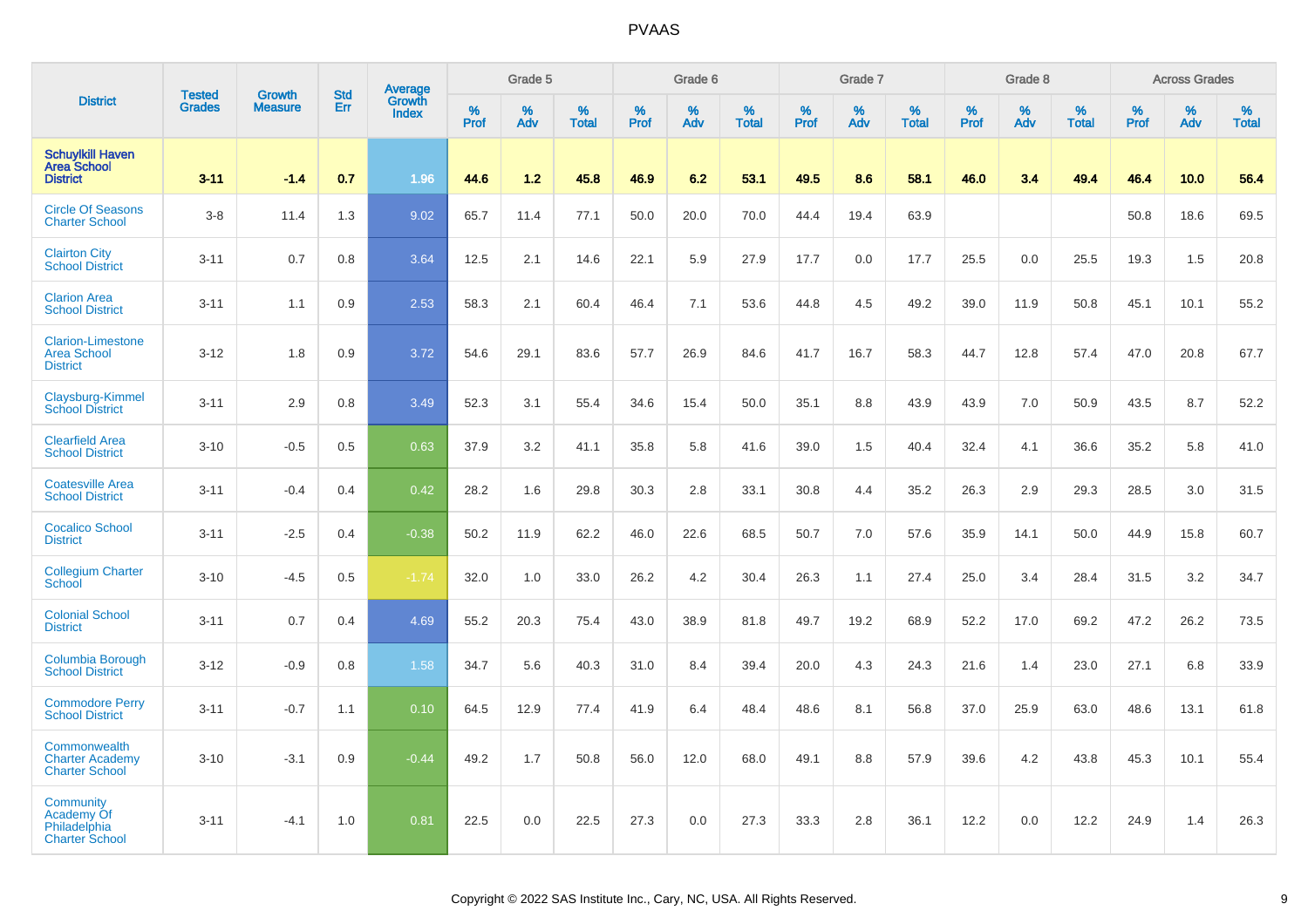| <b>District</b>                                                   | <b>Tested</b> | <b>Growth</b>  | <b>Std</b> | Average                |                     | Grade 5  |                   |                  | Grade 6  |                   |                  | Grade 7  |                   |                  | Grade 8  |                   |           | <b>Across Grades</b> |                   |
|-------------------------------------------------------------------|---------------|----------------|------------|------------------------|---------------------|----------|-------------------|------------------|----------|-------------------|------------------|----------|-------------------|------------------|----------|-------------------|-----------|----------------------|-------------------|
|                                                                   | <b>Grades</b> | <b>Measure</b> | Err        | Growth<br><b>Index</b> | $\%$<br><b>Prof</b> | %<br>Adv | %<br><b>Total</b> | %<br><b>Prof</b> | %<br>Adv | %<br><b>Total</b> | %<br><b>Prof</b> | %<br>Adv | %<br><b>Total</b> | %<br><b>Prof</b> | %<br>Adv | %<br><b>Total</b> | %<br>Prof | %<br>Adv             | %<br><b>Total</b> |
| <b>Schuylkill Haven</b><br><b>Area School</b><br><b>District</b>  | $3 - 11$      | $-1.4$         | 0.7        | 1.96                   | 44.6                | 1.2      | 45.8              | 46.9             | 6.2      | 53.1              | 49.5             | 8.6      | 58.1              | 46.0             | 3.4      | 49.4              | 46.4      | 10.0                 | 56.4              |
| <b>Circle Of Seasons</b><br><b>Charter School</b>                 | $3 - 8$       | 11.4           | 1.3        | 9.02                   | 65.7                | 11.4     | 77.1              | 50.0             | 20.0     | 70.0              | 44.4             | 19.4     | 63.9              |                  |          |                   | 50.8      | 18.6                 | 69.5              |
| <b>Clairton City</b><br><b>School District</b>                    | $3 - 11$      | 0.7            | 0.8        | 3.64                   | 12.5                | 2.1      | 14.6              | 22.1             | 5.9      | 27.9              | 17.7             | 0.0      | 17.7              | 25.5             | 0.0      | 25.5              | 19.3      | 1.5                  | 20.8              |
| <b>Clarion Area</b><br><b>School District</b>                     | $3 - 11$      | 1.1            | 0.9        | 2.53                   | 58.3                | 2.1      | 60.4              | 46.4             | 7.1      | 53.6              | 44.8             | 4.5      | 49.2              | 39.0             | 11.9     | 50.8              | 45.1      | 10.1                 | 55.2              |
| <b>Clarion-Limestone</b><br><b>Area School</b><br><b>District</b> | $3 - 12$      | 1.8            | 0.9        | 3.72                   | 54.6                | 29.1     | 83.6              | 57.7             | 26.9     | 84.6              | 41.7             | 16.7     | 58.3              | 44.7             | 12.8     | 57.4              | 47.0      | 20.8                 | 67.7              |
| Claysburg-Kimmel<br><b>School District</b>                        | $3 - 11$      | 2.9            | 0.8        | 3.49                   | 52.3                | 3.1      | 55.4              | 34.6             | 15.4     | 50.0              | 35.1             | 8.8      | 43.9              | 43.9             | 7.0      | 50.9              | 43.5      | 8.7                  | 52.2              |
| <b>Clearfield Area</b><br><b>School District</b>                  | $3 - 10$      | $-0.5$         | 0.5        | 0.63                   | 37.9                | 3.2      | 41.1              | 35.8             | 5.8      | 41.6              | 39.0             | 1.5      | 40.4              | 32.4             | 4.1      | 36.6              | 35.2      | 5.8                  | 41.0              |
| <b>Coatesville Area</b><br><b>School District</b>                 | $3 - 11$      | $-0.4$         | 0.4        | 0.42                   | 28.2                | 1.6      | 29.8              | 30.3             | 2.8      | 33.1              | 30.8             | 4.4      | 35.2              | 26.3             | 2.9      | 29.3              | 28.5      | 3.0                  | 31.5              |
| <b>Cocalico School</b><br><b>District</b>                         | $3 - 11$      | $-2.5$         | 0.4        | $-0.38$                | 50.2                | 11.9     | 62.2              | 46.0             | 22.6     | 68.5              | 50.7             | 7.0      | 57.6              | 35.9             | 14.1     | 50.0              | 44.9      | 15.8                 | 60.7              |
| <b>Collegium Charter</b><br>School                                | $3 - 10$      | $-4.5$         | 0.5        | $-1.74$                | 32.0                | 1.0      | 33.0              | 26.2             | 4.2      | 30.4              | 26.3             | 1.1      | 27.4              | 25.0             | 3.4      | 28.4              | 31.5      | 3.2                  | 34.7              |
| <b>Colonial School</b><br><b>District</b>                         | $3 - 11$      | 0.7            | 0.4        | 4.69                   | 55.2                | 20.3     | 75.4              | 43.0             | 38.9     | 81.8              | 49.7             | 19.2     | 68.9              | 52.2             | 17.0     | 69.2              | 47.2      | 26.2                 | 73.5              |
| Columbia Borough<br><b>School District</b>                        | $3 - 12$      | $-0.9$         | 0.8        | 1.58                   | 34.7                | 5.6      | 40.3              | 31.0             | 8.4      | 39.4              | 20.0             | 4.3      | 24.3              | 21.6             | 1.4      | 23.0              | 27.1      | 6.8                  | 33.9              |
| <b>Commodore Perry</b><br><b>School District</b>                  | $3 - 11$      | $-0.7$         | 1.1        | 0.10                   | 64.5                | 12.9     | 77.4              | 41.9             | 6.4      | 48.4              | 48.6             | 8.1      | 56.8              | 37.0             | 25.9     | 63.0              | 48.6      | 13.1                 | 61.8              |
| Commonwealth<br><b>Charter Academy</b><br><b>Charter School</b>   | $3 - 10$      | $-3.1$         | 0.9        | $-0.44$                | 49.2                | 1.7      | 50.8              | 56.0             | 12.0     | 68.0              | 49.1             | 8.8      | 57.9              | 39.6             | 4.2      | 43.8              | 45.3      | 10.1                 | 55.4              |
| Community<br>Academy Of<br>Philadelphia<br><b>Charter School</b>  | $3 - 11$      | $-4.1$         | 1.0        | 0.81                   | 22.5                | 0.0      | 22.5              | 27.3             | 0.0      | 27.3              | 33.3             | 2.8      | 36.1              | 12.2             | 0.0      | 12.2              | 24.9      | 1.4                  | 26.3              |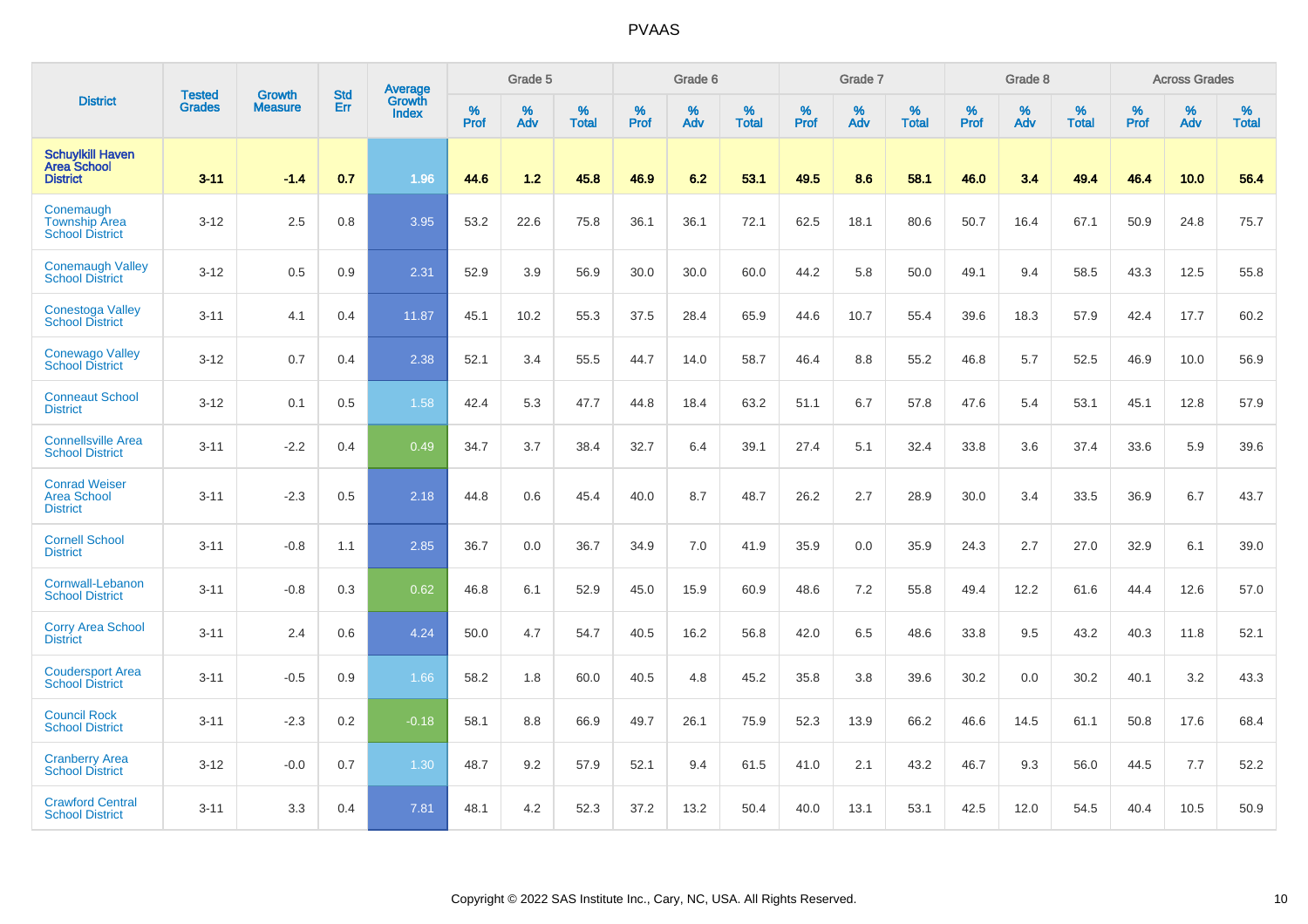| <b>District</b>                                                  |                                | <b>Growth</b>  | <b>Std</b> | Average                       |              | Grade 5  |                   |           | Grade 6  |                   |           | Grade 7  |                   |           | Grade 8  |                   |           | <b>Across Grades</b> |                   |
|------------------------------------------------------------------|--------------------------------|----------------|------------|-------------------------------|--------------|----------|-------------------|-----------|----------|-------------------|-----------|----------|-------------------|-----------|----------|-------------------|-----------|----------------------|-------------------|
|                                                                  | <b>Tested</b><br><b>Grades</b> | <b>Measure</b> | Err        | <b>Growth</b><br><b>Index</b> | $\%$<br>Prof | %<br>Adv | %<br><b>Total</b> | %<br>Prof | %<br>Adv | %<br><b>Total</b> | %<br>Prof | %<br>Adv | %<br><b>Total</b> | %<br>Prof | %<br>Adv | %<br><b>Total</b> | %<br>Prof | %<br>Adv             | %<br><b>Total</b> |
| <b>Schuylkill Haven</b><br><b>Area School</b><br><b>District</b> | $3 - 11$                       | $-1.4$         | 0.7        | 1.96                          | 44.6         | 1.2      | 45.8              | 46.9      | 6.2      | 53.1              | 49.5      | 8.6      | 58.1              | 46.0      | 3.4      | 49.4              | 46.4      | 10.0                 | 56.4              |
| Conemaugh<br><b>Township Area</b><br><b>School District</b>      | $3 - 12$                       | 2.5            | 0.8        | 3.95                          | 53.2         | 22.6     | 75.8              | 36.1      | 36.1     | 72.1              | 62.5      | 18.1     | 80.6              | 50.7      | 16.4     | 67.1              | 50.9      | 24.8                 | 75.7              |
| <b>Conemaugh Valley</b><br><b>School District</b>                | $3 - 12$                       | 0.5            | 0.9        | 2.31                          | 52.9         | 3.9      | 56.9              | 30.0      | 30.0     | 60.0              | 44.2      | 5.8      | 50.0              | 49.1      | 9.4      | 58.5              | 43.3      | 12.5                 | 55.8              |
| Conestoga Valley<br><b>School District</b>                       | $3 - 11$                       | 4.1            | 0.4        | 11.87                         | 45.1         | 10.2     | 55.3              | 37.5      | 28.4     | 65.9              | 44.6      | 10.7     | 55.4              | 39.6      | 18.3     | 57.9              | 42.4      | 17.7                 | 60.2              |
| <b>Conewago Valley</b><br><b>School District</b>                 | $3 - 12$                       | 0.7            | 0.4        | 2.38                          | 52.1         | 3.4      | 55.5              | 44.7      | 14.0     | 58.7              | 46.4      | 8.8      | 55.2              | 46.8      | 5.7      | 52.5              | 46.9      | 10.0                 | 56.9              |
| <b>Conneaut School</b><br><b>District</b>                        | $3-12$                         | 0.1            | 0.5        | 1.58                          | 42.4         | 5.3      | 47.7              | 44.8      | 18.4     | 63.2              | 51.1      | 6.7      | 57.8              | 47.6      | 5.4      | 53.1              | 45.1      | 12.8                 | 57.9              |
| <b>Connellsville Area</b><br><b>School District</b>              | $3 - 11$                       | $-2.2$         | 0.4        | 0.49                          | 34.7         | 3.7      | 38.4              | 32.7      | 6.4      | 39.1              | 27.4      | 5.1      | 32.4              | 33.8      | 3.6      | 37.4              | 33.6      | 5.9                  | 39.6              |
| <b>Conrad Weiser</b><br><b>Area School</b><br><b>District</b>    | $3 - 11$                       | $-2.3$         | 0.5        | 2.18                          | 44.8         | 0.6      | 45.4              | 40.0      | 8.7      | 48.7              | 26.2      | 2.7      | 28.9              | 30.0      | 3.4      | 33.5              | 36.9      | 6.7                  | 43.7              |
| <b>Cornell School</b><br><b>District</b>                         | $3 - 11$                       | $-0.8$         | 1.1        | 2.85                          | 36.7         | 0.0      | 36.7              | 34.9      | 7.0      | 41.9              | 35.9      | 0.0      | 35.9              | 24.3      | 2.7      | 27.0              | 32.9      | 6.1                  | 39.0              |
| Cornwall-Lebanon<br><b>School District</b>                       | $3 - 11$                       | $-0.8$         | 0.3        | 0.62                          | 46.8         | 6.1      | 52.9              | 45.0      | 15.9     | 60.9              | 48.6      | 7.2      | 55.8              | 49.4      | 12.2     | 61.6              | 44.4      | 12.6                 | 57.0              |
| <b>Corry Area School</b><br><b>District</b>                      | $3 - 11$                       | 2.4            | 0.6        | 4.24                          | 50.0         | 4.7      | 54.7              | 40.5      | 16.2     | 56.8              | 42.0      | 6.5      | 48.6              | 33.8      | 9.5      | 43.2              | 40.3      | 11.8                 | 52.1              |
| <b>Coudersport Area</b><br><b>School District</b>                | $3 - 11$                       | $-0.5$         | 0.9        | 1.66                          | 58.2         | 1.8      | 60.0              | 40.5      | 4.8      | 45.2              | 35.8      | 3.8      | 39.6              | 30.2      | 0.0      | 30.2              | 40.1      | 3.2                  | 43.3              |
| <b>Council Rock</b><br><b>School District</b>                    | $3 - 11$                       | $-2.3$         | 0.2        | $-0.18$                       | 58.1         | 8.8      | 66.9              | 49.7      | 26.1     | 75.9              | 52.3      | 13.9     | 66.2              | 46.6      | 14.5     | 61.1              | 50.8      | 17.6                 | 68.4              |
| <b>Cranberry Area</b><br><b>School District</b>                  | $3 - 12$                       | $-0.0$         | 0.7        | 1.30                          | 48.7         | 9.2      | 57.9              | 52.1      | 9.4      | 61.5              | 41.0      | 2.1      | 43.2              | 46.7      | 9.3      | 56.0              | 44.5      | 7.7                  | 52.2              |
| <b>Crawford Central</b><br><b>School District</b>                | $3 - 11$                       | 3.3            | 0.4        | 7.81                          | 48.1         | 4.2      | 52.3              | 37.2      | 13.2     | 50.4              | 40.0      | 13.1     | 53.1              | 42.5      | 12.0     | 54.5              | 40.4      | 10.5                 | 50.9              |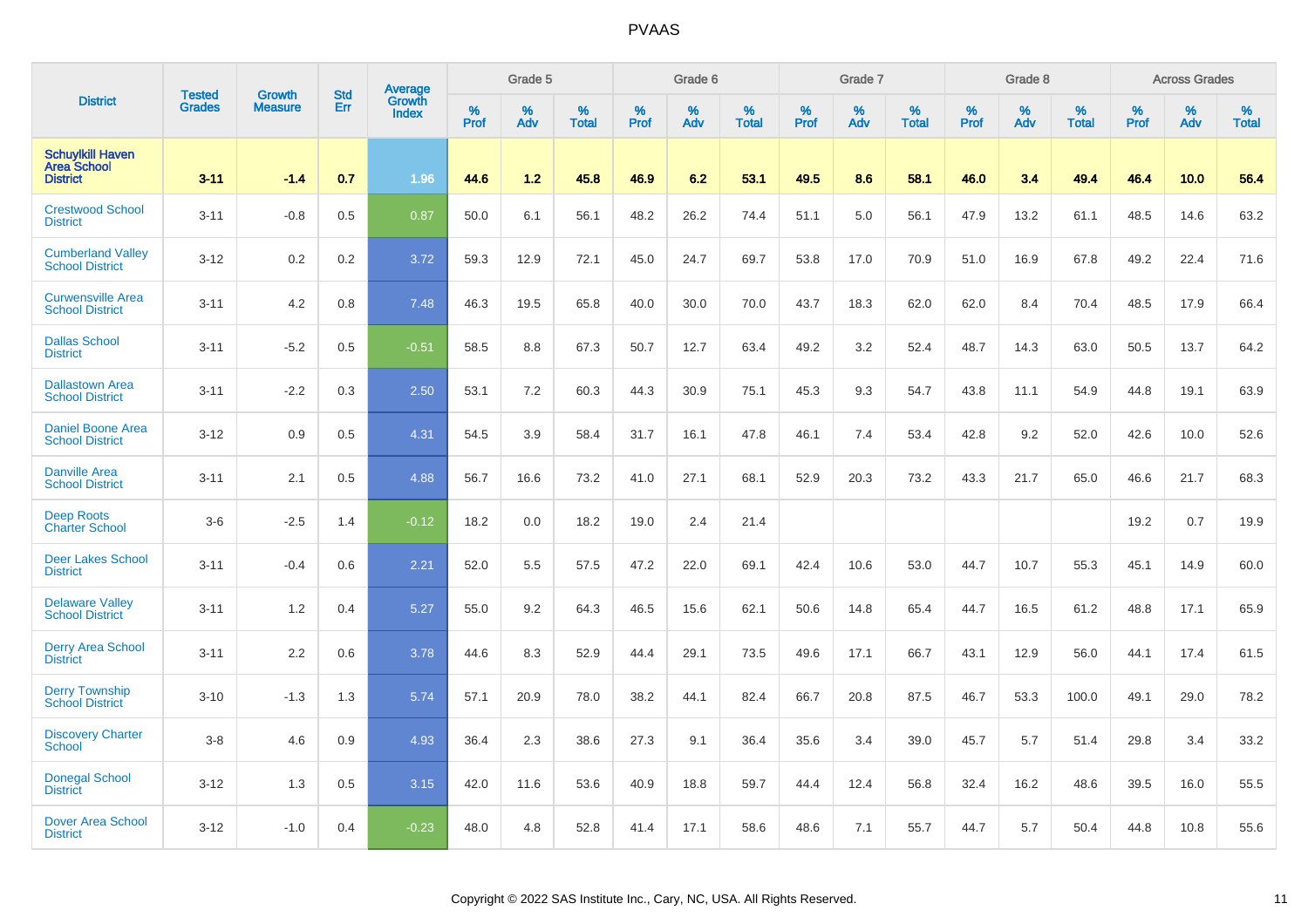| <b>District</b>                                                  |                         | <b>Growth</b>  | <b>Std</b> | Average                |                     | Grade 5  |                   |              | Grade 6  |                      |                     | Grade 7     |                      |                     | Grade 8     |                   |              | <b>Across Grades</b> |                   |
|------------------------------------------------------------------|-------------------------|----------------|------------|------------------------|---------------------|----------|-------------------|--------------|----------|----------------------|---------------------|-------------|----------------------|---------------------|-------------|-------------------|--------------|----------------------|-------------------|
|                                                                  | <b>Tested</b><br>Grades | <b>Measure</b> | Err        | Growth<br><b>Index</b> | $\%$<br><b>Prof</b> | %<br>Adv | %<br><b>Total</b> | $\%$<br>Prof | %<br>Adv | $\%$<br><b>Total</b> | $\%$<br><b>Prof</b> | $\%$<br>Adv | $\%$<br><b>Total</b> | $\%$<br><b>Prof</b> | $\%$<br>Adv | %<br><b>Total</b> | $\%$<br>Prof | %<br>Adv             | %<br><b>Total</b> |
| <b>Schuylkill Haven</b><br><b>Area School</b><br><b>District</b> | $3 - 11$                | $-1.4$         | 0.7        | 1.96                   | 44.6                | 1.2      | 45.8              | 46.9         | 6.2      | 53.1                 | 49.5                | 8.6         | 58.1                 | 46.0                | 3.4         | 49.4              | 46.4         | 10.0                 | 56.4              |
| <b>Crestwood School</b><br><b>District</b>                       | $3 - 11$                | $-0.8$         | 0.5        | 0.87                   | 50.0                | 6.1      | 56.1              | 48.2         | 26.2     | 74.4                 | 51.1                | 5.0         | 56.1                 | 47.9                | 13.2        | 61.1              | 48.5         | 14.6                 | 63.2              |
| <b>Cumberland Valley</b><br><b>School District</b>               | $3 - 12$                | 0.2            | 0.2        | 3.72                   | 59.3                | 12.9     | 72.1              | 45.0         | 24.7     | 69.7                 | 53.8                | 17.0        | 70.9                 | 51.0                | 16.9        | 67.8              | 49.2         | 22.4                 | 71.6              |
| <b>Curwensville Area</b><br><b>School District</b>               | $3 - 11$                | 4.2            | 0.8        | 7.48                   | 46.3                | 19.5     | 65.8              | 40.0         | 30.0     | 70.0                 | 43.7                | 18.3        | 62.0                 | 62.0                | 8.4         | 70.4              | 48.5         | 17.9                 | 66.4              |
| <b>Dallas School</b><br><b>District</b>                          | $3 - 11$                | $-5.2$         | 0.5        | $-0.51$                | 58.5                | 8.8      | 67.3              | 50.7         | 12.7     | 63.4                 | 49.2                | 3.2         | 52.4                 | 48.7                | 14.3        | 63.0              | 50.5         | 13.7                 | 64.2              |
| <b>Dallastown Area</b><br><b>School District</b>                 | $3 - 11$                | $-2.2$         | 0.3        | 2.50                   | 53.1                | 7.2      | 60.3              | 44.3         | 30.9     | 75.1                 | 45.3                | 9.3         | 54.7                 | 43.8                | 11.1        | 54.9              | 44.8         | 19.1                 | 63.9              |
| <b>Daniel Boone Area</b><br><b>School District</b>               | $3 - 12$                | 0.9            | 0.5        | 4.31                   | 54.5                | 3.9      | 58.4              | 31.7         | 16.1     | 47.8                 | 46.1                | 7.4         | 53.4                 | 42.8                | 9.2         | 52.0              | 42.6         | 10.0                 | 52.6              |
| <b>Danville Area</b><br><b>School District</b>                   | $3 - 11$                | 2.1            | 0.5        | 4.88                   | 56.7                | 16.6     | 73.2              | 41.0         | 27.1     | 68.1                 | 52.9                | 20.3        | 73.2                 | 43.3                | 21.7        | 65.0              | 46.6         | 21.7                 | 68.3              |
| <b>Deep Roots</b><br><b>Charter School</b>                       | $3-6$                   | $-2.5$         | 1.4        | $-0.12$                | 18.2                | 0.0      | 18.2              | 19.0         | 2.4      | 21.4                 |                     |             |                      |                     |             |                   | 19.2         | 0.7                  | 19.9              |
| <b>Deer Lakes School</b><br><b>District</b>                      | $3 - 11$                | $-0.4$         | 0.6        | 2.21                   | 52.0                | 5.5      | 57.5              | 47.2         | 22.0     | 69.1                 | 42.4                | 10.6        | 53.0                 | 44.7                | 10.7        | 55.3              | 45.1         | 14.9                 | 60.0              |
| <b>Delaware Valley</b><br><b>School District</b>                 | $3 - 11$                | 1.2            | 0.4        | 5.27                   | 55.0                | 9.2      | 64.3              | 46.5         | 15.6     | 62.1                 | 50.6                | 14.8        | 65.4                 | 44.7                | 16.5        | 61.2              | 48.8         | 17.1                 | 65.9              |
| <b>Derry Area School</b><br><b>District</b>                      | $3 - 11$                | 2.2            | 0.6        | 3.78                   | 44.6                | 8.3      | 52.9              | 44.4         | 29.1     | 73.5                 | 49.6                | 17.1        | 66.7                 | 43.1                | 12.9        | 56.0              | 44.1         | 17.4                 | 61.5              |
| <b>Derry Township</b><br><b>School District</b>                  | $3 - 10$                | $-1.3$         | 1.3        | 5.74                   | 57.1                | 20.9     | 78.0              | 38.2         | 44.1     | 82.4                 | 66.7                | 20.8        | 87.5                 | 46.7                | 53.3        | 100.0             | 49.1         | 29.0                 | 78.2              |
| <b>Discovery Charter</b><br><b>School</b>                        | $3-8$                   | 4.6            | 0.9        | 4.93                   | 36.4                | 2.3      | 38.6              | 27.3         | 9.1      | 36.4                 | 35.6                | 3.4         | 39.0                 | 45.7                | 5.7         | 51.4              | 29.8         | 3.4                  | 33.2              |
| <b>Donegal School</b><br><b>District</b>                         | $3 - 12$                | 1.3            | 0.5        | 3.15                   | 42.0                | 11.6     | 53.6              | 40.9         | 18.8     | 59.7                 | 44.4                | 12.4        | 56.8                 | 32.4                | 16.2        | 48.6              | 39.5         | 16.0                 | 55.5              |
| <b>Dover Area School</b><br><b>District</b>                      | $3 - 12$                | $-1.0$         | 0.4        | $-0.23$                | 48.0                | 4.8      | 52.8              | 41.4         | 17.1     | 58.6                 | 48.6                | 7.1         | 55.7                 | 44.7                | 5.7         | 50.4              | 44.8         | 10.8                 | 55.6              |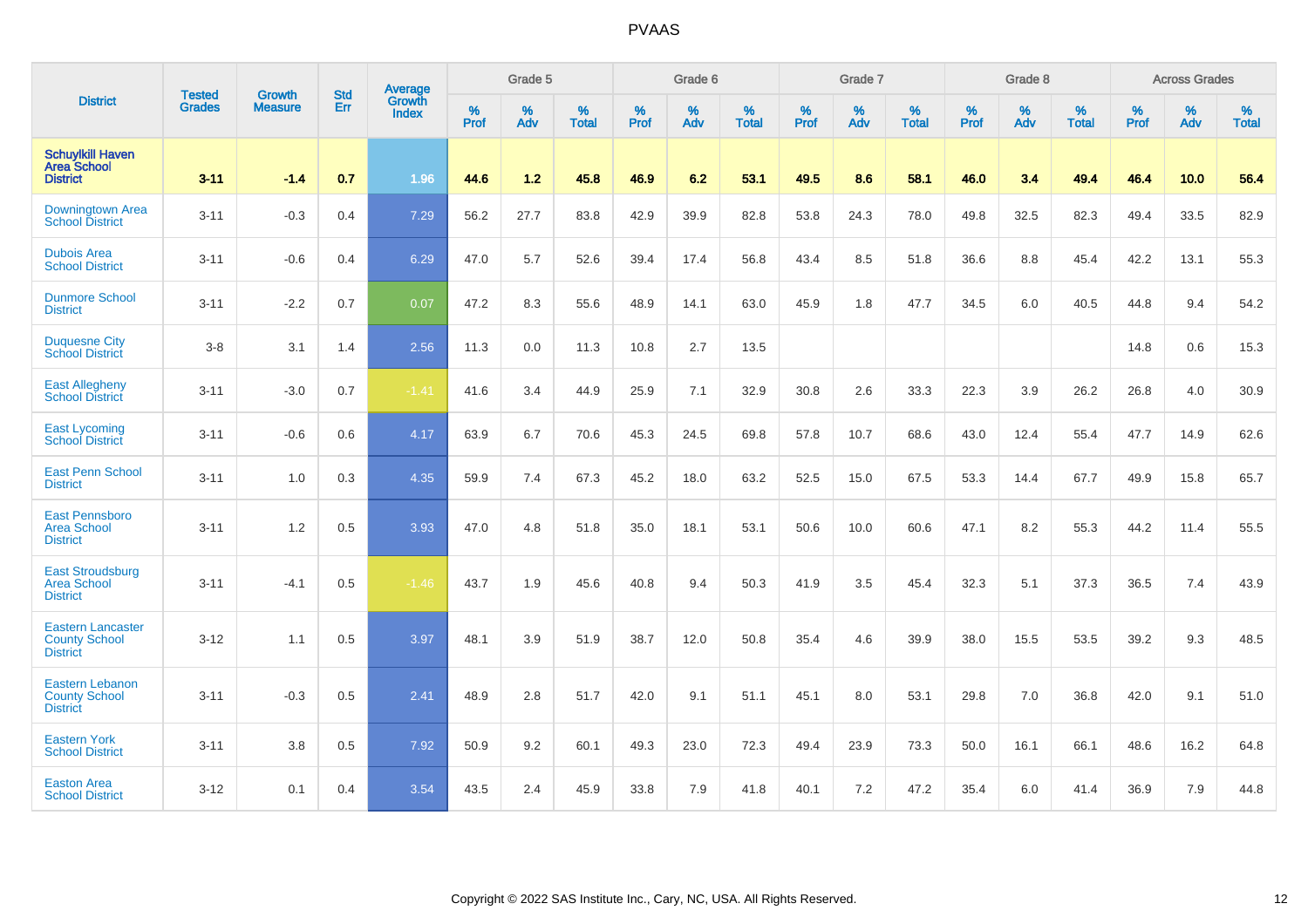|                                                                     |                                | <b>Growth</b>  | <b>Std</b> | Average                |                     | Grade 5  |                   |                     | Grade 6  |                   |                     | Grade 7  |                   |                     | Grade 8  |                   |                     | <b>Across Grades</b> |                   |
|---------------------------------------------------------------------|--------------------------------|----------------|------------|------------------------|---------------------|----------|-------------------|---------------------|----------|-------------------|---------------------|----------|-------------------|---------------------|----------|-------------------|---------------------|----------------------|-------------------|
| <b>District</b>                                                     | <b>Tested</b><br><b>Grades</b> | <b>Measure</b> | Err        | Growth<br><b>Index</b> | $\%$<br><b>Prof</b> | %<br>Adv | %<br><b>Total</b> | $\%$<br><b>Prof</b> | %<br>Adv | %<br><b>Total</b> | $\%$<br><b>Prof</b> | %<br>Adv | %<br><b>Total</b> | $\%$<br><b>Prof</b> | %<br>Adv | %<br><b>Total</b> | $\%$<br><b>Prof</b> | %<br>Adv             | %<br><b>Total</b> |
| <b>Schuylkill Haven</b><br><b>Area School</b><br><b>District</b>    | $3 - 11$                       | $-1.4$         | 0.7        | 1.96                   | 44.6                | $1.2$    | 45.8              | 46.9                | 6.2      | 53.1              | 49.5                | 8.6      | 58.1              | 46.0                | 3.4      | 49.4              | 46.4                | 10.0                 | 56.4              |
| Downingtown Area<br><b>School District</b>                          | $3 - 11$                       | $-0.3$         | 0.4        | 7.29                   | 56.2                | 27.7     | 83.8              | 42.9                | 39.9     | 82.8              | 53.8                | 24.3     | 78.0              | 49.8                | 32.5     | 82.3              | 49.4                | 33.5                 | 82.9              |
| <b>Dubois Area</b><br><b>School District</b>                        | $3 - 11$                       | $-0.6$         | 0.4        | 6.29                   | 47.0                | 5.7      | 52.6              | 39.4                | 17.4     | 56.8              | 43.4                | 8.5      | 51.8              | 36.6                | 8.8      | 45.4              | 42.2                | 13.1                 | 55.3              |
| <b>Dunmore School</b><br><b>District</b>                            | $3 - 11$                       | $-2.2$         | 0.7        | 0.07                   | 47.2                | 8.3      | 55.6              | 48.9                | 14.1     | 63.0              | 45.9                | 1.8      | 47.7              | 34.5                | 6.0      | 40.5              | 44.8                | 9.4                  | 54.2              |
| <b>Duquesne City</b><br><b>School District</b>                      | $3-8$                          | 3.1            | 1.4        | 2.56                   | 11.3                | 0.0      | 11.3              | 10.8                | 2.7      | 13.5              |                     |          |                   |                     |          |                   | 14.8                | 0.6                  | 15.3              |
| <b>East Allegheny</b><br><b>School District</b>                     | $3 - 11$                       | $-3.0$         | 0.7        | $-1.41$                | 41.6                | 3.4      | 44.9              | 25.9                | 7.1      | 32.9              | 30.8                | 2.6      | 33.3              | 22.3                | 3.9      | 26.2              | 26.8                | 4.0                  | 30.9              |
| <b>East Lycoming</b><br><b>School District</b>                      | $3 - 11$                       | $-0.6$         | 0.6        | 4.17                   | 63.9                | 6.7      | 70.6              | 45.3                | 24.5     | 69.8              | 57.8                | 10.7     | 68.6              | 43.0                | 12.4     | 55.4              | 47.7                | 14.9                 | 62.6              |
| <b>East Penn School</b><br><b>District</b>                          | $3 - 11$                       | 1.0            | 0.3        | 4.35                   | 59.9                | 7.4      | 67.3              | 45.2                | 18.0     | 63.2              | 52.5                | 15.0     | 67.5              | 53.3                | 14.4     | 67.7              | 49.9                | 15.8                 | 65.7              |
| <b>East Pennsboro</b><br><b>Area School</b><br><b>District</b>      | $3 - 11$                       | 1.2            | 0.5        | 3.93                   | 47.0                | 4.8      | 51.8              | 35.0                | 18.1     | 53.1              | 50.6                | 10.0     | 60.6              | 47.1                | 8.2      | 55.3              | 44.2                | 11.4                 | 55.5              |
| <b>East Stroudsburg</b><br><b>Area School</b><br><b>District</b>    | $3 - 11$                       | $-4.1$         | 0.5        | $-1.46$                | 43.7                | 1.9      | 45.6              | 40.8                | 9.4      | 50.3              | 41.9                | 3.5      | 45.4              | 32.3                | 5.1      | 37.3              | 36.5                | 7.4                  | 43.9              |
| <b>Eastern Lancaster</b><br><b>County School</b><br><b>District</b> | $3 - 12$                       | 1.1            | 0.5        | 3.97                   | 48.1                | 3.9      | 51.9              | 38.7                | 12.0     | 50.8              | 35.4                | 4.6      | 39.9              | 38.0                | 15.5     | 53.5              | 39.2                | 9.3                  | 48.5              |
| <b>Eastern Lebanon</b><br><b>County School</b><br><b>District</b>   | $3 - 11$                       | $-0.3$         | 0.5        | 2.41                   | 48.9                | 2.8      | 51.7              | 42.0                | 9.1      | 51.1              | 45.1                | 8.0      | 53.1              | 29.8                | 7.0      | 36.8              | 42.0                | 9.1                  | 51.0              |
| <b>Eastern York</b><br><b>School District</b>                       | $3 - 11$                       | 3.8            | 0.5        | 7.92                   | 50.9                | 9.2      | 60.1              | 49.3                | 23.0     | 72.3              | 49.4                | 23.9     | 73.3              | 50.0                | 16.1     | 66.1              | 48.6                | 16.2                 | 64.8              |
| <b>Easton Area</b><br><b>School District</b>                        | $3 - 12$                       | 0.1            | 0.4        | 3.54                   | 43.5                | 2.4      | 45.9              | 33.8                | 7.9      | 41.8              | 40.1                | 7.2      | 47.2              | 35.4                | 6.0      | 41.4              | 36.9                | 7.9                  | 44.8              |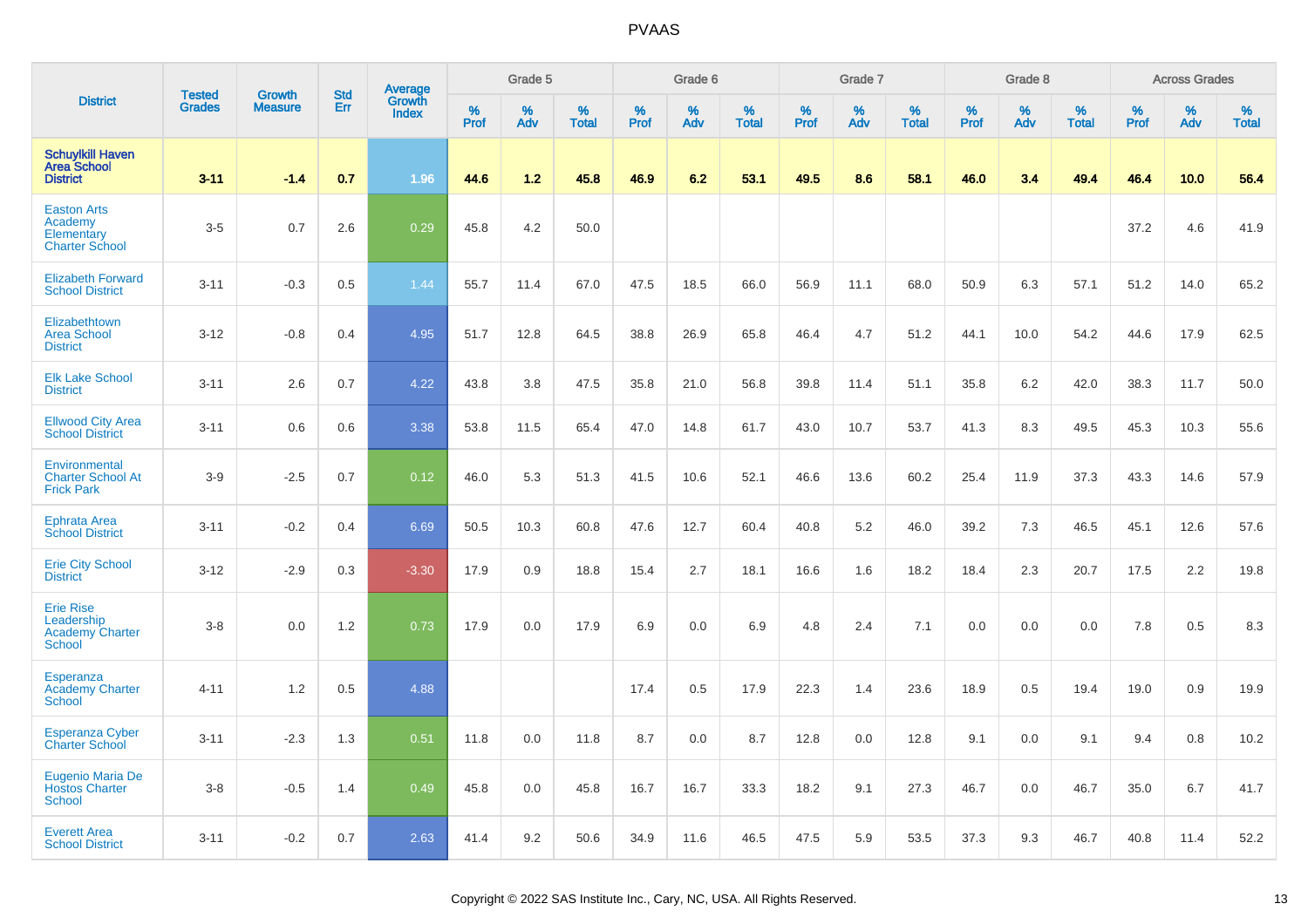|                                                                           | <b>Tested</b> | <b>Growth</b>  | <b>Std</b> | Average<br>Growth |              | Grade 5  |                   |                     | Grade 6  |                   |              | Grade 7  |                   |              | Grade 8  |                   |              | <b>Across Grades</b> |                   |
|---------------------------------------------------------------------------|---------------|----------------|------------|-------------------|--------------|----------|-------------------|---------------------|----------|-------------------|--------------|----------|-------------------|--------------|----------|-------------------|--------------|----------------------|-------------------|
| <b>District</b>                                                           | <b>Grades</b> | <b>Measure</b> | Err        | <b>Index</b>      | $\%$<br>Prof | %<br>Adv | %<br><b>Total</b> | $\%$<br><b>Prof</b> | %<br>Adv | %<br><b>Total</b> | $\%$<br>Prof | %<br>Adv | %<br><b>Total</b> | $\%$<br>Prof | %<br>Adv | %<br><b>Total</b> | $\%$<br>Prof | %<br>Adv             | %<br><b>Total</b> |
| <b>Schuylkill Haven</b><br><b>Area School</b><br><b>District</b>          | $3 - 11$      | $-1.4$         | 0.7        | 1.96              | 44.6         | 1.2      | 45.8              | 46.9                | 6.2      | 53.1              | 49.5         | 8.6      | 58.1              | 46.0         | 3.4      | 49.4              | 46.4         | 10.0                 | 56.4              |
| <b>Easton Arts</b><br>Academy<br>Elementary<br><b>Charter School</b>      | $3-5$         | 0.7            | 2.6        | 0.29              | 45.8         | 4.2      | 50.0              |                     |          |                   |              |          |                   |              |          |                   | 37.2         | 4.6                  | 41.9              |
| <b>Elizabeth Forward</b><br><b>School District</b>                        | $3 - 11$      | $-0.3$         | 0.5        | 1.44              | 55.7         | 11.4     | 67.0              | 47.5                | 18.5     | 66.0              | 56.9         | 11.1     | 68.0              | 50.9         | 6.3      | 57.1              | 51.2         | 14.0                 | 65.2              |
| Elizabethtown<br><b>Area School</b><br><b>District</b>                    | $3 - 12$      | $-0.8$         | 0.4        | 4.95              | 51.7         | 12.8     | 64.5              | 38.8                | 26.9     | 65.8              | 46.4         | 4.7      | 51.2              | 44.1         | 10.0     | 54.2              | 44.6         | 17.9                 | 62.5              |
| <b>Elk Lake School</b><br><b>District</b>                                 | $3 - 11$      | 2.6            | 0.7        | 4.22              | 43.8         | 3.8      | 47.5              | 35.8                | 21.0     | 56.8              | 39.8         | 11.4     | 51.1              | 35.8         | 6.2      | 42.0              | 38.3         | 11.7                 | 50.0              |
| <b>Ellwood City Area</b><br><b>School District</b>                        | $3 - 11$      | 0.6            | 0.6        | 3.38              | 53.8         | 11.5     | 65.4              | 47.0                | 14.8     | 61.7              | 43.0         | 10.7     | 53.7              | 41.3         | 8.3      | 49.5              | 45.3         | 10.3                 | 55.6              |
| Environmental<br><b>Charter School At</b><br><b>Frick Park</b>            | $3-9$         | $-2.5$         | 0.7        | 0.12              | 46.0         | 5.3      | 51.3              | 41.5                | 10.6     | 52.1              | 46.6         | 13.6     | 60.2              | 25.4         | 11.9     | 37.3              | 43.3         | 14.6                 | 57.9              |
| <b>Ephrata Area</b><br><b>School District</b>                             | $3 - 11$      | $-0.2$         | 0.4        | 6.69              | 50.5         | 10.3     | 60.8              | 47.6                | 12.7     | 60.4              | 40.8         | 5.2      | 46.0              | 39.2         | 7.3      | 46.5              | 45.1         | 12.6                 | 57.6              |
| <b>Erie City School</b><br><b>District</b>                                | $3 - 12$      | $-2.9$         | 0.3        | $-3.30$           | 17.9         | 0.9      | 18.8              | 15.4                | 2.7      | 18.1              | 16.6         | 1.6      | 18.2              | 18.4         | 2.3      | 20.7              | 17.5         | 2.2                  | 19.8              |
| <b>Erie Rise</b><br>Leadership<br><b>Academy Charter</b><br><b>School</b> | $3 - 8$       | 0.0            | 1.2        | 0.73              | 17.9         | 0.0      | 17.9              | 6.9                 | 0.0      | 6.9               | 4.8          | 2.4      | 7.1               | 0.0          | 0.0      | 0.0               | 7.8          | 0.5                  | 8.3               |
| Esperanza<br><b>Academy Charter</b><br><b>School</b>                      | $4 - 11$      | 1.2            | 0.5        | 4.88              |              |          |                   | 17.4                | 0.5      | 17.9              | 22.3         | 1.4      | 23.6              | 18.9         | 0.5      | 19.4              | 19.0         | 0.9                  | 19.9              |
| <b>Esperanza Cyber</b><br><b>Charter School</b>                           | $3 - 11$      | $-2.3$         | 1.3        | 0.51              | 11.8         | 0.0      | 11.8              | 8.7                 | 0.0      | 8.7               | 12.8         | 0.0      | 12.8              | 9.1          | 0.0      | 9.1               | 9.4          | 0.8                  | 10.2              |
| <b>Eugenio Maria De</b><br><b>Hostos Charter</b><br><b>School</b>         | $3 - 8$       | $-0.5$         | 1.4        | 0.49              | 45.8         | 0.0      | 45.8              | 16.7                | 16.7     | 33.3              | 18.2         | 9.1      | 27.3              | 46.7         | 0.0      | 46.7              | 35.0         | 6.7                  | 41.7              |
| <b>Everett Area</b><br><b>School District</b>                             | $3 - 11$      | $-0.2$         | 0.7        | 2.63              | 41.4         | 9.2      | 50.6              | 34.9                | 11.6     | 46.5              | 47.5         | 5.9      | 53.5              | 37.3         | 9.3      | 46.7              | 40.8         | 11.4                 | 52.2              |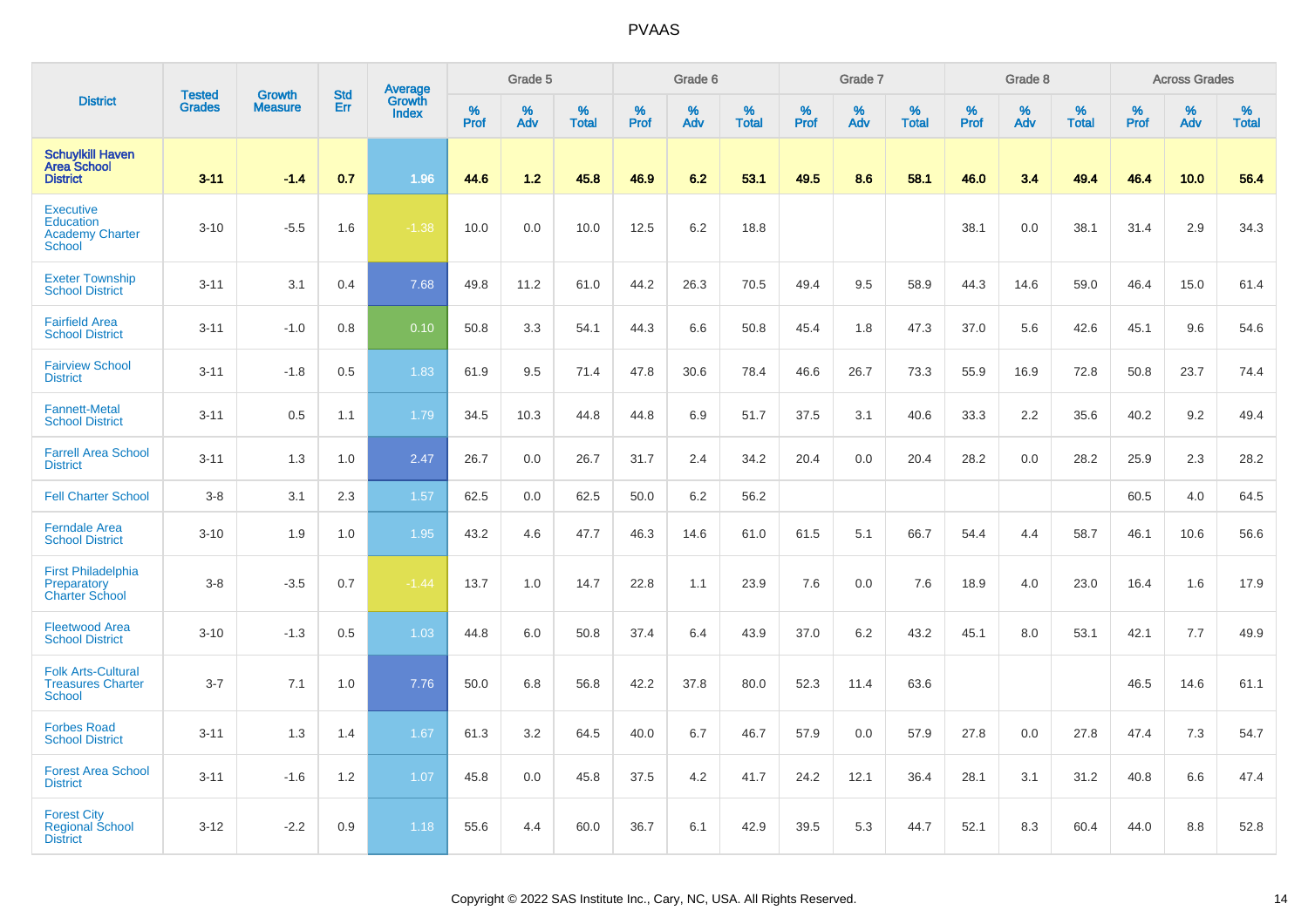|                                                                                 | <b>Tested</b> | <b>Growth</b>  | <b>Std</b> | Average                |                  | Grade 5  |                   |                  | Grade 6  |                   |                  | Grade 7  |                   |                  | Grade 8  |                   |                  | <b>Across Grades</b> |                   |
|---------------------------------------------------------------------------------|---------------|----------------|------------|------------------------|------------------|----------|-------------------|------------------|----------|-------------------|------------------|----------|-------------------|------------------|----------|-------------------|------------------|----------------------|-------------------|
| <b>District</b>                                                                 | <b>Grades</b> | <b>Measure</b> | Err        | Growth<br><b>Index</b> | %<br><b>Prof</b> | %<br>Adv | %<br><b>Total</b> | %<br><b>Prof</b> | %<br>Adv | %<br><b>Total</b> | %<br><b>Prof</b> | %<br>Adv | %<br><b>Total</b> | %<br><b>Prof</b> | %<br>Adv | %<br><b>Total</b> | %<br><b>Prof</b> | %<br>Adv             | %<br><b>Total</b> |
| <b>Schuylkill Haven</b><br><b>Area School</b><br><b>District</b>                | $3 - 11$      | $-1.4$         | 0.7        | 1.96                   | 44.6             | 1.2      | 45.8              | 46.9             | 6.2      | 53.1              | 49.5             | 8.6      | 58.1              | 46.0             | 3.4      | 49.4              | 46.4             | 10.0                 | 56.4              |
| <b>Executive</b><br><b>Education</b><br><b>Academy Charter</b><br><b>School</b> | $3 - 10$      | $-5.5$         | 1.6        | $-1.38$                | 10.0             | 0.0      | 10.0              | 12.5             | 6.2      | 18.8              |                  |          |                   | 38.1             | 0.0      | 38.1              | 31.4             | 2.9                  | 34.3              |
| <b>Exeter Township</b><br><b>School District</b>                                | $3 - 11$      | 3.1            | 0.4        | 7.68                   | 49.8             | 11.2     | 61.0              | 44.2             | 26.3     | 70.5              | 49.4             | 9.5      | 58.9              | 44.3             | 14.6     | 59.0              | 46.4             | 15.0                 | 61.4              |
| <b>Fairfield Area</b><br><b>School District</b>                                 | $3 - 11$      | $-1.0$         | 0.8        | 0.10                   | 50.8             | 3.3      | 54.1              | 44.3             | 6.6      | 50.8              | 45.4             | 1.8      | 47.3              | 37.0             | 5.6      | 42.6              | 45.1             | 9.6                  | 54.6              |
| <b>Fairview School</b><br><b>District</b>                                       | $3 - 11$      | $-1.8$         | 0.5        | 1.83                   | 61.9             | 9.5      | 71.4              | 47.8             | 30.6     | 78.4              | 46.6             | 26.7     | 73.3              | 55.9             | 16.9     | 72.8              | 50.8             | 23.7                 | 74.4              |
| <b>Fannett-Metal</b><br><b>School District</b>                                  | $3 - 11$      | 0.5            | 1.1        | 1.79                   | 34.5             | 10.3     | 44.8              | 44.8             | 6.9      | 51.7              | 37.5             | 3.1      | 40.6              | 33.3             | 2.2      | 35.6              | 40.2             | 9.2                  | 49.4              |
| <b>Farrell Area School</b><br><b>District</b>                                   | $3 - 11$      | 1.3            | 1.0        | 2.47                   | 26.7             | 0.0      | 26.7              | 31.7             | 2.4      | 34.2              | 20.4             | 0.0      | 20.4              | 28.2             | 0.0      | 28.2              | 25.9             | 2.3                  | 28.2              |
| <b>Fell Charter School</b>                                                      | $3 - 8$       | 3.1            | 2.3        | 1.57                   | 62.5             | 0.0      | 62.5              | 50.0             | 6.2      | 56.2              |                  |          |                   |                  |          |                   | 60.5             | 4.0                  | 64.5              |
| <b>Ferndale Area</b><br><b>School District</b>                                  | $3 - 10$      | 1.9            | 1.0        | 1.95                   | 43.2             | 4.6      | 47.7              | 46.3             | 14.6     | 61.0              | 61.5             | 5.1      | 66.7              | 54.4             | 4.4      | 58.7              | 46.1             | 10.6                 | 56.6              |
| <b>First Philadelphia</b><br>Preparatory<br><b>Charter School</b>               | $3 - 8$       | $-3.5$         | 0.7        | $-1.44$                | 13.7             | 1.0      | 14.7              | 22.8             | 1.1      | 23.9              | 7.6              | 0.0      | 7.6               | 18.9             | 4.0      | 23.0              | 16.4             | 1.6                  | 17.9              |
| <b>Fleetwood Area</b><br><b>School District</b>                                 | $3 - 10$      | $-1.3$         | 0.5        | 1.03                   | 44.8             | 6.0      | 50.8              | 37.4             | 6.4      | 43.9              | 37.0             | 6.2      | 43.2              | 45.1             | 8.0      | 53.1              | 42.1             | 7.7                  | 49.9              |
| <b>Folk Arts-Cultural</b><br><b>Treasures Charter</b><br><b>School</b>          | $3 - 7$       | 7.1            | 1.0        | 7.76                   | 50.0             | 6.8      | 56.8              | 42.2             | 37.8     | 80.0              | 52.3             | 11.4     | 63.6              |                  |          |                   | 46.5             | 14.6                 | 61.1              |
| <b>Forbes Road</b><br><b>School District</b>                                    | $3 - 11$      | 1.3            | 1.4        | 1.67                   | 61.3             | 3.2      | 64.5              | 40.0             | 6.7      | 46.7              | 57.9             | 0.0      | 57.9              | 27.8             | 0.0      | 27.8              | 47.4             | 7.3                  | 54.7              |
| <b>Forest Area School</b><br><b>District</b>                                    | $3 - 11$      | $-1.6$         | 1.2        | 1.07                   | 45.8             | 0.0      | 45.8              | 37.5             | 4.2      | 41.7              | 24.2             | 12.1     | 36.4              | 28.1             | 3.1      | 31.2              | 40.8             | 6.6                  | 47.4              |
| <b>Forest City</b><br><b>Regional School</b><br><b>District</b>                 | $3 - 12$      | $-2.2$         | 0.9        | 1.18                   | 55.6             | 4.4      | 60.0              | 36.7             | 6.1      | 42.9              | 39.5             | 5.3      | 44.7              | 52.1             | 8.3      | 60.4              | 44.0             | 8.8                  | 52.8              |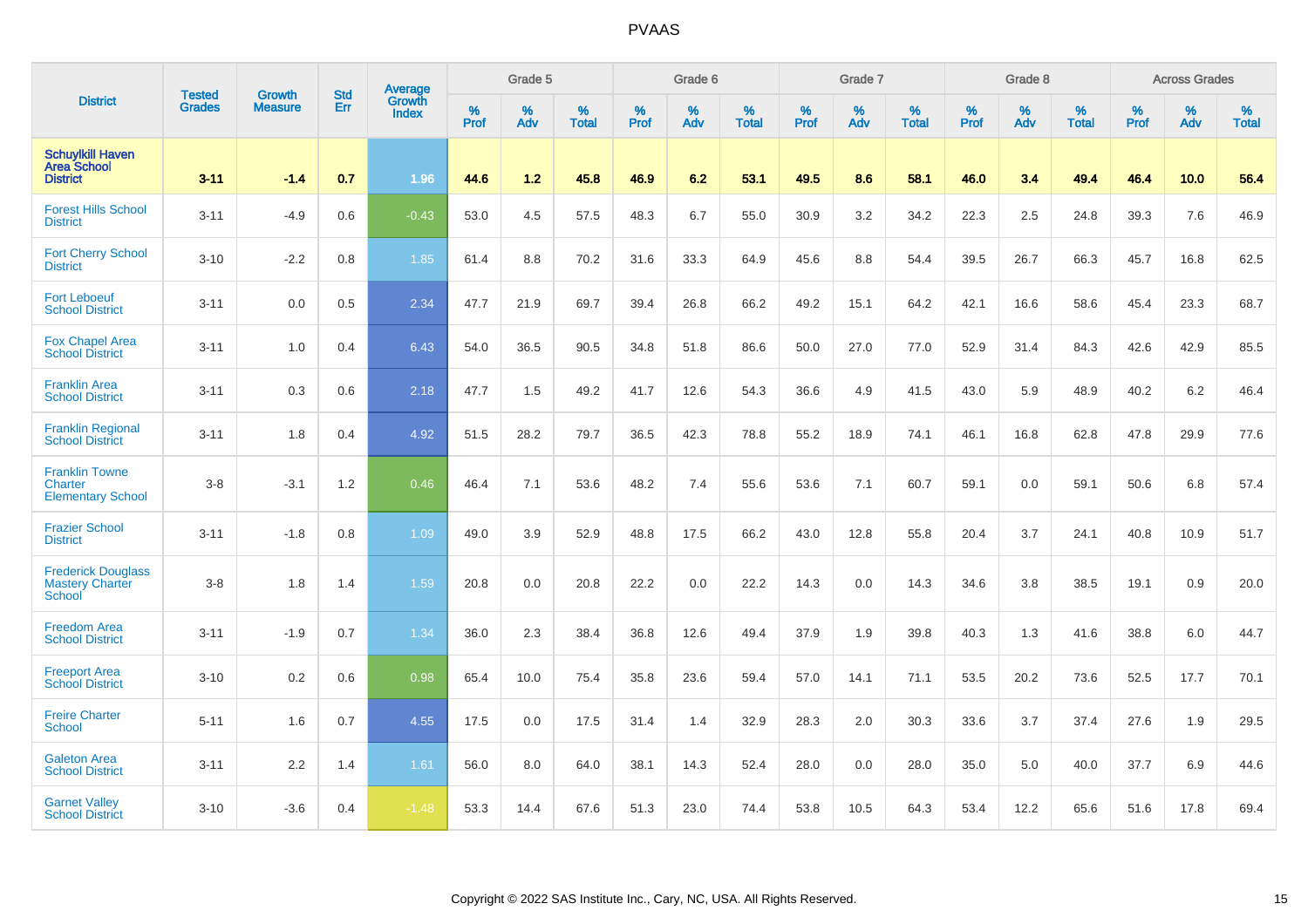|                                                                      | <b>Tested</b> | <b>Growth</b>  | <b>Std</b> | Average                |           | Grade 5  |                   |           | Grade 6  |                   |           | Grade 7  |                   |           | Grade 8  |                   |           | <b>Across Grades</b> |                   |
|----------------------------------------------------------------------|---------------|----------------|------------|------------------------|-----------|----------|-------------------|-----------|----------|-------------------|-----------|----------|-------------------|-----------|----------|-------------------|-----------|----------------------|-------------------|
| <b>District</b>                                                      | <b>Grades</b> | <b>Measure</b> | Err        | <b>Growth</b><br>Index | %<br>Prof | %<br>Adv | %<br><b>Total</b> | %<br>Prof | %<br>Adv | %<br><b>Total</b> | %<br>Prof | %<br>Adv | %<br><b>Total</b> | %<br>Prof | %<br>Adv | %<br><b>Total</b> | %<br>Prof | %<br>Adv             | %<br><b>Total</b> |
| <b>Schuylkill Haven</b><br><b>Area School</b><br><b>District</b>     | $3 - 11$      | $-1.4$         | 0.7        | 1.96                   | 44.6      | 1.2      | 45.8              | 46.9      | 6.2      | 53.1              | 49.5      | 8.6      | 58.1              | 46.0      | 3.4      | 49.4              | 46.4      | 10.0                 | 56.4              |
| <b>Forest Hills School</b><br><b>District</b>                        | $3 - 11$      | $-4.9$         | 0.6        | $-0.43$                | 53.0      | 4.5      | 57.5              | 48.3      | 6.7      | 55.0              | 30.9      | 3.2      | 34.2              | 22.3      | 2.5      | 24.8              | 39.3      | 7.6                  | 46.9              |
| <b>Fort Cherry School</b><br><b>District</b>                         | $3 - 10$      | $-2.2$         | 0.8        | 1.85                   | 61.4      | 8.8      | 70.2              | 31.6      | 33.3     | 64.9              | 45.6      | 8.8      | 54.4              | 39.5      | 26.7     | 66.3              | 45.7      | 16.8                 | 62.5              |
| <b>Fort Leboeuf</b><br><b>School District</b>                        | $3 - 11$      | 0.0            | 0.5        | 2.34                   | 47.7      | 21.9     | 69.7              | 39.4      | 26.8     | 66.2              | 49.2      | 15.1     | 64.2              | 42.1      | 16.6     | 58.6              | 45.4      | 23.3                 | 68.7              |
| <b>Fox Chapel Area</b><br><b>School District</b>                     | $3 - 11$      | 1.0            | 0.4        | 6.43                   | 54.0      | 36.5     | 90.5              | 34.8      | 51.8     | 86.6              | 50.0      | 27.0     | 77.0              | 52.9      | 31.4     | 84.3              | 42.6      | 42.9                 | 85.5              |
| <b>Franklin Area</b><br><b>School District</b>                       | $3 - 11$      | 0.3            | 0.6        | 2.18                   | 47.7      | 1.5      | 49.2              | 41.7      | 12.6     | 54.3              | 36.6      | 4.9      | 41.5              | 43.0      | 5.9      | 48.9              | 40.2      | 6.2                  | 46.4              |
| <b>Franklin Regional</b><br><b>School District</b>                   | $3 - 11$      | 1.8            | 0.4        | 4.92                   | 51.5      | 28.2     | 79.7              | 36.5      | 42.3     | 78.8              | 55.2      | 18.9     | 74.1              | 46.1      | 16.8     | 62.8              | 47.8      | 29.9                 | 77.6              |
| <b>Franklin Towne</b><br><b>Charter</b><br><b>Elementary School</b>  | $3-8$         | $-3.1$         | 1.2        | 0.46                   | 46.4      | 7.1      | 53.6              | 48.2      | 7.4      | 55.6              | 53.6      | 7.1      | 60.7              | 59.1      | 0.0      | 59.1              | 50.6      | 6.8                  | 57.4              |
| <b>Frazier School</b><br><b>District</b>                             | $3 - 11$      | $-1.8$         | 0.8        | 1.09                   | 49.0      | 3.9      | 52.9              | 48.8      | 17.5     | 66.2              | 43.0      | 12.8     | 55.8              | 20.4      | 3.7      | 24.1              | 40.8      | 10.9                 | 51.7              |
| <b>Frederick Douglass</b><br><b>Mastery Charter</b><br><b>School</b> | $3-8$         | 1.8            | 1.4        | 1.59                   | 20.8      | 0.0      | 20.8              | 22.2      | 0.0      | 22.2              | 14.3      | 0.0      | 14.3              | 34.6      | 3.8      | 38.5              | 19.1      | 0.9                  | 20.0              |
| <b>Freedom Area</b><br><b>School District</b>                        | $3 - 11$      | $-1.9$         | 0.7        | 1.34                   | 36.0      | 2.3      | 38.4              | 36.8      | 12.6     | 49.4              | 37.9      | 1.9      | 39.8              | 40.3      | 1.3      | 41.6              | 38.8      | 6.0                  | 44.7              |
| <b>Freeport Area</b><br><b>School District</b>                       | $3 - 10$      | 0.2            | 0.6        | 0.98                   | 65.4      | 10.0     | 75.4              | 35.8      | 23.6     | 59.4              | 57.0      | 14.1     | 71.1              | 53.5      | 20.2     | 73.6              | 52.5      | 17.7                 | 70.1              |
| <b>Freire Charter</b><br><b>School</b>                               | $5 - 11$      | 1.6            | 0.7        | 4.55                   | 17.5      | 0.0      | 17.5              | 31.4      | 1.4      | 32.9              | 28.3      | 2.0      | 30.3              | 33.6      | 3.7      | 37.4              | 27.6      | 1.9                  | 29.5              |
| <b>Galeton Area</b><br><b>School District</b>                        | $3 - 11$      | 2.2            | 1.4        | 1.61                   | 56.0      | 8.0      | 64.0              | 38.1      | 14.3     | 52.4              | 28.0      | 0.0      | 28.0              | 35.0      | 5.0      | 40.0              | 37.7      | 6.9                  | 44.6              |
| <b>Garnet Valley</b><br><b>School District</b>                       | $3 - 10$      | $-3.6$         | 0.4        | $-1.48$                | 53.3      | 14.4     | 67.6              | 51.3      | 23.0     | 74.4              | 53.8      | 10.5     | 64.3              | 53.4      | 12.2     | 65.6              | 51.6      | 17.8                 | 69.4              |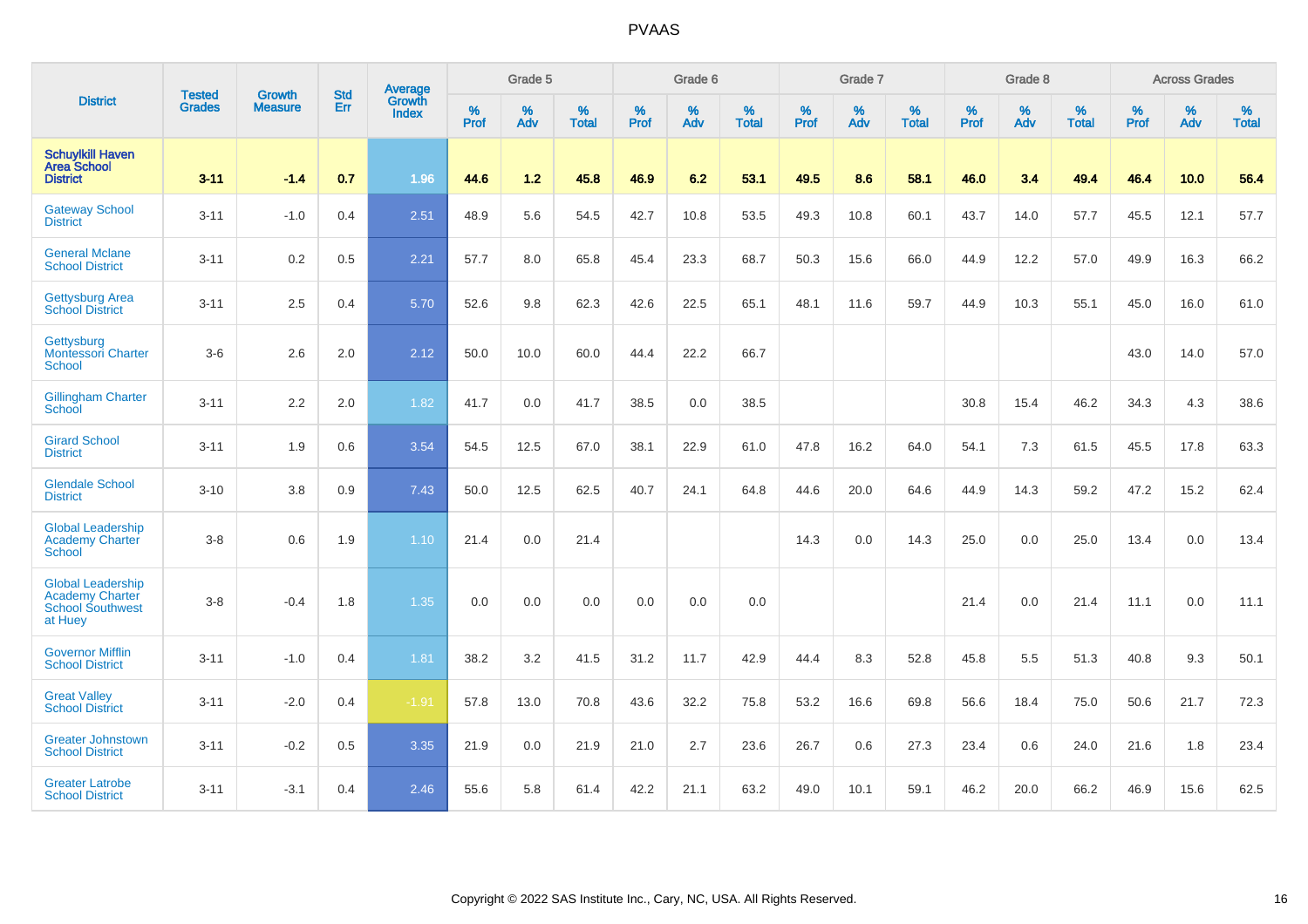|                                                                                          |                                | <b>Growth</b>  | <b>Std</b> | Average                |                     | Grade 5  |                   |                     | Grade 6  |                   |                     | Grade 7  |                   |                     | Grade 8  |                   |                     | <b>Across Grades</b> |                   |
|------------------------------------------------------------------------------------------|--------------------------------|----------------|------------|------------------------|---------------------|----------|-------------------|---------------------|----------|-------------------|---------------------|----------|-------------------|---------------------|----------|-------------------|---------------------|----------------------|-------------------|
| <b>District</b>                                                                          | <b>Tested</b><br><b>Grades</b> | <b>Measure</b> | Err        | Growth<br><b>Index</b> | $\%$<br><b>Prof</b> | %<br>Adv | %<br><b>Total</b> | $\%$<br><b>Prof</b> | %<br>Adv | %<br><b>Total</b> | $\%$<br><b>Prof</b> | %<br>Adv | %<br><b>Total</b> | $\%$<br><b>Prof</b> | %<br>Adv | %<br><b>Total</b> | $\%$<br><b>Prof</b> | %<br>Adv             | %<br><b>Total</b> |
| <b>Schuylkill Haven</b><br><b>Area School</b><br><b>District</b>                         | $3 - 11$                       | $-1.4$         | 0.7        | 1.96                   | 44.6                | 1.2      | 45.8              | 46.9                | 6.2      | 53.1              | 49.5                | 8.6      | 58.1              | 46.0                | 3.4      | 49.4              | 46.4                | 10.0                 | 56.4              |
| <b>Gateway School</b><br><b>District</b>                                                 | $3 - 11$                       | $-1.0$         | 0.4        | 2.51                   | 48.9                | 5.6      | 54.5              | 42.7                | 10.8     | 53.5              | 49.3                | 10.8     | 60.1              | 43.7                | 14.0     | 57.7              | 45.5                | 12.1                 | 57.7              |
| <b>General Mclane</b><br><b>School District</b>                                          | $3 - 11$                       | 0.2            | 0.5        | 2.21                   | 57.7                | 8.0      | 65.8              | 45.4                | 23.3     | 68.7              | 50.3                | 15.6     | 66.0              | 44.9                | 12.2     | 57.0              | 49.9                | 16.3                 | 66.2              |
| <b>Gettysburg Area</b><br><b>School District</b>                                         | $3 - 11$                       | 2.5            | 0.4        | 5.70                   | 52.6                | 9.8      | 62.3              | 42.6                | 22.5     | 65.1              | 48.1                | 11.6     | 59.7              | 44.9                | 10.3     | 55.1              | 45.0                | 16.0                 | 61.0              |
| Gettysburg<br>Montessori Charter<br><b>School</b>                                        | $3-6$                          | 2.6            | 2.0        | 2.12                   | 50.0                | 10.0     | 60.0              | 44.4                | 22.2     | 66.7              |                     |          |                   |                     |          |                   | 43.0                | 14.0                 | 57.0              |
| <b>Gillingham Charter</b><br><b>School</b>                                               | $3 - 11$                       | 2.2            | 2.0        | 1.82                   | 41.7                | 0.0      | 41.7              | 38.5                | 0.0      | 38.5              |                     |          |                   | 30.8                | 15.4     | 46.2              | 34.3                | 4.3                  | 38.6              |
| <b>Girard School</b><br><b>District</b>                                                  | $3 - 11$                       | 1.9            | 0.6        | 3.54                   | 54.5                | 12.5     | 67.0              | 38.1                | 22.9     | 61.0              | 47.8                | 16.2     | 64.0              | 54.1                | 7.3      | 61.5              | 45.5                | 17.8                 | 63.3              |
| <b>Glendale School</b><br><b>District</b>                                                | $3 - 10$                       | 3.8            | 0.9        | 7.43                   | 50.0                | 12.5     | 62.5              | 40.7                | 24.1     | 64.8              | 44.6                | 20.0     | 64.6              | 44.9                | 14.3     | 59.2              | 47.2                | 15.2                 | 62.4              |
| <b>Global Leadership</b><br><b>Academy Charter</b><br><b>School</b>                      | $3-8$                          | 0.6            | 1.9        | 1.10                   | 21.4                | 0.0      | 21.4              |                     |          |                   | 14.3                | 0.0      | 14.3              | 25.0                | 0.0      | 25.0              | 13.4                | 0.0                  | 13.4              |
| <b>Global Leadership</b><br><b>Academy Charter</b><br><b>School Southwest</b><br>at Huey | $3-8$                          | $-0.4$         | 1.8        | 1.35                   | 0.0                 | 0.0      | 0.0               | 0.0                 | 0.0      | 0.0               |                     |          |                   | 21.4                | 0.0      | 21.4              | 11.1                | 0.0                  | 11.1              |
| <b>Governor Mifflin</b><br><b>School District</b>                                        | $3 - 11$                       | $-1.0$         | 0.4        | 1.81                   | 38.2                | 3.2      | 41.5              | 31.2                | 11.7     | 42.9              | 44.4                | 8.3      | 52.8              | 45.8                | 5.5      | 51.3              | 40.8                | 9.3                  | 50.1              |
| <b>Great Valley</b><br><b>School District</b>                                            | $3 - 11$                       | $-2.0$         | 0.4        | $-1.91$                | 57.8                | 13.0     | 70.8              | 43.6                | 32.2     | 75.8              | 53.2                | 16.6     | 69.8              | 56.6                | 18.4     | 75.0              | 50.6                | 21.7                 | 72.3              |
| <b>Greater Johnstown</b><br><b>School District</b>                                       | $3 - 11$                       | $-0.2$         | 0.5        | 3.35                   | 21.9                | 0.0      | 21.9              | 21.0                | 2.7      | 23.6              | 26.7                | 0.6      | 27.3              | 23.4                | 0.6      | 24.0              | 21.6                | 1.8                  | 23.4              |
| <b>Greater Latrobe</b><br><b>School District</b>                                         | $3 - 11$                       | $-3.1$         | 0.4        | 2.46                   | 55.6                | 5.8      | 61.4              | 42.2                | 21.1     | 63.2              | 49.0                | 10.1     | 59.1              | 46.2                | 20.0     | 66.2              | 46.9                | 15.6                 | 62.5              |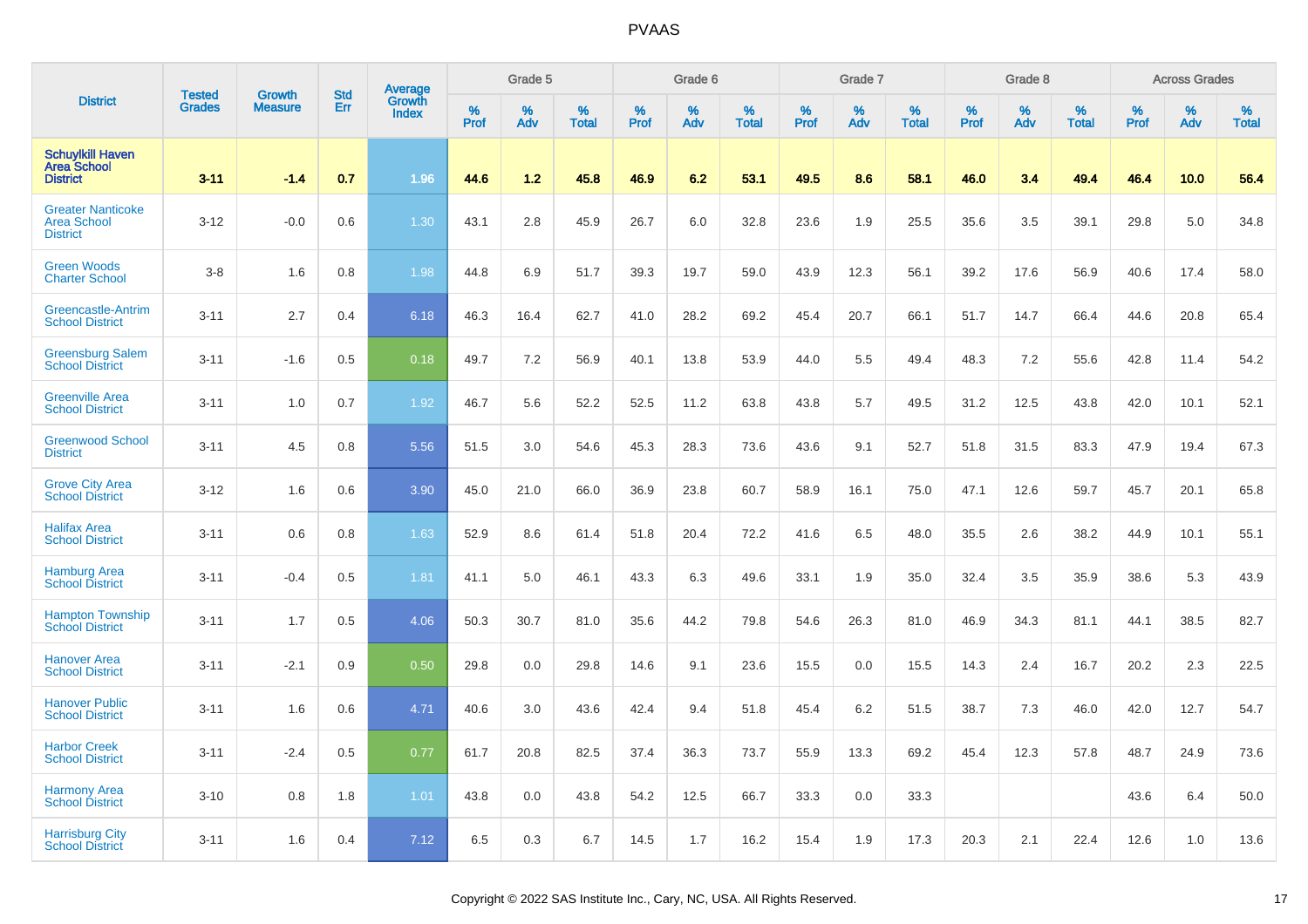|                                                                   | <b>Tested</b> | <b>Growth</b>  | <b>Std</b> | Average                |           | Grade 5  |                   |           | Grade 6  |                   |           | Grade 7  |                   |           | Grade 8  |                   |           | <b>Across Grades</b> |                   |
|-------------------------------------------------------------------|---------------|----------------|------------|------------------------|-----------|----------|-------------------|-----------|----------|-------------------|-----------|----------|-------------------|-----------|----------|-------------------|-----------|----------------------|-------------------|
| <b>District</b>                                                   | <b>Grades</b> | <b>Measure</b> | Err        | Growth<br><b>Index</b> | %<br>Prof | %<br>Adv | %<br><b>Total</b> | %<br>Prof | %<br>Adv | %<br><b>Total</b> | %<br>Prof | %<br>Adv | %<br><b>Total</b> | %<br>Prof | %<br>Adv | %<br><b>Total</b> | %<br>Prof | %<br>Adv             | %<br><b>Total</b> |
| <b>Schuylkill Haven</b><br><b>Area School</b><br><b>District</b>  | $3 - 11$      | $-1.4$         | 0.7        | 1.96                   | 44.6      | 1.2      | 45.8              | 46.9      | 6.2      | 53.1              | 49.5      | 8.6      | 58.1              | 46.0      | 3.4      | 49.4              | 46.4      | 10.0                 | 56.4              |
| <b>Greater Nanticoke</b><br><b>Area School</b><br><b>District</b> | $3 - 12$      | $-0.0$         | 0.6        | 1.30                   | 43.1      | 2.8      | 45.9              | 26.7      | 6.0      | 32.8              | 23.6      | 1.9      | 25.5              | 35.6      | 3.5      | 39.1              | 29.8      | 5.0                  | 34.8              |
| <b>Green Woods</b><br><b>Charter School</b>                       | $3-8$         | 1.6            | 0.8        | 1.98                   | 44.8      | 6.9      | 51.7              | 39.3      | 19.7     | 59.0              | 43.9      | 12.3     | 56.1              | 39.2      | 17.6     | 56.9              | 40.6      | 17.4                 | 58.0              |
| Greencastle-Antrim<br><b>School District</b>                      | $3 - 11$      | 2.7            | 0.4        | 6.18                   | 46.3      | 16.4     | 62.7              | 41.0      | 28.2     | 69.2              | 45.4      | 20.7     | 66.1              | 51.7      | 14.7     | 66.4              | 44.6      | 20.8                 | 65.4              |
| <b>Greensburg Salem</b><br><b>School District</b>                 | $3 - 11$      | $-1.6$         | 0.5        | 0.18                   | 49.7      | 7.2      | 56.9              | 40.1      | 13.8     | 53.9              | 44.0      | 5.5      | 49.4              | 48.3      | 7.2      | 55.6              | 42.8      | 11.4                 | 54.2              |
| <b>Greenville Area</b><br><b>School District</b>                  | $3 - 11$      | 1.0            | 0.7        | 1.92                   | 46.7      | 5.6      | 52.2              | 52.5      | 11.2     | 63.8              | 43.8      | 5.7      | 49.5              | 31.2      | 12.5     | 43.8              | 42.0      | 10.1                 | 52.1              |
| <b>Greenwood School</b><br><b>District</b>                        | $3 - 11$      | 4.5            | 0.8        | 5.56                   | 51.5      | 3.0      | 54.6              | 45.3      | 28.3     | 73.6              | 43.6      | 9.1      | 52.7              | 51.8      | 31.5     | 83.3              | 47.9      | 19.4                 | 67.3              |
| <b>Grove City Area</b><br><b>School District</b>                  | $3 - 12$      | 1.6            | 0.6        | 3.90                   | 45.0      | 21.0     | 66.0              | 36.9      | 23.8     | 60.7              | 58.9      | 16.1     | 75.0              | 47.1      | 12.6     | 59.7              | 45.7      | 20.1                 | 65.8              |
| <b>Halifax Area</b><br><b>School District</b>                     | $3 - 11$      | 0.6            | 0.8        | 1.63                   | 52.9      | 8.6      | 61.4              | 51.8      | 20.4     | 72.2              | 41.6      | 6.5      | 48.0              | 35.5      | 2.6      | 38.2              | 44.9      | 10.1                 | 55.1              |
| <b>Hamburg Area</b><br><b>School District</b>                     | $3 - 11$      | $-0.4$         | 0.5        | 1.81                   | 41.1      | 5.0      | 46.1              | 43.3      | 6.3      | 49.6              | 33.1      | 1.9      | 35.0              | 32.4      | 3.5      | 35.9              | 38.6      | 5.3                  | 43.9              |
| <b>Hampton Township</b><br><b>School District</b>                 | $3 - 11$      | 1.7            | 0.5        | 4.06                   | 50.3      | 30.7     | 81.0              | 35.6      | 44.2     | 79.8              | 54.6      | 26.3     | 81.0              | 46.9      | 34.3     | 81.1              | 44.1      | 38.5                 | 82.7              |
| <b>Hanover Area</b><br><b>School District</b>                     | $3 - 11$      | $-2.1$         | 0.9        | 0.50                   | 29.8      | 0.0      | 29.8              | 14.6      | 9.1      | 23.6              | 15.5      | 0.0      | 15.5              | 14.3      | 2.4      | 16.7              | 20.2      | 2.3                  | 22.5              |
| <b>Hanover Public</b><br><b>School District</b>                   | $3 - 11$      | 1.6            | 0.6        | 4.71                   | 40.6      | 3.0      | 43.6              | 42.4      | 9.4      | 51.8              | 45.4      | 6.2      | 51.5              | 38.7      | 7.3      | 46.0              | 42.0      | 12.7                 | 54.7              |
| <b>Harbor Creek</b><br><b>School District</b>                     | $3 - 11$      | $-2.4$         | 0.5        | 0.77                   | 61.7      | 20.8     | 82.5              | 37.4      | 36.3     | 73.7              | 55.9      | 13.3     | 69.2              | 45.4      | 12.3     | 57.8              | 48.7      | 24.9                 | 73.6              |
| <b>Harmony Area</b><br><b>School District</b>                     | $3 - 10$      | 0.8            | 1.8        | 1.01                   | 43.8      | 0.0      | 43.8              | 54.2      | 12.5     | 66.7              | 33.3      | 0.0      | 33.3              |           |          |                   | 43.6      | 6.4                  | 50.0              |
| <b>Harrisburg City</b><br><b>School District</b>                  | $3 - 11$      | 1.6            | 0.4        | 7.12                   | 6.5       | 0.3      | 6.7               | 14.5      | 1.7      | 16.2              | 15.4      | 1.9      | 17.3              | 20.3      | 2.1      | 22.4              | 12.6      | 1.0                  | 13.6              |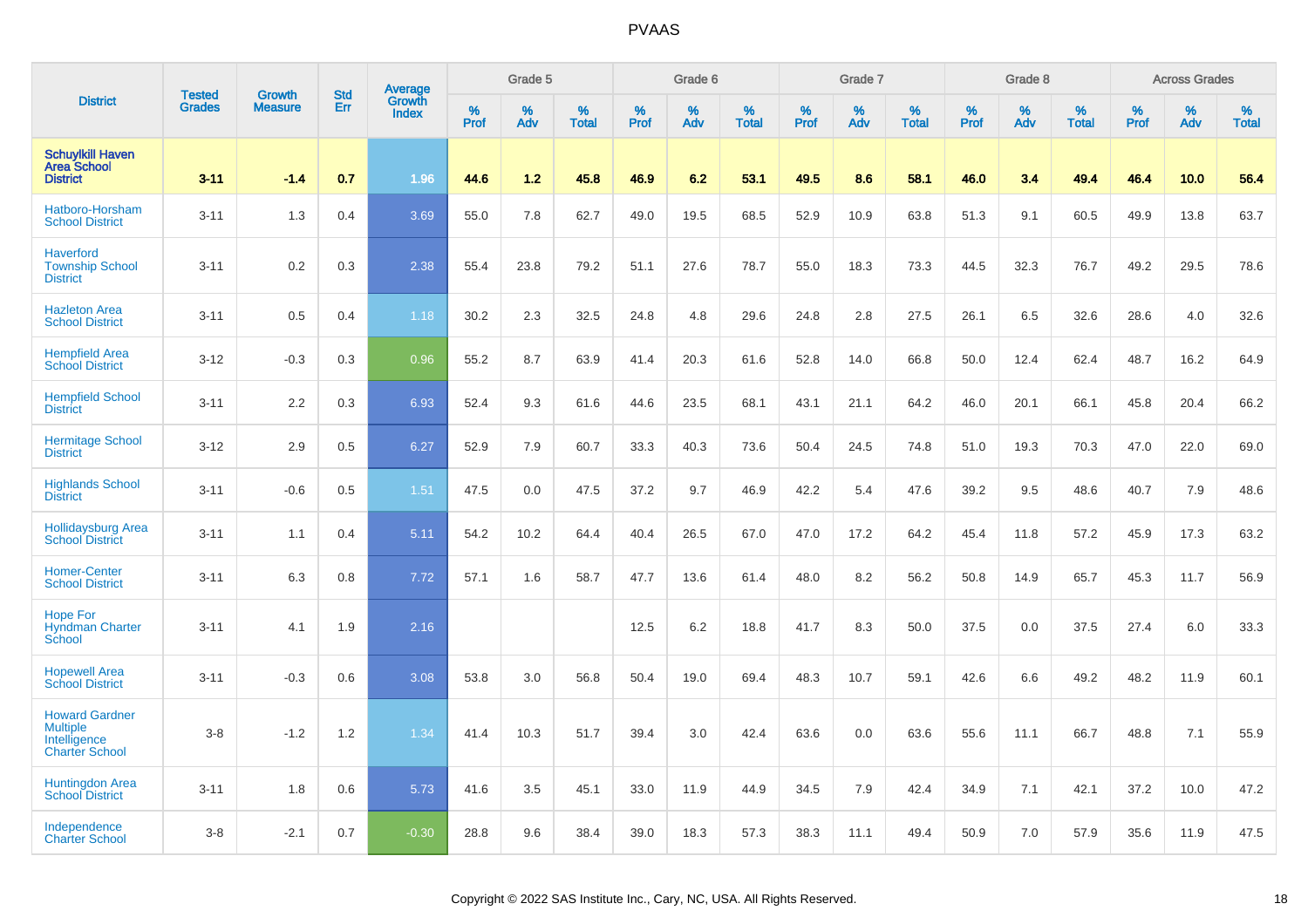|                                                                                   | <b>Tested</b> | <b>Growth</b>  | <b>Std</b> | Average                |              | Grade 5  |                   |                  | Grade 6  |                   |                  | Grade 7  |                   |                  | Grade 8  |                   |           | <b>Across Grades</b> |                   |
|-----------------------------------------------------------------------------------|---------------|----------------|------------|------------------------|--------------|----------|-------------------|------------------|----------|-------------------|------------------|----------|-------------------|------------------|----------|-------------------|-----------|----------------------|-------------------|
| <b>District</b>                                                                   | <b>Grades</b> | <b>Measure</b> | Err        | Growth<br><b>Index</b> | $\%$<br>Prof | %<br>Adv | %<br><b>Total</b> | %<br><b>Prof</b> | %<br>Adv | %<br><b>Total</b> | %<br><b>Prof</b> | %<br>Adv | %<br><b>Total</b> | %<br><b>Prof</b> | %<br>Adv | %<br><b>Total</b> | %<br>Prof | %<br>Adv             | %<br><b>Total</b> |
| <b>Schuylkill Haven</b><br><b>Area School</b><br><b>District</b>                  | $3 - 11$      | $-1.4$         | 0.7        | 1.96                   | 44.6         | 1.2      | 45.8              | 46.9             | 6.2      | 53.1              | 49.5             | 8.6      | 58.1              | 46.0             | 3.4      | 49.4              | 46.4      | 10.0                 | 56.4              |
| Hatboro-Horsham<br><b>School District</b>                                         | $3 - 11$      | 1.3            | 0.4        | 3.69                   | 55.0         | 7.8      | 62.7              | 49.0             | 19.5     | 68.5              | 52.9             | 10.9     | 63.8              | 51.3             | 9.1      | 60.5              | 49.9      | 13.8                 | 63.7              |
| <b>Haverford</b><br><b>Township School</b><br><b>District</b>                     | $3 - 11$      | 0.2            | 0.3        | 2.38                   | 55.4         | 23.8     | 79.2              | 51.1             | 27.6     | 78.7              | 55.0             | 18.3     | 73.3              | 44.5             | 32.3     | 76.7              | 49.2      | 29.5                 | 78.6              |
| <b>Hazleton Area</b><br><b>School District</b>                                    | $3 - 11$      | 0.5            | 0.4        | 1.18                   | 30.2         | 2.3      | 32.5              | 24.8             | 4.8      | 29.6              | 24.8             | 2.8      | 27.5              | 26.1             | 6.5      | 32.6              | 28.6      | 4.0                  | 32.6              |
| <b>Hempfield Area</b><br><b>School District</b>                                   | $3 - 12$      | $-0.3$         | 0.3        | 0.96                   | 55.2         | 8.7      | 63.9              | 41.4             | 20.3     | 61.6              | 52.8             | 14.0     | 66.8              | 50.0             | 12.4     | 62.4              | 48.7      | 16.2                 | 64.9              |
| <b>Hempfield School</b><br><b>District</b>                                        | $3 - 11$      | 2.2            | 0.3        | 6.93                   | 52.4         | 9.3      | 61.6              | 44.6             | 23.5     | 68.1              | 43.1             | 21.1     | 64.2              | 46.0             | 20.1     | 66.1              | 45.8      | 20.4                 | 66.2              |
| <b>Hermitage School</b><br><b>District</b>                                        | $3 - 12$      | 2.9            | 0.5        | 6.27                   | 52.9         | 7.9      | 60.7              | 33.3             | 40.3     | 73.6              | 50.4             | 24.5     | 74.8              | 51.0             | 19.3     | 70.3              | 47.0      | 22.0                 | 69.0              |
| <b>Highlands School</b><br><b>District</b>                                        | $3 - 11$      | $-0.6$         | 0.5        | 1.51                   | 47.5         | 0.0      | 47.5              | 37.2             | 9.7      | 46.9              | 42.2             | 5.4      | 47.6              | 39.2             | 9.5      | 48.6              | 40.7      | 7.9                  | 48.6              |
| <b>Hollidaysburg Area</b><br>School District                                      | $3 - 11$      | 1.1            | 0.4        | 5.11                   | 54.2         | 10.2     | 64.4              | 40.4             | 26.5     | 67.0              | 47.0             | 17.2     | 64.2              | 45.4             | 11.8     | 57.2              | 45.9      | 17.3                 | 63.2              |
| <b>Homer-Center</b><br><b>School District</b>                                     | $3 - 11$      | 6.3            | 0.8        | 7.72                   | 57.1         | 1.6      | 58.7              | 47.7             | 13.6     | 61.4              | 48.0             | 8.2      | 56.2              | 50.8             | 14.9     | 65.7              | 45.3      | 11.7                 | 56.9              |
| <b>Hope For</b><br><b>Hyndman Charter</b><br>School                               | $3 - 11$      | 4.1            | 1.9        | 2.16                   |              |          |                   | 12.5             | 6.2      | 18.8              | 41.7             | 8.3      | 50.0              | 37.5             | 0.0      | 37.5              | 27.4      | 6.0                  | 33.3              |
| <b>Hopewell Area</b><br><b>School District</b>                                    | $3 - 11$      | $-0.3$         | 0.6        | 3.08                   | 53.8         | 3.0      | 56.8              | 50.4             | 19.0     | 69.4              | 48.3             | 10.7     | 59.1              | 42.6             | 6.6      | 49.2              | 48.2      | 11.9                 | 60.1              |
| <b>Howard Gardner</b><br><b>Multiple</b><br>Intelligence<br><b>Charter School</b> | $3 - 8$       | $-1.2$         | 1.2        | 1.34                   | 41.4         | 10.3     | 51.7              | 39.4             | 3.0      | 42.4              | 63.6             | 0.0      | 63.6              | 55.6             | 11.1     | 66.7              | 48.8      | 7.1                  | 55.9              |
| Huntingdon Area<br><b>School District</b>                                         | $3 - 11$      | 1.8            | 0.6        | 5.73                   | 41.6         | 3.5      | 45.1              | 33.0             | 11.9     | 44.9              | 34.5             | 7.9      | 42.4              | 34.9             | 7.1      | 42.1              | 37.2      | 10.0                 | 47.2              |
| Independence<br><b>Charter School</b>                                             | $3 - 8$       | $-2.1$         | 0.7        | $-0.30$                | 28.8         | 9.6      | 38.4              | 39.0             | 18.3     | 57.3              | 38.3             | 11.1     | 49.4              | 50.9             | 7.0      | 57.9              | 35.6      | 11.9                 | 47.5              |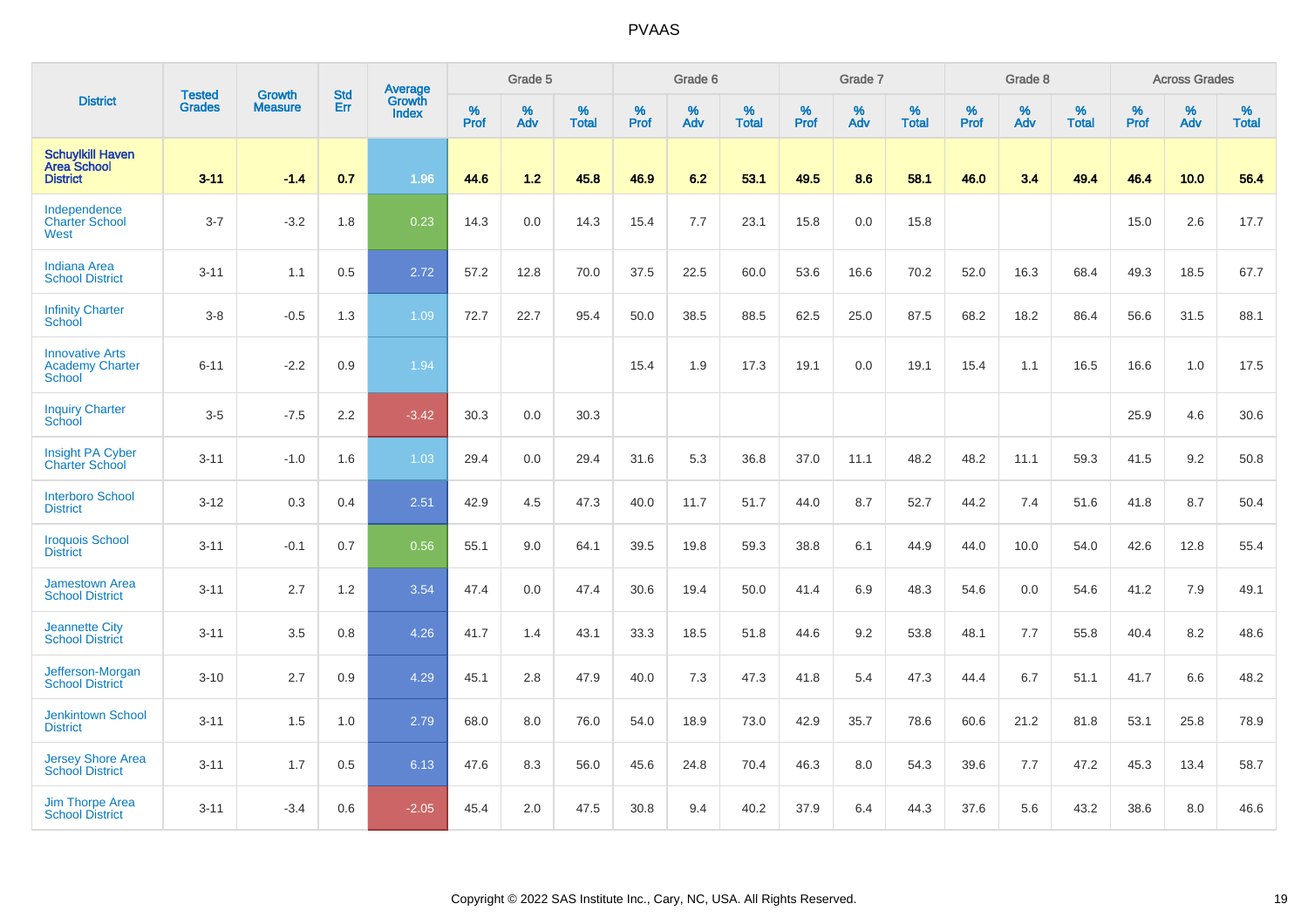|                                                                   | <b>Tested</b> | <b>Growth</b>  | <b>Std</b> | Average                |           | Grade 5  |                   |           | Grade 6  |                   |           | Grade 7  |                   |           | Grade 8  |                   |           | <b>Across Grades</b> |                   |
|-------------------------------------------------------------------|---------------|----------------|------------|------------------------|-----------|----------|-------------------|-----------|----------|-------------------|-----------|----------|-------------------|-----------|----------|-------------------|-----------|----------------------|-------------------|
| <b>District</b>                                                   | <b>Grades</b> | <b>Measure</b> | Err        | Growth<br><b>Index</b> | %<br>Prof | %<br>Adv | %<br><b>Total</b> | %<br>Prof | %<br>Adv | %<br><b>Total</b> | %<br>Prof | %<br>Adv | %<br><b>Total</b> | %<br>Prof | %<br>Adv | %<br><b>Total</b> | %<br>Prof | %<br>Adv             | %<br><b>Total</b> |
| <b>Schuylkill Haven</b><br><b>Area School</b><br><b>District</b>  | $3 - 11$      | $-1.4$         | 0.7        | 1.96                   | 44.6      | 1.2      | 45.8              | 46.9      | 6.2      | 53.1              | 49.5      | 8.6      | 58.1              | 46.0      | 3.4      | 49.4              | 46.4      | 10.0                 | 56.4              |
| Independence<br><b>Charter School</b><br>West                     | $3 - 7$       | $-3.2$         | 1.8        | 0.23                   | 14.3      | 0.0      | 14.3              | 15.4      | 7.7      | 23.1              | 15.8      | 0.0      | 15.8              |           |          |                   | 15.0      | 2.6                  | 17.7              |
| <b>Indiana Area</b><br><b>School District</b>                     | $3 - 11$      | 1.1            | 0.5        | 2.72                   | 57.2      | 12.8     | 70.0              | 37.5      | 22.5     | 60.0              | 53.6      | 16.6     | 70.2              | 52.0      | 16.3     | 68.4              | 49.3      | 18.5                 | 67.7              |
| <b>Infinity Charter</b><br>School                                 | $3-8$         | $-0.5$         | 1.3        | 1.09                   | 72.7      | 22.7     | 95.4              | 50.0      | 38.5     | 88.5              | 62.5      | 25.0     | 87.5              | 68.2      | 18.2     | 86.4              | 56.6      | 31.5                 | 88.1              |
| <b>Innovative Arts</b><br><b>Academy Charter</b><br><b>School</b> | $6 - 11$      | $-2.2$         | 0.9        | 1.94                   |           |          |                   | 15.4      | 1.9      | 17.3              | 19.1      | 0.0      | 19.1              | 15.4      | 1.1      | 16.5              | 16.6      | 1.0                  | 17.5              |
| <b>Inquiry Charter</b><br>School                                  | $3-5$         | $-7.5$         | 2.2        | $-3.42$                | 30.3      | 0.0      | 30.3              |           |          |                   |           |          |                   |           |          |                   | 25.9      | 4.6                  | 30.6              |
| Insight PA Cyber<br><b>Charter School</b>                         | $3 - 11$      | $-1.0$         | 1.6        | 1.03                   | 29.4      | 0.0      | 29.4              | 31.6      | 5.3      | 36.8              | 37.0      | 11.1     | 48.2              | 48.2      | 11.1     | 59.3              | 41.5      | 9.2                  | 50.8              |
| <b>Interboro School</b><br><b>District</b>                        | $3 - 12$      | 0.3            | 0.4        | 2.51                   | 42.9      | 4.5      | 47.3              | 40.0      | 11.7     | 51.7              | 44.0      | 8.7      | 52.7              | 44.2      | 7.4      | 51.6              | 41.8      | 8.7                  | 50.4              |
| <b>Iroquois School</b><br><b>District</b>                         | $3 - 11$      | $-0.1$         | 0.7        | 0.56                   | 55.1      | 9.0      | 64.1              | 39.5      | 19.8     | 59.3              | 38.8      | 6.1      | 44.9              | 44.0      | 10.0     | 54.0              | 42.6      | 12.8                 | 55.4              |
| <b>Jamestown Area</b><br><b>School District</b>                   | $3 - 11$      | 2.7            | 1.2        | 3.54                   | 47.4      | 0.0      | 47.4              | 30.6      | 19.4     | 50.0              | 41.4      | 6.9      | 48.3              | 54.6      | 0.0      | 54.6              | 41.2      | 7.9                  | 49.1              |
| <b>Jeannette City</b><br><b>School District</b>                   | $3 - 11$      | 3.5            | 0.8        | 4.26                   | 41.7      | 1.4      | 43.1              | 33.3      | 18.5     | 51.8              | 44.6      | 9.2      | 53.8              | 48.1      | 7.7      | 55.8              | 40.4      | 8.2                  | 48.6              |
| Jefferson-Morgan<br><b>School District</b>                        | $3 - 10$      | 2.7            | 0.9        | 4.29                   | 45.1      | 2.8      | 47.9              | 40.0      | 7.3      | 47.3              | 41.8      | 5.4      | 47.3              | 44.4      | 6.7      | 51.1              | 41.7      | 6.6                  | 48.2              |
| <b>Jenkintown School</b><br><b>District</b>                       | $3 - 11$      | 1.5            | 1.0        | 2.79                   | 68.0      | 8.0      | 76.0              | 54.0      | 18.9     | 73.0              | 42.9      | 35.7     | 78.6              | 60.6      | 21.2     | 81.8              | 53.1      | 25.8                 | 78.9              |
| Jersey Shore Area<br><b>School District</b>                       | $3 - 11$      | 1.7            | 0.5        | 6.13                   | 47.6      | 8.3      | 56.0              | 45.6      | 24.8     | 70.4              | 46.3      | 8.0      | 54.3              | 39.6      | 7.7      | 47.2              | 45.3      | 13.4                 | 58.7              |
| <b>Jim Thorpe Area</b><br><b>School District</b>                  | $3 - 11$      | $-3.4$         | 0.6        | $-2.05$                | 45.4      | 2.0      | 47.5              | 30.8      | 9.4      | 40.2              | 37.9      | 6.4      | 44.3              | 37.6      | 5.6      | 43.2              | 38.6      | 8.0                  | 46.6              |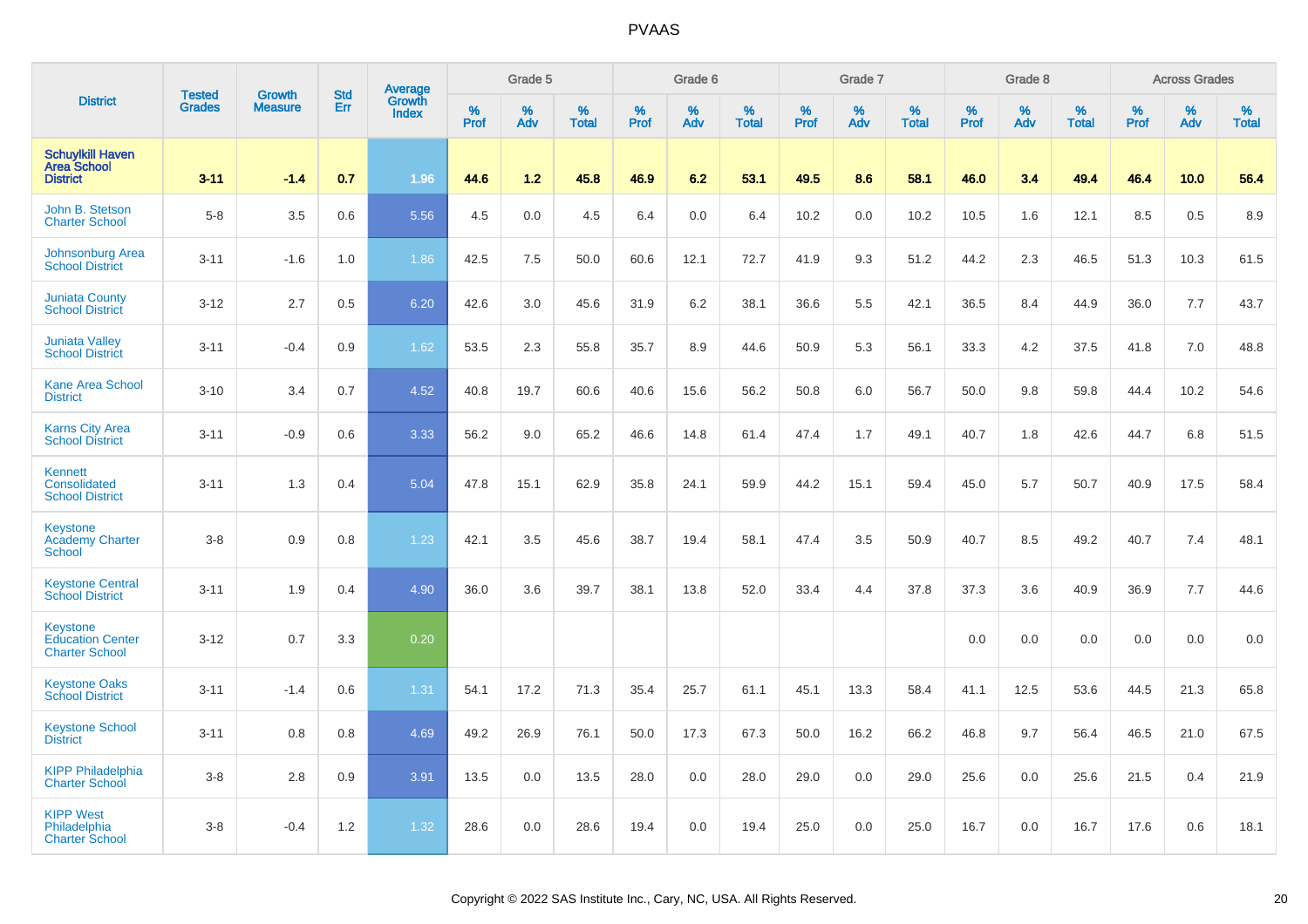|                                                                     | <b>Tested</b> | <b>Growth</b>  | <b>Std</b> | Average                |                  | Grade 5  |                   |                  | Grade 6  |                   |                  | Grade 7  |                   |                  | Grade 8  |                   |           | <b>Across Grades</b> |                   |
|---------------------------------------------------------------------|---------------|----------------|------------|------------------------|------------------|----------|-------------------|------------------|----------|-------------------|------------------|----------|-------------------|------------------|----------|-------------------|-----------|----------------------|-------------------|
| <b>District</b>                                                     | <b>Grades</b> | <b>Measure</b> | Err        | Growth<br><b>Index</b> | %<br><b>Prof</b> | %<br>Adv | %<br><b>Total</b> | %<br><b>Prof</b> | %<br>Adv | %<br><b>Total</b> | %<br><b>Prof</b> | %<br>Adv | %<br><b>Total</b> | %<br><b>Prof</b> | %<br>Adv | %<br><b>Total</b> | %<br>Prof | %<br>Adv             | %<br><b>Total</b> |
| <b>Schuylkill Haven</b><br><b>Area School</b><br><b>District</b>    | $3 - 11$      | $-1.4$         | 0.7        | 1.96                   | 44.6             | 1.2      | 45.8              | 46.9             | 6.2      | 53.1              | 49.5             | 8.6      | 58.1              | 46.0             | 3.4      | 49.4              | 46.4      | 10.0                 | 56.4              |
| John B. Stetson<br><b>Charter School</b>                            | $5 - 8$       | 3.5            | 0.6        | 5.56                   | 4.5              | 0.0      | 4.5               | 6.4              | 0.0      | 6.4               | 10.2             | 0.0      | 10.2              | 10.5             | 1.6      | 12.1              | 8.5       | 0.5                  | 8.9               |
| <b>Johnsonburg Area</b><br><b>School District</b>                   | $3 - 11$      | $-1.6$         | 1.0        | 1.86                   | 42.5             | 7.5      | 50.0              | 60.6             | 12.1     | 72.7              | 41.9             | 9.3      | 51.2              | 44.2             | 2.3      | 46.5              | 51.3      | 10.3                 | 61.5              |
| <b>Juniata County</b><br><b>School District</b>                     | $3 - 12$      | 2.7            | 0.5        | 6.20                   | 42.6             | 3.0      | 45.6              | 31.9             | 6.2      | 38.1              | 36.6             | 5.5      | 42.1              | 36.5             | 8.4      | 44.9              | 36.0      | 7.7                  | 43.7              |
| <b>Juniata Valley</b><br><b>School District</b>                     | $3 - 11$      | $-0.4$         | 0.9        | 1.62                   | 53.5             | 2.3      | 55.8              | 35.7             | 8.9      | 44.6              | 50.9             | 5.3      | 56.1              | 33.3             | 4.2      | 37.5              | 41.8      | 7.0                  | 48.8              |
| <b>Kane Area School</b><br><b>District</b>                          | $3 - 10$      | 3.4            | 0.7        | 4.52                   | 40.8             | 19.7     | 60.6              | 40.6             | 15.6     | 56.2              | 50.8             | 6.0      | 56.7              | 50.0             | 9.8      | 59.8              | 44.4      | 10.2                 | 54.6              |
| <b>Karns City Area</b><br><b>School District</b>                    | $3 - 11$      | $-0.9$         | 0.6        | 3.33                   | 56.2             | 9.0      | 65.2              | 46.6             | 14.8     | 61.4              | 47.4             | 1.7      | 49.1              | 40.7             | 1.8      | 42.6              | 44.7      | 6.8                  | 51.5              |
| Kennett<br>Consolidated<br><b>School District</b>                   | $3 - 11$      | 1.3            | 0.4        | 5.04                   | 47.8             | 15.1     | 62.9              | 35.8             | 24.1     | 59.9              | 44.2             | 15.1     | 59.4              | 45.0             | 5.7      | 50.7              | 40.9      | 17.5                 | 58.4              |
| Keystone<br><b>Academy Charter</b><br>School                        | $3 - 8$       | 0.9            | 0.8        | 1.23                   | 42.1             | 3.5      | 45.6              | 38.7             | 19.4     | 58.1              | 47.4             | 3.5      | 50.9              | 40.7             | 8.5      | 49.2              | 40.7      | 7.4                  | 48.1              |
| <b>Keystone Central</b><br><b>School District</b>                   | $3 - 11$      | 1.9            | 0.4        | 4.90                   | 36.0             | 3.6      | 39.7              | 38.1             | 13.8     | 52.0              | 33.4             | 4.4      | 37.8              | 37.3             | 3.6      | 40.9              | 36.9      | 7.7                  | 44.6              |
| <b>Keystone</b><br><b>Education Center</b><br><b>Charter School</b> | $3 - 12$      | 0.7            | 3.3        | 0.20                   |                  |          |                   |                  |          |                   |                  |          |                   | 0.0              | 0.0      | 0.0               | 0.0       | 0.0                  | 0.0               |
| <b>Keystone Oaks</b><br><b>School District</b>                      | $3 - 11$      | $-1.4$         | 0.6        | 1.31                   | 54.1             | 17.2     | 71.3              | 35.4             | 25.7     | 61.1              | 45.1             | 13.3     | 58.4              | 41.1             | 12.5     | 53.6              | 44.5      | 21.3                 | 65.8              |
| <b>Keystone School</b><br><b>District</b>                           | $3 - 11$      | 0.8            | 0.8        | 4.69                   | 49.2             | 26.9     | 76.1              | 50.0             | 17.3     | 67.3              | 50.0             | 16.2     | 66.2              | 46.8             | 9.7      | 56.4              | 46.5      | 21.0                 | 67.5              |
| <b>KIPP Philadelphia</b><br><b>Charter School</b>                   | $3 - 8$       | 2.8            | 0.9        | 3.91                   | 13.5             | 0.0      | 13.5              | 28.0             | 0.0      | 28.0              | 29.0             | 0.0      | 29.0              | 25.6             | 0.0      | 25.6              | 21.5      | 0.4                  | 21.9              |
| <b>KIPP West</b><br>Philadelphia<br><b>Charter School</b>           | $3 - 8$       | $-0.4$         | 1.2        | 1.32                   | 28.6             | 0.0      | 28.6              | 19.4             | 0.0      | 19.4              | 25.0             | 0.0      | 25.0              | 16.7             | 0.0      | 16.7              | 17.6      | 0.6                  | 18.1              |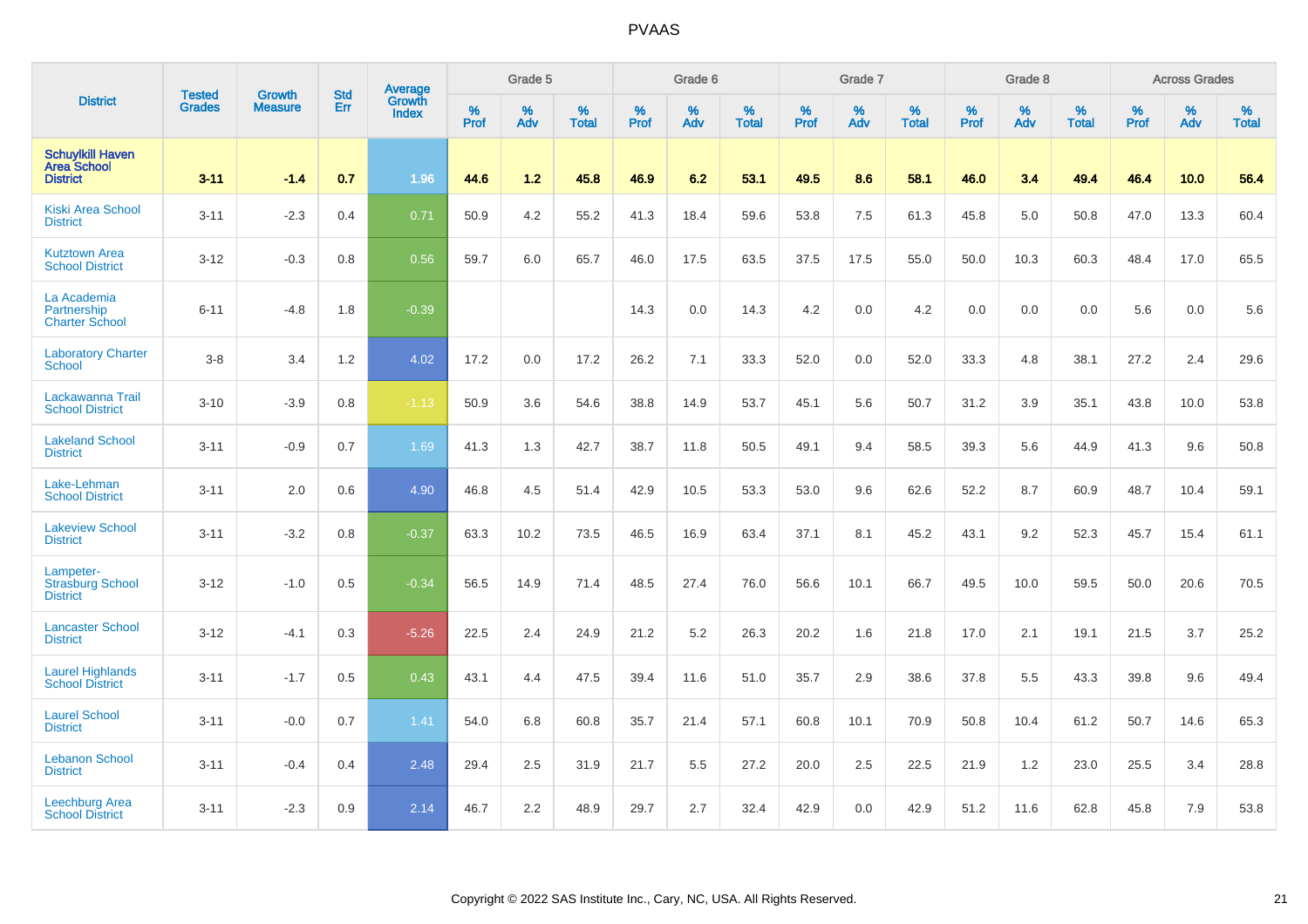|                                                                  | <b>Tested</b> | <b>Growth</b>  | <b>Std</b> | Average                       |              | Grade 5  |                   |           | Grade 6  |                   |           | Grade 7  |                   |           | Grade 8  |                   |           | <b>Across Grades</b> |                   |
|------------------------------------------------------------------|---------------|----------------|------------|-------------------------------|--------------|----------|-------------------|-----------|----------|-------------------|-----------|----------|-------------------|-----------|----------|-------------------|-----------|----------------------|-------------------|
| <b>District</b>                                                  | <b>Grades</b> | <b>Measure</b> | Err        | <b>Growth</b><br><b>Index</b> | $\%$<br>Prof | %<br>Adv | %<br><b>Total</b> | %<br>Prof | %<br>Adv | %<br><b>Total</b> | %<br>Prof | %<br>Adv | %<br><b>Total</b> | %<br>Prof | %<br>Adv | %<br><b>Total</b> | %<br>Prof | %<br>Adv             | %<br><b>Total</b> |
| <b>Schuylkill Haven</b><br><b>Area School</b><br><b>District</b> | $3 - 11$      | $-1.4$         | 0.7        | 1.96                          | 44.6         | 1.2      | 45.8              | 46.9      | 6.2      | 53.1              | 49.5      | 8.6      | 58.1              | 46.0      | 3.4      | 49.4              | 46.4      | 10.0                 | 56.4              |
| <b>Kiski Area School</b><br><b>District</b>                      | $3 - 11$      | $-2.3$         | 0.4        | 0.71                          | 50.9         | 4.2      | 55.2              | 41.3      | 18.4     | 59.6              | 53.8      | 7.5      | 61.3              | 45.8      | 5.0      | 50.8              | 47.0      | 13.3                 | 60.4              |
| <b>Kutztown Area</b><br><b>School District</b>                   | $3 - 12$      | $-0.3$         | 0.8        | 0.56                          | 59.7         | 6.0      | 65.7              | 46.0      | 17.5     | 63.5              | 37.5      | 17.5     | 55.0              | 50.0      | 10.3     | 60.3              | 48.4      | 17.0                 | 65.5              |
| La Academia<br>Partnership<br><b>Charter School</b>              | $6 - 11$      | $-4.8$         | 1.8        | $-0.39$                       |              |          |                   | 14.3      | 0.0      | 14.3              | 4.2       | 0.0      | 4.2               | 0.0       | 0.0      | 0.0               | 5.6       | 0.0                  | 5.6               |
| <b>Laboratory Charter</b><br><b>School</b>                       | $3-8$         | 3.4            | 1.2        | 4.02                          | 17.2         | 0.0      | 17.2              | 26.2      | 7.1      | 33.3              | 52.0      | 0.0      | 52.0              | 33.3      | 4.8      | 38.1              | 27.2      | 2.4                  | 29.6              |
| Lackawanna Trail<br><b>School District</b>                       | $3 - 10$      | $-3.9$         | 0.8        | $-1.13$                       | 50.9         | 3.6      | 54.6              | 38.8      | 14.9     | 53.7              | 45.1      | 5.6      | 50.7              | 31.2      | 3.9      | 35.1              | 43.8      | 10.0                 | 53.8              |
| <b>Lakeland School</b><br><b>District</b>                        | $3 - 11$      | $-0.9$         | 0.7        | 1.69                          | 41.3         | 1.3      | 42.7              | 38.7      | 11.8     | 50.5              | 49.1      | 9.4      | 58.5              | 39.3      | 5.6      | 44.9              | 41.3      | 9.6                  | 50.8              |
| Lake-Lehman<br><b>School District</b>                            | $3 - 11$      | 2.0            | 0.6        | 4.90                          | 46.8         | 4.5      | 51.4              | 42.9      | 10.5     | 53.3              | 53.0      | 9.6      | 62.6              | 52.2      | 8.7      | 60.9              | 48.7      | 10.4                 | 59.1              |
| <b>Lakeview School</b><br><b>District</b>                        | $3 - 11$      | $-3.2$         | 0.8        | $-0.37$                       | 63.3         | 10.2     | 73.5              | 46.5      | 16.9     | 63.4              | 37.1      | 8.1      | 45.2              | 43.1      | 9.2      | 52.3              | 45.7      | 15.4                 | 61.1              |
| Lampeter-<br><b>Strasburg School</b><br><b>District</b>          | $3 - 12$      | $-1.0$         | 0.5        | $-0.34$                       | 56.5         | 14.9     | 71.4              | 48.5      | 27.4     | 76.0              | 56.6      | 10.1     | 66.7              | 49.5      | 10.0     | 59.5              | 50.0      | 20.6                 | 70.5              |
| <b>Lancaster School</b><br><b>District</b>                       | $3 - 12$      | $-4.1$         | 0.3        | $-5.26$                       | 22.5         | 2.4      | 24.9              | 21.2      | 5.2      | 26.3              | 20.2      | 1.6      | 21.8              | 17.0      | 2.1      | 19.1              | 21.5      | 3.7                  | 25.2              |
| Laurel Highlands<br>School District                              | $3 - 11$      | $-1.7$         | 0.5        | 0.43                          | 43.1         | 4.4      | 47.5              | 39.4      | 11.6     | 51.0              | 35.7      | 2.9      | 38.6              | 37.8      | 5.5      | 43.3              | 39.8      | 9.6                  | 49.4              |
| <b>Laurel School</b><br><b>District</b>                          | $3 - 11$      | $-0.0$         | 0.7        | 1.41                          | 54.0         | 6.8      | 60.8              | 35.7      | 21.4     | 57.1              | 60.8      | 10.1     | 70.9              | 50.8      | 10.4     | 61.2              | 50.7      | 14.6                 | 65.3              |
| <b>Lebanon School</b><br><b>District</b>                         | $3 - 11$      | $-0.4$         | 0.4        | 2.48                          | 29.4         | 2.5      | 31.9              | 21.7      | 5.5      | 27.2              | 20.0      | 2.5      | 22.5              | 21.9      | 1.2      | 23.0              | 25.5      | 3.4                  | 28.8              |
| <b>Leechburg Area</b><br><b>School District</b>                  | $3 - 11$      | $-2.3$         | 0.9        | 2.14                          | 46.7         | 2.2      | 48.9              | 29.7      | 2.7      | 32.4              | 42.9      | 0.0      | 42.9              | 51.2      | 11.6     | 62.8              | 45.8      | 7.9                  | 53.8              |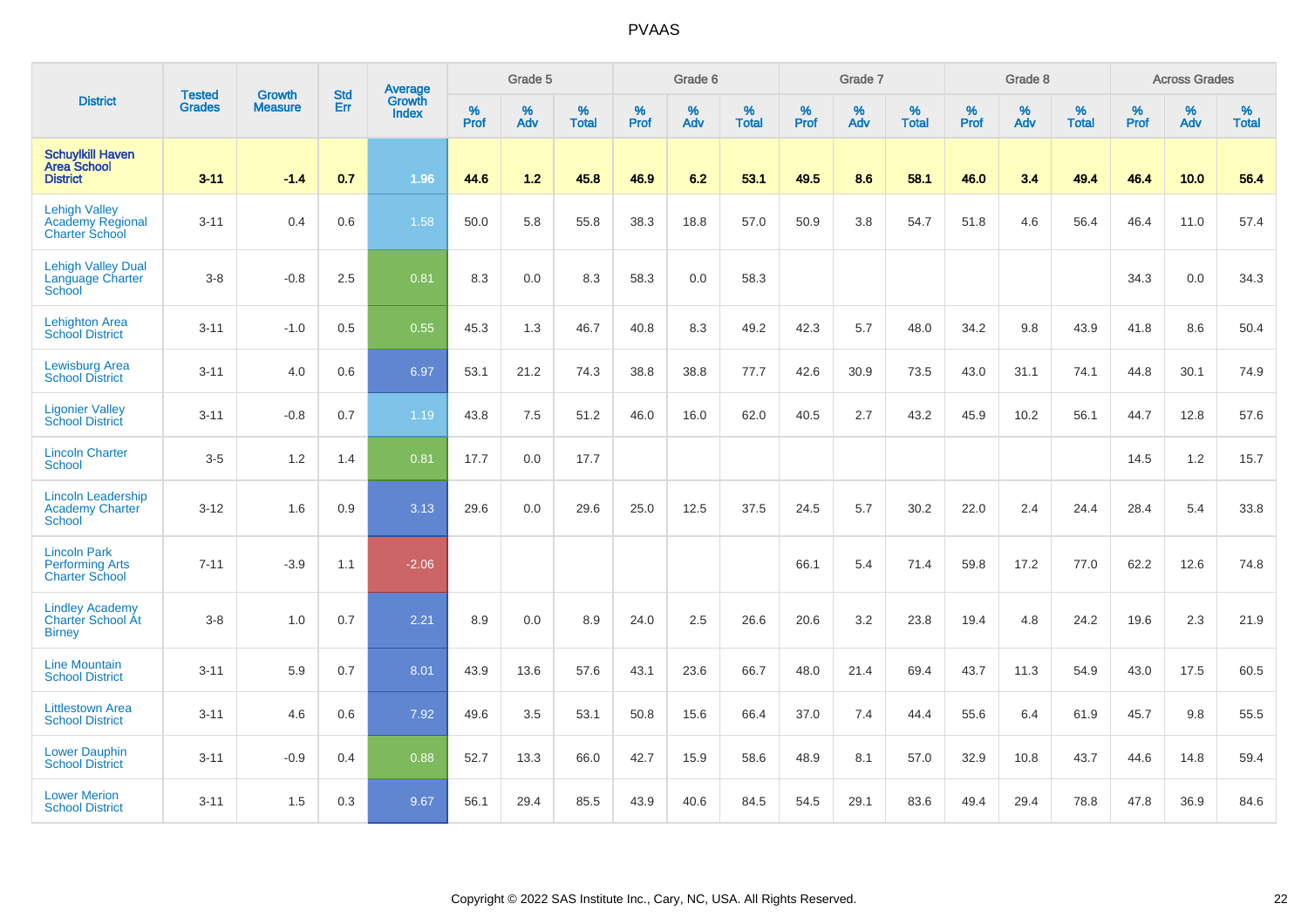|                                                                          |                                |                                 | <b>Std</b> | Average                |           | Grade 5  |                   |           | Grade 6  |                   |           | Grade 7  |                   |           | Grade 8  |                   |           | <b>Across Grades</b> |                   |
|--------------------------------------------------------------------------|--------------------------------|---------------------------------|------------|------------------------|-----------|----------|-------------------|-----------|----------|-------------------|-----------|----------|-------------------|-----------|----------|-------------------|-----------|----------------------|-------------------|
| <b>District</b>                                                          | <b>Tested</b><br><b>Grades</b> | <b>Growth</b><br><b>Measure</b> | Err        | Growth<br><b>Index</b> | %<br>Prof | %<br>Adv | %<br><b>Total</b> | %<br>Prof | %<br>Adv | %<br><b>Total</b> | %<br>Prof | %<br>Adv | %<br><b>Total</b> | %<br>Prof | %<br>Adv | %<br><b>Total</b> | %<br>Prof | %<br>Adv             | %<br><b>Total</b> |
| <b>Schuylkill Haven</b><br><b>Area School</b><br><b>District</b>         | $3 - 11$                       | $-1.4$                          | 0.7        | 1.96                   | 44.6      | 1.2      | 45.8              | 46.9      | 6.2      | 53.1              | 49.5      | 8.6      | 58.1              | 46.0      | 3.4      | 49.4              | 46.4      | 10.0                 | 56.4              |
| <b>Lehigh Valley</b><br><b>Academy Regional</b><br><b>Charter School</b> | $3 - 11$                       | 0.4                             | 0.6        | 1.58                   | 50.0      | 5.8      | 55.8              | 38.3      | 18.8     | 57.0              | 50.9      | 3.8      | 54.7              | 51.8      | 4.6      | 56.4              | 46.4      | 11.0                 | 57.4              |
| <b>Lehigh Valley Dual</b><br>Language Charter<br>School                  | $3-8$                          | $-0.8$                          | 2.5        | 0.81                   | 8.3       | 0.0      | 8.3               | 58.3      | 0.0      | 58.3              |           |          |                   |           |          |                   | 34.3      | 0.0                  | 34.3              |
| <b>Lehighton Area</b><br><b>School District</b>                          | $3 - 11$                       | $-1.0$                          | 0.5        | 0.55                   | 45.3      | 1.3      | 46.7              | 40.8      | 8.3      | 49.2              | 42.3      | 5.7      | 48.0              | 34.2      | 9.8      | 43.9              | 41.8      | 8.6                  | 50.4              |
| <b>Lewisburg Area</b><br><b>School District</b>                          | $3 - 11$                       | 4.0                             | 0.6        | 6.97                   | 53.1      | 21.2     | 74.3              | 38.8      | 38.8     | 77.7              | 42.6      | 30.9     | 73.5              | 43.0      | 31.1     | 74.1              | 44.8      | 30.1                 | 74.9              |
| <b>Ligonier Valley</b><br><b>School District</b>                         | $3 - 11$                       | $-0.8$                          | 0.7        | 1.19                   | 43.8      | 7.5      | 51.2              | 46.0      | 16.0     | 62.0              | 40.5      | 2.7      | 43.2              | 45.9      | 10.2     | 56.1              | 44.7      | 12.8                 | 57.6              |
| <b>Lincoln Charter</b><br><b>School</b>                                  | $3-5$                          | 1.2                             | 1.4        | 0.81                   | 17.7      | 0.0      | 17.7              |           |          |                   |           |          |                   |           |          |                   | 14.5      | 1.2                  | 15.7              |
| <b>Lincoln Leadership</b><br><b>Academy Charter</b><br><b>School</b>     | $3 - 12$                       | 1.6                             | 0.9        | 3.13                   | 29.6      | 0.0      | 29.6              | 25.0      | 12.5     | 37.5              | 24.5      | 5.7      | 30.2              | 22.0      | 2.4      | 24.4              | 28.4      | 5.4                  | 33.8              |
| <b>Lincoln Park</b><br><b>Performing Arts</b><br><b>Charter School</b>   | $7 - 11$                       | $-3.9$                          | 1.1        | $-2.06$                |           |          |                   |           |          |                   | 66.1      | 5.4      | 71.4              | 59.8      | 17.2     | 77.0              | 62.2      | 12.6                 | 74.8              |
| <b>Lindley Academy</b><br>Charter School At<br><b>Birney</b>             | $3-8$                          | 1.0                             | 0.7        | 2.21                   | 8.9       | 0.0      | 8.9               | 24.0      | 2.5      | 26.6              | 20.6      | 3.2      | 23.8              | 19.4      | 4.8      | 24.2              | 19.6      | 2.3                  | 21.9              |
| <b>Line Mountain</b><br><b>School District</b>                           | $3 - 11$                       | 5.9                             | 0.7        | 8.01                   | 43.9      | 13.6     | 57.6              | 43.1      | 23.6     | 66.7              | 48.0      | 21.4     | 69.4              | 43.7      | 11.3     | 54.9              | 43.0      | 17.5                 | 60.5              |
| <b>Littlestown Area</b><br><b>School District</b>                        | $3 - 11$                       | 4.6                             | 0.6        | 7.92                   | 49.6      | 3.5      | 53.1              | 50.8      | 15.6     | 66.4              | 37.0      | 7.4      | 44.4              | 55.6      | 6.4      | 61.9              | 45.7      | 9.8                  | 55.5              |
| <b>Lower Dauphin</b><br><b>School District</b>                           | $3 - 11$                       | $-0.9$                          | 0.4        | 0.88                   | 52.7      | 13.3     | 66.0              | 42.7      | 15.9     | 58.6              | 48.9      | 8.1      | 57.0              | 32.9      | 10.8     | 43.7              | 44.6      | 14.8                 | 59.4              |
| <b>Lower Merion</b><br><b>School District</b>                            | $3 - 11$                       | 1.5                             | 0.3        | 9.67                   | 56.1      | 29.4     | 85.5              | 43.9      | 40.6     | 84.5              | 54.5      | 29.1     | 83.6              | 49.4      | 29.4     | 78.8              | 47.8      | 36.9                 | 84.6              |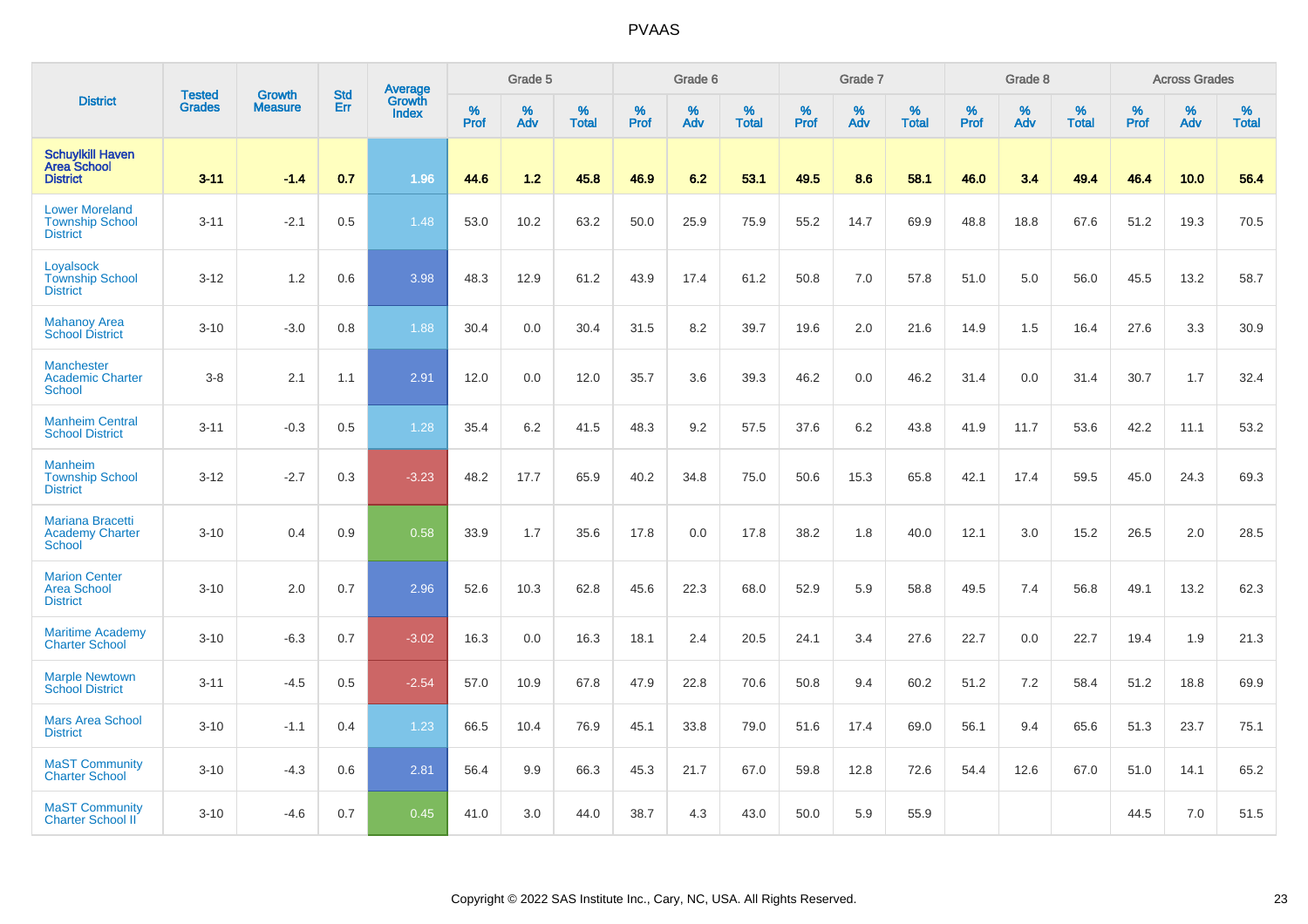|                                                                    |                                |                                 | <b>Std</b> | Average                |           | Grade 5  |                      |           | Grade 6  |                   |           | Grade 7  |                   |                  | Grade 8  |                   |                  | <b>Across Grades</b> |                   |
|--------------------------------------------------------------------|--------------------------------|---------------------------------|------------|------------------------|-----------|----------|----------------------|-----------|----------|-------------------|-----------|----------|-------------------|------------------|----------|-------------------|------------------|----------------------|-------------------|
| <b>District</b>                                                    | <b>Tested</b><br><b>Grades</b> | <b>Growth</b><br><b>Measure</b> | Err        | Growth<br><b>Index</b> | %<br>Prof | %<br>Adv | $\%$<br><b>Total</b> | %<br>Prof | %<br>Adv | %<br><b>Total</b> | %<br>Prof | %<br>Adv | %<br><b>Total</b> | %<br><b>Prof</b> | %<br>Adv | %<br><b>Total</b> | %<br><b>Prof</b> | %<br>Adv             | %<br><b>Total</b> |
| <b>Schuylkill Haven</b><br><b>Area School</b><br><b>District</b>   | $3 - 11$                       | $-1.4$                          | 0.7        | 1.96                   | 44.6      | 1.2      | 45.8                 | 46.9      | 6.2      | 53.1              | 49.5      | 8.6      | 58.1              | 46.0             | 3.4      | 49.4              | 46.4             | 10.0                 | 56.4              |
| <b>Lower Moreland</b><br><b>Township School</b><br><b>District</b> | $3 - 11$                       | $-2.1$                          | 0.5        | 1.48                   | 53.0      | 10.2     | 63.2                 | 50.0      | 25.9     | 75.9              | 55.2      | 14.7     | 69.9              | 48.8             | 18.8     | 67.6              | 51.2             | 19.3                 | 70.5              |
| Loyalsock<br><b>Township School</b><br><b>District</b>             | $3 - 12$                       | 1.2                             | 0.6        | 3.98                   | 48.3      | 12.9     | 61.2                 | 43.9      | 17.4     | 61.2              | 50.8      | 7.0      | 57.8              | 51.0             | 5.0      | 56.0              | 45.5             | 13.2                 | 58.7              |
| <b>Mahanoy Area</b><br><b>School District</b>                      | $3 - 10$                       | $-3.0$                          | 0.8        | 1.88                   | 30.4      | 0.0      | 30.4                 | 31.5      | 8.2      | 39.7              | 19.6      | 2.0      | 21.6              | 14.9             | 1.5      | 16.4              | 27.6             | 3.3                  | 30.9              |
| <b>Manchester</b><br><b>Academic Charter</b><br><b>School</b>      | $3-8$                          | 2.1                             | 1.1        | 2.91                   | 12.0      | 0.0      | 12.0                 | 35.7      | 3.6      | 39.3              | 46.2      | 0.0      | 46.2              | 31.4             | 0.0      | 31.4              | 30.7             | 1.7                  | 32.4              |
| <b>Manheim Central</b><br><b>School District</b>                   | $3 - 11$                       | $-0.3$                          | 0.5        | 1.28                   | 35.4      | 6.2      | 41.5                 | 48.3      | 9.2      | 57.5              | 37.6      | 6.2      | 43.8              | 41.9             | 11.7     | 53.6              | 42.2             | 11.1                 | 53.2              |
| <b>Manheim</b><br><b>Township School</b><br><b>District</b>        | $3 - 12$                       | $-2.7$                          | 0.3        | $-3.23$                | 48.2      | 17.7     | 65.9                 | 40.2      | 34.8     | 75.0              | 50.6      | 15.3     | 65.8              | 42.1             | 17.4     | 59.5              | 45.0             | 24.3                 | 69.3              |
| <b>Mariana Bracetti</b><br><b>Academy Charter</b><br><b>School</b> | $3 - 10$                       | 0.4                             | 0.9        | 0.58                   | 33.9      | 1.7      | 35.6                 | 17.8      | 0.0      | 17.8              | 38.2      | 1.8      | 40.0              | 12.1             | 3.0      | 15.2              | 26.5             | 2.0                  | 28.5              |
| <b>Marion Center</b><br><b>Area School</b><br><b>District</b>      | $3 - 10$                       | 2.0                             | 0.7        | 2.96                   | 52.6      | 10.3     | 62.8                 | 45.6      | 22.3     | 68.0              | 52.9      | 5.9      | 58.8              | 49.5             | 7.4      | 56.8              | 49.1             | 13.2                 | 62.3              |
| <b>Maritime Academy</b><br><b>Charter School</b>                   | $3 - 10$                       | $-6.3$                          | 0.7        | $-3.02$                | 16.3      | 0.0      | 16.3                 | 18.1      | 2.4      | 20.5              | 24.1      | 3.4      | 27.6              | 22.7             | 0.0      | 22.7              | 19.4             | 1.9                  | 21.3              |
| <b>Marple Newtown</b><br><b>School District</b>                    | $3 - 11$                       | $-4.5$                          | 0.5        | $-2.54$                | 57.0      | 10.9     | 67.8                 | 47.9      | 22.8     | 70.6              | 50.8      | 9.4      | 60.2              | 51.2             | 7.2      | 58.4              | 51.2             | 18.8                 | 69.9              |
| <b>Mars Area School</b><br><b>District</b>                         | $3 - 10$                       | $-1.1$                          | 0.4        | 1.23                   | 66.5      | 10.4     | 76.9                 | 45.1      | 33.8     | 79.0              | 51.6      | 17.4     | 69.0              | 56.1             | 9.4      | 65.6              | 51.3             | 23.7                 | 75.1              |
| <b>MaST Community</b><br><b>Charter School</b>                     | $3 - 10$                       | $-4.3$                          | 0.6        | 2.81                   | 56.4      | 9.9      | 66.3                 | 45.3      | 21.7     | 67.0              | 59.8      | 12.8     | 72.6              | 54.4             | 12.6     | 67.0              | 51.0             | 14.1                 | 65.2              |
| <b>MaST Community</b><br>Charter School II                         | $3 - 10$                       | $-4.6$                          | 0.7        | 0.45                   | 41.0      | 3.0      | 44.0                 | 38.7      | 4.3      | 43.0              | 50.0      | 5.9      | 55.9              |                  |          |                   | 44.5             | 7.0                  | 51.5              |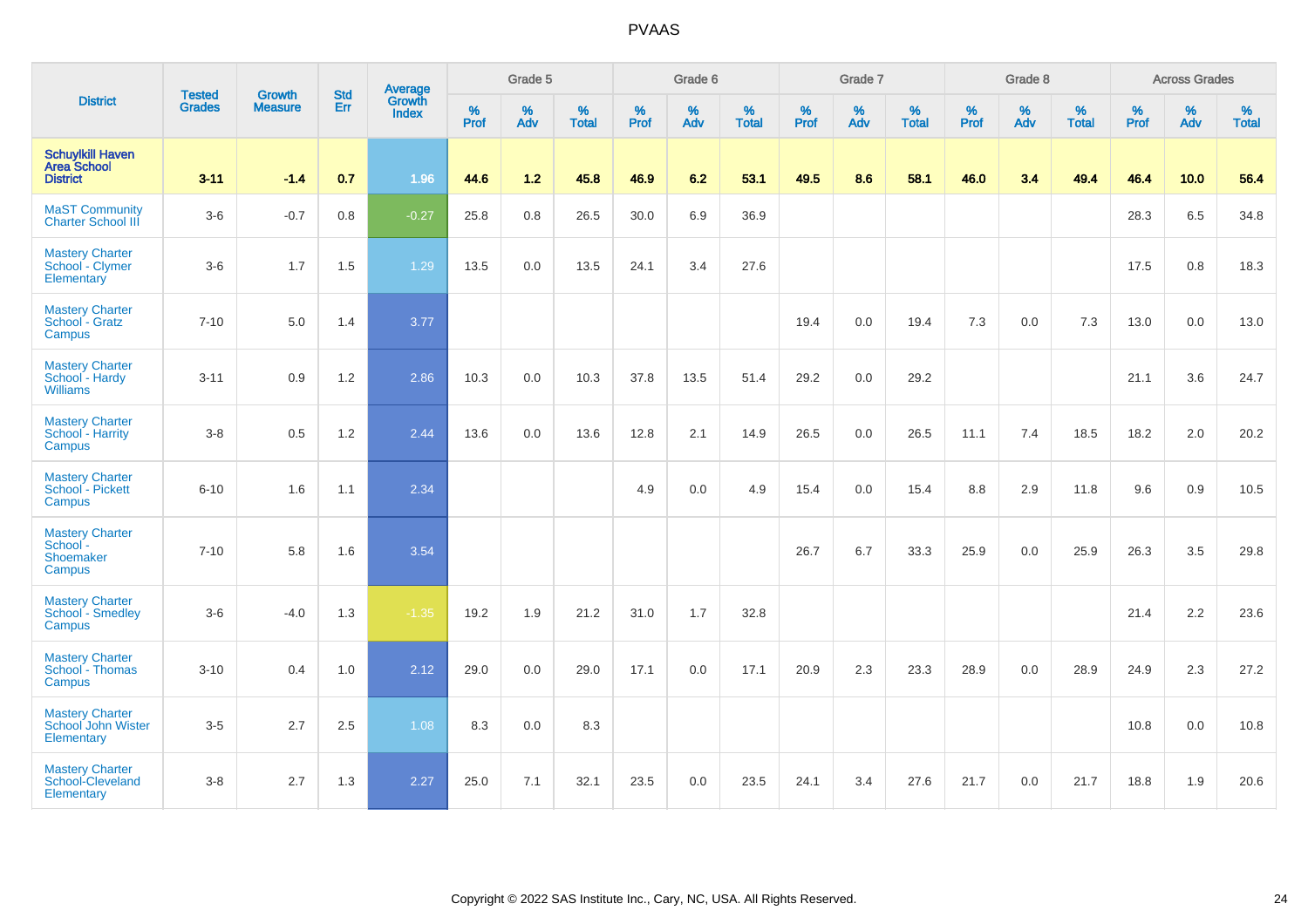|                                                                  | <b>Tested</b> | <b>Growth</b>  | <b>Std</b> | Average                |              | Grade 5     |                   |              | Grade 6  |                   |              | Grade 7  |                   |              | Grade 8  |                      |              | <b>Across Grades</b> |                   |
|------------------------------------------------------------------|---------------|----------------|------------|------------------------|--------------|-------------|-------------------|--------------|----------|-------------------|--------------|----------|-------------------|--------------|----------|----------------------|--------------|----------------------|-------------------|
| <b>District</b>                                                  | <b>Grades</b> | <b>Measure</b> | Err        | Growth<br><b>Index</b> | $\%$<br>Prof | $\%$<br>Adv | %<br><b>Total</b> | $\%$<br>Prof | %<br>Adv | %<br><b>Total</b> | $\%$<br>Prof | %<br>Adv | %<br><b>Total</b> | $\%$<br>Prof | %<br>Adv | $\%$<br><b>Total</b> | $\%$<br>Prof | $\%$<br>Adv          | %<br><b>Total</b> |
| <b>Schuylkill Haven</b><br><b>Area School</b><br><b>District</b> | $3 - 11$      | $-1.4$         | 0.7        | 1.96                   | 44.6         | $1.2$       | 45.8              | 46.9         | 6.2      | 53.1              | 49.5         | 8.6      | 58.1              | 46.0         | 3.4      | 49.4                 | 46.4         | 10.0                 | 56.4              |
| <b>MaST Community</b><br><b>Charter School III</b>               | $3-6$         | $-0.7$         | 0.8        | $-0.27$                | 25.8         | 0.8         | 26.5              | 30.0         | 6.9      | 36.9              |              |          |                   |              |          |                      | 28.3         | 6.5                  | 34.8              |
| <b>Mastery Charter</b><br>School - Clymer<br>Elementary          | $3-6$         | 1.7            | 1.5        | 1.29                   | 13.5         | 0.0         | 13.5              | 24.1         | 3.4      | 27.6              |              |          |                   |              |          |                      | 17.5         | 0.8                  | 18.3              |
| <b>Mastery Charter</b><br>School - Gratz<br>Campus               | $7 - 10$      | 5.0            | 1.4        | 3.77                   |              |             |                   |              |          |                   | 19.4         | 0.0      | 19.4              | 7.3          | 0.0      | 7.3                  | 13.0         | 0.0                  | 13.0              |
| <b>Mastery Charter</b><br>School - Hardy<br><b>Williams</b>      | $3 - 11$      | 0.9            | 1.2        | 2.86                   | 10.3         | 0.0         | 10.3              | 37.8         | 13.5     | 51.4              | 29.2         | 0.0      | 29.2              |              |          |                      | 21.1         | 3.6                  | 24.7              |
| <b>Mastery Charter</b><br>School - Harrity<br>Campus             | $3-8$         | 0.5            | 1.2        | 2.44                   | 13.6         | 0.0         | 13.6              | 12.8         | 2.1      | 14.9              | 26.5         | 0.0      | 26.5              | 11.1         | 7.4      | 18.5                 | 18.2         | 2.0                  | 20.2              |
| <b>Mastery Charter</b><br>School - Pickett<br>Campus             | $6 - 10$      | 1.6            | 1.1        | 2.34                   |              |             |                   | 4.9          | 0.0      | 4.9               | 15.4         | 0.0      | 15.4              | 8.8          | 2.9      | 11.8                 | 9.6          | 0.9                  | 10.5              |
| <b>Mastery Charter</b><br>School -<br>Shoemaker<br>Campus        | $7 - 10$      | 5.8            | 1.6        | 3.54                   |              |             |                   |              |          |                   | 26.7         | 6.7      | 33.3              | 25.9         | 0.0      | 25.9                 | 26.3         | 3.5                  | 29.8              |
| <b>Mastery Charter</b><br><b>School - Smedley</b><br>Campus      | $3-6$         | $-4.0$         | 1.3        | $-1.35$                | 19.2         | 1.9         | 21.2              | 31.0         | 1.7      | 32.8              |              |          |                   |              |          |                      | 21.4         | 2.2                  | 23.6              |
| <b>Mastery Charter</b><br>School - Thomas<br>Campus              | $3 - 10$      | 0.4            | 1.0        | 2.12                   | 29.0         | 0.0         | 29.0              | 17.1         | 0.0      | 17.1              | 20.9         | 2.3      | 23.3              | 28.9         | 0.0      | 28.9                 | 24.9         | 2.3                  | 27.2              |
| <b>Mastery Charter</b><br>School John Wister<br>Elementary       | $3-5$         | 2.7            | 2.5        | 1.08                   | 8.3          | 0.0         | 8.3               |              |          |                   |              |          |                   |              |          |                      | 10.8         | 0.0                  | 10.8              |
| <b>Mastery Charter</b><br>School-Cleveland<br>Elementary         | $3-8$         | 2.7            | 1.3        | 2.27                   | 25.0         | 7.1         | 32.1              | 23.5         | 0.0      | 23.5              | 24.1         | 3.4      | 27.6              | 21.7         | 0.0      | 21.7                 | 18.8         | 1.9                  | 20.6              |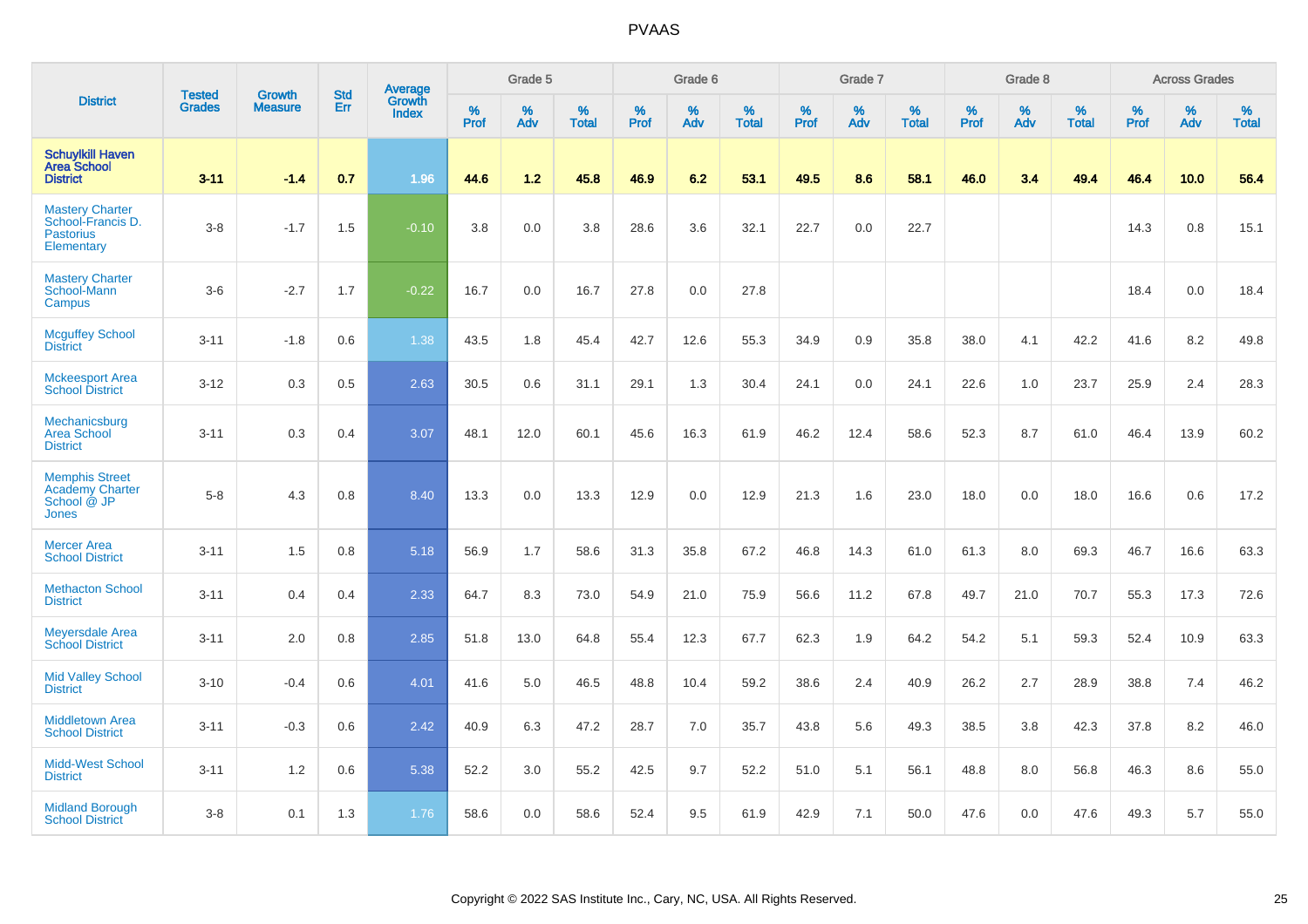|                                                                                |                                |                                 | <b>Std</b> | Average                |           | Grade 5  |                   |           | Grade 6  |                   |              | Grade 7  |                   |           | Grade 8  |                   |                  | <b>Across Grades</b> |                   |
|--------------------------------------------------------------------------------|--------------------------------|---------------------------------|------------|------------------------|-----------|----------|-------------------|-----------|----------|-------------------|--------------|----------|-------------------|-----------|----------|-------------------|------------------|----------------------|-------------------|
| <b>District</b>                                                                | <b>Tested</b><br><b>Grades</b> | <b>Growth</b><br><b>Measure</b> | Err        | Growth<br><b>Index</b> | %<br>Prof | %<br>Adv | %<br><b>Total</b> | %<br>Prof | %<br>Adv | %<br><b>Total</b> | $\%$<br>Prof | %<br>Adv | %<br><b>Total</b> | %<br>Prof | %<br>Adv | %<br><b>Total</b> | %<br><b>Prof</b> | $\%$<br>Adv          | %<br><b>Total</b> |
| <b>Schuylkill Haven</b><br><b>Area School</b><br><b>District</b>               | $3 - 11$                       | $-1.4$                          | 0.7        | 1.96                   | 44.6      | 1.2      | 45.8              | 46.9      | 6.2      | 53.1              | 49.5         | 8.6      | 58.1              | 46.0      | 3.4      | 49.4              | 46.4             | 10.0                 | 56.4              |
| <b>Mastery Charter</b><br>School-Francis D.<br><b>Pastorius</b><br>Elementary  | $3-8$                          | $-1.7$                          | 1.5        | $-0.10$                | 3.8       | 0.0      | 3.8               | 28.6      | 3.6      | 32.1              | 22.7         | 0.0      | 22.7              |           |          |                   | 14.3             | 0.8                  | 15.1              |
| <b>Mastery Charter</b><br>School-Mann<br>Campus                                | $3-6$                          | $-2.7$                          | 1.7        | $-0.22$                | 16.7      | 0.0      | 16.7              | 27.8      | 0.0      | 27.8              |              |          |                   |           |          |                   | 18.4             | 0.0                  | 18.4              |
| <b>Mcguffey School</b><br><b>District</b>                                      | $3 - 11$                       | $-1.8$                          | 0.6        | 1.38                   | 43.5      | 1.8      | 45.4              | 42.7      | 12.6     | 55.3              | 34.9         | 0.9      | 35.8              | 38.0      | 4.1      | 42.2              | 41.6             | 8.2                  | 49.8              |
| <b>Mckeesport Area</b><br><b>School District</b>                               | $3 - 12$                       | 0.3                             | 0.5        | 2.63                   | 30.5      | 0.6      | 31.1              | 29.1      | 1.3      | 30.4              | 24.1         | 0.0      | 24.1              | 22.6      | 1.0      | 23.7              | 25.9             | 2.4                  | 28.3              |
| Mechanicsburg<br><b>Area School</b><br><b>District</b>                         | $3 - 11$                       | 0.3                             | 0.4        | 3.07                   | 48.1      | 12.0     | 60.1              | 45.6      | 16.3     | 61.9              | 46.2         | 12.4     | 58.6              | 52.3      | 8.7      | 61.0              | 46.4             | 13.9                 | 60.2              |
| <b>Memphis Street</b><br><b>Academy Charter</b><br>School @ JP<br><b>Jones</b> | $5-8$                          | 4.3                             | 0.8        | 8.40                   | 13.3      | 0.0      | 13.3              | 12.9      | 0.0      | 12.9              | 21.3         | 1.6      | 23.0              | 18.0      | 0.0      | 18.0              | 16.6             | 0.6                  | 17.2              |
| <b>Mercer Area</b><br><b>School District</b>                                   | $3 - 11$                       | 1.5                             | 0.8        | 5.18                   | 56.9      | 1.7      | 58.6              | 31.3      | 35.8     | 67.2              | 46.8         | 14.3     | 61.0              | 61.3      | 8.0      | 69.3              | 46.7             | 16.6                 | 63.3              |
| <b>Methacton School</b><br><b>District</b>                                     | $3 - 11$                       | 0.4                             | 0.4        | 2.33                   | 64.7      | 8.3      | 73.0              | 54.9      | 21.0     | 75.9              | 56.6         | 11.2     | 67.8              | 49.7      | 21.0     | 70.7              | 55.3             | 17.3                 | 72.6              |
| <b>Meyersdale Area</b><br><b>School District</b>                               | $3 - 11$                       | 2.0                             | 0.8        | 2.85                   | 51.8      | 13.0     | 64.8              | 55.4      | 12.3     | 67.7              | 62.3         | 1.9      | 64.2              | 54.2      | 5.1      | 59.3              | 52.4             | 10.9                 | 63.3              |
| <b>Mid Valley School</b><br><b>District</b>                                    | $3 - 10$                       | $-0.4$                          | 0.6        | 4.01                   | 41.6      | 5.0      | 46.5              | 48.8      | 10.4     | 59.2              | 38.6         | 2.4      | 40.9              | 26.2      | 2.7      | 28.9              | 38.8             | 7.4                  | 46.2              |
| <b>Middletown Area</b><br><b>School District</b>                               | $3 - 11$                       | $-0.3$                          | 0.6        | 2.42                   | 40.9      | 6.3      | 47.2              | 28.7      | 7.0      | 35.7              | 43.8         | 5.6      | 49.3              | 38.5      | 3.8      | 42.3              | 37.8             | 8.2                  | 46.0              |
| <b>Midd-West School</b><br><b>District</b>                                     | $3 - 11$                       | 1.2                             | 0.6        | 5.38                   | 52.2      | 3.0      | 55.2              | 42.5      | 9.7      | 52.2              | 51.0         | 5.1      | 56.1              | 48.8      | 8.0      | 56.8              | 46.3             | 8.6                  | 55.0              |
| <b>Midland Borough</b><br><b>School District</b>                               | $3-8$                          | 0.1                             | 1.3        | 1.76                   | 58.6      | 0.0      | 58.6              | 52.4      | 9.5      | 61.9              | 42.9         | 7.1      | 50.0              | 47.6      | 0.0      | 47.6              | 49.3             | 5.7                  | 55.0              |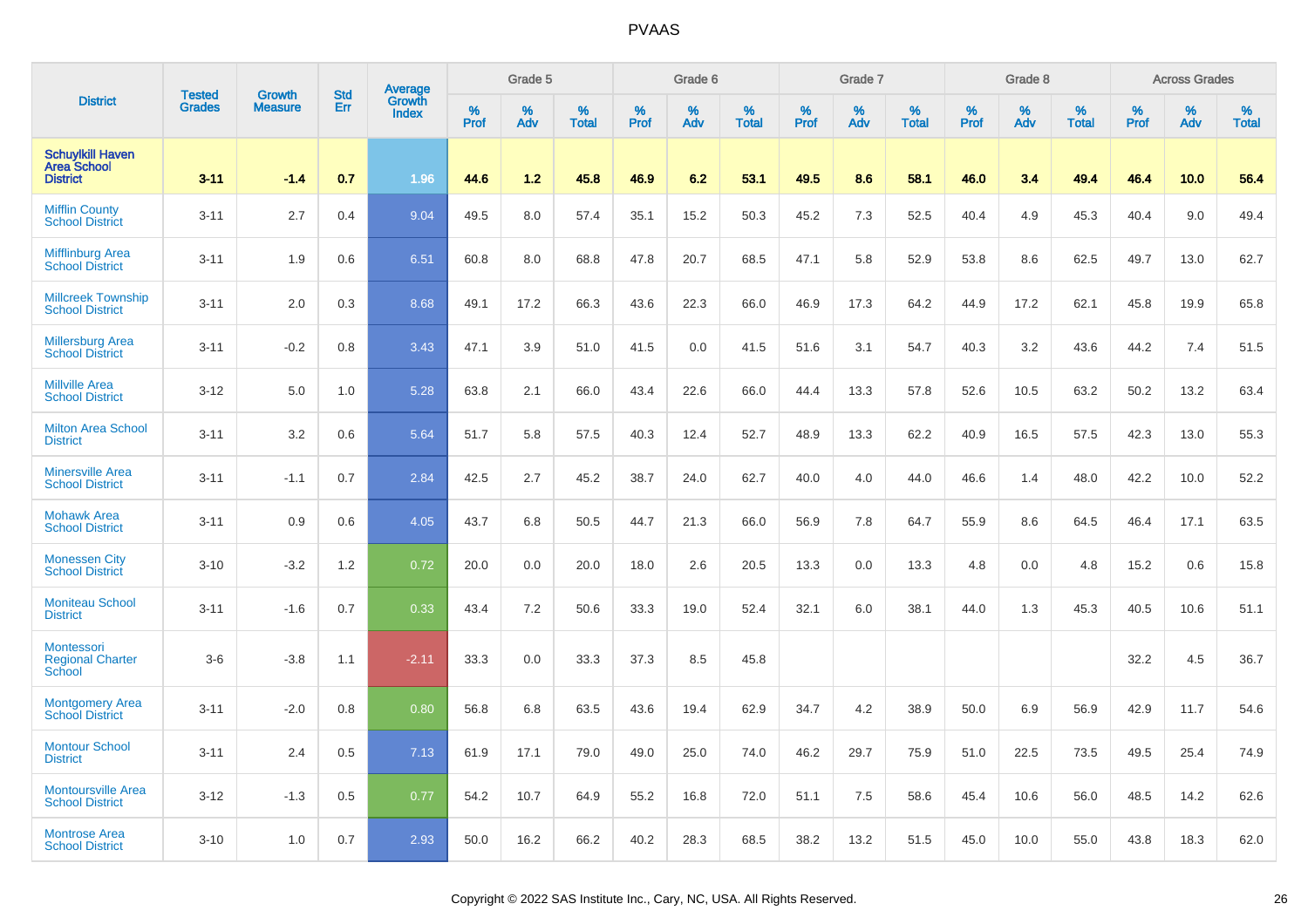|                                                                  | <b>Tested</b> | <b>Growth</b>  | <b>Std</b> | Average                |                     | Grade 5  |                   |                  | Grade 6  |                   |                  | Grade 7  |                   |           | Grade 8  |                   |              | <b>Across Grades</b> |                   |
|------------------------------------------------------------------|---------------|----------------|------------|------------------------|---------------------|----------|-------------------|------------------|----------|-------------------|------------------|----------|-------------------|-----------|----------|-------------------|--------------|----------------------|-------------------|
| <b>District</b>                                                  | <b>Grades</b> | <b>Measure</b> | Err        | Growth<br><b>Index</b> | $\%$<br><b>Prof</b> | %<br>Adv | %<br><b>Total</b> | %<br><b>Prof</b> | %<br>Adv | %<br><b>Total</b> | %<br><b>Prof</b> | %<br>Adv | %<br><b>Total</b> | %<br>Prof | %<br>Adv | %<br><b>Total</b> | $\%$<br>Prof | %<br>Adv             | %<br><b>Total</b> |
| <b>Schuylkill Haven</b><br><b>Area School</b><br><b>District</b> | $3 - 11$      | $-1.4$         | 0.7        | 1.96                   | 44.6                | 1.2      | 45.8              | 46.9             | 6.2      | 53.1              | 49.5             | 8.6      | 58.1              | 46.0      | 3.4      | 49.4              | 46.4         | 10.0                 | 56.4              |
| <b>Mifflin County</b><br><b>School District</b>                  | $3 - 11$      | 2.7            | 0.4        | 9.04                   | 49.5                | 8.0      | 57.4              | 35.1             | 15.2     | 50.3              | 45.2             | 7.3      | 52.5              | 40.4      | 4.9      | 45.3              | 40.4         | 9.0                  | 49.4              |
| <b>Mifflinburg Area</b><br><b>School District</b>                | $3 - 11$      | 1.9            | 0.6        | 6.51                   | 60.8                | 8.0      | 68.8              | 47.8             | 20.7     | 68.5              | 47.1             | 5.8      | 52.9              | 53.8      | 8.6      | 62.5              | 49.7         | 13.0                 | 62.7              |
| <b>Millcreek Township</b><br><b>School District</b>              | $3 - 11$      | 2.0            | 0.3        | 8.68                   | 49.1                | 17.2     | 66.3              | 43.6             | 22.3     | 66.0              | 46.9             | 17.3     | 64.2              | 44.9      | 17.2     | 62.1              | 45.8         | 19.9                 | 65.8              |
| <b>Millersburg Area</b><br><b>School District</b>                | $3 - 11$      | $-0.2$         | 0.8        | 3.43                   | 47.1                | 3.9      | 51.0              | 41.5             | 0.0      | 41.5              | 51.6             | 3.1      | 54.7              | 40.3      | 3.2      | 43.6              | 44.2         | 7.4                  | 51.5              |
| <b>Millville Area</b><br><b>School District</b>                  | $3 - 12$      | 5.0            | 1.0        | 5.28                   | 63.8                | 2.1      | 66.0              | 43.4             | 22.6     | 66.0              | 44.4             | 13.3     | 57.8              | 52.6      | 10.5     | 63.2              | 50.2         | 13.2                 | 63.4              |
| <b>Milton Area School</b><br><b>District</b>                     | $3 - 11$      | 3.2            | 0.6        | 5.64                   | 51.7                | 5.8      | 57.5              | 40.3             | 12.4     | 52.7              | 48.9             | 13.3     | 62.2              | 40.9      | 16.5     | 57.5              | 42.3         | 13.0                 | 55.3              |
| <b>Minersville Area</b><br><b>School District</b>                | $3 - 11$      | $-1.1$         | 0.7        | 2.84                   | 42.5                | 2.7      | 45.2              | 38.7             | 24.0     | 62.7              | 40.0             | 4.0      | 44.0              | 46.6      | 1.4      | 48.0              | 42.2         | 10.0                 | 52.2              |
| <b>Mohawk Area</b><br><b>School District</b>                     | $3 - 11$      | 0.9            | 0.6        | 4.05                   | 43.7                | 6.8      | 50.5              | 44.7             | 21.3     | 66.0              | 56.9             | 7.8      | 64.7              | 55.9      | 8.6      | 64.5              | 46.4         | 17.1                 | 63.5              |
| <b>Monessen City</b><br><b>School District</b>                   | $3 - 10$      | $-3.2$         | 1.2        | 0.72                   | 20.0                | 0.0      | 20.0              | 18.0             | 2.6      | 20.5              | 13.3             | 0.0      | 13.3              | 4.8       | 0.0      | 4.8               | 15.2         | 0.6                  | 15.8              |
| <b>Moniteau School</b><br><b>District</b>                        | $3 - 11$      | $-1.6$         | 0.7        | 0.33                   | 43.4                | 7.2      | 50.6              | 33.3             | 19.0     | 52.4              | 32.1             | 6.0      | 38.1              | 44.0      | 1.3      | 45.3              | 40.5         | 10.6                 | 51.1              |
| <b>Montessori</b><br><b>Regional Charter</b><br><b>School</b>    | $3-6$         | $-3.8$         | 1.1        | $-2.11$                | 33.3                | 0.0      | 33.3              | 37.3             | 8.5      | 45.8              |                  |          |                   |           |          |                   | 32.2         | 4.5                  | 36.7              |
| <b>Montgomery Area</b><br><b>School District</b>                 | $3 - 11$      | $-2.0$         | 0.8        | 0.80                   | 56.8                | 6.8      | 63.5              | 43.6             | 19.4     | 62.9              | 34.7             | 4.2      | 38.9              | 50.0      | 6.9      | 56.9              | 42.9         | 11.7                 | 54.6              |
| <b>Montour School</b><br><b>District</b>                         | $3 - 11$      | 2.4            | 0.5        | 7.13                   | 61.9                | 17.1     | 79.0              | 49.0             | 25.0     | 74.0              | 46.2             | 29.7     | 75.9              | 51.0      | 22.5     | 73.5              | 49.5         | 25.4                 | 74.9              |
| <b>Montoursville Area</b><br><b>School District</b>              | $3 - 12$      | $-1.3$         | 0.5        | 0.77                   | 54.2                | 10.7     | 64.9              | 55.2             | 16.8     | 72.0              | 51.1             | 7.5      | 58.6              | 45.4      | 10.6     | 56.0              | 48.5         | 14.2                 | 62.6              |
| <b>Montrose Area</b><br><b>School District</b>                   | $3 - 10$      | 1.0            | 0.7        | 2.93                   | 50.0                | 16.2     | 66.2              | 40.2             | 28.3     | 68.5              | 38.2             | 13.2     | 51.5              | 45.0      | 10.0     | 55.0              | 43.8         | 18.3                 | 62.0              |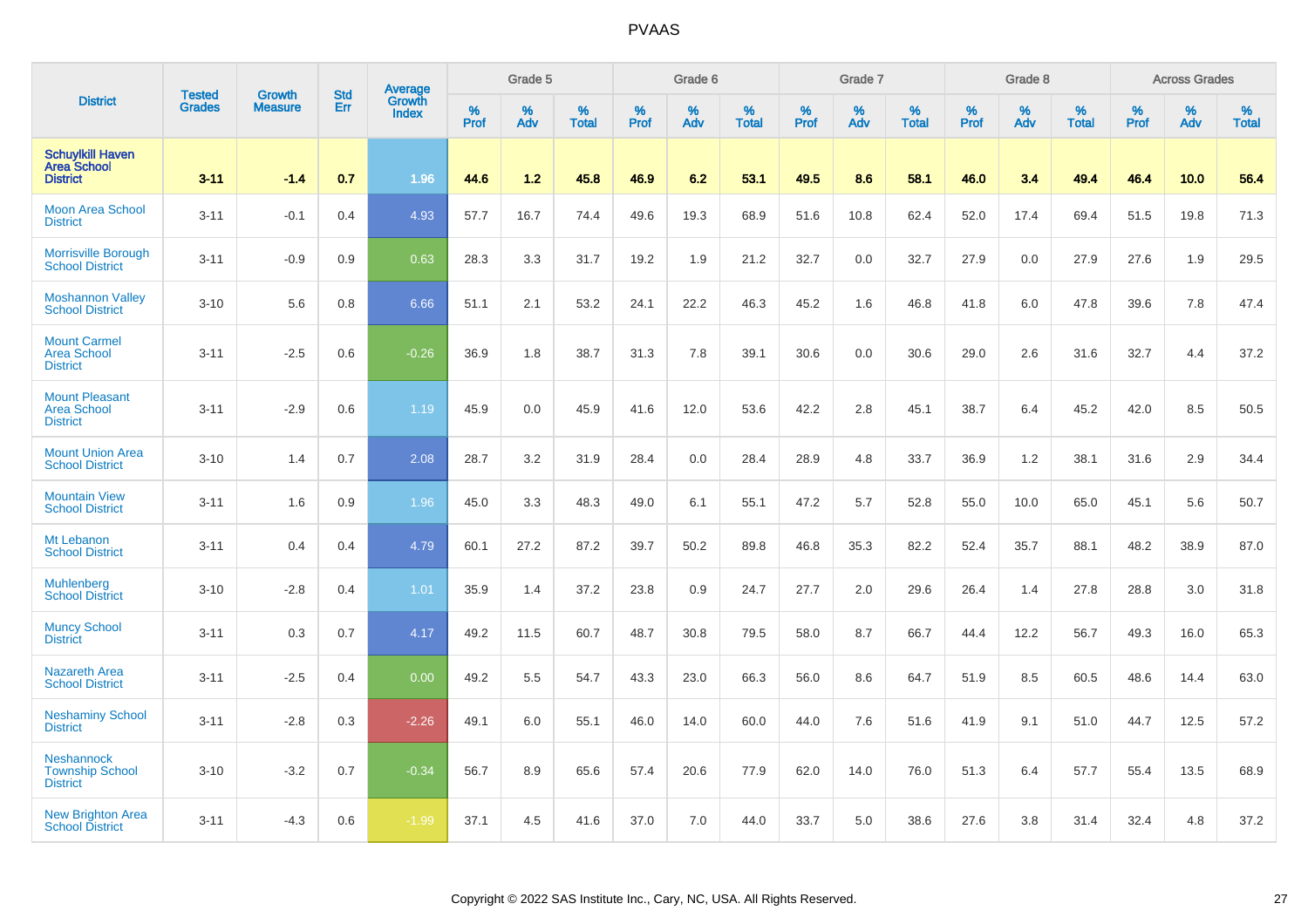|                                                                  |                         | <b>Growth</b>  | <b>Std</b> | Average                |              | Grade 5  |                   |           | Grade 6  |                   |           | Grade 7  |                   |           | Grade 8  |                   |           | <b>Across Grades</b> |                   |
|------------------------------------------------------------------|-------------------------|----------------|------------|------------------------|--------------|----------|-------------------|-----------|----------|-------------------|-----------|----------|-------------------|-----------|----------|-------------------|-----------|----------------------|-------------------|
| <b>District</b>                                                  | <b>Tested</b><br>Grades | <b>Measure</b> | Err        | Growth<br><b>Index</b> | $\%$<br>Prof | %<br>Adv | %<br><b>Total</b> | %<br>Prof | %<br>Adv | %<br><b>Total</b> | %<br>Prof | %<br>Adv | %<br><b>Total</b> | %<br>Prof | %<br>Adv | %<br><b>Total</b> | %<br>Prof | %<br>Adv             | %<br><b>Total</b> |
| <b>Schuylkill Haven</b><br><b>Area School</b><br><b>District</b> | $3 - 11$                | $-1.4$         | 0.7        | 1.96                   | 44.6         | 1.2      | 45.8              | 46.9      | 6.2      | 53.1              | 49.5      | 8.6      | 58.1              | 46.0      | 3.4      | 49.4              | 46.4      | 10.0                 | 56.4              |
| <b>Moon Area School</b><br><b>District</b>                       | $3 - 11$                | $-0.1$         | 0.4        | 4.93                   | 57.7         | 16.7     | 74.4              | 49.6      | 19.3     | 68.9              | 51.6      | 10.8     | 62.4              | 52.0      | 17.4     | 69.4              | 51.5      | 19.8                 | 71.3              |
| <b>Morrisville Borough</b><br><b>School District</b>             | $3 - 11$                | $-0.9$         | 0.9        | 0.63                   | 28.3         | 3.3      | 31.7              | 19.2      | 1.9      | 21.2              | 32.7      | 0.0      | 32.7              | 27.9      | 0.0      | 27.9              | 27.6      | 1.9                  | 29.5              |
| <b>Moshannon Valley</b><br><b>School District</b>                | $3 - 10$                | 5.6            | 0.8        | 6.66                   | 51.1         | 2.1      | 53.2              | 24.1      | 22.2     | 46.3              | 45.2      | 1.6      | 46.8              | 41.8      | 6.0      | 47.8              | 39.6      | 7.8                  | 47.4              |
| <b>Mount Carmel</b><br><b>Area School</b><br><b>District</b>     | $3 - 11$                | $-2.5$         | 0.6        | $-0.26$                | 36.9         | 1.8      | 38.7              | 31.3      | 7.8      | 39.1              | 30.6      | 0.0      | 30.6              | 29.0      | 2.6      | 31.6              | 32.7      | 4.4                  | 37.2              |
| <b>Mount Pleasant</b><br><b>Area School</b><br><b>District</b>   | $3 - 11$                | $-2.9$         | 0.6        | 1.19                   | 45.9         | 0.0      | 45.9              | 41.6      | 12.0     | 53.6              | 42.2      | 2.8      | 45.1              | 38.7      | 6.4      | 45.2              | 42.0      | 8.5                  | 50.5              |
| <b>Mount Union Area</b><br><b>School District</b>                | $3 - 10$                | 1.4            | 0.7        | 2.08                   | 28.7         | 3.2      | 31.9              | 28.4      | 0.0      | 28.4              | 28.9      | 4.8      | 33.7              | 36.9      | 1.2      | 38.1              | 31.6      | 2.9                  | 34.4              |
| <b>Mountain View</b><br><b>School District</b>                   | $3 - 11$                | 1.6            | 0.9        | 1.96                   | 45.0         | 3.3      | 48.3              | 49.0      | 6.1      | 55.1              | 47.2      | 5.7      | 52.8              | 55.0      | 10.0     | 65.0              | 45.1      | 5.6                  | 50.7              |
| Mt Lebanon<br><b>School District</b>                             | $3 - 11$                | 0.4            | 0.4        | 4.79                   | 60.1         | 27.2     | 87.2              | 39.7      | 50.2     | 89.8              | 46.8      | 35.3     | 82.2              | 52.4      | 35.7     | 88.1              | 48.2      | 38.9                 | 87.0              |
| <b>Muhlenberg</b><br><b>School District</b>                      | $3 - 10$                | $-2.8$         | 0.4        | 1.01                   | 35.9         | 1.4      | 37.2              | 23.8      | 0.9      | 24.7              | 27.7      | 2.0      | 29.6              | 26.4      | 1.4      | 27.8              | 28.8      | 3.0                  | 31.8              |
| <b>Muncy School</b><br><b>District</b>                           | $3 - 11$                | 0.3            | 0.7        | 4.17                   | 49.2         | 11.5     | 60.7              | 48.7      | 30.8     | 79.5              | 58.0      | 8.7      | 66.7              | 44.4      | 12.2     | 56.7              | 49.3      | 16.0                 | 65.3              |
| <b>Nazareth Area</b><br><b>School District</b>                   | $3 - 11$                | $-2.5$         | 0.4        | 0.00                   | 49.2         | 5.5      | 54.7              | 43.3      | 23.0     | 66.3              | 56.0      | 8.6      | 64.7              | 51.9      | 8.5      | 60.5              | 48.6      | 14.4                 | 63.0              |
| <b>Neshaminy School</b><br><b>District</b>                       | $3 - 11$                | $-2.8$         | 0.3        | $-2.26$                | 49.1         | 6.0      | 55.1              | 46.0      | 14.0     | 60.0              | 44.0      | 7.6      | 51.6              | 41.9      | 9.1      | 51.0              | 44.7      | 12.5                 | 57.2              |
| <b>Neshannock</b><br><b>Township School</b><br><b>District</b>   | $3 - 10$                | $-3.2$         | 0.7        | $-0.34$                | 56.7         | 8.9      | 65.6              | 57.4      | 20.6     | 77.9              | 62.0      | 14.0     | 76.0              | 51.3      | 6.4      | 57.7              | 55.4      | 13.5                 | 68.9              |
| <b>New Brighton Area</b><br><b>School District</b>               | $3 - 11$                | $-4.3$         | 0.6        | $-1.99$                | 37.1         | 4.5      | 41.6              | 37.0      | 7.0      | 44.0              | 33.7      | 5.0      | 38.6              | 27.6      | 3.8      | 31.4              | 32.4      | 4.8                  | 37.2              |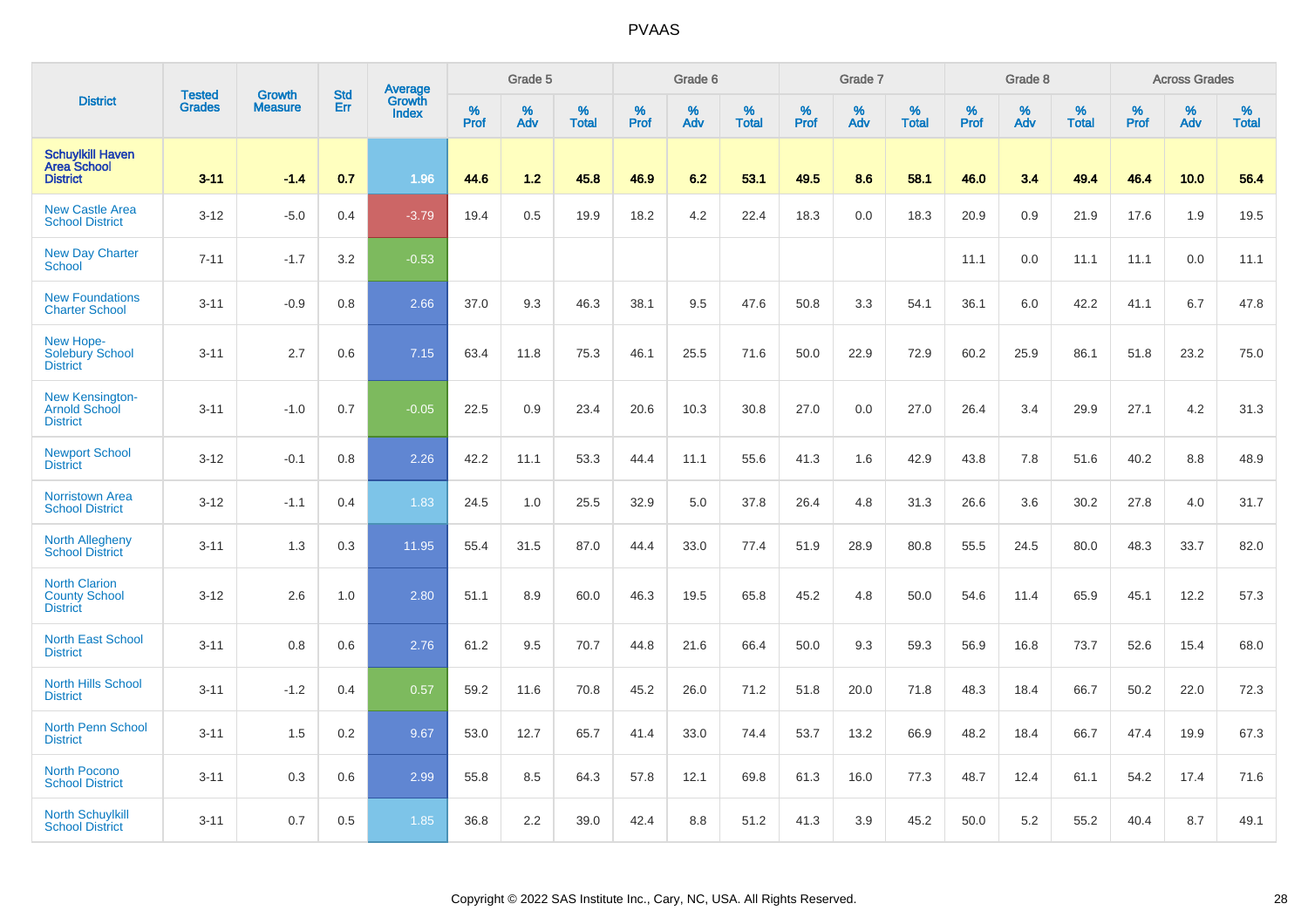|                                                                  |                                |                                 | <b>Std</b> | <b>Average</b>         |              | Grade 5  |                   |           | Grade 6  |                   |           | Grade 7  |                   |           | Grade 8  |                   |           | <b>Across Grades</b> |                   |
|------------------------------------------------------------------|--------------------------------|---------------------------------|------------|------------------------|--------------|----------|-------------------|-----------|----------|-------------------|-----------|----------|-------------------|-----------|----------|-------------------|-----------|----------------------|-------------------|
| <b>District</b>                                                  | <b>Tested</b><br><b>Grades</b> | <b>Growth</b><br><b>Measure</b> | Err        | Growth<br><b>Index</b> | $\%$<br>Prof | %<br>Adv | %<br><b>Total</b> | %<br>Prof | %<br>Adv | %<br><b>Total</b> | %<br>Prof | %<br>Adv | %<br><b>Total</b> | %<br>Prof | %<br>Adv | %<br><b>Total</b> | %<br>Prof | %<br>Adv             | %<br><b>Total</b> |
| <b>Schuylkill Haven</b><br><b>Area School</b><br><b>District</b> | $3 - 11$                       | $-1.4$                          | 0.7        | 1.96                   | 44.6         | 1.2      | 45.8              | 46.9      | 6.2      | 53.1              | 49.5      | 8.6      | 58.1              | 46.0      | 3.4      | 49.4              | 46.4      | 10.0                 | 56.4              |
| <b>New Castle Area</b><br><b>School District</b>                 | $3 - 12$                       | $-5.0$                          | 0.4        | $-3.79$                | 19.4         | 0.5      | 19.9              | 18.2      | 4.2      | 22.4              | 18.3      | 0.0      | 18.3              | 20.9      | 0.9      | 21.9              | 17.6      | 1.9                  | 19.5              |
| <b>New Day Charter</b><br><b>School</b>                          | $7 - 11$                       | $-1.7$                          | 3.2        | $-0.53$                |              |          |                   |           |          |                   |           |          |                   | 11.1      | 0.0      | 11.1              | 11.1      | 0.0                  | 11.1              |
| <b>New Foundations</b><br><b>Charter School</b>                  | $3 - 11$                       | $-0.9$                          | 0.8        | 2.66                   | 37.0         | 9.3      | 46.3              | 38.1      | 9.5      | 47.6              | 50.8      | 3.3      | 54.1              | 36.1      | 6.0      | 42.2              | 41.1      | 6.7                  | 47.8              |
| New Hope-<br><b>Solebury School</b><br><b>District</b>           | $3 - 11$                       | 2.7                             | 0.6        | 7.15                   | 63.4         | 11.8     | 75.3              | 46.1      | 25.5     | 71.6              | 50.0      | 22.9     | 72.9              | 60.2      | 25.9     | 86.1              | 51.8      | 23.2                 | 75.0              |
| <b>New Kensington-</b><br>Arnold School<br><b>District</b>       | $3 - 11$                       | $-1.0$                          | 0.7        | $-0.05$                | 22.5         | 0.9      | 23.4              | 20.6      | 10.3     | 30.8              | 27.0      | 0.0      | 27.0              | 26.4      | 3.4      | 29.9              | 27.1      | 4.2                  | 31.3              |
| <b>Newport School</b><br><b>District</b>                         | $3 - 12$                       | $-0.1$                          | 0.8        | 2.26                   | 42.2         | 11.1     | 53.3              | 44.4      | 11.1     | 55.6              | 41.3      | 1.6      | 42.9              | 43.8      | 7.8      | 51.6              | 40.2      | 8.8                  | 48.9              |
| <b>Norristown Area</b><br><b>School District</b>                 | $3 - 12$                       | $-1.1$                          | 0.4        | 1.83                   | 24.5         | 1.0      | 25.5              | 32.9      | 5.0      | 37.8              | 26.4      | 4.8      | 31.3              | 26.6      | 3.6      | 30.2              | 27.8      | 4.0                  | 31.7              |
| <b>North Allegheny</b><br><b>School District</b>                 | $3 - 11$                       | 1.3                             | 0.3        | 11.95                  | 55.4         | 31.5     | 87.0              | 44.4      | 33.0     | 77.4              | 51.9      | 28.9     | 80.8              | 55.5      | 24.5     | 80.0              | 48.3      | 33.7                 | 82.0              |
| <b>North Clarion</b><br><b>County School</b><br><b>District</b>  | $3 - 12$                       | 2.6                             | 1.0        | 2.80                   | 51.1         | 8.9      | 60.0              | 46.3      | 19.5     | 65.8              | 45.2      | 4.8      | 50.0              | 54.6      | 11.4     | 65.9              | 45.1      | 12.2                 | 57.3              |
| <b>North East School</b><br><b>District</b>                      | $3 - 11$                       | 0.8                             | 0.6        | 2.76                   | 61.2         | 9.5      | 70.7              | 44.8      | 21.6     | 66.4              | 50.0      | 9.3      | 59.3              | 56.9      | 16.8     | 73.7              | 52.6      | 15.4                 | 68.0              |
| <b>North Hills School</b><br><b>District</b>                     | $3 - 11$                       | $-1.2$                          | 0.4        | 0.57                   | 59.2         | 11.6     | 70.8              | 45.2      | 26.0     | 71.2              | 51.8      | 20.0     | 71.8              | 48.3      | 18.4     | 66.7              | 50.2      | 22.0                 | 72.3              |
| <b>North Penn School</b><br><b>District</b>                      | $3 - 11$                       | 1.5                             | 0.2        | 9.67                   | 53.0         | 12.7     | 65.7              | 41.4      | 33.0     | 74.4              | 53.7      | 13.2     | 66.9              | 48.2      | 18.4     | 66.7              | 47.4      | 19.9                 | 67.3              |
| North Pocono<br><b>School District</b>                           | $3 - 11$                       | 0.3                             | 0.6        | 2.99                   | 55.8         | 8.5      | 64.3              | 57.8      | 12.1     | 69.8              | 61.3      | 16.0     | 77.3              | 48.7      | 12.4     | 61.1              | 54.2      | 17.4                 | 71.6              |
| <b>North Schuylkill</b><br><b>School District</b>                | $3 - 11$                       | 0.7                             | 0.5        | 1.85                   | 36.8         | 2.2      | 39.0              | 42.4      | 8.8      | 51.2              | 41.3      | 3.9      | 45.2              | 50.0      | 5.2      | 55.2              | 40.4      | 8.7                  | 49.1              |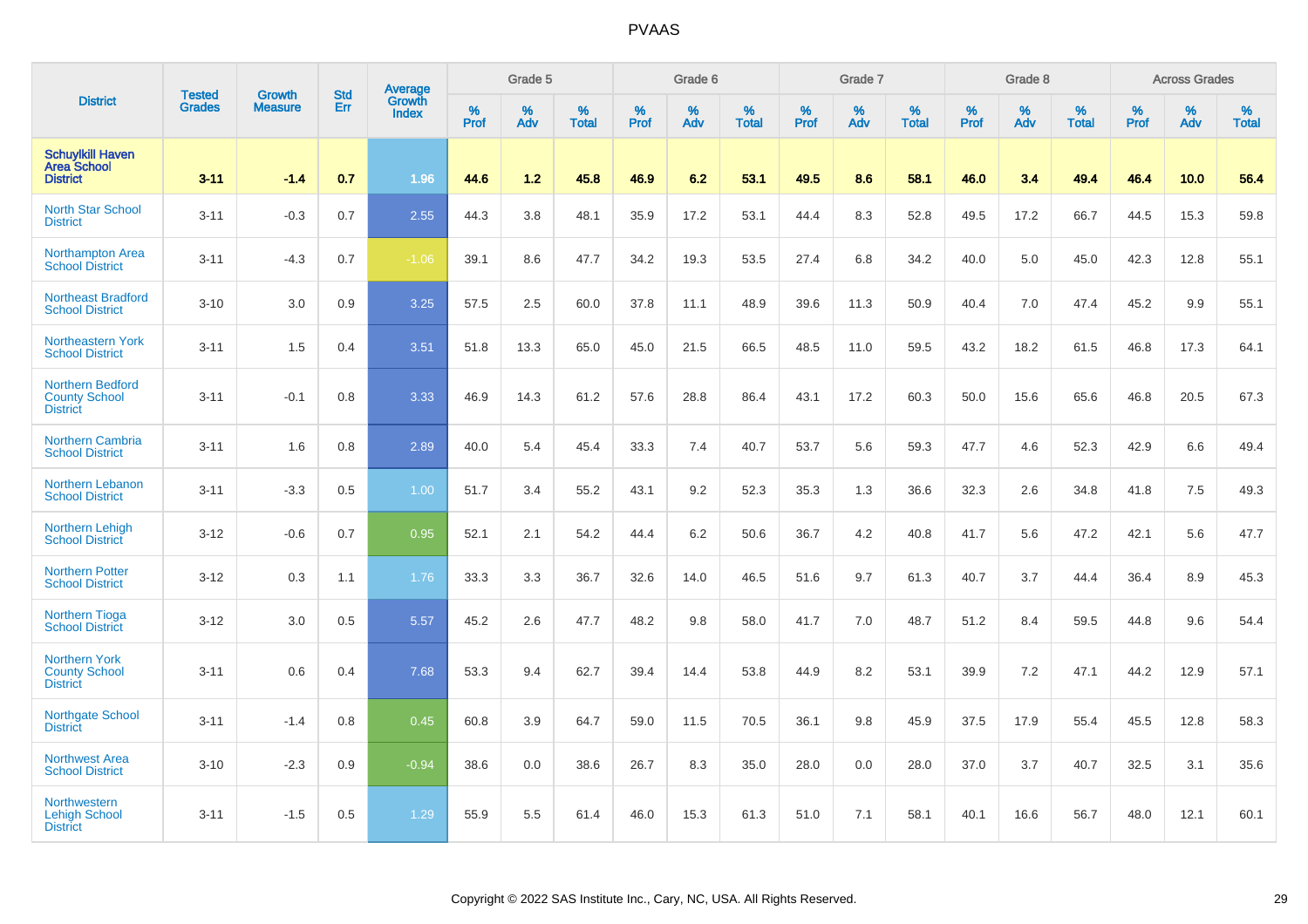|                                                                    |                                |                                 | <b>Std</b> | Average                |           | Grade 5  |                   |           | Grade 6  |                   |           | Grade 7  |                   |           | Grade 8  |                   |                  | <b>Across Grades</b> |                   |
|--------------------------------------------------------------------|--------------------------------|---------------------------------|------------|------------------------|-----------|----------|-------------------|-----------|----------|-------------------|-----------|----------|-------------------|-----------|----------|-------------------|------------------|----------------------|-------------------|
| <b>District</b>                                                    | <b>Tested</b><br><b>Grades</b> | <b>Growth</b><br><b>Measure</b> | Err        | Growth<br><b>Index</b> | %<br>Prof | %<br>Adv | %<br><b>Total</b> | %<br>Prof | %<br>Adv | %<br><b>Total</b> | %<br>Prof | %<br>Adv | %<br><b>Total</b> | %<br>Prof | %<br>Adv | %<br><b>Total</b> | %<br><b>Prof</b> | %<br>Adv             | %<br><b>Total</b> |
| <b>Schuylkill Haven</b><br><b>Area School</b><br><b>District</b>   | $3 - 11$                       | $-1.4$                          | 0.7        | 1.96                   | 44.6      | 1.2      | 45.8              | 46.9      | 6.2      | 53.1              | 49.5      | 8.6      | 58.1              | 46.0      | 3.4      | 49.4              | 46.4             | 10.0                 | 56.4              |
| <b>North Star School</b><br><b>District</b>                        | $3 - 11$                       | $-0.3$                          | 0.7        | 2.55                   | 44.3      | 3.8      | 48.1              | 35.9      | 17.2     | 53.1              | 44.4      | 8.3      | 52.8              | 49.5      | 17.2     | 66.7              | 44.5             | 15.3                 | 59.8              |
| <b>Northampton Area</b><br><b>School District</b>                  | $3 - 11$                       | $-4.3$                          | 0.7        | $-1.06$                | 39.1      | 8.6      | 47.7              | 34.2      | 19.3     | 53.5              | 27.4      | 6.8      | 34.2              | 40.0      | 5.0      | 45.0              | 42.3             | 12.8                 | 55.1              |
| Northeast Bradford<br><b>School District</b>                       | $3 - 10$                       | 3.0                             | 0.9        | 3.25                   | 57.5      | 2.5      | 60.0              | 37.8      | 11.1     | 48.9              | 39.6      | 11.3     | 50.9              | 40.4      | 7.0      | 47.4              | 45.2             | 9.9                  | 55.1              |
| <b>Northeastern York</b><br><b>School District</b>                 | $3 - 11$                       | 1.5                             | 0.4        | 3.51                   | 51.8      | 13.3     | 65.0              | 45.0      | 21.5     | 66.5              | 48.5      | 11.0     | 59.5              | 43.2      | 18.2     | 61.5              | 46.8             | 17.3                 | 64.1              |
| <b>Northern Bedford</b><br><b>County School</b><br><b>District</b> | $3 - 11$                       | $-0.1$                          | 0.8        | 3.33                   | 46.9      | 14.3     | 61.2              | 57.6      | 28.8     | 86.4              | 43.1      | 17.2     | 60.3              | 50.0      | 15.6     | 65.6              | 46.8             | 20.5                 | 67.3              |
| <b>Northern Cambria</b><br><b>School District</b>                  | $3 - 11$                       | 1.6                             | 0.8        | 2.89                   | 40.0      | 5.4      | 45.4              | 33.3      | 7.4      | 40.7              | 53.7      | 5.6      | 59.3              | 47.7      | 4.6      | 52.3              | 42.9             | 6.6                  | 49.4              |
| <b>Northern Lebanon</b><br><b>School District</b>                  | $3 - 11$                       | $-3.3$                          | 0.5        | 1.00                   | 51.7      | 3.4      | 55.2              | 43.1      | 9.2      | 52.3              | 35.3      | 1.3      | 36.6              | 32.3      | 2.6      | 34.8              | 41.8             | 7.5                  | 49.3              |
| <b>Northern Lehigh</b><br><b>School District</b>                   | $3 - 12$                       | $-0.6$                          | 0.7        | 0.95                   | 52.1      | 2.1      | 54.2              | 44.4      | 6.2      | 50.6              | 36.7      | 4.2      | 40.8              | 41.7      | 5.6      | 47.2              | 42.1             | 5.6                  | 47.7              |
| <b>Northern Potter</b><br><b>School District</b>                   | $3 - 12$                       | 0.3                             | 1.1        | 1.76                   | 33.3      | 3.3      | 36.7              | 32.6      | 14.0     | 46.5              | 51.6      | 9.7      | 61.3              | 40.7      | 3.7      | 44.4              | 36.4             | 8.9                  | 45.3              |
| <b>Northern Tioga</b><br><b>School District</b>                    | $3 - 12$                       | 3.0                             | 0.5        | 5.57                   | 45.2      | 2.6      | 47.7              | 48.2      | 9.8      | 58.0              | 41.7      | 7.0      | 48.7              | 51.2      | 8.4      | 59.5              | 44.8             | 9.6                  | 54.4              |
| <b>Northern York</b><br><b>County School</b><br><b>District</b>    | $3 - 11$                       | 0.6                             | 0.4        | 7.68                   | 53.3      | 9.4      | 62.7              | 39.4      | 14.4     | 53.8              | 44.9      | 8.2      | 53.1              | 39.9      | 7.2      | 47.1              | 44.2             | 12.9                 | 57.1              |
| <b>Northgate School</b><br><b>District</b>                         | $3 - 11$                       | $-1.4$                          | 0.8        | 0.45                   | 60.8      | 3.9      | 64.7              | 59.0      | 11.5     | 70.5              | 36.1      | 9.8      | 45.9              | 37.5      | 17.9     | 55.4              | 45.5             | 12.8                 | 58.3              |
| <b>Northwest Area</b><br><b>School District</b>                    | $3 - 10$                       | $-2.3$                          | 0.9        | $-0.94$                | 38.6      | 0.0      | 38.6              | 26.7      | 8.3      | 35.0              | 28.0      | 0.0      | 28.0              | 37.0      | 3.7      | 40.7              | 32.5             | 3.1                  | 35.6              |
| Northwestern<br><b>Lehigh School</b><br><b>District</b>            | $3 - 11$                       | $-1.5$                          | 0.5        | 1.29                   | 55.9      | 5.5      | 61.4              | 46.0      | 15.3     | 61.3              | 51.0      | 7.1      | 58.1              | 40.1      | 16.6     | 56.7              | 48.0             | 12.1                 | 60.1              |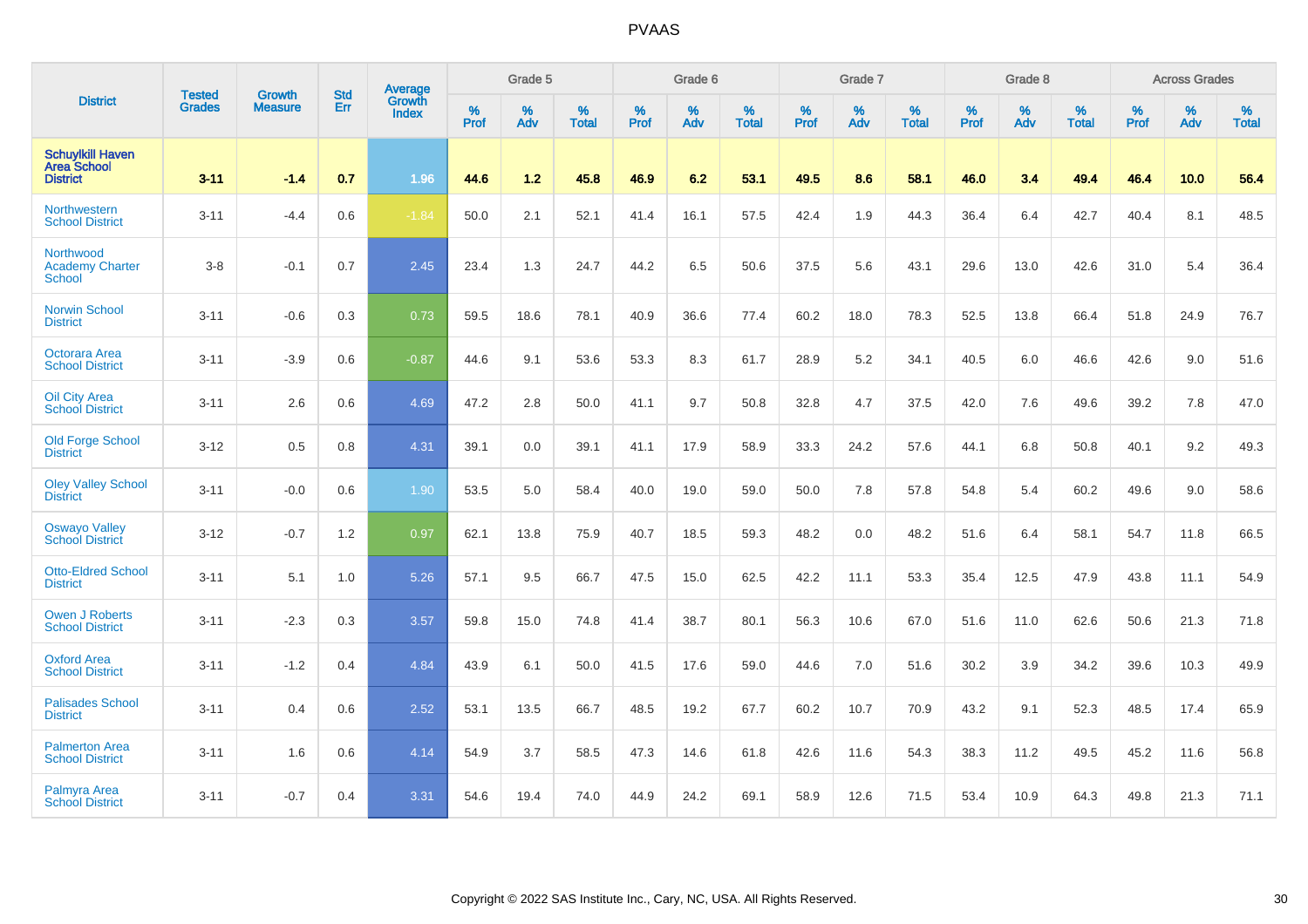|                                                                  | <b>Tested</b> | <b>Growth</b>  | <b>Std</b> | Average                |                  | Grade 5  |                   |           | Grade 6  |                   |           | Grade 7  |                   |           | Grade 8  |                   |           | <b>Across Grades</b> |                   |
|------------------------------------------------------------------|---------------|----------------|------------|------------------------|------------------|----------|-------------------|-----------|----------|-------------------|-----------|----------|-------------------|-----------|----------|-------------------|-----------|----------------------|-------------------|
| <b>District</b>                                                  | <b>Grades</b> | <b>Measure</b> | Err        | Growth<br><b>Index</b> | %<br><b>Prof</b> | %<br>Adv | %<br><b>Total</b> | %<br>Prof | %<br>Adv | %<br><b>Total</b> | %<br>Prof | %<br>Adv | %<br><b>Total</b> | %<br>Prof | %<br>Adv | %<br><b>Total</b> | %<br>Prof | %<br>Adv             | %<br><b>Total</b> |
| <b>Schuylkill Haven</b><br><b>Area School</b><br><b>District</b> | $3 - 11$      | $-1.4$         | 0.7        | 1.96                   | 44.6             | 1.2      | 45.8              | 46.9      | 6.2      | 53.1              | 49.5      | 8.6      | 58.1              | 46.0      | 3.4      | 49.4              | 46.4      | 10.0                 | 56.4              |
| Northwestern<br><b>School District</b>                           | $3 - 11$      | $-4.4$         | 0.6        | $-1.84$                | 50.0             | 2.1      | 52.1              | 41.4      | 16.1     | 57.5              | 42.4      | 1.9      | 44.3              | 36.4      | 6.4      | 42.7              | 40.4      | 8.1                  | 48.5              |
| Northwood<br><b>Academy Charter</b><br><b>School</b>             | $3 - 8$       | $-0.1$         | 0.7        | 2.45                   | 23.4             | 1.3      | 24.7              | 44.2      | 6.5      | 50.6              | 37.5      | 5.6      | 43.1              | 29.6      | 13.0     | 42.6              | 31.0      | 5.4                  | 36.4              |
| <b>Norwin School</b><br><b>District</b>                          | $3 - 11$      | $-0.6$         | 0.3        | 0.73                   | 59.5             | 18.6     | 78.1              | 40.9      | 36.6     | 77.4              | 60.2      | 18.0     | 78.3              | 52.5      | 13.8     | 66.4              | 51.8      | 24.9                 | 76.7              |
| Octorara Area<br><b>School District</b>                          | $3 - 11$      | $-3.9$         | 0.6        | $-0.87$                | 44.6             | 9.1      | 53.6              | 53.3      | 8.3      | 61.7              | 28.9      | 5.2      | 34.1              | 40.5      | 6.0      | 46.6              | 42.6      | 9.0                  | 51.6              |
| <b>Oil City Area</b><br><b>School District</b>                   | $3 - 11$      | 2.6            | 0.6        | 4.69                   | 47.2             | 2.8      | 50.0              | 41.1      | 9.7      | 50.8              | 32.8      | 4.7      | 37.5              | 42.0      | 7.6      | 49.6              | 39.2      | 7.8                  | 47.0              |
| <b>Old Forge School</b><br><b>District</b>                       | $3 - 12$      | 0.5            | 0.8        | 4.31                   | 39.1             | 0.0      | 39.1              | 41.1      | 17.9     | 58.9              | 33.3      | 24.2     | 57.6              | 44.1      | 6.8      | 50.8              | 40.1      | 9.2                  | 49.3              |
| <b>Oley Valley School</b><br><b>District</b>                     | $3 - 11$      | $-0.0$         | 0.6        | 1.90                   | 53.5             | 5.0      | 58.4              | 40.0      | 19.0     | 59.0              | 50.0      | 7.8      | 57.8              | 54.8      | 5.4      | 60.2              | 49.6      | 9.0                  | 58.6              |
| <b>Oswayo Valley</b><br><b>School District</b>                   | $3 - 12$      | $-0.7$         | 1.2        | 0.97                   | 62.1             | 13.8     | 75.9              | 40.7      | 18.5     | 59.3              | 48.2      | 0.0      | 48.2              | 51.6      | 6.4      | 58.1              | 54.7      | 11.8                 | 66.5              |
| <b>Otto-Eldred School</b><br><b>District</b>                     | $3 - 11$      | 5.1            | 1.0        | 5.26                   | 57.1             | 9.5      | 66.7              | 47.5      | 15.0     | 62.5              | 42.2      | 11.1     | 53.3              | 35.4      | 12.5     | 47.9              | 43.8      | 11.1                 | 54.9              |
| <b>Owen J Roberts</b><br><b>School District</b>                  | $3 - 11$      | $-2.3$         | 0.3        | 3.57                   | 59.8             | 15.0     | 74.8              | 41.4      | 38.7     | 80.1              | 56.3      | 10.6     | 67.0              | 51.6      | 11.0     | 62.6              | 50.6      | 21.3                 | 71.8              |
| <b>Oxford Area</b><br><b>School District</b>                     | $3 - 11$      | $-1.2$         | 0.4        | 4.84                   | 43.9             | 6.1      | 50.0              | 41.5      | 17.6     | 59.0              | 44.6      | 7.0      | 51.6              | 30.2      | 3.9      | 34.2              | 39.6      | 10.3                 | 49.9              |
| <b>Palisades School</b><br><b>District</b>                       | $3 - 11$      | 0.4            | 0.6        | 2.52                   | 53.1             | 13.5     | 66.7              | 48.5      | 19.2     | 67.7              | 60.2      | 10.7     | 70.9              | 43.2      | 9.1      | 52.3              | 48.5      | 17.4                 | 65.9              |
| <b>Palmerton Area</b><br><b>School District</b>                  | $3 - 11$      | 1.6            | 0.6        | 4.14                   | 54.9             | 3.7      | 58.5              | 47.3      | 14.6     | 61.8              | 42.6      | 11.6     | 54.3              | 38.3      | 11.2     | 49.5              | 45.2      | 11.6                 | 56.8              |
| <b>Palmyra Area</b><br><b>School District</b>                    | $3 - 11$      | $-0.7$         | 0.4        | 3.31                   | 54.6             | 19.4     | 74.0              | 44.9      | 24.2     | 69.1              | 58.9      | 12.6     | 71.5              | 53.4      | 10.9     | 64.3              | 49.8      | 21.3                 | 71.1              |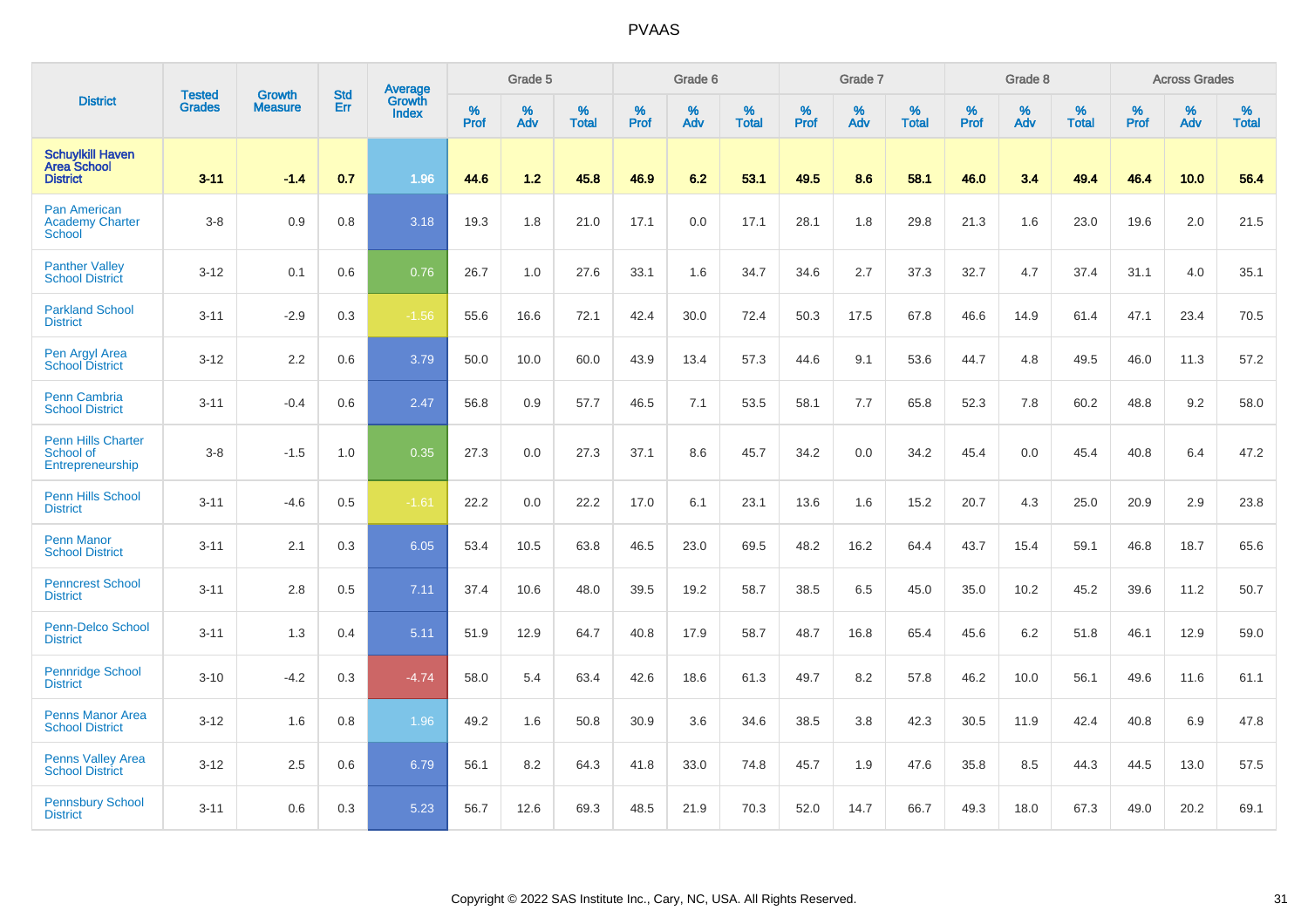|                                                                  |                                |                                 | <b>Std</b> | Average                       |              | Grade 5  |                   |           | Grade 6  |                   |           | Grade 7  |                   |           | Grade 8  |                   |           | <b>Across Grades</b> |                   |
|------------------------------------------------------------------|--------------------------------|---------------------------------|------------|-------------------------------|--------------|----------|-------------------|-----------|----------|-------------------|-----------|----------|-------------------|-----------|----------|-------------------|-----------|----------------------|-------------------|
| <b>District</b>                                                  | <b>Tested</b><br><b>Grades</b> | <b>Growth</b><br><b>Measure</b> | Err        | <b>Growth</b><br><b>Index</b> | $\%$<br>Prof | %<br>Adv | %<br><b>Total</b> | %<br>Prof | %<br>Adv | %<br><b>Total</b> | %<br>Prof | %<br>Adv | %<br><b>Total</b> | %<br>Prof | %<br>Adv | %<br><b>Total</b> | %<br>Prof | %<br>Adv             | %<br><b>Total</b> |
| <b>Schuylkill Haven</b><br><b>Area School</b><br><b>District</b> | $3 - 11$                       | $-1.4$                          | 0.7        | 1.96                          | 44.6         | 1.2      | 45.8              | 46.9      | 6.2      | 53.1              | 49.5      | 8.6      | 58.1              | 46.0      | 3.4      | 49.4              | 46.4      | 10.0                 | 56.4              |
| Pan American<br><b>Academy Charter</b><br><b>School</b>          | $3-8$                          | 0.9                             | 0.8        | 3.18                          | 19.3         | 1.8      | 21.0              | 17.1      | 0.0      | 17.1              | 28.1      | 1.8      | 29.8              | 21.3      | 1.6      | 23.0              | 19.6      | 2.0                  | 21.5              |
| <b>Panther Valley</b><br><b>School District</b>                  | $3 - 12$                       | 0.1                             | 0.6        | 0.76                          | 26.7         | 1.0      | 27.6              | 33.1      | 1.6      | 34.7              | 34.6      | 2.7      | 37.3              | 32.7      | 4.7      | 37.4              | 31.1      | 4.0                  | 35.1              |
| <b>Parkland School</b><br><b>District</b>                        | $3 - 11$                       | $-2.9$                          | 0.3        | $-1.56$                       | 55.6         | 16.6     | 72.1              | 42.4      | 30.0     | 72.4              | 50.3      | 17.5     | 67.8              | 46.6      | 14.9     | 61.4              | 47.1      | 23.4                 | 70.5              |
| Pen Argyl Area<br><b>School District</b>                         | $3 - 12$                       | 2.2                             | 0.6        | 3.79                          | 50.0         | 10.0     | 60.0              | 43.9      | 13.4     | 57.3              | 44.6      | 9.1      | 53.6              | 44.7      | 4.8      | 49.5              | 46.0      | 11.3                 | 57.2              |
| Penn Cambria<br><b>School District</b>                           | $3 - 11$                       | $-0.4$                          | 0.6        | 2.47                          | 56.8         | 0.9      | 57.7              | 46.5      | 7.1      | 53.5              | 58.1      | 7.7      | 65.8              | 52.3      | 7.8      | 60.2              | 48.8      | 9.2                  | 58.0              |
| <b>Penn Hills Charter</b><br>School of<br>Entrepreneurship       | $3 - 8$                        | $-1.5$                          | 1.0        | 0.35                          | 27.3         | 0.0      | 27.3              | 37.1      | 8.6      | 45.7              | 34.2      | 0.0      | 34.2              | 45.4      | 0.0      | 45.4              | 40.8      | 6.4                  | 47.2              |
| <b>Penn Hills School</b><br><b>District</b>                      | $3 - 11$                       | $-4.6$                          | 0.5        | $-1.61$                       | 22.2         | 0.0      | 22.2              | 17.0      | 6.1      | 23.1              | 13.6      | 1.6      | 15.2              | 20.7      | 4.3      | 25.0              | 20.9      | 2.9                  | 23.8              |
| <b>Penn Manor</b><br><b>School District</b>                      | $3 - 11$                       | 2.1                             | 0.3        | 6.05                          | 53.4         | 10.5     | 63.8              | 46.5      | 23.0     | 69.5              | 48.2      | 16.2     | 64.4              | 43.7      | 15.4     | 59.1              | 46.8      | 18.7                 | 65.6              |
| <b>Penncrest School</b><br><b>District</b>                       | $3 - 11$                       | 2.8                             | 0.5        | 7.11                          | 37.4         | 10.6     | 48.0              | 39.5      | 19.2     | 58.7              | 38.5      | 6.5      | 45.0              | 35.0      | 10.2     | 45.2              | 39.6      | 11.2                 | 50.7              |
| Penn-Delco School<br><b>District</b>                             | $3 - 11$                       | 1.3                             | 0.4        | 5.11                          | 51.9         | 12.9     | 64.7              | 40.8      | 17.9     | 58.7              | 48.7      | 16.8     | 65.4              | 45.6      | 6.2      | 51.8              | 46.1      | 12.9                 | 59.0              |
| <b>Pennridge School</b><br><b>District</b>                       | $3 - 10$                       | $-4.2$                          | 0.3        | $-4.74$                       | 58.0         | 5.4      | 63.4              | 42.6      | 18.6     | 61.3              | 49.7      | 8.2      | 57.8              | 46.2      | 10.0     | 56.1              | 49.6      | 11.6                 | 61.1              |
| <b>Penns Manor Area</b><br><b>School District</b>                | $3 - 12$                       | 1.6                             | 0.8        | 1.96                          | 49.2         | 1.6      | 50.8              | 30.9      | 3.6      | 34.6              | 38.5      | 3.8      | 42.3              | 30.5      | 11.9     | 42.4              | 40.8      | 6.9                  | 47.8              |
| <b>Penns Valley Area</b><br><b>School District</b>               | $3 - 12$                       | 2.5                             | 0.6        | 6.79                          | 56.1         | 8.2      | 64.3              | 41.8      | 33.0     | 74.8              | 45.7      | 1.9      | 47.6              | 35.8      | 8.5      | 44.3              | 44.5      | 13.0                 | 57.5              |
| <b>Pennsbury School</b><br><b>District</b>                       | $3 - 11$                       | 0.6                             | 0.3        | 5.23                          | 56.7         | 12.6     | 69.3              | 48.5      | 21.9     | 70.3              | 52.0      | 14.7     | 66.7              | 49.3      | 18.0     | 67.3              | 49.0      | 20.2                 | 69.1              |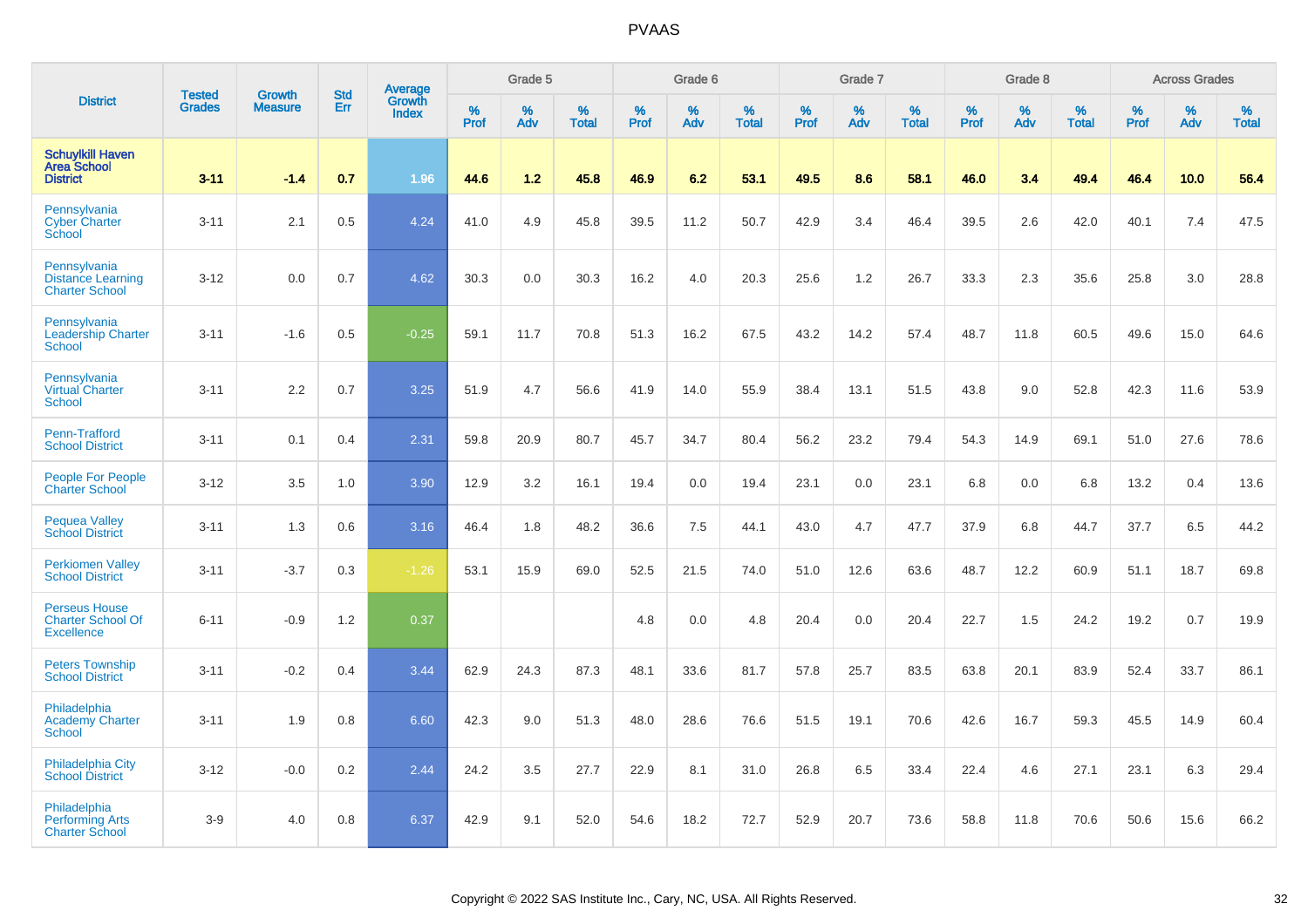|                                                                       |                         | <b>Growth</b>  |                   | Average                |                     | Grade 5  |                      |           | Grade 6  |                   |                  | Grade 7  |                   |                     | Grade 8     |                      |           | <b>Across Grades</b> |                   |
|-----------------------------------------------------------------------|-------------------------|----------------|-------------------|------------------------|---------------------|----------|----------------------|-----------|----------|-------------------|------------------|----------|-------------------|---------------------|-------------|----------------------|-----------|----------------------|-------------------|
| <b>District</b>                                                       | <b>Tested</b><br>Grades | <b>Measure</b> | <b>Std</b><br>Err | Growth<br><b>Index</b> | $\%$<br><b>Prof</b> | %<br>Adv | $\%$<br><b>Total</b> | %<br>Prof | %<br>Adv | %<br><b>Total</b> | %<br><b>Prof</b> | %<br>Adv | %<br><b>Total</b> | $\%$<br><b>Prof</b> | $\%$<br>Adv | $\%$<br><b>Total</b> | %<br>Prof | %<br>Adv             | %<br><b>Total</b> |
| <b>Schuylkill Haven</b><br><b>Area School</b><br><b>District</b>      | $3 - 11$                | $-1.4$         | 0.7               | 1.96                   | 44.6                | 1.2      | 45.8                 | 46.9      | 6.2      | 53.1              | 49.5             | 8.6      | 58.1              | 46.0                | 3.4         | 49.4                 | 46.4      | 10.0                 | 56.4              |
| Pennsylvania<br><b>Cyber Charter</b><br>School                        | $3 - 11$                | 2.1            | 0.5               | 4.24                   | 41.0                | 4.9      | 45.8                 | 39.5      | 11.2     | 50.7              | 42.9             | 3.4      | 46.4              | 39.5                | 2.6         | 42.0                 | 40.1      | 7.4                  | 47.5              |
| Pennsylvania<br><b>Distance Learning</b><br><b>Charter School</b>     | $3 - 12$                | 0.0            | 0.7               | 4.62                   | 30.3                | 0.0      | 30.3                 | 16.2      | 4.0      | 20.3              | 25.6             | 1.2      | 26.7              | 33.3                | 2.3         | 35.6                 | 25.8      | 3.0                  | 28.8              |
| Pennsylvania<br><b>Leadership Charter</b><br><b>School</b>            | $3 - 11$                | $-1.6$         | 0.5               | $-0.25$                | 59.1                | 11.7     | 70.8                 | 51.3      | 16.2     | 67.5              | 43.2             | 14.2     | 57.4              | 48.7                | 11.8        | 60.5                 | 49.6      | 15.0                 | 64.6              |
| Pennsylvania<br><b>Virtual Charter</b><br><b>School</b>               | $3 - 11$                | 2.2            | 0.7               | 3.25                   | 51.9                | 4.7      | 56.6                 | 41.9      | 14.0     | 55.9              | 38.4             | 13.1     | 51.5              | 43.8                | 9.0         | 52.8                 | 42.3      | 11.6                 | 53.9              |
| Penn-Trafford<br><b>School District</b>                               | $3 - 11$                | 0.1            | 0.4               | 2.31                   | 59.8                | 20.9     | 80.7                 | 45.7      | 34.7     | 80.4              | 56.2             | 23.2     | 79.4              | 54.3                | 14.9        | 69.1                 | 51.0      | 27.6                 | 78.6              |
| People For People<br><b>Charter School</b>                            | $3 - 12$                | 3.5            | 1.0               | 3.90                   | 12.9                | 3.2      | 16.1                 | 19.4      | 0.0      | 19.4              | 23.1             | 0.0      | 23.1              | 6.8                 | 0.0         | 6.8                  | 13.2      | 0.4                  | 13.6              |
| <b>Pequea Valley</b><br><b>School District</b>                        | $3 - 11$                | 1.3            | 0.6               | 3.16                   | 46.4                | 1.8      | 48.2                 | 36.6      | 7.5      | 44.1              | 43.0             | 4.7      | 47.7              | 37.9                | 6.8         | 44.7                 | 37.7      | 6.5                  | 44.2              |
| <b>Perkiomen Valley</b><br><b>School District</b>                     | $3 - 11$                | $-3.7$         | 0.3               | $-1.26$                | 53.1                | 15.9     | 69.0                 | 52.5      | 21.5     | 74.0              | 51.0             | 12.6     | 63.6              | 48.7                | 12.2        | 60.9                 | 51.1      | 18.7                 | 69.8              |
| <b>Perseus House</b><br><b>Charter School Of</b><br><b>Excellence</b> | $6 - 11$                | $-0.9$         | 1.2               | 0.37                   |                     |          |                      | 4.8       | 0.0      | 4.8               | 20.4             | 0.0      | 20.4              | 22.7                | 1.5         | 24.2                 | 19.2      | 0.7                  | 19.9              |
| <b>Peters Township</b><br><b>School District</b>                      | $3 - 11$                | $-0.2$         | 0.4               | 3.44                   | 62.9                | 24.3     | 87.3                 | 48.1      | 33.6     | 81.7              | 57.8             | 25.7     | 83.5              | 63.8                | 20.1        | 83.9                 | 52.4      | 33.7                 | 86.1              |
| Philadelphia<br><b>Academy Charter</b><br><b>School</b>               | $3 - 11$                | 1.9            | 0.8               | 6.60                   | 42.3                | 9.0      | 51.3                 | 48.0      | 28.6     | 76.6              | 51.5             | 19.1     | 70.6              | 42.6                | 16.7        | 59.3                 | 45.5      | 14.9                 | 60.4              |
| <b>Philadelphia City</b><br><b>School District</b>                    | $3 - 12$                | $-0.0$         | 0.2               | 2.44                   | 24.2                | 3.5      | 27.7                 | 22.9      | 8.1      | 31.0              | 26.8             | 6.5      | 33.4              | 22.4                | 4.6         | 27.1                 | 23.1      | 6.3                  | 29.4              |
| Philadelphia<br><b>Performing Arts</b><br><b>Charter School</b>       | $3-9$                   | 4.0            | 0.8               | 6.37                   | 42.9                | 9.1      | 52.0                 | 54.6      | 18.2     | 72.7              | 52.9             | 20.7     | 73.6              | 58.8                | 11.8        | 70.6                 | 50.6      | 15.6                 | 66.2              |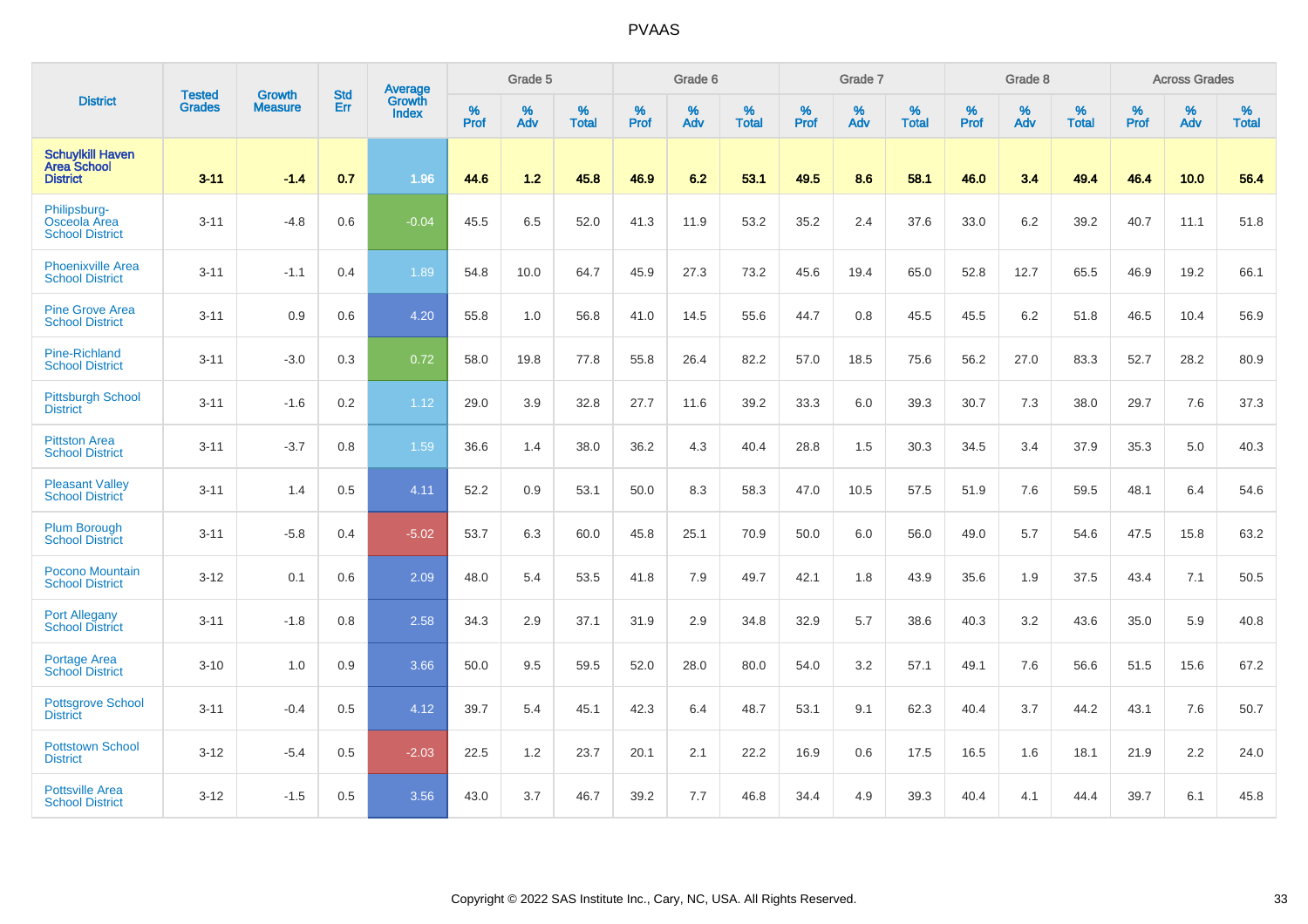|                                                           | <b>Tested</b> | <b>Growth</b>  | <b>Std</b> | <b>Average</b>  |           | Grade 5  |                   |           | Grade 6  |                   |           | Grade 7  |                   |           | Grade 8  |                   |                  | <b>Across Grades</b> |                   |
|-----------------------------------------------------------|---------------|----------------|------------|-----------------|-----------|----------|-------------------|-----------|----------|-------------------|-----------|----------|-------------------|-----------|----------|-------------------|------------------|----------------------|-------------------|
| <b>District</b>                                           | <b>Grades</b> | <b>Measure</b> | <b>Err</b> | Growth<br>Index | %<br>Prof | %<br>Adv | %<br><b>Total</b> | %<br>Prof | %<br>Adv | %<br><b>Total</b> | %<br>Prof | %<br>Adv | %<br><b>Total</b> | %<br>Prof | %<br>Adv | %<br><b>Total</b> | %<br><b>Prof</b> | %<br>Adv             | %<br><b>Total</b> |
| <b>Schuylkill Haven</b><br>Area School<br><b>District</b> | $3 - 11$      | $-1.4$         | 0.7        | 1.96            | 44.6      | 1.2      | 45.8              | 46.9      | 6.2      | 53.1              | 49.5      | 8.6      | 58.1              | 46.0      | 3.4      | 49.4              | 46.4             | 10.0                 | 56.4              |
| Philipsburg-<br>Osceola Area<br><b>School District</b>    | $3 - 11$      | $-4.8$         | 0.6        | $-0.04$         | 45.5      | 6.5      | 52.0              | 41.3      | 11.9     | 53.2              | 35.2      | 2.4      | 37.6              | 33.0      | $6.2\,$  | 39.2              | 40.7             | 11.1                 | 51.8              |
| <b>Phoenixville Area</b><br><b>School District</b>        | $3 - 11$      | $-1.1$         | 0.4        | 1.89            | 54.8      | 10.0     | 64.7              | 45.9      | 27.3     | 73.2              | 45.6      | 19.4     | 65.0              | 52.8      | 12.7     | 65.5              | 46.9             | 19.2                 | 66.1              |
| <b>Pine Grove Area</b><br><b>School District</b>          | $3 - 11$      | 0.9            | 0.6        | 4.20            | 55.8      | 1.0      | 56.8              | 41.0      | 14.5     | 55.6              | 44.7      | 0.8      | 45.5              | 45.5      | 6.2      | 51.8              | 46.5             | 10.4                 | 56.9              |
| <b>Pine-Richland</b><br><b>School District</b>            | $3 - 11$      | $-3.0$         | 0.3        | 0.72            | 58.0      | 19.8     | 77.8              | 55.8      | 26.4     | 82.2              | 57.0      | 18.5     | 75.6              | 56.2      | 27.0     | 83.3              | 52.7             | 28.2                 | 80.9              |
| <b>Pittsburgh School</b><br><b>District</b>               | $3 - 11$      | $-1.6$         | 0.2        | 1.12            | 29.0      | 3.9      | 32.8              | 27.7      | 11.6     | 39.2              | 33.3      | 6.0      | 39.3              | 30.7      | 7.3      | 38.0              | 29.7             | 7.6                  | 37.3              |
| <b>Pittston Area</b><br><b>School District</b>            | $3 - 11$      | $-3.7$         | 0.8        | 1.59            | 36.6      | 1.4      | 38.0              | 36.2      | 4.3      | 40.4              | 28.8      | 1.5      | 30.3              | 34.5      | 3.4      | 37.9              | 35.3             | 5.0                  | 40.3              |
| <b>Pleasant Valley</b><br><b>School District</b>          | $3 - 11$      | 1.4            | 0.5        | 4.11            | 52.2      | 0.9      | 53.1              | 50.0      | 8.3      | 58.3              | 47.0      | 10.5     | 57.5              | 51.9      | 7.6      | 59.5              | 48.1             | 6.4                  | 54.6              |
| <b>Plum Borough</b><br><b>School District</b>             | $3 - 11$      | $-5.8$         | 0.4        | $-5.02$         | 53.7      | 6.3      | 60.0              | 45.8      | 25.1     | 70.9              | 50.0      | 6.0      | 56.0              | 49.0      | 5.7      | 54.6              | 47.5             | 15.8                 | 63.2              |
| <b>Pocono Mountain</b><br><b>School District</b>          | $3 - 12$      | 0.1            | 0.6        | 2.09            | 48.0      | 5.4      | 53.5              | 41.8      | 7.9      | 49.7              | 42.1      | 1.8      | 43.9              | 35.6      | 1.9      | 37.5              | 43.4             | 7.1                  | 50.5              |
| <b>Port Allegany</b><br><b>School District</b>            | $3 - 11$      | $-1.8$         | 0.8        | 2.58            | 34.3      | 2.9      | 37.1              | 31.9      | 2.9      | 34.8              | 32.9      | 5.7      | 38.6              | 40.3      | 3.2      | 43.6              | 35.0             | 5.9                  | 40.8              |
| <b>Portage Area</b><br><b>School District</b>             | $3 - 10$      | 1.0            | 0.9        | 3.66            | 50.0      | 9.5      | 59.5              | 52.0      | 28.0     | 80.0              | 54.0      | 3.2      | 57.1              | 49.1      | 7.6      | 56.6              | 51.5             | 15.6                 | 67.2              |
| <b>Pottsgrove School</b><br><b>District</b>               | $3 - 11$      | $-0.4$         | 0.5        | 4.12            | 39.7      | 5.4      | 45.1              | 42.3      | 6.4      | 48.7              | 53.1      | 9.1      | 62.3              | 40.4      | 3.7      | 44.2              | 43.1             | 7.6                  | 50.7              |
| <b>Pottstown School</b><br><b>District</b>                | $3 - 12$      | $-5.4$         | 0.5        | $-2.03$         | 22.5      | 1.2      | 23.7              | 20.1      | 2.1      | 22.2              | 16.9      | 0.6      | 17.5              | 16.5      | 1.6      | 18.1              | 21.9             | 2.2                  | 24.0              |
| <b>Pottsville Area</b><br><b>School District</b>          | $3 - 12$      | $-1.5$         | 0.5        | 3.56            | 43.0      | 3.7      | 46.7              | 39.2      | 7.7      | 46.8              | 34.4      | 4.9      | 39.3              | 40.4      | 4.1      | 44.4              | 39.7             | 6.1                  | 45.8              |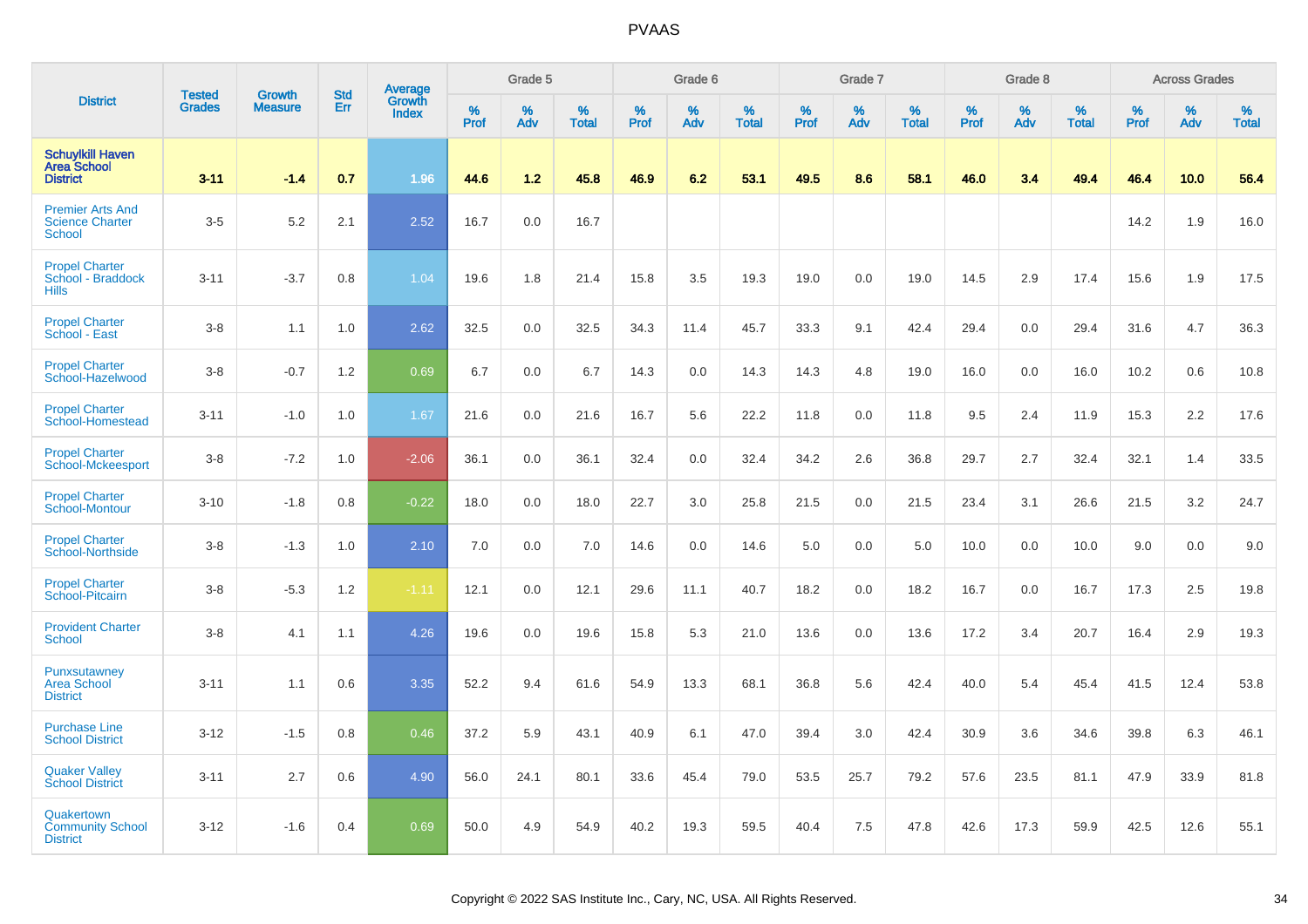|                                                                    |                                |                                 | <b>Std</b> | Average                       |           | Grade 5  |                   |           | Grade 6  |                   |           | Grade 7  |                   |           | Grade 8  |                   |           | <b>Across Grades</b> |                   |
|--------------------------------------------------------------------|--------------------------------|---------------------------------|------------|-------------------------------|-----------|----------|-------------------|-----------|----------|-------------------|-----------|----------|-------------------|-----------|----------|-------------------|-----------|----------------------|-------------------|
| <b>District</b>                                                    | <b>Tested</b><br><b>Grades</b> | <b>Growth</b><br><b>Measure</b> | Err        | <b>Growth</b><br><b>Index</b> | %<br>Prof | %<br>Adv | %<br><b>Total</b> | %<br>Prof | %<br>Adv | %<br><b>Total</b> | %<br>Prof | %<br>Adv | %<br><b>Total</b> | %<br>Prof | %<br>Adv | %<br><b>Total</b> | %<br>Prof | %<br>Adv             | %<br><b>Total</b> |
| <b>Schuylkill Haven</b><br><b>Area School</b><br><b>District</b>   | $3 - 11$                       | $-1.4$                          | 0.7        | 1.96                          | 44.6      | 1.2      | 45.8              | 46.9      | 6.2      | 53.1              | 49.5      | 8.6      | 58.1              | 46.0      | 3.4      | 49.4              | 46.4      | 10.0                 | 56.4              |
| <b>Premier Arts And</b><br><b>Science Charter</b><br><b>School</b> | $3-5$                          | 5.2                             | 2.1        | 2.52                          | 16.7      | 0.0      | 16.7              |           |          |                   |           |          |                   |           |          |                   | 14.2      | 1.9                  | 16.0              |
| <b>Propel Charter</b><br>School - Braddock<br><b>Hills</b>         | $3 - 11$                       | $-3.7$                          | 0.8        | 1.04                          | 19.6      | 1.8      | 21.4              | 15.8      | 3.5      | 19.3              | 19.0      | 0.0      | 19.0              | 14.5      | 2.9      | 17.4              | 15.6      | 1.9                  | 17.5              |
| <b>Propel Charter</b><br>School - East                             | $3 - 8$                        | 1.1                             | 1.0        | 2.62                          | 32.5      | 0.0      | 32.5              | 34.3      | 11.4     | 45.7              | 33.3      | 9.1      | 42.4              | 29.4      | 0.0      | 29.4              | 31.6      | 4.7                  | 36.3              |
| <b>Propel Charter</b><br>School-Hazelwood                          | $3-8$                          | $-0.7$                          | 1.2        | 0.69                          | 6.7       | 0.0      | 6.7               | 14.3      | 0.0      | 14.3              | 14.3      | 4.8      | 19.0              | 16.0      | 0.0      | 16.0              | 10.2      | 0.6                  | 10.8              |
| <b>Propel Charter</b><br>School-Homestead                          | $3 - 11$                       | $-1.0$                          | 1.0        | 1.67                          | 21.6      | 0.0      | 21.6              | 16.7      | 5.6      | 22.2              | 11.8      | 0.0      | 11.8              | 9.5       | 2.4      | 11.9              | 15.3      | 2.2                  | 17.6              |
| <b>Propel Charter</b><br><b>School-Mckeesport</b>                  | $3 - 8$                        | $-7.2$                          | 1.0        | $-2.06$                       | 36.1      | 0.0      | 36.1              | 32.4      | 0.0      | 32.4              | 34.2      | 2.6      | 36.8              | 29.7      | 2.7      | 32.4              | 32.1      | 1.4                  | 33.5              |
| <b>Propel Charter</b><br><b>School-Montour</b>                     | $3 - 10$                       | $-1.8$                          | 0.8        | $-0.22$                       | 18.0      | 0.0      | 18.0              | 22.7      | 3.0      | 25.8              | 21.5      | 0.0      | 21.5              | 23.4      | 3.1      | 26.6              | 21.5      | 3.2                  | 24.7              |
| <b>Propel Charter</b><br>School-Northside                          | $3-8$                          | $-1.3$                          | 1.0        | 2.10                          | 7.0       | 0.0      | 7.0               | 14.6      | 0.0      | 14.6              | 5.0       | 0.0      | 5.0               | 10.0      | 0.0      | 10.0              | 9.0       | 0.0                  | 9.0               |
| <b>Propel Charter</b><br>School-Pitcairn                           | $3 - 8$                        | $-5.3$                          | 1.2        | $-1.11$                       | 12.1      | 0.0      | 12.1              | 29.6      | 11.1     | 40.7              | 18.2      | 0.0      | 18.2              | 16.7      | 0.0      | 16.7              | 17.3      | 2.5                  | 19.8              |
| <b>Provident Charter</b><br><b>School</b>                          | $3-8$                          | 4.1                             | 1.1        | 4.26                          | 19.6      | 0.0      | 19.6              | 15.8      | 5.3      | 21.0              | 13.6      | 0.0      | 13.6              | 17.2      | 3.4      | 20.7              | 16.4      | 2.9                  | 19.3              |
| Punxsutawney<br><b>Area School</b><br><b>District</b>              | $3 - 11$                       | 1.1                             | 0.6        | 3.35                          | 52.2      | 9.4      | 61.6              | 54.9      | 13.3     | 68.1              | 36.8      | 5.6      | 42.4              | 40.0      | 5.4      | 45.4              | 41.5      | 12.4                 | 53.8              |
| <b>Purchase Line</b><br><b>School District</b>                     | $3 - 12$                       | $-1.5$                          | 0.8        | 0.46                          | 37.2      | 5.9      | 43.1              | 40.9      | 6.1      | 47.0              | 39.4      | 3.0      | 42.4              | 30.9      | 3.6      | 34.6              | 39.8      | 6.3                  | 46.1              |
| <b>Quaker Valley</b><br><b>School District</b>                     | $3 - 11$                       | 2.7                             | 0.6        | 4.90                          | 56.0      | 24.1     | 80.1              | 33.6      | 45.4     | 79.0              | 53.5      | 25.7     | 79.2              | 57.6      | 23.5     | 81.1              | 47.9      | 33.9                 | 81.8              |
| Quakertown<br><b>Community School</b><br><b>District</b>           | $3 - 12$                       | $-1.6$                          | 0.4        | 0.69                          | 50.0      | 4.9      | 54.9              | 40.2      | 19.3     | 59.5              | 40.4      | 7.5      | 47.8              | 42.6      | 17.3     | 59.9              | 42.5      | 12.6                 | 55.1              |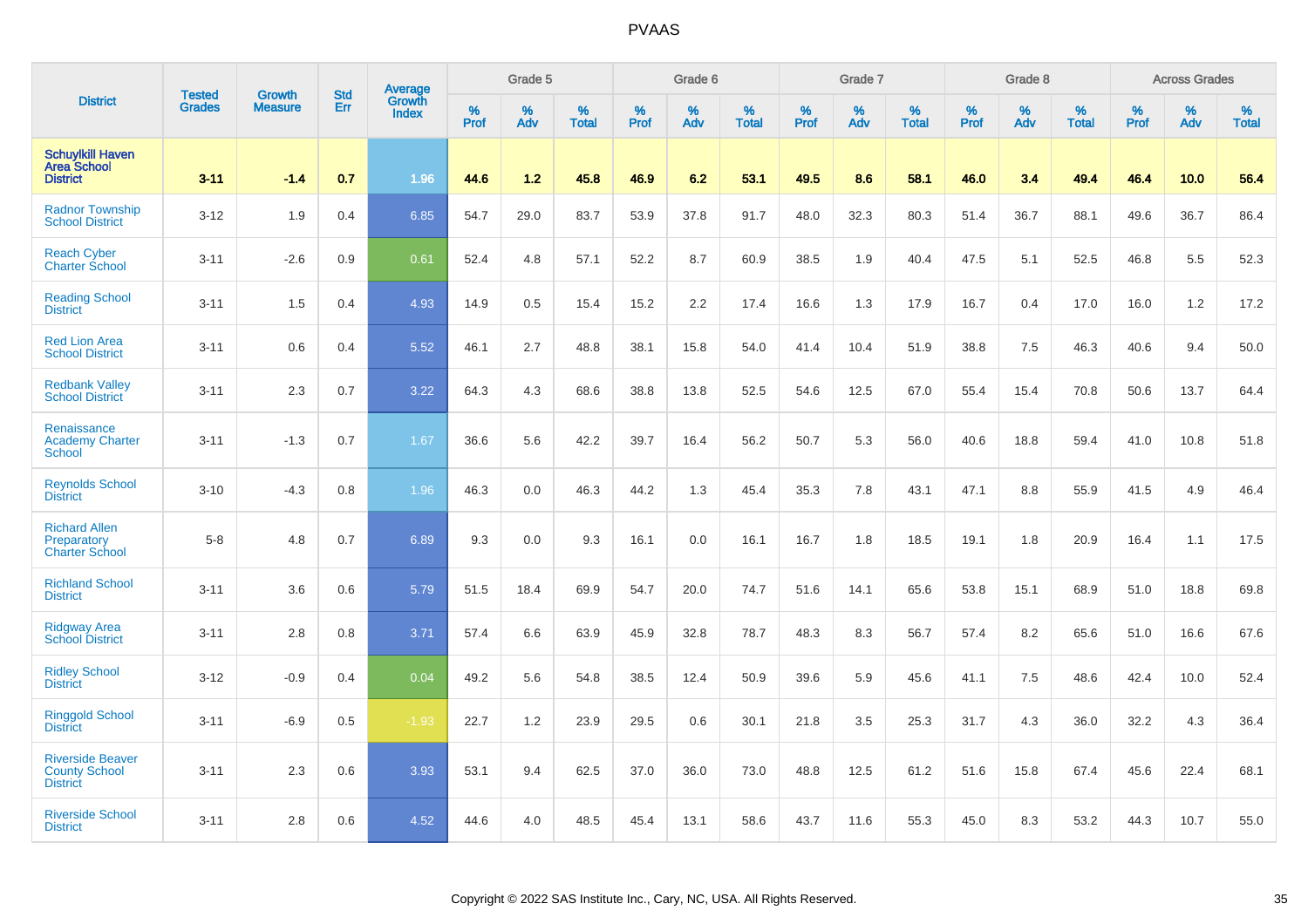|                                                                    |                                | <b>Growth</b>  | <b>Std</b> | Average                |              | Grade 5  |                   |           | Grade 6  |                   |              | Grade 7  |                   |           | Grade 8  |                   |           | <b>Across Grades</b> |                   |
|--------------------------------------------------------------------|--------------------------------|----------------|------------|------------------------|--------------|----------|-------------------|-----------|----------|-------------------|--------------|----------|-------------------|-----------|----------|-------------------|-----------|----------------------|-------------------|
| <b>District</b>                                                    | <b>Tested</b><br><b>Grades</b> | <b>Measure</b> | Err        | Growth<br><b>Index</b> | $\%$<br>Prof | %<br>Adv | %<br><b>Total</b> | %<br>Prof | %<br>Adv | %<br><b>Total</b> | $\%$<br>Prof | %<br>Adv | %<br><b>Total</b> | %<br>Prof | %<br>Adv | %<br><b>Total</b> | %<br>Prof | %<br>Adv             | %<br><b>Total</b> |
| <b>Schuylkill Haven</b><br><b>Area School</b><br><b>District</b>   | $3 - 11$                       | $-1.4$         | 0.7        | 1.96                   | 44.6         | 1.2      | 45.8              | 46.9      | 6.2      | 53.1              | 49.5         | 8.6      | 58.1              | 46.0      | 3.4      | 49.4              | 46.4      | 10.0                 | 56.4              |
| <b>Radnor Township</b><br><b>School District</b>                   | $3 - 12$                       | 1.9            | 0.4        | 6.85                   | 54.7         | 29.0     | 83.7              | 53.9      | 37.8     | 91.7              | 48.0         | 32.3     | 80.3              | 51.4      | 36.7     | 88.1              | 49.6      | 36.7                 | 86.4              |
| <b>Reach Cyber</b><br><b>Charter School</b>                        | $3 - 11$                       | $-2.6$         | 0.9        | 0.61                   | 52.4         | 4.8      | 57.1              | 52.2      | 8.7      | 60.9              | 38.5         | 1.9      | 40.4              | 47.5      | 5.1      | 52.5              | 46.8      | 5.5                  | 52.3              |
| <b>Reading School</b><br><b>District</b>                           | $3 - 11$                       | 1.5            | 0.4        | 4.93                   | 14.9         | 0.5      | 15.4              | 15.2      | 2.2      | 17.4              | 16.6         | 1.3      | 17.9              | 16.7      | 0.4      | 17.0              | 16.0      | 1.2                  | 17.2              |
| <b>Red Lion Area</b><br><b>School District</b>                     | $3 - 11$                       | 0.6            | 0.4        | 5.52                   | 46.1         | 2.7      | 48.8              | 38.1      | 15.8     | 54.0              | 41.4         | 10.4     | 51.9              | 38.8      | 7.5      | 46.3              | 40.6      | 9.4                  | 50.0              |
| <b>Redbank Valley</b><br><b>School District</b>                    | $3 - 11$                       | 2.3            | 0.7        | 3.22                   | 64.3         | 4.3      | 68.6              | 38.8      | 13.8     | 52.5              | 54.6         | 12.5     | 67.0              | 55.4      | 15.4     | 70.8              | 50.6      | 13.7                 | 64.4              |
| Renaissance<br><b>Academy Charter</b><br><b>School</b>             | $3 - 11$                       | $-1.3$         | 0.7        | 1.67                   | 36.6         | 5.6      | 42.2              | 39.7      | 16.4     | 56.2              | 50.7         | 5.3      | 56.0              | 40.6      | 18.8     | 59.4              | 41.0      | 10.8                 | 51.8              |
| <b>Reynolds School</b><br><b>District</b>                          | $3 - 10$                       | $-4.3$         | 0.8        | 1.96                   | 46.3         | 0.0      | 46.3              | 44.2      | 1.3      | 45.4              | 35.3         | 7.8      | 43.1              | 47.1      | 8.8      | 55.9              | 41.5      | 4.9                  | 46.4              |
| <b>Richard Allen</b><br>Preparatory<br><b>Charter School</b>       | $5-8$                          | 4.8            | 0.7        | 6.89                   | 9.3          | 0.0      | 9.3               | 16.1      | 0.0      | 16.1              | 16.7         | 1.8      | 18.5              | 19.1      | 1.8      | 20.9              | 16.4      | 1.1                  | 17.5              |
| <b>Richland School</b><br><b>District</b>                          | $3 - 11$                       | 3.6            | 0.6        | 5.79                   | 51.5         | 18.4     | 69.9              | 54.7      | 20.0     | 74.7              | 51.6         | 14.1     | 65.6              | 53.8      | 15.1     | 68.9              | 51.0      | 18.8                 | 69.8              |
| <b>Ridgway Area</b><br><b>School District</b>                      | $3 - 11$                       | 2.8            | 0.8        | 3.71                   | 57.4         | 6.6      | 63.9              | 45.9      | 32.8     | 78.7              | 48.3         | 8.3      | 56.7              | 57.4      | 8.2      | 65.6              | 51.0      | 16.6                 | 67.6              |
| <b>Ridley School</b><br><b>District</b>                            | $3 - 12$                       | $-0.9$         | 0.4        | 0.04                   | 49.2         | 5.6      | 54.8              | 38.5      | 12.4     | 50.9              | 39.6         | 5.9      | 45.6              | 41.1      | 7.5      | 48.6              | 42.4      | 10.0                 | 52.4              |
| <b>Ringgold School</b><br><b>District</b>                          | $3 - 11$                       | $-6.9$         | 0.5        | $-1.93$                | 22.7         | 1.2      | 23.9              | 29.5      | 0.6      | 30.1              | 21.8         | 3.5      | 25.3              | 31.7      | 4.3      | 36.0              | 32.2      | 4.3                  | 36.4              |
| <b>Riverside Beaver</b><br><b>County School</b><br><b>District</b> | $3 - 11$                       | 2.3            | 0.6        | 3.93                   | 53.1         | 9.4      | 62.5              | 37.0      | 36.0     | 73.0              | 48.8         | 12.5     | 61.2              | 51.6      | 15.8     | 67.4              | 45.6      | 22.4                 | 68.1              |
| <b>Riverside School</b><br><b>District</b>                         | $3 - 11$                       | 2.8            | 0.6        | 4.52                   | 44.6         | 4.0      | 48.5              | 45.4      | 13.1     | 58.6              | 43.7         | 11.6     | 55.3              | 45.0      | 8.3      | 53.2              | 44.3      | 10.7                 | 55.0              |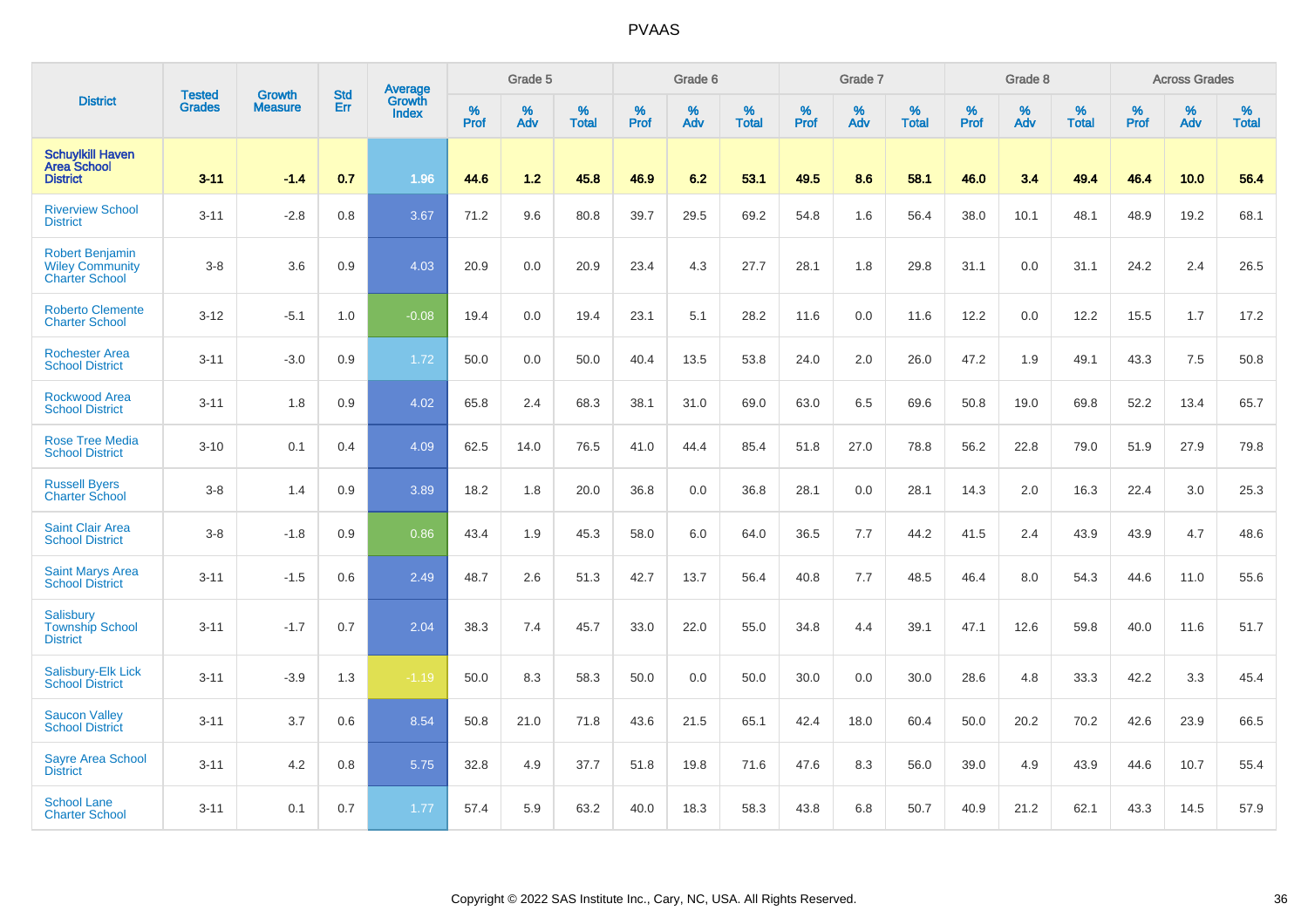|                                                                           | <b>Tested</b> | <b>Growth</b>  | <b>Std</b> | Average                       |              | Grade 5  |                   |           | Grade 6  |                   |           | Grade 7  |                   |           | Grade 8  |                   |           | <b>Across Grades</b> |                   |
|---------------------------------------------------------------------------|---------------|----------------|------------|-------------------------------|--------------|----------|-------------------|-----------|----------|-------------------|-----------|----------|-------------------|-----------|----------|-------------------|-----------|----------------------|-------------------|
| <b>District</b>                                                           | <b>Grades</b> | <b>Measure</b> | Err        | <b>Growth</b><br><b>Index</b> | $\%$<br>Prof | %<br>Adv | %<br><b>Total</b> | %<br>Prof | %<br>Adv | %<br><b>Total</b> | %<br>Prof | %<br>Adv | %<br><b>Total</b> | %<br>Prof | %<br>Adv | %<br><b>Total</b> | %<br>Prof | %<br>Adv             | %<br><b>Total</b> |
| <b>Schuylkill Haven</b><br><b>Area School</b><br><b>District</b>          | $3 - 11$      | $-1.4$         | 0.7        | 1.96                          | 44.6         | 1.2      | 45.8              | 46.9      | 6.2      | 53.1              | 49.5      | 8.6      | 58.1              | 46.0      | 3.4      | 49.4              | 46.4      | 10.0                 | 56.4              |
| <b>Riverview School</b><br><b>District</b>                                | $3 - 11$      | $-2.8$         | 0.8        | 3.67                          | 71.2         | 9.6      | 80.8              | 39.7      | 29.5     | 69.2              | 54.8      | 1.6      | 56.4              | 38.0      | 10.1     | 48.1              | 48.9      | 19.2                 | 68.1              |
| <b>Robert Benjamin</b><br><b>Wiley Community</b><br><b>Charter School</b> | $3-8$         | 3.6            | 0.9        | 4.03                          | 20.9         | 0.0      | 20.9              | 23.4      | 4.3      | 27.7              | 28.1      | 1.8      | 29.8              | 31.1      | 0.0      | 31.1              | 24.2      | 2.4                  | 26.5              |
| <b>Roberto Clemente</b><br><b>Charter School</b>                          | $3 - 12$      | $-5.1$         | 1.0        | $-0.08$                       | 19.4         | 0.0      | 19.4              | 23.1      | 5.1      | 28.2              | 11.6      | 0.0      | 11.6              | 12.2      | 0.0      | 12.2              | 15.5      | 1.7                  | 17.2              |
| <b>Rochester Area</b><br><b>School District</b>                           | $3 - 11$      | $-3.0$         | 0.9        | 1.72                          | 50.0         | 0.0      | 50.0              | 40.4      | 13.5     | 53.8              | 24.0      | 2.0      | 26.0              | 47.2      | 1.9      | 49.1              | 43.3      | 7.5                  | 50.8              |
| <b>Rockwood Area</b><br><b>School District</b>                            | $3 - 11$      | 1.8            | 0.9        | 4.02                          | 65.8         | 2.4      | 68.3              | 38.1      | 31.0     | 69.0              | 63.0      | 6.5      | 69.6              | 50.8      | 19.0     | 69.8              | 52.2      | 13.4                 | 65.7              |
| <b>Rose Tree Media</b><br><b>School District</b>                          | $3 - 10$      | 0.1            | 0.4        | 4.09                          | 62.5         | 14.0     | 76.5              | 41.0      | 44.4     | 85.4              | 51.8      | 27.0     | 78.8              | 56.2      | 22.8     | 79.0              | 51.9      | 27.9                 | 79.8              |
| <b>Russell Byers</b><br><b>Charter School</b>                             | $3 - 8$       | 1.4            | 0.9        | 3.89                          | 18.2         | 1.8      | 20.0              | 36.8      | 0.0      | 36.8              | 28.1      | 0.0      | 28.1              | 14.3      | 2.0      | 16.3              | 22.4      | 3.0                  | 25.3              |
| <b>Saint Clair Area</b><br><b>School District</b>                         | $3-8$         | $-1.8$         | 0.9        | 0.86                          | 43.4         | 1.9      | 45.3              | 58.0      | 6.0      | 64.0              | 36.5      | 7.7      | 44.2              | 41.5      | 2.4      | 43.9              | 43.9      | 4.7                  | 48.6              |
| <b>Saint Marys Area</b><br><b>School District</b>                         | $3 - 11$      | $-1.5$         | 0.6        | 2.49                          | 48.7         | 2.6      | 51.3              | 42.7      | 13.7     | 56.4              | 40.8      | 7.7      | 48.5              | 46.4      | 8.0      | 54.3              | 44.6      | 11.0                 | 55.6              |
| Salisbury<br><b>Township School</b><br><b>District</b>                    | $3 - 11$      | $-1.7$         | 0.7        | 2.04                          | 38.3         | 7.4      | 45.7              | 33.0      | 22.0     | 55.0              | 34.8      | 4.4      | 39.1              | 47.1      | 12.6     | 59.8              | 40.0      | 11.6                 | 51.7              |
| Salisbury-Elk Lick<br><b>School District</b>                              | $3 - 11$      | $-3.9$         | 1.3        | $-1.19$                       | 50.0         | 8.3      | 58.3              | 50.0      | 0.0      | 50.0              | 30.0      | 0.0      | 30.0              | 28.6      | 4.8      | 33.3              | 42.2      | 3.3                  | 45.4              |
| <b>Saucon Valley</b><br><b>School District</b>                            | $3 - 11$      | 3.7            | 0.6        | 8.54                          | 50.8         | 21.0     | 71.8              | 43.6      | 21.5     | 65.1              | 42.4      | 18.0     | 60.4              | 50.0      | 20.2     | 70.2              | 42.6      | 23.9                 | 66.5              |
| <b>Sayre Area School</b><br><b>District</b>                               | $3 - 11$      | 4.2            | 0.8        | 5.75                          | 32.8         | 4.9      | 37.7              | 51.8      | 19.8     | 71.6              | 47.6      | 8.3      | 56.0              | 39.0      | 4.9      | 43.9              | 44.6      | 10.7                 | 55.4              |
| <b>School Lane</b><br><b>Charter School</b>                               | $3 - 11$      | 0.1            | 0.7        | 1.77                          | 57.4         | 5.9      | 63.2              | 40.0      | 18.3     | 58.3              | 43.8      | 6.8      | 50.7              | 40.9      | 21.2     | 62.1              | 43.3      | 14.5                 | 57.9              |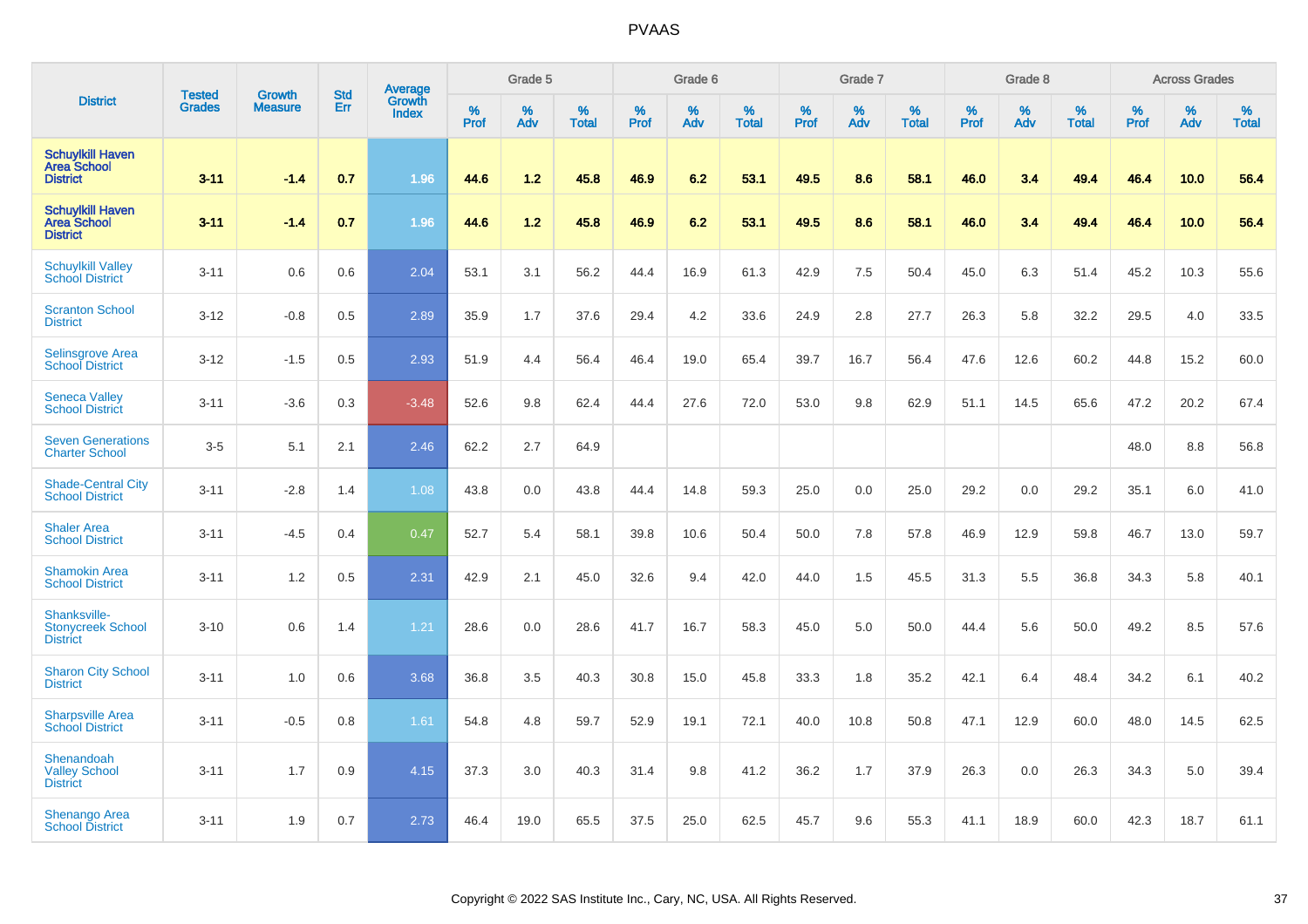|                                                                  |                                | <b>Growth</b>  | <b>Std</b> | Average                |              | Grade 5     |                   |                  | Grade 6  |                   |                  | Grade 7  |                   |              | Grade 8  |                   |              | <b>Across Grades</b> |                   |
|------------------------------------------------------------------|--------------------------------|----------------|------------|------------------------|--------------|-------------|-------------------|------------------|----------|-------------------|------------------|----------|-------------------|--------------|----------|-------------------|--------------|----------------------|-------------------|
| <b>District</b>                                                  | <b>Tested</b><br><b>Grades</b> | <b>Measure</b> | Err        | Growth<br><b>Index</b> | $\%$<br>Prof | $\%$<br>Adv | %<br><b>Total</b> | %<br><b>Prof</b> | %<br>Adv | %<br><b>Total</b> | %<br><b>Prof</b> | %<br>Adv | %<br><b>Total</b> | $\%$<br>Prof | %<br>Adv | %<br><b>Total</b> | $\%$<br>Prof | $\%$<br>Adv          | %<br><b>Total</b> |
| <b>Schuylkill Haven</b><br><b>Area School</b><br><b>District</b> | $3 - 11$                       | $-1.4$         | 0.7        | 1.96                   | 44.6         | 1.2         | 45.8              | 46.9             | 6.2      | 53.1              | 49.5             | 8.6      | 58.1              | 46.0         | 3.4      | 49.4              | 46.4         | 10.0                 | 56.4              |
| <b>Schuylkill Haven</b><br><b>Area School</b><br><b>District</b> | $3 - 11$                       | $-1.4$         | 0.7        | 1.96                   | 44.6         | $1.2$       | 45.8              | 46.9             | 6.2      | 53.1              | 49.5             | 8.6      | 58.1              | 46.0         | 3.4      | 49.4              | 46.4         | 10.0                 | 56.4              |
| <b>Schuylkill Valley</b><br><b>School District</b>               | $3 - 11$                       | 0.6            | 0.6        | 2.04                   | 53.1         | 3.1         | 56.2              | 44.4             | 16.9     | 61.3              | 42.9             | 7.5      | 50.4              | 45.0         | 6.3      | 51.4              | 45.2         | 10.3                 | 55.6              |
| <b>Scranton School</b><br><b>District</b>                        | $3 - 12$                       | $-0.8$         | 0.5        | 2.89                   | 35.9         | 1.7         | 37.6              | 29.4             | 4.2      | 33.6              | 24.9             | 2.8      | 27.7              | 26.3         | 5.8      | 32.2              | 29.5         | 4.0                  | 33.5              |
| <b>Selinsgrove Area</b><br><b>School District</b>                | $3 - 12$                       | $-1.5$         | 0.5        | 2.93                   | 51.9         | 4.4         | 56.4              | 46.4             | 19.0     | 65.4              | 39.7             | 16.7     | 56.4              | 47.6         | 12.6     | 60.2              | 44.8         | 15.2                 | 60.0              |
| <b>Seneca Valley</b><br><b>School District</b>                   | $3 - 11$                       | $-3.6$         | 0.3        | $-3.48$                | 52.6         | 9.8         | 62.4              | 44.4             | 27.6     | 72.0              | 53.0             | 9.8      | 62.9              | 51.1         | 14.5     | 65.6              | 47.2         | 20.2                 | 67.4              |
| <b>Seven Generations</b><br><b>Charter School</b>                | $3-5$                          | 5.1            | 2.1        | 2.46                   | 62.2         | 2.7         | 64.9              |                  |          |                   |                  |          |                   |              |          |                   | 48.0         | 8.8                  | 56.8              |
| <b>Shade-Central City</b><br><b>School District</b>              | $3 - 11$                       | $-2.8$         | 1.4        | 1.08                   | 43.8         | 0.0         | 43.8              | 44.4             | 14.8     | 59.3              | 25.0             | 0.0      | 25.0              | 29.2         | 0.0      | 29.2              | 35.1         | 6.0                  | 41.0              |
| <b>Shaler Area</b><br><b>School District</b>                     | $3 - 11$                       | $-4.5$         | 0.4        | 0.47                   | 52.7         | 5.4         | 58.1              | 39.8             | 10.6     | 50.4              | 50.0             | 7.8      | 57.8              | 46.9         | 12.9     | 59.8              | 46.7         | 13.0                 | 59.7              |
| <b>Shamokin Area</b><br><b>School District</b>                   | $3 - 11$                       | 1.2            | 0.5        | 2.31                   | 42.9         | 2.1         | 45.0              | 32.6             | 9.4      | 42.0              | 44.0             | 1.5      | 45.5              | 31.3         | 5.5      | 36.8              | 34.3         | 5.8                  | 40.1              |
| Shanksville-<br><b>Stonycreek School</b><br><b>District</b>      | $3 - 10$                       | 0.6            | 1.4        | 1.21                   | 28.6         | 0.0         | 28.6              | 41.7             | 16.7     | 58.3              | 45.0             | 5.0      | 50.0              | 44.4         | 5.6      | 50.0              | 49.2         | 8.5                  | 57.6              |
| <b>Sharon City School</b><br><b>District</b>                     | $3 - 11$                       | 1.0            | 0.6        | 3.68                   | 36.8         | 3.5         | 40.3              | 30.8             | 15.0     | 45.8              | 33.3             | 1.8      | 35.2              | 42.1         | 6.4      | 48.4              | 34.2         | 6.1                  | 40.2              |
| <b>Sharpsville Area</b><br><b>School District</b>                | $3 - 11$                       | $-0.5$         | 0.8        | 1.61                   | 54.8         | 4.8         | 59.7              | 52.9             | 19.1     | 72.1              | 40.0             | 10.8     | 50.8              | 47.1         | 12.9     | 60.0              | 48.0         | 14.5                 | 62.5              |
| Shenandoah<br><b>Valley School</b><br><b>District</b>            | $3 - 11$                       | 1.7            | 0.9        | 4.15                   | 37.3         | 3.0         | 40.3              | 31.4             | 9.8      | 41.2              | 36.2             | 1.7      | 37.9              | 26.3         | 0.0      | 26.3              | 34.3         | 5.0                  | 39.4              |
| Shenango Area<br><b>School District</b>                          | $3 - 11$                       | 1.9            | 0.7        | 2.73                   | 46.4         | 19.0        | 65.5              | 37.5             | 25.0     | 62.5              | 45.7             | 9.6      | 55.3              | 41.1         | 18.9     | 60.0              | 42.3         | 18.7                 | 61.1              |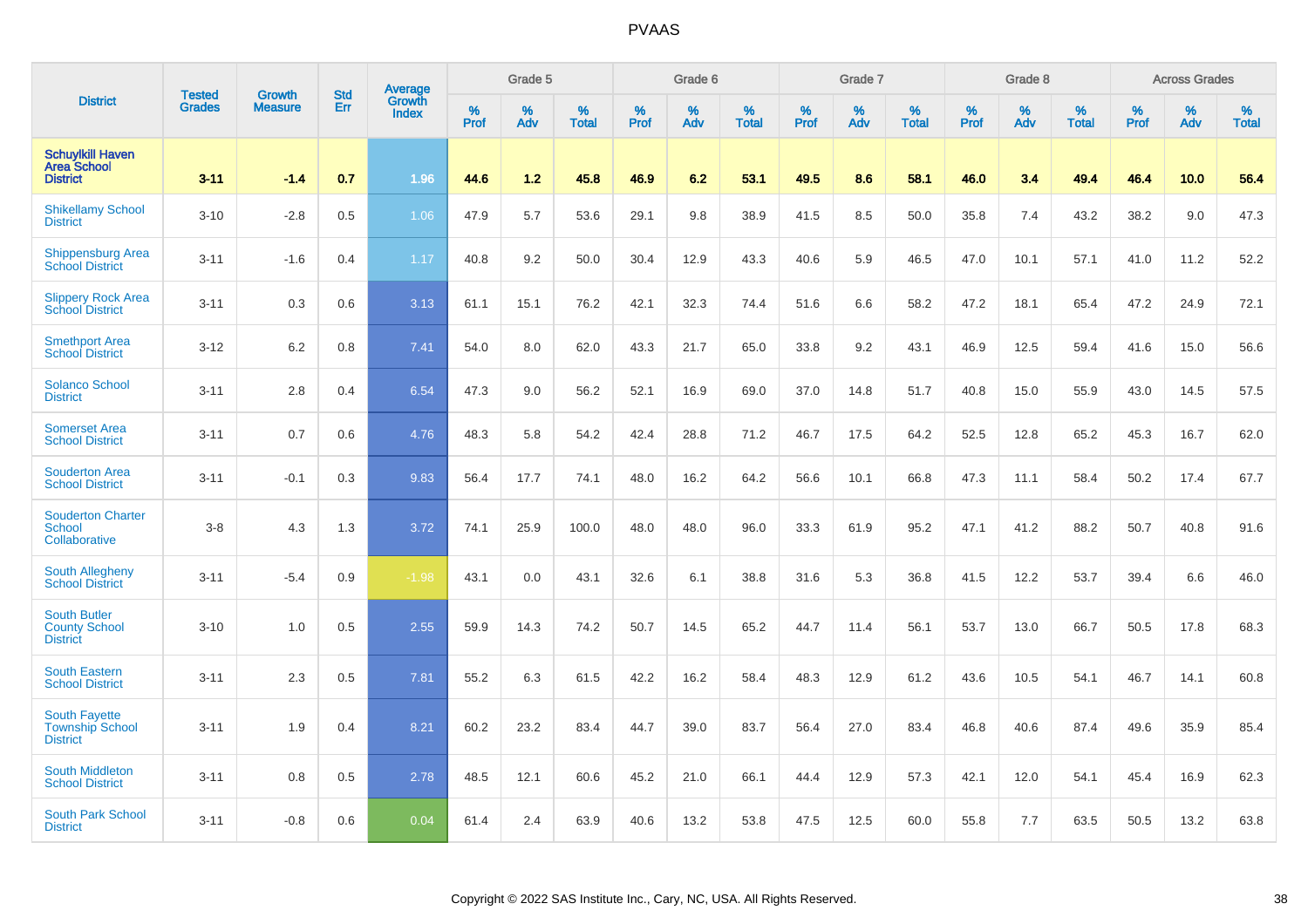|                                                                   |                                |                                 | <b>Std</b> | Average                |              | Grade 5  |                   |           | Grade 6  |                   |           | Grade 7  |                   |           | Grade 8  |                   |           | <b>Across Grades</b> |                   |
|-------------------------------------------------------------------|--------------------------------|---------------------------------|------------|------------------------|--------------|----------|-------------------|-----------|----------|-------------------|-----------|----------|-------------------|-----------|----------|-------------------|-----------|----------------------|-------------------|
| <b>District</b>                                                   | <b>Tested</b><br><b>Grades</b> | <b>Growth</b><br><b>Measure</b> | Err        | Growth<br><b>Index</b> | $\%$<br>Prof | %<br>Adv | %<br><b>Total</b> | %<br>Prof | %<br>Adv | %<br><b>Total</b> | %<br>Prof | %<br>Adv | %<br><b>Total</b> | %<br>Prof | %<br>Adv | %<br><b>Total</b> | %<br>Prof | %<br>Adv             | %<br><b>Total</b> |
| <b>Schuylkill Haven</b><br><b>Area School</b><br><b>District</b>  | $3 - 11$                       | $-1.4$                          | 0.7        | 1.96                   | 44.6         | 1.2      | 45.8              | 46.9      | 6.2      | 53.1              | 49.5      | 8.6      | 58.1              | 46.0      | 3.4      | 49.4              | 46.4      | 10.0                 | 56.4              |
| <b>Shikellamy School</b><br><b>District</b>                       | $3 - 10$                       | $-2.8$                          | 0.5        | 1.06                   | 47.9         | 5.7      | 53.6              | 29.1      | 9.8      | 38.9              | 41.5      | 8.5      | 50.0              | 35.8      | 7.4      | 43.2              | 38.2      | 9.0                  | 47.3              |
| <b>Shippensburg Area</b><br><b>School District</b>                | $3 - 11$                       | $-1.6$                          | 0.4        | 1.17                   | 40.8         | 9.2      | 50.0              | 30.4      | 12.9     | 43.3              | 40.6      | 5.9      | 46.5              | 47.0      | 10.1     | 57.1              | 41.0      | 11.2                 | 52.2              |
| <b>Slippery Rock Area</b><br><b>School District</b>               | $3 - 11$                       | 0.3                             | 0.6        | 3.13                   | 61.1         | 15.1     | 76.2              | 42.1      | 32.3     | 74.4              | 51.6      | 6.6      | 58.2              | 47.2      | 18.1     | 65.4              | 47.2      | 24.9                 | 72.1              |
| <b>Smethport Area</b><br><b>School District</b>                   | $3 - 12$                       | 6.2                             | 0.8        | 7.41                   | 54.0         | 8.0      | 62.0              | 43.3      | 21.7     | 65.0              | 33.8      | 9.2      | 43.1              | 46.9      | 12.5     | 59.4              | 41.6      | 15.0                 | 56.6              |
| <b>Solanco School</b><br><b>District</b>                          | $3 - 11$                       | 2.8                             | 0.4        | 6.54                   | 47.3         | 9.0      | 56.2              | 52.1      | 16.9     | 69.0              | 37.0      | 14.8     | 51.7              | 40.8      | 15.0     | 55.9              | 43.0      | 14.5                 | 57.5              |
| <b>Somerset Area</b><br><b>School District</b>                    | $3 - 11$                       | 0.7                             | 0.6        | 4.76                   | 48.3         | 5.8      | 54.2              | 42.4      | 28.8     | 71.2              | 46.7      | 17.5     | 64.2              | 52.5      | 12.8     | 65.2              | 45.3      | 16.7                 | 62.0              |
| <b>Souderton Area</b><br><b>School District</b>                   | $3 - 11$                       | $-0.1$                          | 0.3        | 9.83                   | 56.4         | 17.7     | 74.1              | 48.0      | 16.2     | 64.2              | 56.6      | 10.1     | 66.8              | 47.3      | 11.1     | 58.4              | 50.2      | 17.4                 | 67.7              |
| <b>Souderton Charter</b><br><b>School</b><br>Collaborative        | $3-8$                          | 4.3                             | 1.3        | 3.72                   | 74.1         | 25.9     | 100.0             | 48.0      | 48.0     | 96.0              | 33.3      | 61.9     | 95.2              | 47.1      | 41.2     | 88.2              | 50.7      | 40.8                 | 91.6              |
| South Allegheny<br><b>School District</b>                         | $3 - 11$                       | $-5.4$                          | 0.9        | $-1.98$                | 43.1         | 0.0      | 43.1              | 32.6      | 6.1      | 38.8              | 31.6      | 5.3      | 36.8              | 41.5      | 12.2     | 53.7              | 39.4      | 6.6                  | 46.0              |
| <b>South Butler</b><br><b>County School</b><br><b>District</b>    | $3 - 10$                       | 1.0                             | 0.5        | 2.55                   | 59.9         | 14.3     | 74.2              | 50.7      | 14.5     | 65.2              | 44.7      | 11.4     | 56.1              | 53.7      | 13.0     | 66.7              | 50.5      | 17.8                 | 68.3              |
| <b>South Eastern</b><br><b>School District</b>                    | $3 - 11$                       | 2.3                             | 0.5        | 7.81                   | 55.2         | 6.3      | 61.5              | 42.2      | 16.2     | 58.4              | 48.3      | 12.9     | 61.2              | 43.6      | 10.5     | 54.1              | 46.7      | 14.1                 | 60.8              |
| <b>South Fayette</b><br><b>Township School</b><br><b>District</b> | $3 - 11$                       | 1.9                             | 0.4        | 8.21                   | 60.2         | 23.2     | 83.4              | 44.7      | 39.0     | 83.7              | 56.4      | 27.0     | 83.4              | 46.8      | 40.6     | 87.4              | 49.6      | 35.9                 | 85.4              |
| <b>South Middleton</b><br><b>School District</b>                  | $3 - 11$                       | 0.8                             | 0.5        | 2.78                   | 48.5         | 12.1     | 60.6              | 45.2      | 21.0     | 66.1              | 44.4      | 12.9     | 57.3              | 42.1      | 12.0     | 54.1              | 45.4      | 16.9                 | 62.3              |
| South Park School<br><b>District</b>                              | $3 - 11$                       | $-0.8$                          | 0.6        | 0.04                   | 61.4         | 2.4      | 63.9              | 40.6      | 13.2     | 53.8              | 47.5      | 12.5     | 60.0              | 55.8      | 7.7      | 63.5              | 50.5      | 13.2                 | 63.8              |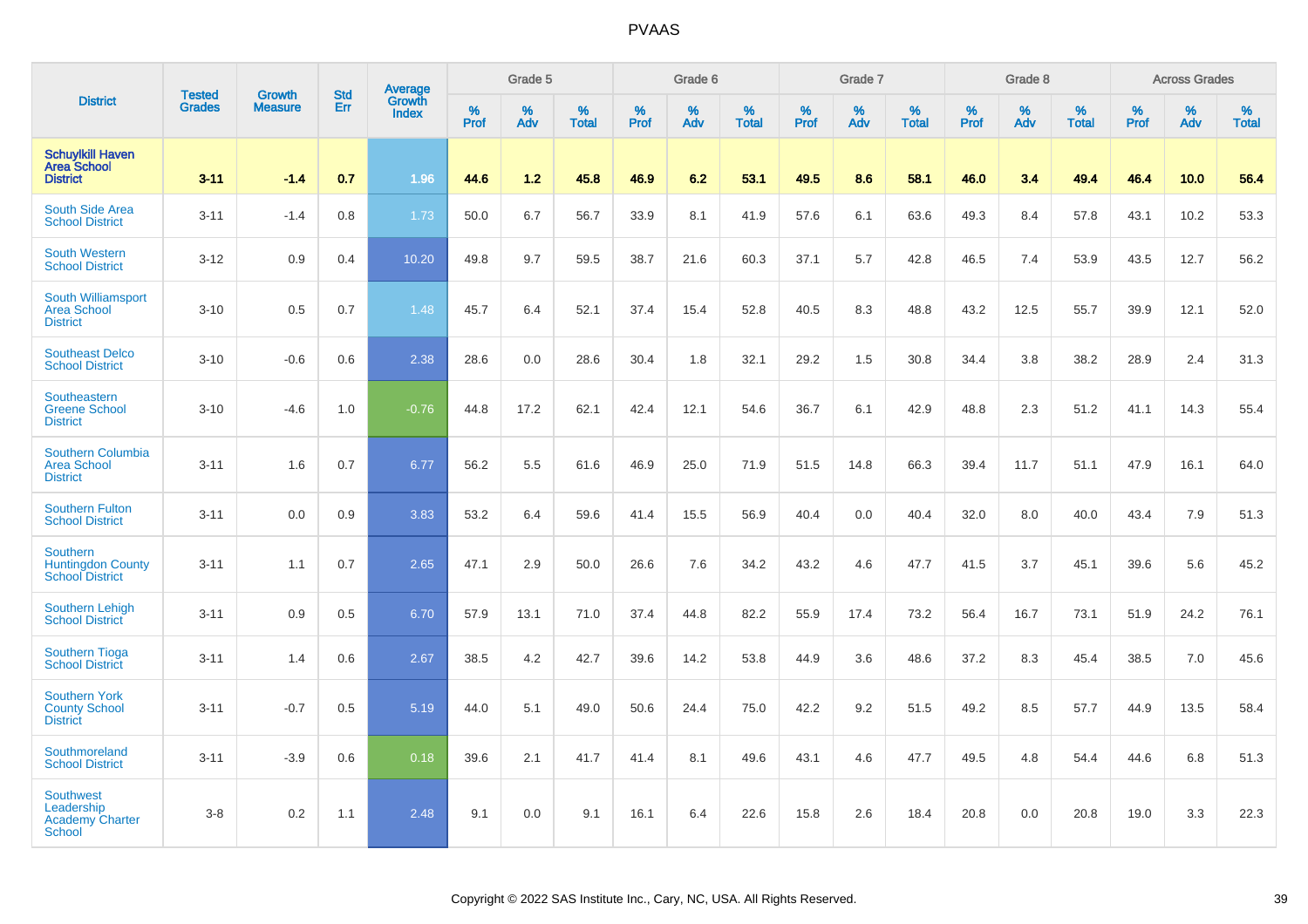|                                                                           |                                | <b>Growth</b>  | <b>Std</b> | Average                |                     | Grade 5     |                      |                  | Grade 6  |                   |              | Grade 7  |                   |              | Grade 8  |                   |              | <b>Across Grades</b> |                      |
|---------------------------------------------------------------------------|--------------------------------|----------------|------------|------------------------|---------------------|-------------|----------------------|------------------|----------|-------------------|--------------|----------|-------------------|--------------|----------|-------------------|--------------|----------------------|----------------------|
| <b>District</b>                                                           | <b>Tested</b><br><b>Grades</b> | <b>Measure</b> | Err        | Growth<br><b>Index</b> | $\%$<br><b>Prof</b> | $\%$<br>Adv | $\%$<br><b>Total</b> | %<br><b>Prof</b> | %<br>Adv | %<br><b>Total</b> | $\%$<br>Prof | %<br>Adv | %<br><b>Total</b> | $\%$<br>Prof | %<br>Adv | %<br><b>Total</b> | $\%$<br>Prof | $\%$<br>Adv          | $\%$<br><b>Total</b> |
| <b>Schuylkill Haven</b><br><b>Area School</b><br><b>District</b>          | $3 - 11$                       | $-1.4$         | 0.7        | 1.96                   | 44.6                | 1.2         | 45.8                 | 46.9             | 6.2      | 53.1              | 49.5         | 8.6      | 58.1              | 46.0         | 3.4      | 49.4              | 46.4         | 10.0                 | 56.4                 |
| South Side Area<br><b>School District</b>                                 | $3 - 11$                       | $-1.4$         | 0.8        | 1.73                   | 50.0                | 6.7         | 56.7                 | 33.9             | 8.1      | 41.9              | 57.6         | 6.1      | 63.6              | 49.3         | 8.4      | 57.8              | 43.1         | 10.2                 | 53.3                 |
| <b>South Western</b><br><b>School District</b>                            | $3 - 12$                       | 0.9            | 0.4        | 10.20                  | 49.8                | 9.7         | 59.5                 | 38.7             | 21.6     | 60.3              | 37.1         | 5.7      | 42.8              | 46.5         | 7.4      | 53.9              | 43.5         | 12.7                 | 56.2                 |
| <b>South Williamsport</b><br><b>Area School</b><br><b>District</b>        | $3 - 10$                       | 0.5            | 0.7        | 1.48                   | 45.7                | 6.4         | 52.1                 | 37.4             | 15.4     | 52.8              | 40.5         | 8.3      | 48.8              | 43.2         | 12.5     | 55.7              | 39.9         | 12.1                 | 52.0                 |
| <b>Southeast Delco</b><br><b>School District</b>                          | $3 - 10$                       | $-0.6$         | 0.6        | 2.38                   | 28.6                | 0.0         | 28.6                 | 30.4             | 1.8      | 32.1              | 29.2         | 1.5      | 30.8              | 34.4         | 3.8      | 38.2              | 28.9         | 2.4                  | 31.3                 |
| Southeastern<br><b>Greene School</b><br><b>District</b>                   | $3 - 10$                       | $-4.6$         | 1.0        | $-0.76$                | 44.8                | 17.2        | 62.1                 | 42.4             | 12.1     | 54.6              | 36.7         | 6.1      | 42.9              | 48.8         | 2.3      | 51.2              | 41.1         | 14.3                 | 55.4                 |
| Southern Columbia<br><b>Area School</b><br><b>District</b>                | $3 - 11$                       | 1.6            | 0.7        | 6.77                   | 56.2                | 5.5         | 61.6                 | 46.9             | 25.0     | 71.9              | 51.5         | 14.8     | 66.3              | 39.4         | 11.7     | 51.1              | 47.9         | 16.1                 | 64.0                 |
| <b>Southern Fulton</b><br><b>School District</b>                          | $3 - 11$                       | 0.0            | 0.9        | 3.83                   | 53.2                | 6.4         | 59.6                 | 41.4             | 15.5     | 56.9              | 40.4         | 0.0      | 40.4              | 32.0         | 8.0      | 40.0              | 43.4         | 7.9                  | 51.3                 |
| <b>Southern</b><br><b>Huntingdon County</b><br><b>School District</b>     | $3 - 11$                       | 1.1            | 0.7        | 2.65                   | 47.1                | 2.9         | 50.0                 | 26.6             | 7.6      | 34.2              | 43.2         | 4.6      | 47.7              | 41.5         | 3.7      | 45.1              | 39.6         | 5.6                  | 45.2                 |
| <b>Southern Lehigh</b><br><b>School District</b>                          | $3 - 11$                       | 0.9            | 0.5        | 6.70                   | 57.9                | 13.1        | 71.0                 | 37.4             | 44.8     | 82.2              | 55.9         | 17.4     | 73.2              | 56.4         | 16.7     | 73.1              | 51.9         | 24.2                 | 76.1                 |
| <b>Southern Tioga</b><br><b>School District</b>                           | $3 - 11$                       | 1.4            | 0.6        | 2.67                   | 38.5                | 4.2         | 42.7                 | 39.6             | 14.2     | 53.8              | 44.9         | 3.6      | 48.6              | 37.2         | 8.3      | 45.4              | 38.5         | 7.0                  | 45.6                 |
| <b>Southern York</b><br><b>County School</b><br><b>District</b>           | $3 - 11$                       | $-0.7$         | 0.5        | 5.19                   | 44.0                | 5.1         | 49.0                 | 50.6             | 24.4     | 75.0              | 42.2         | 9.2      | 51.5              | 49.2         | 8.5      | 57.7              | 44.9         | 13.5                 | 58.4                 |
| Southmoreland<br><b>School District</b>                                   | $3 - 11$                       | $-3.9$         | 0.6        | 0.18                   | 39.6                | 2.1         | 41.7                 | 41.4             | 8.1      | 49.6              | 43.1         | 4.6      | 47.7              | 49.5         | 4.8      | 54.4              | 44.6         | 6.8                  | 51.3                 |
| <b>Southwest</b><br>Leadership<br><b>Academy Charter</b><br><b>School</b> | $3 - 8$                        | 0.2            | 1.1        | 2.48                   | 9.1                 | 0.0         | 9.1                  | 16.1             | 6.4      | 22.6              | 15.8         | 2.6      | 18.4              | 20.8         | 0.0      | 20.8              | 19.0         | 3.3                  | 22.3                 |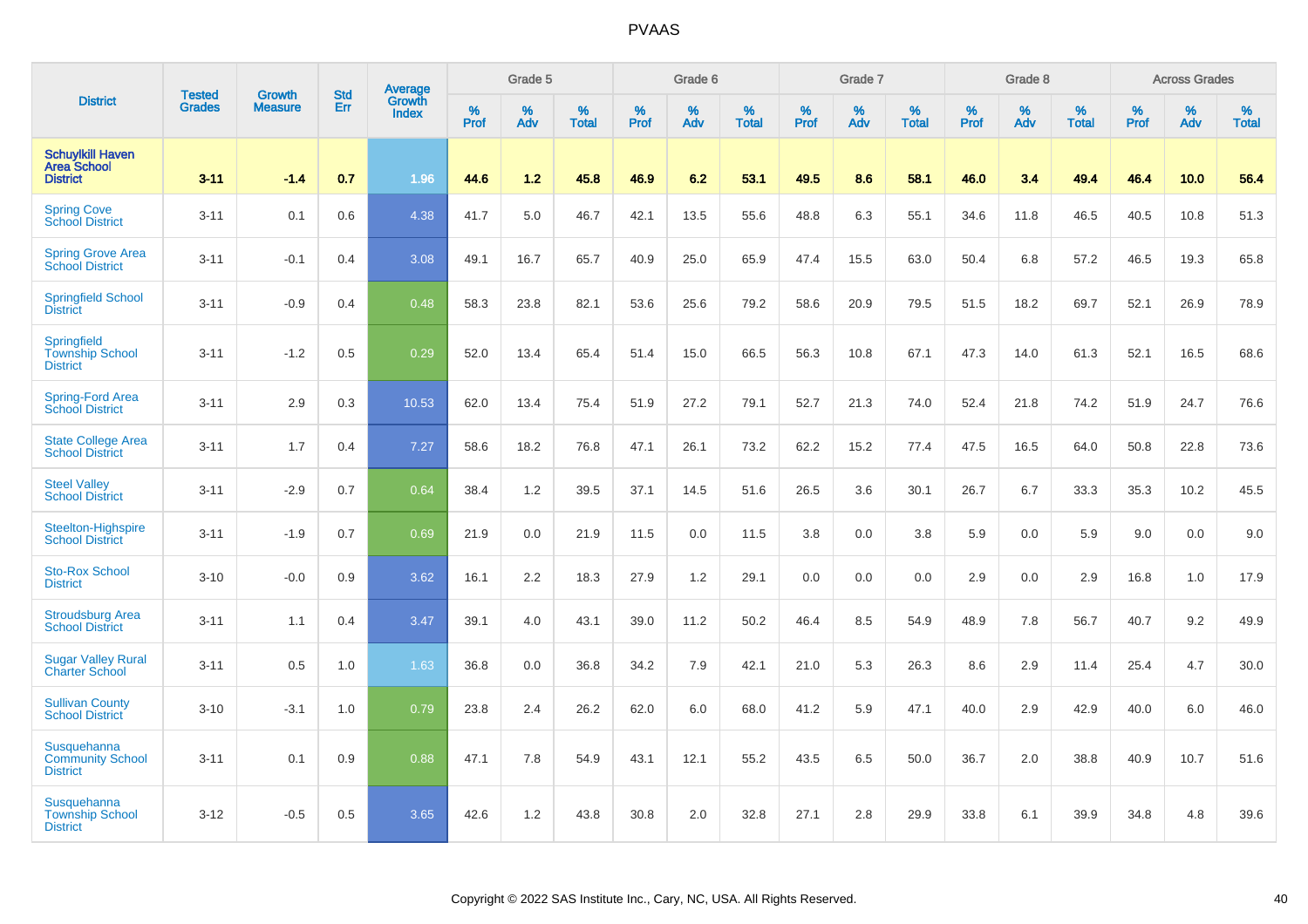|                                                                  |                                |                                 | <b>Std</b> | Average                |                     | Grade 5  |                   |                  | Grade 6  |                   |                  | Grade 7  |                   |           | Grade 8  |                   |           | <b>Across Grades</b> |                   |
|------------------------------------------------------------------|--------------------------------|---------------------------------|------------|------------------------|---------------------|----------|-------------------|------------------|----------|-------------------|------------------|----------|-------------------|-----------|----------|-------------------|-----------|----------------------|-------------------|
| <b>District</b>                                                  | <b>Tested</b><br><b>Grades</b> | <b>Growth</b><br><b>Measure</b> | Err        | Growth<br><b>Index</b> | $\%$<br><b>Prof</b> | %<br>Adv | %<br><b>Total</b> | %<br><b>Prof</b> | %<br>Adv | %<br><b>Total</b> | %<br><b>Prof</b> | %<br>Adv | %<br><b>Total</b> | %<br>Prof | %<br>Adv | %<br><b>Total</b> | %<br>Prof | %<br>Adv             | %<br><b>Total</b> |
| <b>Schuylkill Haven</b><br><b>Area School</b><br><b>District</b> | $3 - 11$                       | $-1.4$                          | 0.7        | 1.96                   | 44.6                | 1.2      | 45.8              | 46.9             | 6.2      | 53.1              | 49.5             | 8.6      | 58.1              | 46.0      | 3.4      | 49.4              | 46.4      | 10.0                 | 56.4              |
| <b>Spring Cove</b><br>School District                            | $3 - 11$                       | 0.1                             | 0.6        | 4.38                   | 41.7                | 5.0      | 46.7              | 42.1             | 13.5     | 55.6              | 48.8             | 6.3      | 55.1              | 34.6      | 11.8     | 46.5              | 40.5      | 10.8                 | 51.3              |
| <b>Spring Grove Area</b><br><b>School District</b>               | $3 - 11$                       | $-0.1$                          | 0.4        | 3.08                   | 49.1                | 16.7     | 65.7              | 40.9             | 25.0     | 65.9              | 47.4             | 15.5     | 63.0              | 50.4      | 6.8      | 57.2              | 46.5      | 19.3                 | 65.8              |
| <b>Springfield School</b><br><b>District</b>                     | $3 - 11$                       | $-0.9$                          | 0.4        | 0.48                   | 58.3                | 23.8     | 82.1              | 53.6             | 25.6     | 79.2              | 58.6             | 20.9     | 79.5              | 51.5      | 18.2     | 69.7              | 52.1      | 26.9                 | 78.9              |
| Springfield<br><b>Township School</b><br><b>District</b>         | $3 - 11$                       | $-1.2$                          | 0.5        | 0.29                   | 52.0                | 13.4     | 65.4              | 51.4             | 15.0     | 66.5              | 56.3             | 10.8     | 67.1              | 47.3      | 14.0     | 61.3              | 52.1      | 16.5                 | 68.6              |
| Spring-Ford Area<br><b>School District</b>                       | $3 - 11$                       | 2.9                             | 0.3        | 10.53                  | 62.0                | 13.4     | 75.4              | 51.9             | 27.2     | 79.1              | 52.7             | 21.3     | 74.0              | 52.4      | 21.8     | 74.2              | 51.9      | 24.7                 | 76.6              |
| <b>State College Area</b><br><b>School District</b>              | $3 - 11$                       | 1.7                             | 0.4        | 7.27                   | 58.6                | 18.2     | 76.8              | 47.1             | 26.1     | 73.2              | 62.2             | 15.2     | 77.4              | 47.5      | 16.5     | 64.0              | 50.8      | 22.8                 | 73.6              |
| <b>Steel Valley</b><br><b>School District</b>                    | $3 - 11$                       | $-2.9$                          | 0.7        | 0.64                   | 38.4                | 1.2      | 39.5              | 37.1             | 14.5     | 51.6              | 26.5             | 3.6      | 30.1              | 26.7      | 6.7      | 33.3              | 35.3      | 10.2                 | 45.5              |
| Steelton-Highspire<br><b>School District</b>                     | $3 - 11$                       | $-1.9$                          | 0.7        | 0.69                   | 21.9                | 0.0      | 21.9              | 11.5             | 0.0      | 11.5              | 3.8              | 0.0      | 3.8               | 5.9       | 0.0      | 5.9               | 9.0       | 0.0                  | 9.0               |
| <b>Sto-Rox School</b><br><b>District</b>                         | $3 - 10$                       | $-0.0$                          | 0.9        | 3.62                   | 16.1                | 2.2      | 18.3              | 27.9             | 1.2      | 29.1              | 0.0              | 0.0      | 0.0               | 2.9       | 0.0      | 2.9               | 16.8      | 1.0                  | 17.9              |
| <b>Stroudsburg Area</b><br><b>School District</b>                | $3 - 11$                       | 1.1                             | 0.4        | 3.47                   | 39.1                | 4.0      | 43.1              | 39.0             | 11.2     | 50.2              | 46.4             | 8.5      | 54.9              | 48.9      | 7.8      | 56.7              | 40.7      | 9.2                  | 49.9              |
| <b>Sugar Valley Rural</b><br><b>Charter School</b>               | $3 - 11$                       | 0.5                             | 1.0        | 1.63                   | 36.8                | 0.0      | 36.8              | 34.2             | 7.9      | 42.1              | 21.0             | 5.3      | 26.3              | 8.6       | 2.9      | 11.4              | 25.4      | 4.7                  | 30.0              |
| <b>Sullivan County</b><br><b>School District</b>                 | $3 - 10$                       | $-3.1$                          | 1.0        | 0.79                   | 23.8                | 2.4      | 26.2              | 62.0             | 6.0      | 68.0              | 41.2             | 5.9      | 47.1              | 40.0      | 2.9      | 42.9              | 40.0      | 6.0                  | 46.0              |
| Susquehanna<br><b>Community School</b><br><b>District</b>        | $3 - 11$                       | 0.1                             | 0.9        | 0.88                   | 47.1                | 7.8      | 54.9              | 43.1             | 12.1     | 55.2              | 43.5             | 6.5      | 50.0              | 36.7      | 2.0      | 38.8              | 40.9      | 10.7                 | 51.6              |
| Susquehanna<br><b>Township School</b><br><b>District</b>         | $3 - 12$                       | $-0.5$                          | 0.5        | 3.65                   | 42.6                | 1.2      | 43.8              | 30.8             | 2.0      | 32.8              | 27.1             | 2.8      | 29.9              | 33.8      | 6.1      | 39.9              | 34.8      | 4.8                  | 39.6              |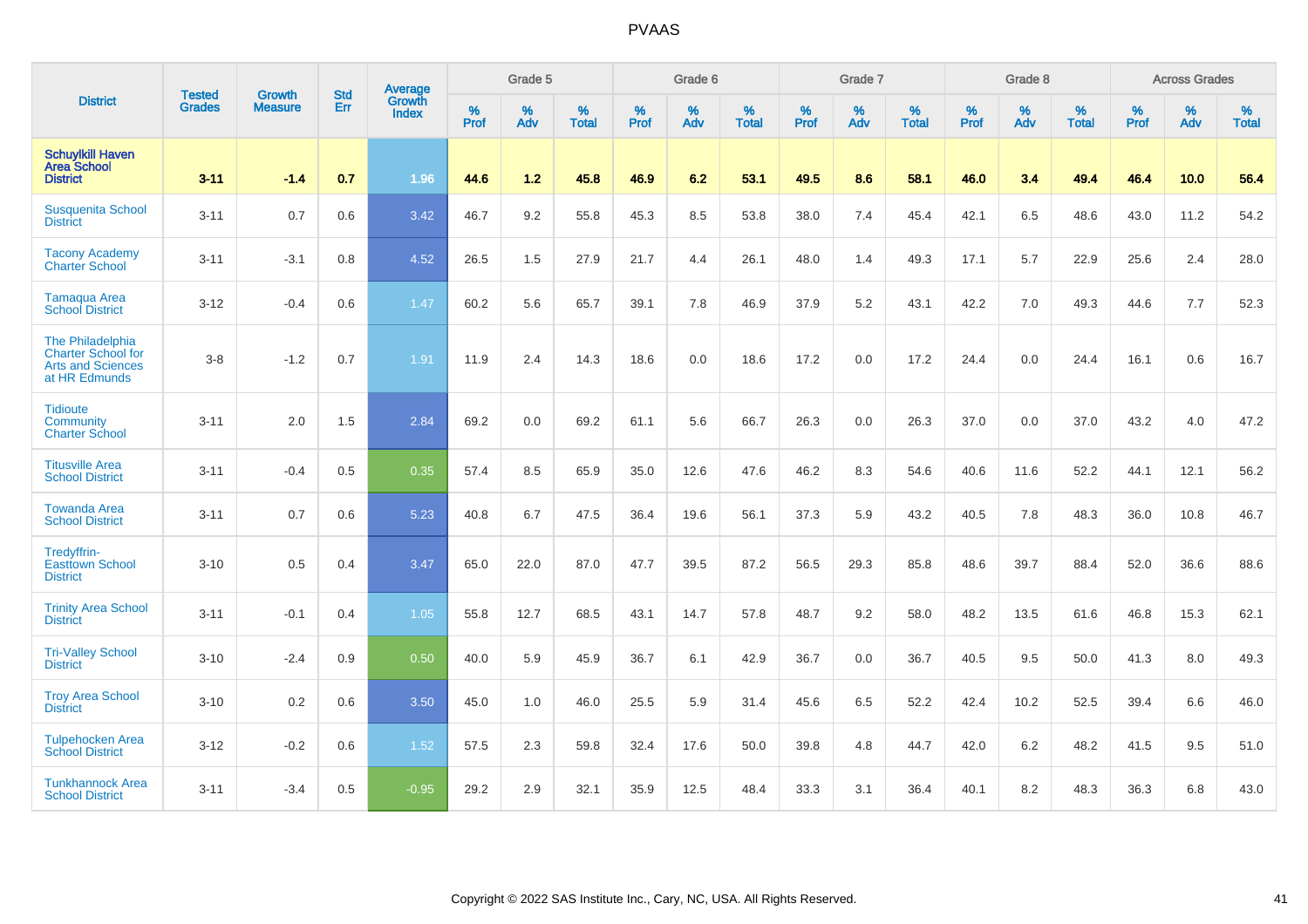|                                                                                     | <b>Tested</b> | <b>Growth</b>  | <b>Std</b> | Average                |              | Grade 5     |                      |              | Grade 6  |                   |              | Grade 7     |                      |              | Grade 8     |                      |                     | <b>Across Grades</b> |                   |
|-------------------------------------------------------------------------------------|---------------|----------------|------------|------------------------|--------------|-------------|----------------------|--------------|----------|-------------------|--------------|-------------|----------------------|--------------|-------------|----------------------|---------------------|----------------------|-------------------|
| <b>District</b>                                                                     | <b>Grades</b> | <b>Measure</b> | Err        | Growth<br><b>Index</b> | $\%$<br>Prof | $\%$<br>Adv | $\%$<br><b>Total</b> | $\%$<br>Prof | %<br>Adv | %<br><b>Total</b> | $\%$<br>Prof | $\%$<br>Adv | $\%$<br><b>Total</b> | $\%$<br>Prof | $\%$<br>Adv | $\%$<br><b>Total</b> | $\%$<br><b>Prof</b> | $\%$<br>Adv          | %<br><b>Total</b> |
| <b>Schuylkill Haven</b><br><b>Area School</b><br><b>District</b>                    | $3 - 11$      | $-1.4$         | 0.7        | 1.96                   | 44.6         | 1.2         | 45.8                 | 46.9         | 6.2      | 53.1              | 49.5         | 8.6         | 58.1                 | 46.0         | 3.4         | 49.4                 | 46.4                | 10.0                 | 56.4              |
| <b>Susquenita School</b><br><b>District</b>                                         | $3 - 11$      | 0.7            | 0.6        | 3.42                   | 46.7         | 9.2         | 55.8                 | 45.3         | 8.5      | 53.8              | 38.0         | 7.4         | 45.4                 | 42.1         | 6.5         | 48.6                 | 43.0                | 11.2                 | 54.2              |
| <b>Tacony Academy</b><br><b>Charter School</b>                                      | $3 - 11$      | $-3.1$         | 0.8        | 4.52                   | 26.5         | 1.5         | 27.9                 | 21.7         | 4.4      | 26.1              | 48.0         | 1.4         | 49.3                 | 17.1         | 5.7         | 22.9                 | 25.6                | 2.4                  | 28.0              |
| <b>Tamaqua Area</b><br><b>School District</b>                                       | $3 - 12$      | $-0.4$         | 0.6        | 1.47                   | 60.2         | 5.6         | 65.7                 | 39.1         | 7.8      | 46.9              | 37.9         | 5.2         | 43.1                 | 42.2         | 7.0         | 49.3                 | 44.6                | 7.7                  | 52.3              |
| The Philadelphia<br>Charter School for<br><b>Arts and Sciences</b><br>at HR Edmunds | $3 - 8$       | $-1.2$         | 0.7        | 1.91                   | 11.9         | 2.4         | 14.3                 | 18.6         | 0.0      | 18.6              | 17.2         | 0.0         | 17.2                 | 24.4         | 0.0         | 24.4                 | 16.1                | 0.6                  | 16.7              |
| <b>Tidioute</b><br>Community<br><b>Charter School</b>                               | $3 - 11$      | 2.0            | 1.5        | 2.84                   | 69.2         | 0.0         | 69.2                 | 61.1         | 5.6      | 66.7              | 26.3         | 0.0         | 26.3                 | 37.0         | 0.0         | 37.0                 | 43.2                | 4.0                  | 47.2              |
| <b>Titusville Area</b><br><b>School District</b>                                    | $3 - 11$      | $-0.4$         | 0.5        | 0.35                   | 57.4         | 8.5         | 65.9                 | 35.0         | 12.6     | 47.6              | 46.2         | 8.3         | 54.6                 | 40.6         | 11.6        | 52.2                 | 44.1                | 12.1                 | 56.2              |
| <b>Towanda Area</b><br><b>School District</b>                                       | $3 - 11$      | 0.7            | 0.6        | 5.23                   | 40.8         | 6.7         | 47.5                 | 36.4         | 19.6     | 56.1              | 37.3         | 5.9         | 43.2                 | 40.5         | 7.8         | 48.3                 | 36.0                | 10.8                 | 46.7              |
| Tredyffrin-<br><b>Easttown School</b><br><b>District</b>                            | $3 - 10$      | 0.5            | 0.4        | 3.47                   | 65.0         | 22.0        | 87.0                 | 47.7         | 39.5     | 87.2              | 56.5         | 29.3        | 85.8                 | 48.6         | 39.7        | 88.4                 | 52.0                | 36.6                 | 88.6              |
| <b>Trinity Area School</b><br><b>District</b>                                       | $3 - 11$      | $-0.1$         | 0.4        | 1.05                   | 55.8         | 12.7        | 68.5                 | 43.1         | 14.7     | 57.8              | 48.7         | 9.2         | 58.0                 | 48.2         | 13.5        | 61.6                 | 46.8                | 15.3                 | 62.1              |
| <b>Tri-Valley School</b><br><b>District</b>                                         | $3 - 10$      | $-2.4$         | 0.9        | 0.50                   | 40.0         | 5.9         | 45.9                 | 36.7         | 6.1      | 42.9              | 36.7         | 0.0         | 36.7                 | 40.5         | 9.5         | 50.0                 | 41.3                | 8.0                  | 49.3              |
| <b>Troy Area School</b><br><b>District</b>                                          | $3 - 10$      | 0.2            | 0.6        | 3.50                   | 45.0         | 1.0         | 46.0                 | 25.5         | 5.9      | 31.4              | 45.6         | 6.5         | 52.2                 | 42.4         | 10.2        | 52.5                 | 39.4                | 6.6                  | 46.0              |
| <b>Tulpehocken Area</b><br><b>School District</b>                                   | $3 - 12$      | $-0.2$         | 0.6        | 1.52                   | 57.5         | 2.3         | 59.8                 | 32.4         | 17.6     | 50.0              | 39.8         | 4.8         | 44.7                 | 42.0         | 6.2         | 48.2                 | 41.5                | 9.5                  | 51.0              |
| <b>Tunkhannock Area</b><br><b>School District</b>                                   | $3 - 11$      | $-3.4$         | 0.5        | $-0.95$                | 29.2         | 2.9         | 32.1                 | 35.9         | 12.5     | 48.4              | 33.3         | 3.1         | 36.4                 | 40.1         | 8.2         | 48.3                 | 36.3                | 6.8                  | 43.0              |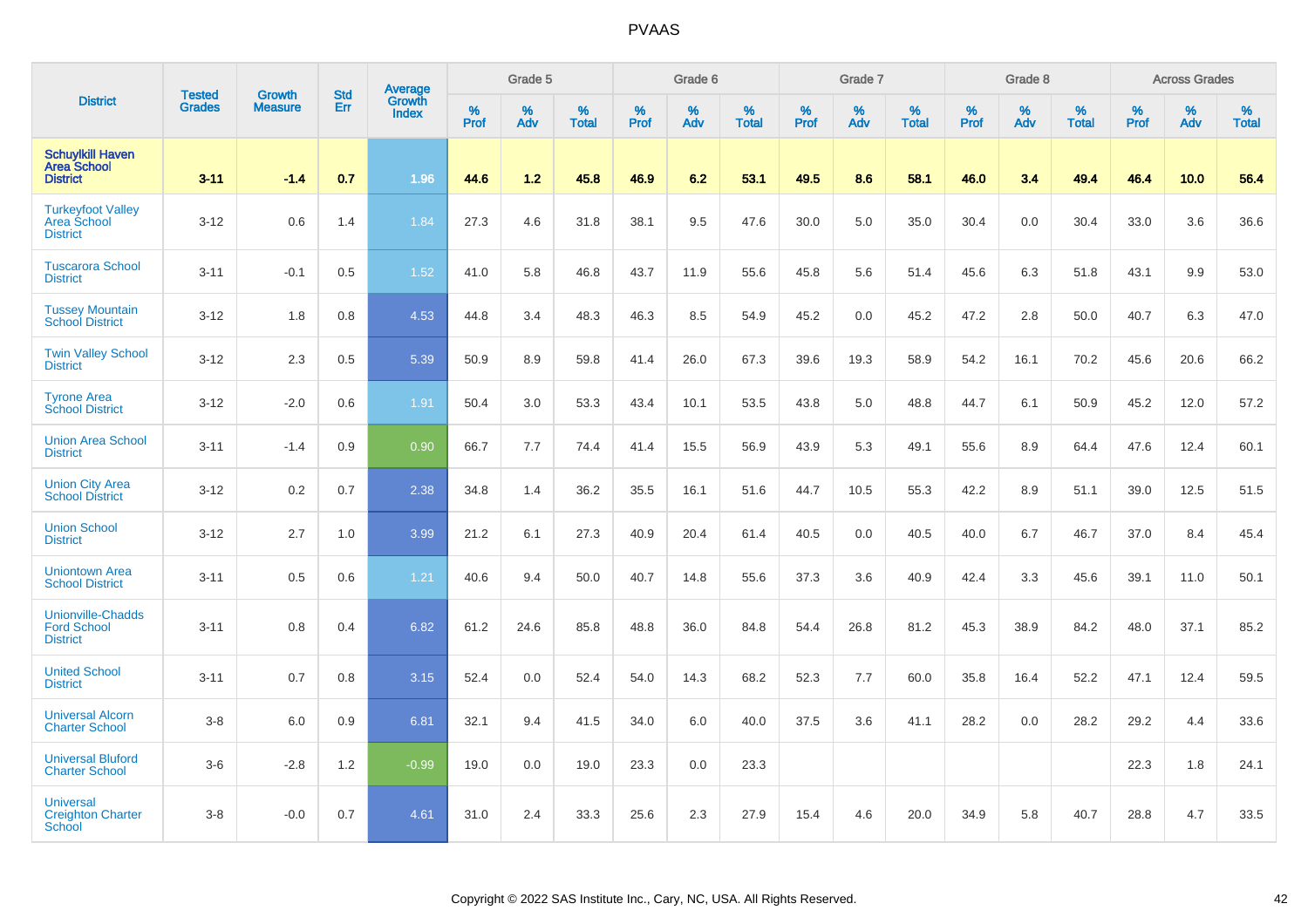|                                                                   | <b>Tested</b> | <b>Growth</b>  | <b>Std</b> |                                   |                     | Grade 5  |                   |           | Grade 6  |                   |                  | Grade 7  |                   |                  | Grade 8     |                   |           | <b>Across Grades</b> |                   |
|-------------------------------------------------------------------|---------------|----------------|------------|-----------------------------------|---------------------|----------|-------------------|-----------|----------|-------------------|------------------|----------|-------------------|------------------|-------------|-------------------|-----------|----------------------|-------------------|
| <b>District</b>                                                   | <b>Grades</b> | <b>Measure</b> | Err        | Average<br>Growth<br><b>Index</b> | $\%$<br><b>Prof</b> | %<br>Adv | %<br><b>Total</b> | %<br>Prof | %<br>Adv | %<br><b>Total</b> | %<br><b>Prof</b> | %<br>Adv | %<br><b>Total</b> | %<br><b>Prof</b> | $\%$<br>Adv | %<br><b>Total</b> | %<br>Prof | %<br>Adv             | %<br><b>Total</b> |
| <b>Schuylkill Haven</b><br><b>Area School</b><br><b>District</b>  | $3 - 11$      | $-1.4$         | 0.7        | 1.96                              | 44.6                | 1.2      | 45.8              | 46.9      | 6.2      | 53.1              | 49.5             | 8.6      | 58.1              | 46.0             | 3.4         | 49.4              | 46.4      | 10.0                 | 56.4              |
| <b>Turkeyfoot Valley</b><br>Area School<br><b>District</b>        | $3 - 12$      | 0.6            | 1.4        | 1.84                              | 27.3                | 4.6      | 31.8              | 38.1      | 9.5      | 47.6              | 30.0             | 5.0      | 35.0              | 30.4             | 0.0         | 30.4              | 33.0      | 3.6                  | 36.6              |
| <b>Tuscarora School</b><br><b>District</b>                        | $3 - 11$      | $-0.1$         | 0.5        | 1.52                              | 41.0                | 5.8      | 46.8              | 43.7      | 11.9     | 55.6              | 45.8             | 5.6      | 51.4              | 45.6             | 6.3         | 51.8              | 43.1      | 9.9                  | 53.0              |
| <b>Tussey Mountain</b><br><b>School District</b>                  | $3 - 12$      | 1.8            | 0.8        | 4.53                              | 44.8                | 3.4      | 48.3              | 46.3      | 8.5      | 54.9              | 45.2             | 0.0      | 45.2              | 47.2             | 2.8         | 50.0              | 40.7      | 6.3                  | 47.0              |
| <b>Twin Valley School</b><br><b>District</b>                      | $3 - 12$      | 2.3            | 0.5        | 5.39                              | 50.9                | 8.9      | 59.8              | 41.4      | 26.0     | 67.3              | 39.6             | 19.3     | 58.9              | 54.2             | 16.1        | 70.2              | 45.6      | 20.6                 | 66.2              |
| <b>Tyrone Area</b><br><b>School District</b>                      | $3 - 12$      | $-2.0$         | 0.6        | 1.91                              | 50.4                | 3.0      | 53.3              | 43.4      | 10.1     | 53.5              | 43.8             | 5.0      | 48.8              | 44.7             | 6.1         | 50.9              | 45.2      | 12.0                 | 57.2              |
| <b>Union Area School</b><br><b>District</b>                       | $3 - 11$      | $-1.4$         | 0.9        | 0.90                              | 66.7                | 7.7      | 74.4              | 41.4      | 15.5     | 56.9              | 43.9             | 5.3      | 49.1              | 55.6             | 8.9         | 64.4              | 47.6      | 12.4                 | 60.1              |
| <b>Union City Area</b><br><b>School District</b>                  | $3 - 12$      | 0.2            | 0.7        | 2.38                              | 34.8                | 1.4      | 36.2              | 35.5      | 16.1     | 51.6              | 44.7             | 10.5     | 55.3              | 42.2             | 8.9         | 51.1              | 39.0      | 12.5                 | 51.5              |
| <b>Union School</b><br><b>District</b>                            | $3 - 12$      | 2.7            | 1.0        | 3.99                              | 21.2                | 6.1      | 27.3              | 40.9      | 20.4     | 61.4              | 40.5             | 0.0      | 40.5              | 40.0             | 6.7         | 46.7              | 37.0      | 8.4                  | 45.4              |
| <b>Uniontown Area</b><br><b>School District</b>                   | $3 - 11$      | 0.5            | 0.6        | 1.21                              | 40.6                | 9.4      | 50.0              | 40.7      | 14.8     | 55.6              | 37.3             | 3.6      | 40.9              | 42.4             | 3.3         | 45.6              | 39.1      | 11.0                 | 50.1              |
| <b>Unionville-Chadds</b><br><b>Ford School</b><br><b>District</b> | $3 - 11$      | 0.8            | 0.4        | 6.82                              | 61.2                | 24.6     | 85.8              | 48.8      | 36.0     | 84.8              | 54.4             | 26.8     | 81.2              | 45.3             | 38.9        | 84.2              | 48.0      | 37.1                 | 85.2              |
| <b>United School</b><br><b>District</b>                           | $3 - 11$      | 0.7            | 0.8        | 3.15                              | 52.4                | 0.0      | 52.4              | 54.0      | 14.3     | 68.2              | 52.3             | 7.7      | 60.0              | 35.8             | 16.4        | 52.2              | 47.1      | 12.4                 | 59.5              |
| <b>Universal Alcorn</b><br><b>Charter School</b>                  | $3-8$         | 6.0            | 0.9        | 6.81                              | 32.1                | 9.4      | 41.5              | 34.0      | 6.0      | 40.0              | 37.5             | 3.6      | 41.1              | 28.2             | 0.0         | 28.2              | 29.2      | 4.4                  | 33.6              |
| <b>Universal Bluford</b><br><b>Charter School</b>                 | $3-6$         | $-2.8$         | 1.2        | $-0.99$                           | 19.0                | 0.0      | 19.0              | 23.3      | 0.0      | 23.3              |                  |          |                   |                  |             |                   | 22.3      | 1.8                  | 24.1              |
| <b>Universal</b><br><b>Creighton Charter</b><br><b>School</b>     | $3-8$         | $-0.0$         | 0.7        | 4.61                              | 31.0                | 2.4      | 33.3              | 25.6      | 2.3      | 27.9              | 15.4             | 4.6      | 20.0              | 34.9             | 5.8         | 40.7              | 28.8      | 4.7                  | 33.5              |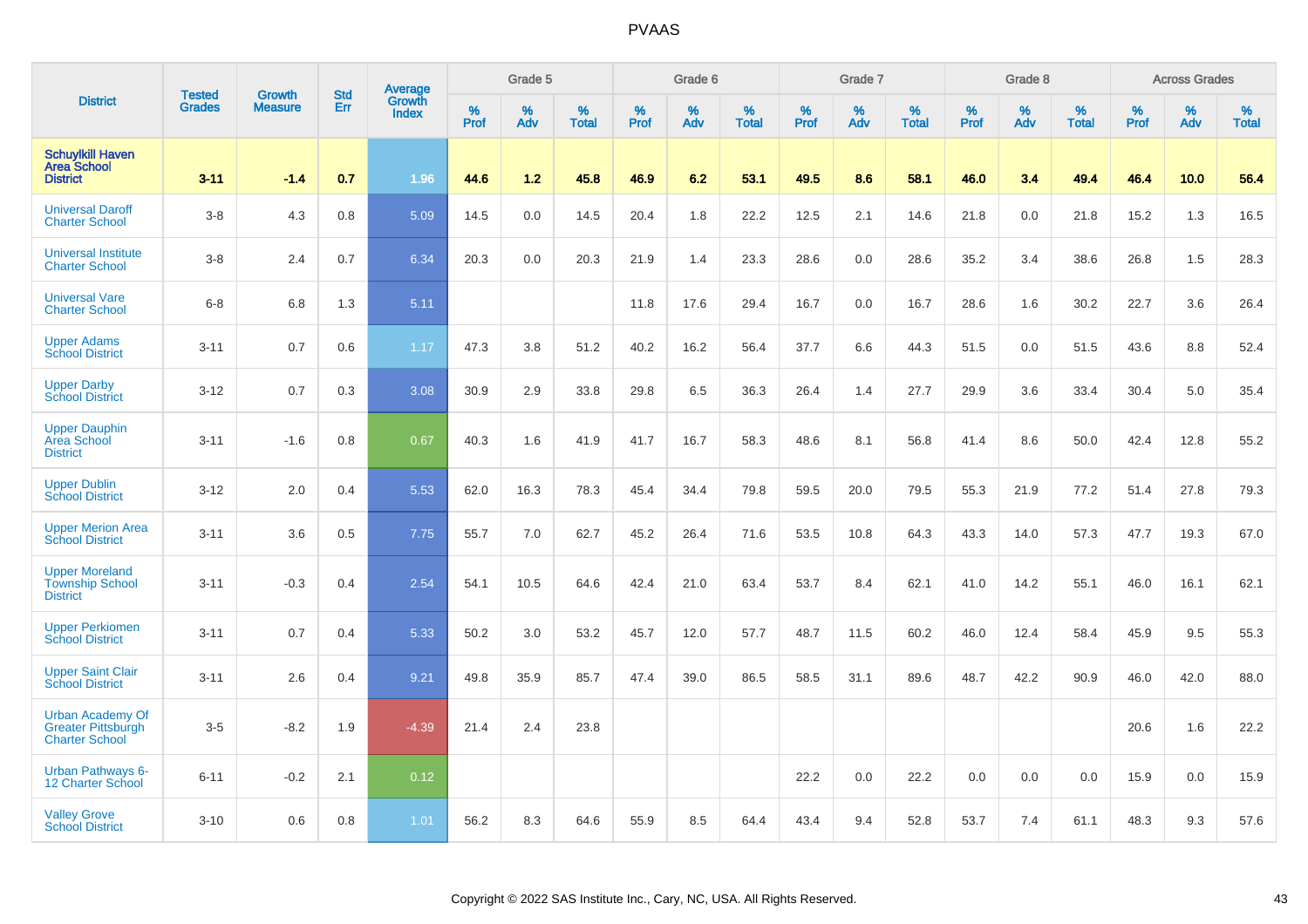|                                                                               |                                |                                 |                   | Average                |              | Grade 5  |                   |           | Grade 6  |                   |           | Grade 7  |                   |           | Grade 8  |                   |           | <b>Across Grades</b> |                   |
|-------------------------------------------------------------------------------|--------------------------------|---------------------------------|-------------------|------------------------|--------------|----------|-------------------|-----------|----------|-------------------|-----------|----------|-------------------|-----------|----------|-------------------|-----------|----------------------|-------------------|
| <b>District</b>                                                               | <b>Tested</b><br><b>Grades</b> | <b>Growth</b><br><b>Measure</b> | <b>Std</b><br>Err | Growth<br><b>Index</b> | $\%$<br>Prof | %<br>Adv | %<br><b>Total</b> | %<br>Prof | %<br>Adv | %<br><b>Total</b> | %<br>Prof | %<br>Adv | %<br><b>Total</b> | %<br>Prof | %<br>Adv | %<br><b>Total</b> | %<br>Prof | %<br>Adv             | %<br><b>Total</b> |
| <b>Schuylkill Haven</b><br><b>Area School</b><br><b>District</b>              | $3 - 11$                       | $-1.4$                          | 0.7               | 1.96                   | 44.6         | 1.2      | 45.8              | 46.9      | 6.2      | 53.1              | 49.5      | 8.6      | 58.1              | 46.0      | 3.4      | 49.4              | 46.4      | 10.0                 | 56.4              |
| <b>Universal Daroff</b><br><b>Charter School</b>                              | $3 - 8$                        | 4.3                             | 0.8               | 5.09                   | 14.5         | 0.0      | 14.5              | 20.4      | 1.8      | 22.2              | 12.5      | 2.1      | 14.6              | 21.8      | 0.0      | 21.8              | 15.2      | 1.3                  | 16.5              |
| <b>Universal Institute</b><br><b>Charter School</b>                           | $3 - 8$                        | 2.4                             | 0.7               | 6.34                   | 20.3         | 0.0      | 20.3              | 21.9      | 1.4      | 23.3              | 28.6      | 0.0      | 28.6              | 35.2      | 3.4      | 38.6              | 26.8      | 1.5                  | 28.3              |
| <b>Universal Vare</b><br><b>Charter School</b>                                | $6 - 8$                        | 6.8                             | 1.3               | 5.11                   |              |          |                   | 11.8      | 17.6     | 29.4              | 16.7      | 0.0      | 16.7              | 28.6      | 1.6      | 30.2              | 22.7      | 3.6                  | 26.4              |
| <b>Upper Adams</b><br><b>School District</b>                                  | $3 - 11$                       | 0.7                             | 0.6               | 1.17                   | 47.3         | 3.8      | 51.2              | 40.2      | 16.2     | 56.4              | 37.7      | 6.6      | 44.3              | 51.5      | 0.0      | 51.5              | 43.6      | 8.8                  | 52.4              |
| <b>Upper Darby</b><br><b>School District</b>                                  | $3 - 12$                       | 0.7                             | 0.3               | 3.08                   | 30.9         | 2.9      | 33.8              | 29.8      | 6.5      | 36.3              | 26.4      | 1.4      | 27.7              | 29.9      | 3.6      | 33.4              | 30.4      | 5.0                  | 35.4              |
| <b>Upper Dauphin</b><br>Area School<br><b>District</b>                        | $3 - 11$                       | $-1.6$                          | 0.8               | 0.67                   | 40.3         | 1.6      | 41.9              | 41.7      | 16.7     | 58.3              | 48.6      | 8.1      | 56.8              | 41.4      | 8.6      | 50.0              | 42.4      | 12.8                 | 55.2              |
| <b>Upper Dublin</b><br><b>School District</b>                                 | $3 - 12$                       | 2.0                             | 0.4               | 5.53                   | 62.0         | 16.3     | 78.3              | 45.4      | 34.4     | 79.8              | 59.5      | 20.0     | 79.5              | 55.3      | 21.9     | 77.2              | 51.4      | 27.8                 | 79.3              |
| <b>Upper Merion Area</b><br><b>School District</b>                            | $3 - 11$                       | 3.6                             | 0.5               | 7.75                   | 55.7         | 7.0      | 62.7              | 45.2      | 26.4     | 71.6              | 53.5      | 10.8     | 64.3              | 43.3      | 14.0     | 57.3              | 47.7      | 19.3                 | 67.0              |
| <b>Upper Moreland</b><br><b>Township School</b><br><b>District</b>            | $3 - 11$                       | $-0.3$                          | 0.4               | 2.54                   | 54.1         | 10.5     | 64.6              | 42.4      | 21.0     | 63.4              | 53.7      | 8.4      | 62.1              | 41.0      | 14.2     | 55.1              | 46.0      | 16.1                 | 62.1              |
| <b>Upper Perkiomen</b><br><b>School District</b>                              | $3 - 11$                       | 0.7                             | 0.4               | 5.33                   | 50.2         | 3.0      | 53.2              | 45.7      | 12.0     | 57.7              | 48.7      | 11.5     | 60.2              | 46.0      | 12.4     | 58.4              | 45.9      | 9.5                  | 55.3              |
| <b>Upper Saint Clair</b><br><b>School District</b>                            | $3 - 11$                       | 2.6                             | 0.4               | 9.21                   | 49.8         | 35.9     | 85.7              | 47.4      | 39.0     | 86.5              | 58.5      | 31.1     | 89.6              | 48.7      | 42.2     | 90.9              | 46.0      | 42.0                 | 88.0              |
| <b>Urban Academy Of</b><br><b>Greater Pittsburgh</b><br><b>Charter School</b> | $3-5$                          | $-8.2$                          | 1.9               | $-4.39$                | 21.4         | 2.4      | 23.8              |           |          |                   |           |          |                   |           |          |                   | 20.6      | 1.6                  | 22.2              |
| <b>Urban Pathways 6-</b><br>12 Charter School                                 | $6 - 11$                       | $-0.2$                          | 2.1               | 0.12                   |              |          |                   |           |          |                   | 22.2      | 0.0      | 22.2              | 0.0       | 0.0      | 0.0               | 15.9      | 0.0                  | 15.9              |
| <b>Valley Grove</b><br><b>School District</b>                                 | $3 - 10$                       | 0.6                             | 0.8               | 1.01                   | 56.2         | 8.3      | 64.6              | 55.9      | 8.5      | 64.4              | 43.4      | 9.4      | 52.8              | 53.7      | 7.4      | 61.1              | 48.3      | 9.3                  | 57.6              |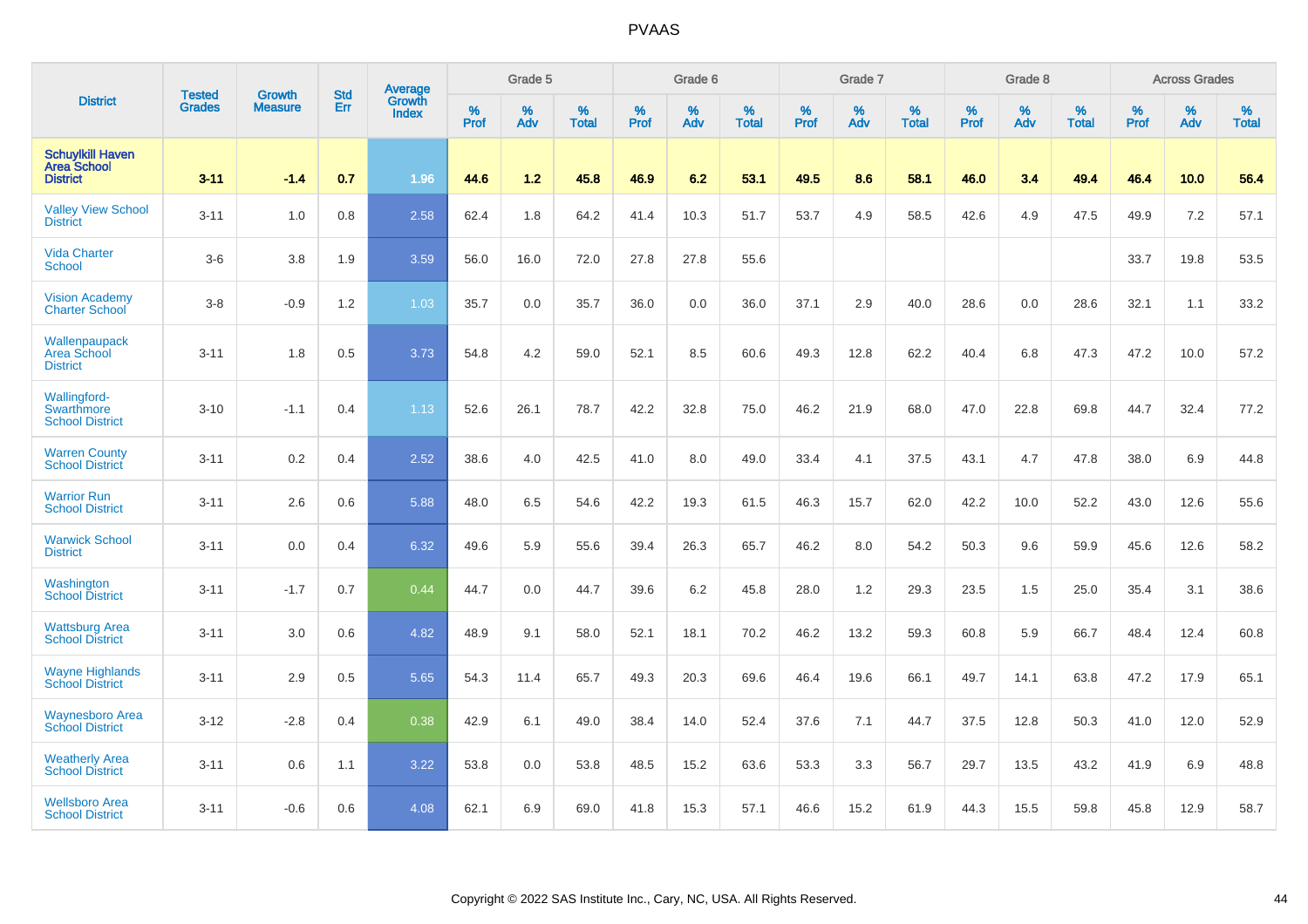|                                                                  | <b>Tested</b> | <b>Growth</b>  | <b>Std</b> | Average                       |              | Grade 5  |                   |           | Grade 6  |                   |           | Grade 7  |                   |           | Grade 8  |                   |           | <b>Across Grades</b> |                   |
|------------------------------------------------------------------|---------------|----------------|------------|-------------------------------|--------------|----------|-------------------|-----------|----------|-------------------|-----------|----------|-------------------|-----------|----------|-------------------|-----------|----------------------|-------------------|
| <b>District</b>                                                  | <b>Grades</b> | <b>Measure</b> | Err        | <b>Growth</b><br><b>Index</b> | $\%$<br>Prof | %<br>Adv | %<br><b>Total</b> | %<br>Prof | %<br>Adv | %<br><b>Total</b> | %<br>Prof | %<br>Adv | %<br><b>Total</b> | %<br>Prof | %<br>Adv | %<br><b>Total</b> | %<br>Prof | %<br>Adv             | %<br><b>Total</b> |
| <b>Schuylkill Haven</b><br><b>Area School</b><br><b>District</b> | $3 - 11$      | $-1.4$         | 0.7        | 1.96                          | 44.6         | 1.2      | 45.8              | 46.9      | 6.2      | 53.1              | 49.5      | 8.6      | 58.1              | 46.0      | 3.4      | 49.4              | 46.4      | 10.0                 | 56.4              |
| <b>Valley View School</b><br><b>District</b>                     | $3 - 11$      | 1.0            | 0.8        | 2.58                          | 62.4         | 1.8      | 64.2              | 41.4      | 10.3     | 51.7              | 53.7      | 4.9      | 58.5              | 42.6      | 4.9      | 47.5              | 49.9      | 7.2                  | 57.1              |
| <b>Vida Charter</b><br><b>School</b>                             | $3-6$         | 3.8            | 1.9        | 3.59                          | 56.0         | 16.0     | 72.0              | 27.8      | 27.8     | 55.6              |           |          |                   |           |          |                   | 33.7      | 19.8                 | 53.5              |
| <b>Vision Academy</b><br><b>Charter School</b>                   | $3-8$         | $-0.9$         | 1.2        | 1.03                          | 35.7         | 0.0      | 35.7              | 36.0      | 0.0      | 36.0              | 37.1      | 2.9      | 40.0              | 28.6      | 0.0      | 28.6              | 32.1      | 1.1                  | 33.2              |
| Wallenpaupack<br><b>Area School</b><br><b>District</b>           | $3 - 11$      | 1.8            | 0.5        | 3.73                          | 54.8         | 4.2      | 59.0              | 52.1      | 8.5      | 60.6              | 49.3      | 12.8     | 62.2              | 40.4      | 6.8      | 47.3              | 47.2      | 10.0                 | 57.2              |
| <b>Wallingford-</b><br>Swarthmore<br><b>School District</b>      | $3 - 10$      | $-1.1$         | 0.4        | 1.13                          | 52.6         | 26.1     | 78.7              | 42.2      | 32.8     | 75.0              | 46.2      | 21.9     | 68.0              | 47.0      | 22.8     | 69.8              | 44.7      | 32.4                 | 77.2              |
| <b>Warren County</b><br><b>School District</b>                   | $3 - 11$      | 0.2            | 0.4        | 2.52                          | 38.6         | 4.0      | 42.5              | 41.0      | 8.0      | 49.0              | 33.4      | 4.1      | 37.5              | 43.1      | 4.7      | 47.8              | 38.0      | 6.9                  | 44.8              |
| <b>Warrior Run</b><br><b>School District</b>                     | $3 - 11$      | 2.6            | 0.6        | 5.88                          | 48.0         | 6.5      | 54.6              | 42.2      | 19.3     | 61.5              | 46.3      | 15.7     | 62.0              | 42.2      | 10.0     | 52.2              | 43.0      | 12.6                 | 55.6              |
| <b>Warwick School</b><br><b>District</b>                         | $3 - 11$      | 0.0            | 0.4        | 6.32                          | 49.6         | 5.9      | 55.6              | 39.4      | 26.3     | 65.7              | 46.2      | 8.0      | 54.2              | 50.3      | 9.6      | 59.9              | 45.6      | 12.6                 | 58.2              |
| Washington<br><b>School District</b>                             | $3 - 11$      | $-1.7$         | 0.7        | 0.44                          | 44.7         | 0.0      | 44.7              | 39.6      | 6.2      | 45.8              | 28.0      | 1.2      | 29.3              | 23.5      | 1.5      | 25.0              | 35.4      | 3.1                  | 38.6              |
| <b>Wattsburg Area</b><br><b>School District</b>                  | $3 - 11$      | 3.0            | 0.6        | 4.82                          | 48.9         | 9.1      | 58.0              | 52.1      | 18.1     | 70.2              | 46.2      | 13.2     | 59.3              | 60.8      | 5.9      | 66.7              | 48.4      | 12.4                 | 60.8              |
| <b>Wayne Highlands</b><br><b>School District</b>                 | $3 - 11$      | 2.9            | 0.5        | 5.65                          | 54.3         | 11.4     | 65.7              | 49.3      | 20.3     | 69.6              | 46.4      | 19.6     | 66.1              | 49.7      | 14.1     | 63.8              | 47.2      | 17.9                 | 65.1              |
| <b>Waynesboro Area</b><br><b>School District</b>                 | $3 - 12$      | $-2.8$         | 0.4        | 0.38                          | 42.9         | 6.1      | 49.0              | 38.4      | 14.0     | 52.4              | 37.6      | 7.1      | 44.7              | 37.5      | 12.8     | 50.3              | 41.0      | 12.0                 | 52.9              |
| <b>Weatherly Area</b><br><b>School District</b>                  | $3 - 11$      | 0.6            | 1.1        | 3.22                          | 53.8         | 0.0      | 53.8              | 48.5      | 15.2     | 63.6              | 53.3      | 3.3      | 56.7              | 29.7      | 13.5     | 43.2              | 41.9      | 6.9                  | 48.8              |
| <b>Wellsboro Area</b><br><b>School District</b>                  | $3 - 11$      | $-0.6$         | 0.6        | 4.08                          | 62.1         | 6.9      | 69.0              | 41.8      | 15.3     | 57.1              | 46.6      | 15.2     | 61.9              | 44.3      | 15.5     | 59.8              | 45.8      | 12.9                 | 58.7              |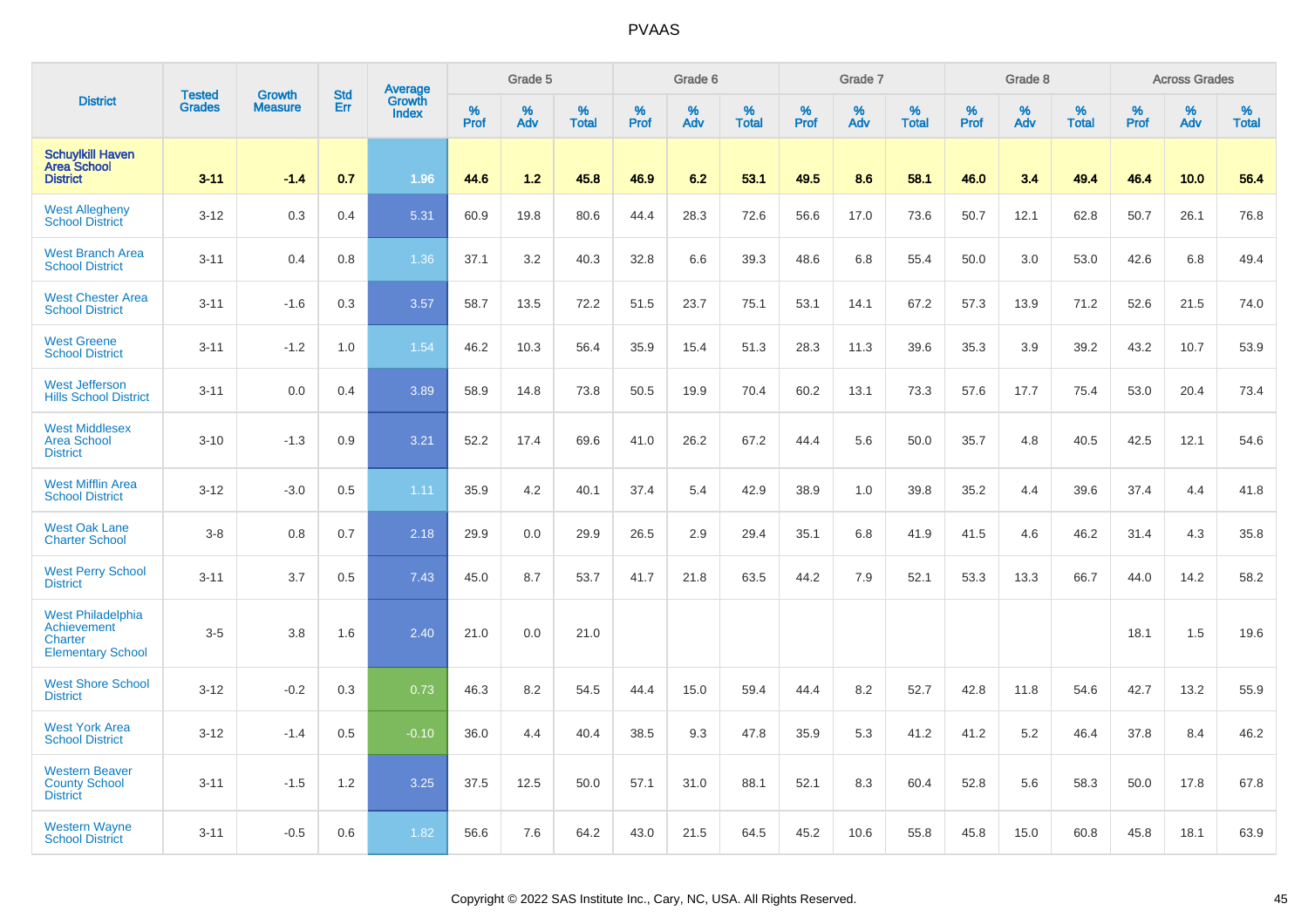|                                                                         |                                | <b>Growth</b>  | <b>Std</b> | <b>Average</b><br>Growth |              | Grade 5  |                   |           | Grade 6  |                   |           | Grade 7  |                   |           | Grade 8  |                   |           | <b>Across Grades</b> |                   |
|-------------------------------------------------------------------------|--------------------------------|----------------|------------|--------------------------|--------------|----------|-------------------|-----------|----------|-------------------|-----------|----------|-------------------|-----------|----------|-------------------|-----------|----------------------|-------------------|
| <b>District</b>                                                         | <b>Tested</b><br><b>Grades</b> | <b>Measure</b> | Err        | <b>Index</b>             | $\%$<br>Prof | %<br>Adv | %<br><b>Total</b> | %<br>Prof | %<br>Adv | %<br><b>Total</b> | %<br>Prof | %<br>Adv | %<br><b>Total</b> | %<br>Prof | %<br>Adv | %<br><b>Total</b> | %<br>Prof | %<br>Adv             | %<br><b>Total</b> |
| <b>Schuylkill Haven</b><br><b>Area School</b><br><b>District</b>        | $3 - 11$                       | $-1.4$         | 0.7        | 1.96                     | 44.6         | 1.2      | 45.8              | 46.9      | 6.2      | 53.1              | 49.5      | 8.6      | 58.1              | 46.0      | 3.4      | 49.4              | 46.4      | 10.0                 | 56.4              |
| <b>West Allegheny</b><br><b>School District</b>                         | $3 - 12$                       | 0.3            | 0.4        | 5.31                     | 60.9         | 19.8     | 80.6              | 44.4      | 28.3     | 72.6              | 56.6      | 17.0     | 73.6              | 50.7      | 12.1     | 62.8              | 50.7      | 26.1                 | 76.8              |
| <b>West Branch Area</b><br><b>School District</b>                       | $3 - 11$                       | 0.4            | 0.8        | 1.36                     | 37.1         | 3.2      | 40.3              | 32.8      | 6.6      | 39.3              | 48.6      | 6.8      | 55.4              | 50.0      | 3.0      | 53.0              | 42.6      | 6.8                  | 49.4              |
| <b>West Chester Area</b><br><b>School District</b>                      | $3 - 11$                       | $-1.6$         | 0.3        | 3.57                     | 58.7         | 13.5     | 72.2              | 51.5      | 23.7     | 75.1              | 53.1      | 14.1     | 67.2              | 57.3      | 13.9     | 71.2              | 52.6      | 21.5                 | 74.0              |
| <b>West Greene</b><br><b>School District</b>                            | $3 - 11$                       | $-1.2$         | 1.0        | 1.54                     | 46.2         | 10.3     | 56.4              | 35.9      | 15.4     | 51.3              | 28.3      | 11.3     | 39.6              | 35.3      | 3.9      | 39.2              | 43.2      | 10.7                 | 53.9              |
| <b>West Jefferson</b><br><b>Hills School District</b>                   | $3 - 11$                       | 0.0            | 0.4        | 3.89                     | 58.9         | 14.8     | 73.8              | 50.5      | 19.9     | 70.4              | 60.2      | 13.1     | 73.3              | 57.6      | 17.7     | 75.4              | 53.0      | 20.4                 | 73.4              |
| <b>West Middlesex</b><br><b>Area School</b><br><b>District</b>          | $3 - 10$                       | $-1.3$         | 0.9        | 3.21                     | 52.2         | 17.4     | 69.6              | 41.0      | 26.2     | 67.2              | 44.4      | 5.6      | 50.0              | 35.7      | 4.8      | 40.5              | 42.5      | 12.1                 | 54.6              |
| <b>West Mifflin Area</b><br><b>School District</b>                      | $3 - 12$                       | $-3.0$         | 0.5        | 1.11                     | 35.9         | 4.2      | 40.1              | 37.4      | 5.4      | 42.9              | 38.9      | 1.0      | 39.8              | 35.2      | 4.4      | 39.6              | 37.4      | 4.4                  | 41.8              |
| <b>West Oak Lane</b><br><b>Charter School</b>                           | $3-8$                          | 0.8            | 0.7        | 2.18                     | 29.9         | 0.0      | 29.9              | 26.5      | 2.9      | 29.4              | 35.1      | 6.8      | 41.9              | 41.5      | 4.6      | 46.2              | 31.4      | 4.3                  | 35.8              |
| <b>West Perry School</b><br><b>District</b>                             | $3 - 11$                       | 3.7            | 0.5        | 7.43                     | 45.0         | 8.7      | 53.7              | 41.7      | 21.8     | 63.5              | 44.2      | 7.9      | 52.1              | 53.3      | 13.3     | 66.7              | 44.0      | 14.2                 | 58.2              |
| West Philadelphia<br>Achievement<br>Charter<br><b>Elementary School</b> | $3-5$                          | 3.8            | 1.6        | 2.40                     | 21.0         | 0.0      | 21.0              |           |          |                   |           |          |                   |           |          |                   | 18.1      | 1.5                  | 19.6              |
| <b>West Shore School</b><br><b>District</b>                             | $3 - 12$                       | $-0.2$         | 0.3        | 0.73                     | 46.3         | 8.2      | 54.5              | 44.4      | 15.0     | 59.4              | 44.4      | 8.2      | 52.7              | 42.8      | 11.8     | 54.6              | 42.7      | 13.2                 | 55.9              |
| <b>West York Area</b><br><b>School District</b>                         | $3 - 12$                       | $-1.4$         | 0.5        | $-0.10$                  | 36.0         | 4.4      | 40.4              | 38.5      | 9.3      | 47.8              | 35.9      | 5.3      | 41.2              | 41.2      | 5.2      | 46.4              | 37.8      | 8.4                  | 46.2              |
| <b>Western Beaver</b><br><b>County School</b><br><b>District</b>        | $3 - 11$                       | $-1.5$         | 1.2        | 3.25                     | 37.5         | 12.5     | 50.0              | 57.1      | 31.0     | 88.1              | 52.1      | 8.3      | 60.4              | 52.8      | 5.6      | 58.3              | 50.0      | 17.8                 | 67.8              |
| <b>Western Wayne</b><br><b>School District</b>                          | $3 - 11$                       | $-0.5$         | 0.6        | 1.82                     | 56.6         | 7.6      | 64.2              | 43.0      | 21.5     | 64.5              | 45.2      | 10.6     | 55.8              | 45.8      | 15.0     | 60.8              | 45.8      | 18.1                 | 63.9              |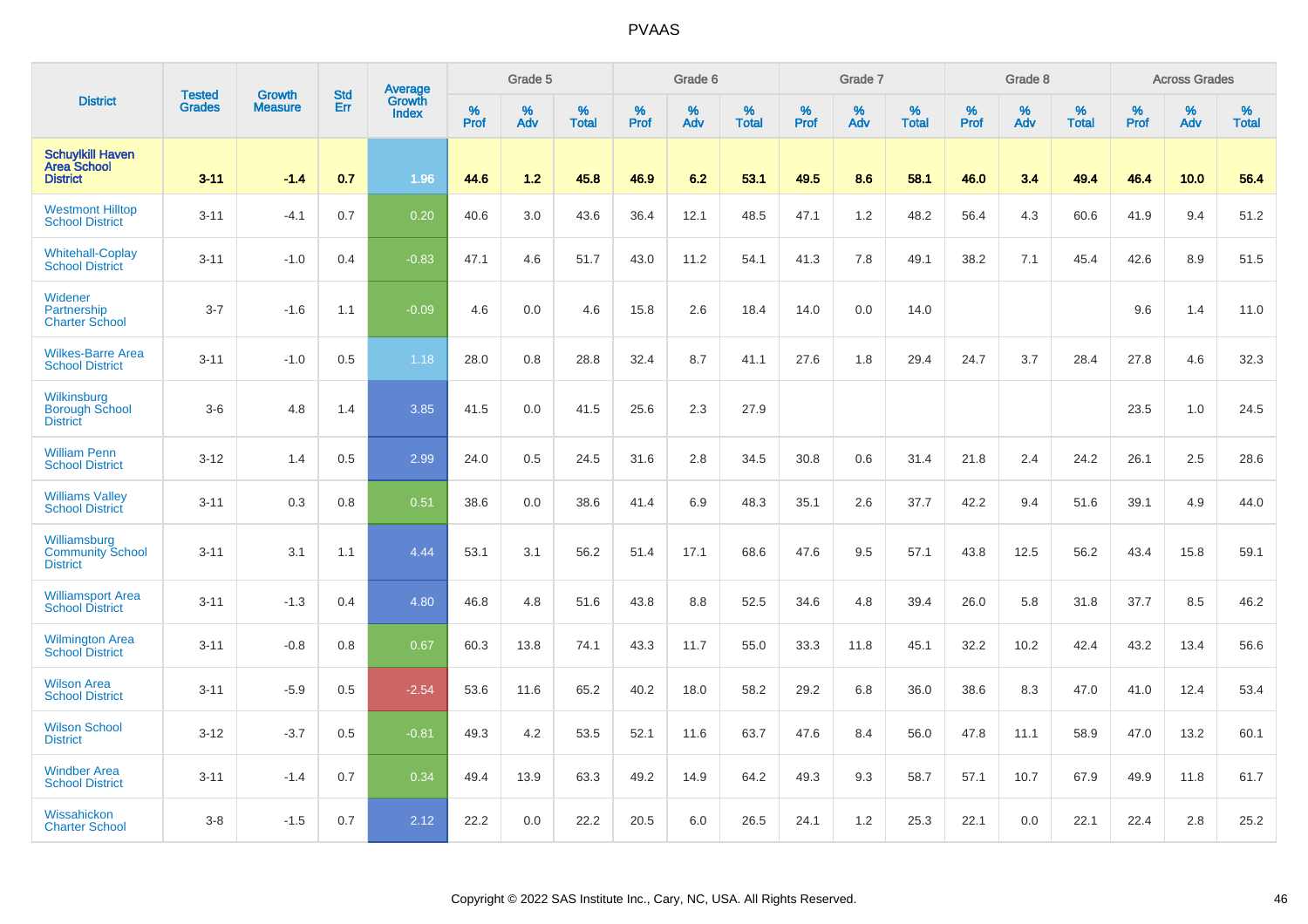|                                                                  |                                | <b>Growth</b>  | <b>Std</b> | Average                |              | Grade 5  |                   |              | Grade 6  |                   |              | Grade 7  |                   |           | Grade 8  |                   |           | <b>Across Grades</b> |                   |
|------------------------------------------------------------------|--------------------------------|----------------|------------|------------------------|--------------|----------|-------------------|--------------|----------|-------------------|--------------|----------|-------------------|-----------|----------|-------------------|-----------|----------------------|-------------------|
| <b>District</b>                                                  | <b>Tested</b><br><b>Grades</b> | <b>Measure</b> | Err        | Growth<br><b>Index</b> | $\%$<br>Prof | %<br>Adv | %<br><b>Total</b> | $\%$<br>Prof | %<br>Adv | %<br><b>Total</b> | $\%$<br>Prof | %<br>Adv | %<br><b>Total</b> | %<br>Prof | %<br>Adv | %<br><b>Total</b> | %<br>Prof | %<br>Adv             | %<br><b>Total</b> |
| <b>Schuylkill Haven</b><br><b>Area School</b><br><b>District</b> | $3 - 11$                       | $-1.4$         | 0.7        | 1.96                   | 44.6         | 1.2      | 45.8              | 46.9         | 6.2      | 53.1              | 49.5         | 8.6      | 58.1              | 46.0      | 3.4      | 49.4              | 46.4      | 10.0                 | 56.4              |
| <b>Westmont Hilltop</b><br><b>School District</b>                | $3 - 11$                       | $-4.1$         | 0.7        | 0.20                   | 40.6         | 3.0      | 43.6              | 36.4         | 12.1     | 48.5              | 47.1         | 1.2      | 48.2              | 56.4      | 4.3      | 60.6              | 41.9      | 9.4                  | 51.2              |
| <b>Whitehall-Coplay</b><br><b>School District</b>                | $3 - 11$                       | $-1.0$         | 0.4        | $-0.83$                | 47.1         | 4.6      | 51.7              | 43.0         | 11.2     | 54.1              | 41.3         | 7.8      | 49.1              | 38.2      | 7.1      | 45.4              | 42.6      | 8.9                  | 51.5              |
| Widener<br>Partnership<br><b>Charter School</b>                  | $3 - 7$                        | $-1.6$         | 1.1        | $-0.09$                | 4.6          | 0.0      | 4.6               | 15.8         | 2.6      | 18.4              | 14.0         | 0.0      | 14.0              |           |          |                   | 9.6       | 1.4                  | 11.0              |
| <b>Wilkes-Barre Area</b><br><b>School District</b>               | $3 - 11$                       | $-1.0$         | 0.5        | 1.18                   | 28.0         | 0.8      | 28.8              | 32.4         | 8.7      | 41.1              | 27.6         | 1.8      | 29.4              | 24.7      | 3.7      | 28.4              | 27.8      | 4.6                  | 32.3              |
| Wilkinsburg<br><b>Borough School</b><br><b>District</b>          | $3-6$                          | 4.8            | 1.4        | 3.85                   | 41.5         | 0.0      | 41.5              | 25.6         | 2.3      | 27.9              |              |          |                   |           |          |                   | 23.5      | 1.0                  | 24.5              |
| <b>William Penn</b><br><b>School District</b>                    | $3 - 12$                       | 1.4            | 0.5        | 2.99                   | 24.0         | 0.5      | 24.5              | 31.6         | 2.8      | 34.5              | 30.8         | 0.6      | 31.4              | 21.8      | 2.4      | 24.2              | 26.1      | 2.5                  | 28.6              |
| <b>Williams Valley</b><br><b>School District</b>                 | $3 - 11$                       | 0.3            | 0.8        | 0.51                   | 38.6         | 0.0      | 38.6              | 41.4         | 6.9      | 48.3              | 35.1         | 2.6      | 37.7              | 42.2      | 9.4      | 51.6              | 39.1      | 4.9                  | 44.0              |
| Williamsburg<br><b>Community School</b><br><b>District</b>       | $3 - 11$                       | 3.1            | 1.1        | 4.44                   | 53.1         | 3.1      | 56.2              | 51.4         | 17.1     | 68.6              | 47.6         | 9.5      | 57.1              | 43.8      | 12.5     | 56.2              | 43.4      | 15.8                 | 59.1              |
| <b>Williamsport Area</b><br><b>School District</b>               | $3 - 11$                       | $-1.3$         | 0.4        | 4.80                   | 46.8         | 4.8      | 51.6              | 43.8         | 8.8      | 52.5              | 34.6         | 4.8      | 39.4              | 26.0      | 5.8      | 31.8              | 37.7      | 8.5                  | 46.2              |
| Wilmington Area<br>School District                               | $3 - 11$                       | $-0.8$         | 0.8        | 0.67                   | 60.3         | 13.8     | 74.1              | 43.3         | 11.7     | 55.0              | 33.3         | 11.8     | 45.1              | 32.2      | 10.2     | 42.4              | 43.2      | 13.4                 | 56.6              |
| <b>Wilson Area</b><br><b>School District</b>                     | $3 - 11$                       | $-5.9$         | 0.5        | $-2.54$                | 53.6         | 11.6     | 65.2              | 40.2         | 18.0     | 58.2              | 29.2         | 6.8      | 36.0              | 38.6      | 8.3      | 47.0              | 41.0      | 12.4                 | 53.4              |
| <b>Wilson School</b><br><b>District</b>                          | $3 - 12$                       | $-3.7$         | 0.5        | $-0.81$                | 49.3         | 4.2      | 53.5              | 52.1         | 11.6     | 63.7              | 47.6         | 8.4      | 56.0              | 47.8      | 11.1     | 58.9              | 47.0      | 13.2                 | 60.1              |
| <b>Windber Area</b><br><b>School District</b>                    | $3 - 11$                       | $-1.4$         | 0.7        | 0.34                   | 49.4         | 13.9     | 63.3              | 49.2         | 14.9     | 64.2              | 49.3         | 9.3      | 58.7              | 57.1      | 10.7     | 67.9              | 49.9      | 11.8                 | 61.7              |
| Wissahickon<br><b>Charter School</b>                             | $3 - 8$                        | $-1.5$         | 0.7        | 2.12                   | 22.2         | 0.0      | 22.2              | 20.5         | 6.0      | 26.5              | 24.1         | 1.2      | 25.3              | 22.1      | 0.0      | 22.1              | 22.4      | 2.8                  | 25.2              |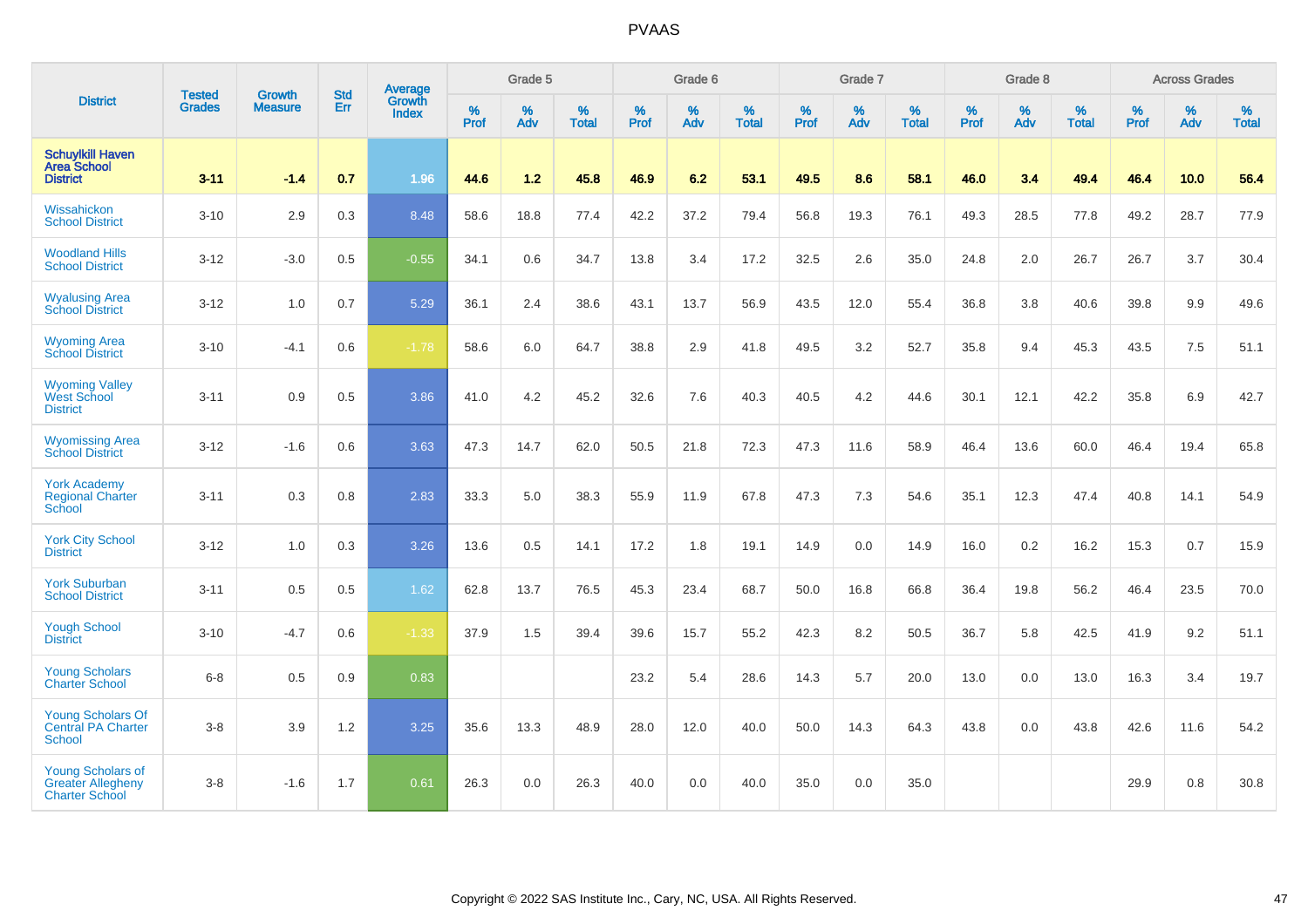|                                                                               |                                | <b>Growth</b>  | <b>Std</b> | Average                       |                     | Grade 5  |                   |                  | Grade 6  |                   |           | Grade 7  |                   |                  | Grade 8  |                   |                  | <b>Across Grades</b> |                   |
|-------------------------------------------------------------------------------|--------------------------------|----------------|------------|-------------------------------|---------------------|----------|-------------------|------------------|----------|-------------------|-----------|----------|-------------------|------------------|----------|-------------------|------------------|----------------------|-------------------|
| <b>District</b>                                                               | <b>Tested</b><br><b>Grades</b> | <b>Measure</b> | Err        | <b>Growth</b><br><b>Index</b> | $\%$<br><b>Prof</b> | %<br>Adv | %<br><b>Total</b> | %<br><b>Prof</b> | %<br>Adv | %<br><b>Total</b> | %<br>Prof | %<br>Adv | %<br><b>Total</b> | %<br><b>Prof</b> | %<br>Adv | %<br><b>Total</b> | %<br><b>Prof</b> | %<br>Adv             | %<br><b>Total</b> |
| <b>Schuylkill Haven</b><br><b>Area School</b><br><b>District</b>              | $3 - 11$                       | $-1.4$         | 0.7        | 1.96                          | 44.6                | 1.2      | 45.8              | 46.9             | 6.2      | 53.1              | 49.5      | 8.6      | 58.1              | 46.0             | 3.4      | 49.4              | 46.4             | 10.0                 | 56.4              |
| Wissahickon<br><b>School District</b>                                         | $3 - 10$                       | 2.9            | 0.3        | 8.48                          | 58.6                | 18.8     | 77.4              | 42.2             | 37.2     | 79.4              | 56.8      | 19.3     | 76.1              | 49.3             | 28.5     | 77.8              | 49.2             | 28.7                 | 77.9              |
| <b>Woodland Hills</b><br><b>School District</b>                               | $3 - 12$                       | $-3.0$         | 0.5        | $-0.55$                       | 34.1                | 0.6      | 34.7              | 13.8             | 3.4      | 17.2              | 32.5      | 2.6      | 35.0              | 24.8             | 2.0      | 26.7              | 26.7             | 3.7                  | 30.4              |
| <b>Wyalusing Area</b><br><b>School District</b>                               | $3-12$                         | 1.0            | 0.7        | 5.29                          | 36.1                | 2.4      | 38.6              | 43.1             | 13.7     | 56.9              | 43.5      | 12.0     | 55.4              | 36.8             | 3.8      | 40.6              | 39.8             | 9.9                  | 49.6              |
| <b>Wyoming Area</b><br><b>School District</b>                                 | $3 - 10$                       | $-4.1$         | 0.6        | $-1.78$                       | 58.6                | 6.0      | 64.7              | 38.8             | 2.9      | 41.8              | 49.5      | 3.2      | 52.7              | 35.8             | 9.4      | 45.3              | 43.5             | 7.5                  | 51.1              |
| <b>Wyoming Valley</b><br>West School<br><b>District</b>                       | $3 - 11$                       | 0.9            | 0.5        | 3.86                          | 41.0                | 4.2      | 45.2              | 32.6             | 7.6      | 40.3              | 40.5      | 4.2      | 44.6              | 30.1             | 12.1     | 42.2              | 35.8             | 6.9                  | 42.7              |
| <b>Wyomissing Area</b><br><b>School District</b>                              | $3 - 12$                       | $-1.6$         | 0.6        | 3.63                          | 47.3                | 14.7     | 62.0              | 50.5             | 21.8     | 72.3              | 47.3      | 11.6     | 58.9              | 46.4             | 13.6     | 60.0              | 46.4             | 19.4                 | 65.8              |
| <b>York Academy</b><br><b>Regional Charter</b><br>School                      | $3 - 11$                       | 0.3            | 0.8        | 2.83                          | 33.3                | 5.0      | 38.3              | 55.9             | 11.9     | 67.8              | 47.3      | 7.3      | 54.6              | 35.1             | 12.3     | 47.4              | 40.8             | 14.1                 | 54.9              |
| <b>York City School</b><br><b>District</b>                                    | $3 - 12$                       | 1.0            | 0.3        | 3.26                          | 13.6                | 0.5      | 14.1              | 17.2             | 1.8      | 19.1              | 14.9      | 0.0      | 14.9              | 16.0             | 0.2      | 16.2              | 15.3             | 0.7                  | 15.9              |
| <b>York Suburban</b><br><b>School District</b>                                | $3 - 11$                       | 0.5            | 0.5        | 1.62                          | 62.8                | 13.7     | 76.5              | 45.3             | 23.4     | 68.7              | 50.0      | 16.8     | 66.8              | 36.4             | 19.8     | 56.2              | 46.4             | 23.5                 | 70.0              |
| <b>Yough School</b><br><b>District</b>                                        | $3 - 10$                       | $-4.7$         | 0.6        | $-1.33$                       | 37.9                | 1.5      | 39.4              | 39.6             | 15.7     | 55.2              | 42.3      | 8.2      | 50.5              | 36.7             | 5.8      | 42.5              | 41.9             | 9.2                  | 51.1              |
| <b>Young Scholars</b><br><b>Charter School</b>                                | $6 - 8$                        | 0.5            | 0.9        | 0.83                          |                     |          |                   | 23.2             | 5.4      | 28.6              | 14.3      | 5.7      | 20.0              | 13.0             | 0.0      | 13.0              | 16.3             | 3.4                  | 19.7              |
| <b>Young Scholars Of</b><br><b>Central PA Charter</b><br><b>School</b>        | $3-8$                          | 3.9            | 1.2        | 3.25                          | 35.6                | 13.3     | 48.9              | 28.0             | 12.0     | 40.0              | 50.0      | 14.3     | 64.3              | 43.8             | 0.0      | 43.8              | 42.6             | 11.6                 | 54.2              |
| <b>Young Scholars of</b><br><b>Greater Allegheny</b><br><b>Charter School</b> | $3-8$                          | $-1.6$         | 1.7        | 0.61                          | 26.3                | 0.0      | 26.3              | 40.0             | 0.0      | 40.0              | 35.0      | 0.0      | 35.0              |                  |          |                   | 29.9             | 0.8                  | 30.8              |